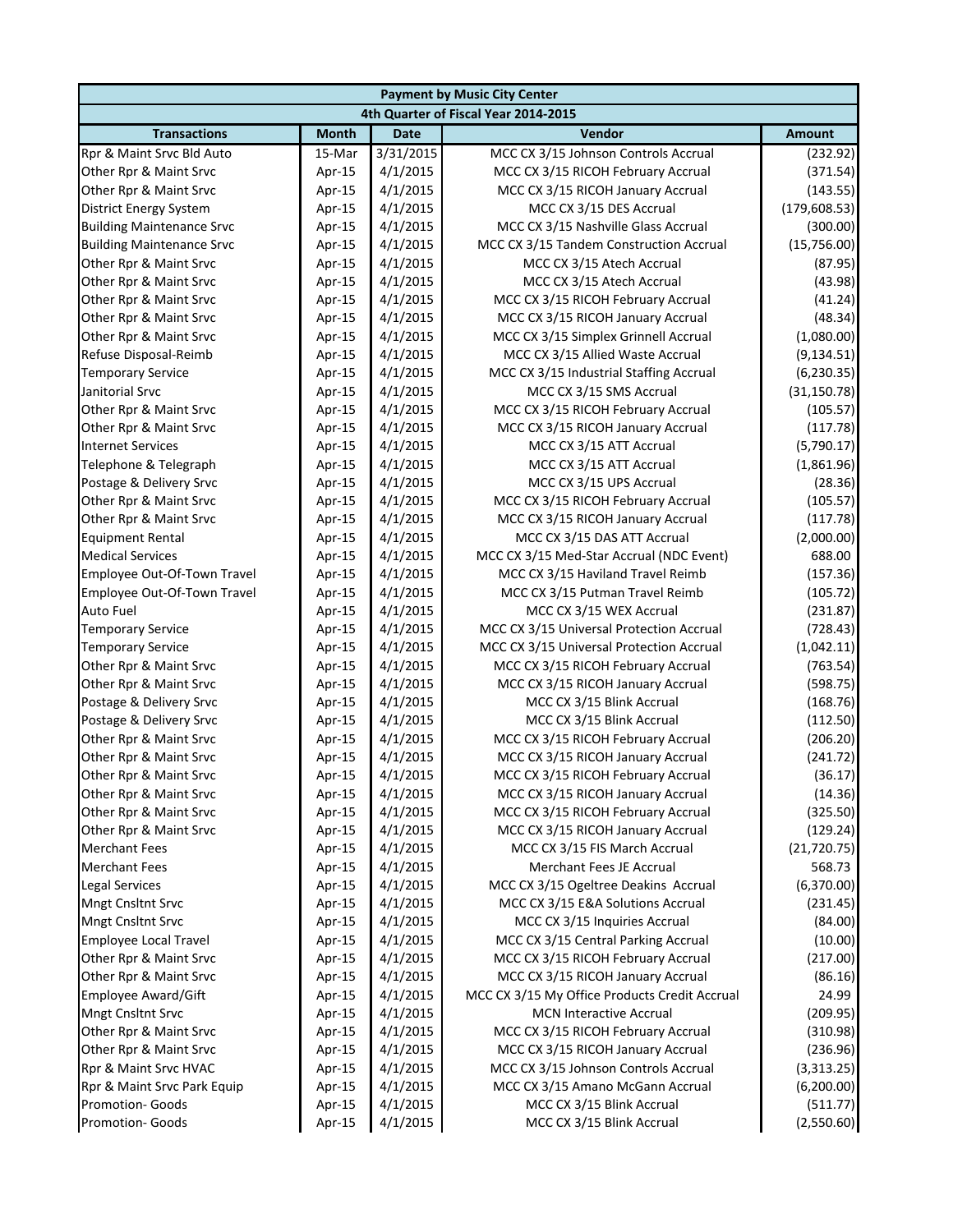| <b>Payment by Music City Center</b>                |                  |                      |                                                            |                      |  |  |
|----------------------------------------------------|------------------|----------------------|------------------------------------------------------------|----------------------|--|--|
|                                                    |                  |                      | 4th Quarter of Fiscal Year 2014-2015                       |                      |  |  |
| <b>Transactions</b>                                | <b>Month</b>     | <b>Date</b>          | Vendor                                                     | <b>Amount</b>        |  |  |
| Rpr & Maint Srvc Bld Auto                          | 15-Mar           | 3/31/2015            | MCC CX 3/15 Johnson Controls Accrual                       | (232.92)             |  |  |
| Other Rpr & Maint Srvc                             | Apr-15           | 4/1/2015             | MCC CX 3/15 RICOH February Accrual                         | (371.54)             |  |  |
| Other Rpr & Maint Srvc                             | Apr-15           | 4/1/2015             | MCC CX 3/15 RICOH January Accrual                          | (143.55)             |  |  |
| District Energy System                             | Apr-15           | 4/1/2015             | MCC CX 3/15 DES Accrual                                    | (179, 608.53)        |  |  |
| <b>Building Maintenance Srvc</b>                   | Apr-15           | 4/1/2015             | MCC CX 3/15 Nashville Glass Accrual                        | (300.00)             |  |  |
| <b>Building Maintenance Srvc</b>                   | Apr-15           | 4/1/2015             | MCC CX 3/15 Tandem Construction Accrual                    | (15,756.00)          |  |  |
| Other Rpr & Maint Srvc                             | Apr-15           | 4/1/2015             | MCC CX 3/15 Atech Accrual                                  | (87.95)              |  |  |
| Other Rpr & Maint Srvc                             | Apr-15           | 4/1/2015             | MCC CX 3/15 Atech Accrual                                  | (43.98)              |  |  |
| Other Rpr & Maint Srvc                             | Apr-15           | 4/1/2015             | MCC CX 3/15 RICOH February Accrual                         | (41.24)              |  |  |
| Other Rpr & Maint Srvc                             | Apr-15           | 4/1/2015             | MCC CX 3/15 RICOH January Accrual                          | (48.34)              |  |  |
| Other Rpr & Maint Srvc                             | Apr-15           | 4/1/2015             | MCC CX 3/15 Simplex Grinnell Accrual                       | (1,080.00)           |  |  |
| Refuse Disposal-Reimb                              | Apr-15           | 4/1/2015             | MCC CX 3/15 Allied Waste Accrual                           | (9, 134.51)          |  |  |
| <b>Temporary Service</b>                           | Apr-15           | 4/1/2015             | MCC CX 3/15 Industrial Staffing Accrual                    | (6, 230.35)          |  |  |
| Janitorial Srvc                                    | Apr-15           | 4/1/2015             | MCC CX 3/15 SMS Accrual                                    | (31, 150.78)         |  |  |
| Other Rpr & Maint Srvc                             | Apr-15           | 4/1/2015             | MCC CX 3/15 RICOH February Accrual                         | (105.57)             |  |  |
| Other Rpr & Maint Srvc                             | Apr-15           | 4/1/2015             | MCC CX 3/15 RICOH January Accrual                          | (117.78)             |  |  |
| <b>Internet Services</b>                           | Apr-15           | 4/1/2015             | MCC CX 3/15 ATT Accrual                                    | (5,790.17)           |  |  |
| Telephone & Telegraph                              | Apr-15           | 4/1/2015             | MCC CX 3/15 ATT Accrual                                    | (1,861.96)           |  |  |
| Postage & Delivery Srvc                            | Apr-15           | 4/1/2015             | MCC CX 3/15 UPS Accrual                                    | (28.36)              |  |  |
| Other Rpr & Maint Srvc                             | Apr-15           | 4/1/2015             | MCC CX 3/15 RICOH February Accrual                         | (105.57)             |  |  |
| Other Rpr & Maint Srvc                             | Apr-15           | 4/1/2015             | MCC CX 3/15 RICOH January Accrual                          | (117.78)             |  |  |
| <b>Equipment Rental</b><br><b>Medical Services</b> | Apr-15           | 4/1/2015             | MCC CX 3/15 DAS ATT Accrual                                | (2,000.00)<br>688.00 |  |  |
|                                                    | Apr-15           | 4/1/2015             | MCC CX 3/15 Med-Star Accrual (NDC Event)                   |                      |  |  |
| Employee Out-Of-Town Travel                        | Apr-15           | 4/1/2015<br>4/1/2015 | MCC CX 3/15 Haviland Travel Reimb                          | (157.36)<br>(105.72) |  |  |
| Employee Out-Of-Town Travel<br><b>Auto Fuel</b>    | Apr-15           | 4/1/2015             | MCC CX 3/15 Putman Travel Reimb<br>MCC CX 3/15 WEX Accrual | (231.87)             |  |  |
| <b>Temporary Service</b>                           | Apr-15<br>Apr-15 | 4/1/2015             | MCC CX 3/15 Universal Protection Accrual                   | (728.43)             |  |  |
| <b>Temporary Service</b>                           | Apr-15           | 4/1/2015             | MCC CX 3/15 Universal Protection Accrual                   | (1,042.11)           |  |  |
| Other Rpr & Maint Srvc                             | Apr-15           | 4/1/2015             | MCC CX 3/15 RICOH February Accrual                         | (763.54)             |  |  |
| Other Rpr & Maint Srvc                             | Apr-15           | 4/1/2015             | MCC CX 3/15 RICOH January Accrual                          | (598.75)             |  |  |
| Postage & Delivery Srvc                            | Apr-15           | 4/1/2015             | MCC CX 3/15 Blink Accrual                                  | (168.76)             |  |  |
| Postage & Delivery Srvc                            | Apr-15           | 4/1/2015             | MCC CX 3/15 Blink Accrual                                  | (112.50)             |  |  |
| Other Rpr & Maint Srvc                             | Apr-15           | 4/1/2015             | MCC CX 3/15 RICOH February Accrual                         | (206.20)             |  |  |
| Other Rpr & Maint Srvc                             | Apr-15           | 4/1/2015             | MCC CX 3/15 RICOH January Accrual                          | (241.72)             |  |  |
| Other Rpr & Maint Srvc                             | Apr-15           | 4/1/2015             | MCC CX 3/15 RICOH February Accrual                         | (36.17)              |  |  |
| Other Rpr & Maint Srvc                             | Apr-15           | 4/1/2015             | MCC CX 3/15 RICOH January Accrual                          | (14.36)              |  |  |
| Other Rpr & Maint Srvc                             | Apr-15           | 4/1/2015             | MCC CX 3/15 RICOH February Accrual                         | (325.50)             |  |  |
| Other Rpr & Maint Srvc                             | Apr-15           | 4/1/2015             | MCC CX 3/15 RICOH January Accrual                          | (129.24)             |  |  |
| <b>Merchant Fees</b>                               | Apr-15           | 4/1/2015             | MCC CX 3/15 FIS March Accrual                              | (21, 720.75)         |  |  |
| <b>Merchant Fees</b>                               | Apr-15           | 4/1/2015             | Merchant Fees JE Accrual                                   | 568.73               |  |  |
| <b>Legal Services</b>                              | Apr-15           | 4/1/2015             | MCC CX 3/15 Ogeltree Deakins Accrual                       | (6,370.00)           |  |  |
| Mngt Cnsltnt Srvc                                  | Apr-15           | 4/1/2015             | MCC CX 3/15 E&A Solutions Accrual                          | (231.45)             |  |  |
| Mngt Cnsltnt Srvc                                  | Apr-15           | 4/1/2015             | MCC CX 3/15 Inquiries Accrual                              | (84.00)              |  |  |
| <b>Employee Local Travel</b>                       | Apr-15           | 4/1/2015             | MCC CX 3/15 Central Parking Accrual                        | (10.00)              |  |  |
| Other Rpr & Maint Srvc                             | Apr-15           | 4/1/2015             | MCC CX 3/15 RICOH February Accrual                         | (217.00)             |  |  |
| Other Rpr & Maint Srvc                             | Apr-15           | 4/1/2015             | MCC CX 3/15 RICOH January Accrual                          | (86.16)              |  |  |
| Employee Award/Gift                                | Apr-15           | 4/1/2015             | MCC CX 3/15 My Office Products Credit Accrual              | 24.99                |  |  |
| Mngt Cnsltnt Srvc                                  | Apr-15           | 4/1/2015             | <b>MCN Interactive Accrual</b>                             | (209.95)             |  |  |
| Other Rpr & Maint Srvc                             | Apr-15           | 4/1/2015             | MCC CX 3/15 RICOH February Accrual                         | (310.98)             |  |  |
| Other Rpr & Maint Srvc                             | Apr-15           | 4/1/2015             | MCC CX 3/15 RICOH January Accrual                          | (236.96)             |  |  |
| Rpr & Maint Srvc HVAC                              | Apr-15           | 4/1/2015             | MCC CX 3/15 Johnson Controls Accrual                       | (3,313.25)           |  |  |
| Rpr & Maint Srvc Park Equip                        | Apr-15           | 4/1/2015             | MCC CX 3/15 Amano McGann Accrual                           | (6,200.00)           |  |  |
| Promotion- Goods                                   | Apr-15           | 4/1/2015             | MCC CX 3/15 Blink Accrual                                  | (511.77)             |  |  |
| Promotion- Goods                                   | Apr-15           | 4/1/2015             | MCC CX 3/15 Blink Accrual                                  | (2,550.60)           |  |  |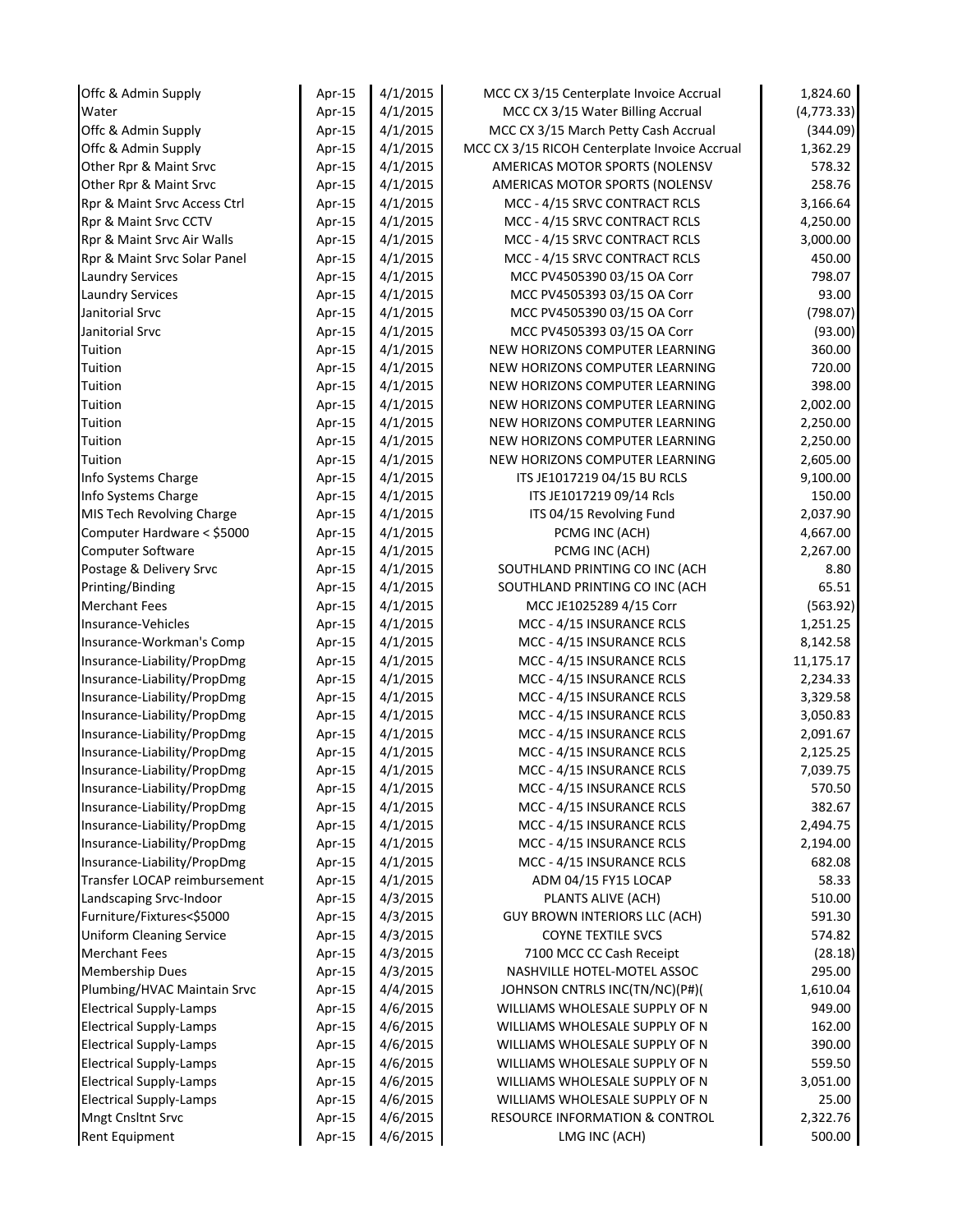| 4/1/2015<br>(4, 773.33)<br>Water<br>MCC CX 3/15 Water Billing Accrual<br>Apr-15<br>(344.09)<br>Offc & Admin Supply<br>4/1/2015<br>MCC CX 3/15 March Petty Cash Accrual<br>Apr-15<br>Offc & Admin Supply<br>4/1/2015<br>MCC CX 3/15 RICOH Centerplate Invoice Accrual<br>1,362.29<br>Apr-15<br>578.32<br>Other Rpr & Maint Srvc<br>4/1/2015<br>AMERICAS MOTOR SPORTS (NOLENSV<br>Apr-15<br>258.76<br>4/1/2015<br>Other Rpr & Maint Srvc<br>Apr-15<br>AMERICAS MOTOR SPORTS (NOLENSV<br>3,166.64<br>4/1/2015<br>MCC - 4/15 SRVC CONTRACT RCLS<br>Rpr & Maint Srvc Access Ctrl<br>Apr-15<br>4,250.00<br>Rpr & Maint Srvc CCTV<br>4/1/2015<br>MCC - 4/15 SRVC CONTRACT RCLS<br>Apr-15<br>3,000.00<br>Rpr & Maint Srvc Air Walls<br>4/1/2015<br>MCC - 4/15 SRVC CONTRACT RCLS<br>Apr-15<br>450.00<br>Rpr & Maint Srvc Solar Panel<br>4/1/2015<br>MCC - 4/15 SRVC CONTRACT RCLS<br>Apr-15<br>798.07<br>4/1/2015<br>MCC PV4505390 03/15 OA Corr<br><b>Laundry Services</b><br>Apr-15<br>93.00<br>4/1/2015<br>MCC PV4505393 03/15 OA Corr<br><b>Laundry Services</b><br>Apr-15<br>4/1/2015<br>(798.07)<br>Janitorial Srvc<br>MCC PV4505390 03/15 OA Corr<br>Apr-15<br>Janitorial Srvc<br>4/1/2015<br>MCC PV4505393 03/15 OA Corr<br>(93.00)<br>Apr-15<br>Tuition<br>4/1/2015<br>NEW HORIZONS COMPUTER LEARNING<br>360.00<br>Apr-15<br>Tuition<br>4/1/2015<br>NEW HORIZONS COMPUTER LEARNING<br>720.00<br>Apr-15<br>398.00<br>Tuition<br>4/1/2015<br>NEW HORIZONS COMPUTER LEARNING<br>Apr-15<br>Tuition<br>4/1/2015<br>NEW HORIZONS COMPUTER LEARNING<br>2,002.00<br>Apr-15<br>Tuition<br>4/1/2015<br>NEW HORIZONS COMPUTER LEARNING<br>Apr-15<br>2,250.00<br>Tuition<br>4/1/2015<br>NEW HORIZONS COMPUTER LEARNING<br>2,250.00<br>Apr-15<br>Tuition<br>4/1/2015<br>NEW HORIZONS COMPUTER LEARNING<br>2,605.00<br>Apr-15<br>Info Systems Charge<br>4/1/2015<br>ITS JE1017219 04/15 BU RCLS<br>9,100.00<br>Apr-15<br>150.00<br>4/1/2015<br>ITS JE1017219 09/14 Rcls<br>Info Systems Charge<br>Apr-15<br>MIS Tech Revolving Charge<br>4/1/2015<br>ITS 04/15 Revolving Fund<br>2,037.90<br>Apr-15<br>Computer Hardware < \$5000<br>4/1/2015<br>PCMG INC (ACH)<br>4,667.00<br>Apr-15<br>Computer Software<br>4/1/2015<br>PCMG INC (ACH)<br>2,267.00<br>Apr-15<br>Postage & Delivery Srvc<br>4/1/2015<br>SOUTHLAND PRINTING CO INC (ACH<br>8.80<br>Apr-15<br>Printing/Binding<br>4/1/2015<br>SOUTHLAND PRINTING CO INC (ACH<br>65.51<br>Apr-15<br><b>Merchant Fees</b><br>4/1/2015<br>(563.92)<br>Apr-15<br>MCC JE1025289 4/15 Corr<br>Insurance-Vehicles<br>4/1/2015<br>MCC - 4/15 INSURANCE RCLS<br>1,251.25<br>Apr-15<br>4/1/2015<br>MCC - 4/15 INSURANCE RCLS<br>8,142.58<br>Insurance-Workman's Comp<br>Apr-15<br>4/1/2015<br>MCC - 4/15 INSURANCE RCLS<br>11,175.17<br>Insurance-Liability/PropDmg<br>Apr-15<br>Insurance-Liability/PropDmg<br>4/1/2015<br>MCC - 4/15 INSURANCE RCLS<br>2,234.33<br>Apr-15<br>Insurance-Liability/PropDmg<br>4/1/2015<br>MCC - 4/15 INSURANCE RCLS<br>3,329.58<br>Apr-15<br>Insurance-Liability/PropDmg<br>4/1/2015<br>MCC - 4/15 INSURANCE RCLS<br>3,050.83<br>Apr-15<br>Insurance-Liability/PropDmg<br>4/1/2015<br>MCC - 4/15 INSURANCE RCLS<br>2,091.67<br>Apr-15<br>Insurance-Liability/PropDmg<br>4/1/2015<br>MCC - 4/15 INSURANCE RCLS<br>2,125.25<br>Apr-15<br>4/1/2015<br>Insurance-Liability/PropDmg<br>MCC - 4/15 INSURANCE RCLS<br>7,039.75<br>Apr-15<br>Insurance-Liability/PropDmg<br>Apr-15<br>4/1/2015<br>MCC - 4/15 INSURANCE RCLS<br>570.50<br>4/1/2015<br>MCC - 4/15 INSURANCE RCLS<br>382.67<br>Insurance-Liability/PropDmg<br>Apr-15<br>Insurance-Liability/PropDmg<br>4/1/2015<br>MCC - 4/15 INSURANCE RCLS<br>2,494.75<br>Apr-15<br>Insurance-Liability/PropDmg<br>4/1/2015<br>MCC - 4/15 INSURANCE RCLS<br>2,194.00<br>Apr-15<br>Insurance-Liability/PropDmg<br>4/1/2015<br>MCC - 4/15 INSURANCE RCLS<br>682.08<br>Apr-15<br>Transfer LOCAP reimbursement<br>4/1/2015<br>ADM 04/15 FY15 LOCAP<br>58.33<br>Apr-15<br>Landscaping Srvc-Indoor<br>4/3/2015<br>PLANTS ALIVE (ACH)<br>510.00<br>Apr-15<br>Furniture/Fixtures<\$5000<br>4/3/2015<br><b>GUY BROWN INTERIORS LLC (ACH)</b><br>591.30<br>Apr-15<br><b>Uniform Cleaning Service</b><br>4/3/2015<br><b>COYNE TEXTILE SVCS</b><br>574.82<br>Apr-15<br><b>Merchant Fees</b><br>4/3/2015<br>7100 MCC CC Cash Receipt<br>Apr-15<br>(28.18)<br>295.00<br><b>Membership Dues</b><br>4/3/2015<br>NASHVILLE HOTEL-MOTEL ASSOC<br>Apr-15<br>4/4/2015<br>Plumbing/HVAC Maintain Srvc<br>JOHNSON CNTRLS INC(TN/NC)(P#)(<br>1,610.04<br>Apr-15<br>949.00<br><b>Electrical Supply-Lamps</b><br>4/6/2015<br>WILLIAMS WHOLESALE SUPPLY OF N<br>Apr-15<br><b>Electrical Supply-Lamps</b><br>4/6/2015<br>WILLIAMS WHOLESALE SUPPLY OF N<br>162.00<br>Apr-15<br><b>Electrical Supply-Lamps</b><br>4/6/2015<br>WILLIAMS WHOLESALE SUPPLY OF N<br>390.00<br>Apr-15<br>559.50<br><b>Electrical Supply-Lamps</b><br>4/6/2015<br>WILLIAMS WHOLESALE SUPPLY OF N<br>Apr-15<br>3,051.00<br><b>Electrical Supply-Lamps</b><br>4/6/2015<br>WILLIAMS WHOLESALE SUPPLY OF N<br>Apr-15<br><b>Electrical Supply-Lamps</b><br>4/6/2015<br>WILLIAMS WHOLESALE SUPPLY OF N<br>25.00<br>Apr-15<br>2,322.76<br>Mngt Cnsltnt Srvc<br>4/6/2015<br><b>RESOURCE INFORMATION &amp; CONTROL</b><br>Apr-15<br>Rent Equipment<br>4/6/2015<br>500.00<br>Apr-15<br>LMG INC (ACH) | Offc & Admin Supply | Apr-15 | 4/1/2015 | MCC CX 3/15 Centerplate Invoice Accrual | 1,824.60 |
|-----------------------------------------------------------------------------------------------------------------------------------------------------------------------------------------------------------------------------------------------------------------------------------------------------------------------------------------------------------------------------------------------------------------------------------------------------------------------------------------------------------------------------------------------------------------------------------------------------------------------------------------------------------------------------------------------------------------------------------------------------------------------------------------------------------------------------------------------------------------------------------------------------------------------------------------------------------------------------------------------------------------------------------------------------------------------------------------------------------------------------------------------------------------------------------------------------------------------------------------------------------------------------------------------------------------------------------------------------------------------------------------------------------------------------------------------------------------------------------------------------------------------------------------------------------------------------------------------------------------------------------------------------------------------------------------------------------------------------------------------------------------------------------------------------------------------------------------------------------------------------------------------------------------------------------------------------------------------------------------------------------------------------------------------------------------------------------------------------------------------------------------------------------------------------------------------------------------------------------------------------------------------------------------------------------------------------------------------------------------------------------------------------------------------------------------------------------------------------------------------------------------------------------------------------------------------------------------------------------------------------------------------------------------------------------------------------------------------------------------------------------------------------------------------------------------------------------------------------------------------------------------------------------------------------------------------------------------------------------------------------------------------------------------------------------------------------------------------------------------------------------------------------------------------------------------------------------------------------------------------------------------------------------------------------------------------------------------------------------------------------------------------------------------------------------------------------------------------------------------------------------------------------------------------------------------------------------------------------------------------------------------------------------------------------------------------------------------------------------------------------------------------------------------------------------------------------------------------------------------------------------------------------------------------------------------------------------------------------------------------------------------------------------------------------------------------------------------------------------------------------------------------------------------------------------------------------------------------------------------------------------------------------------------------------------------------------------------------------------------------------------------------------------------------------------------------------------------------------------------------------------------------------------------------------------------------------------------------------------------------------------------------------------------------------------------------------------------------------------------------------------------------------------------------------------------------------------------------------------------------------------------------------------------------------------------------------------------------------------------------------------------------------------------------------------------------------------------------------------------------------------------------------------------------------------------------------------------------------------------------------------------------------------------------------------------------------------------|---------------------|--------|----------|-----------------------------------------|----------|
|                                                                                                                                                                                                                                                                                                                                                                                                                                                                                                                                                                                                                                                                                                                                                                                                                                                                                                                                                                                                                                                                                                                                                                                                                                                                                                                                                                                                                                                                                                                                                                                                                                                                                                                                                                                                                                                                                                                                                                                                                                                                                                                                                                                                                                                                                                                                                                                                                                                                                                                                                                                                                                                                                                                                                                                                                                                                                                                                                                                                                                                                                                                                                                                                                                                                                                                                                                                                                                                                                                                                                                                                                                                                                                                                                                                                                                                                                                                                                                                                                                                                                                                                                                                                                                                                                                                                                                                                                                                                                                                                                                                                                                                                                                                                                                                                                                                                                                                                                                                                                                                                                                                                                                                                                                                                                                                                         |                     |        |          |                                         |          |
|                                                                                                                                                                                                                                                                                                                                                                                                                                                                                                                                                                                                                                                                                                                                                                                                                                                                                                                                                                                                                                                                                                                                                                                                                                                                                                                                                                                                                                                                                                                                                                                                                                                                                                                                                                                                                                                                                                                                                                                                                                                                                                                                                                                                                                                                                                                                                                                                                                                                                                                                                                                                                                                                                                                                                                                                                                                                                                                                                                                                                                                                                                                                                                                                                                                                                                                                                                                                                                                                                                                                                                                                                                                                                                                                                                                                                                                                                                                                                                                                                                                                                                                                                                                                                                                                                                                                                                                                                                                                                                                                                                                                                                                                                                                                                                                                                                                                                                                                                                                                                                                                                                                                                                                                                                                                                                                                         |                     |        |          |                                         |          |
|                                                                                                                                                                                                                                                                                                                                                                                                                                                                                                                                                                                                                                                                                                                                                                                                                                                                                                                                                                                                                                                                                                                                                                                                                                                                                                                                                                                                                                                                                                                                                                                                                                                                                                                                                                                                                                                                                                                                                                                                                                                                                                                                                                                                                                                                                                                                                                                                                                                                                                                                                                                                                                                                                                                                                                                                                                                                                                                                                                                                                                                                                                                                                                                                                                                                                                                                                                                                                                                                                                                                                                                                                                                                                                                                                                                                                                                                                                                                                                                                                                                                                                                                                                                                                                                                                                                                                                                                                                                                                                                                                                                                                                                                                                                                                                                                                                                                                                                                                                                                                                                                                                                                                                                                                                                                                                                                         |                     |        |          |                                         |          |
|                                                                                                                                                                                                                                                                                                                                                                                                                                                                                                                                                                                                                                                                                                                                                                                                                                                                                                                                                                                                                                                                                                                                                                                                                                                                                                                                                                                                                                                                                                                                                                                                                                                                                                                                                                                                                                                                                                                                                                                                                                                                                                                                                                                                                                                                                                                                                                                                                                                                                                                                                                                                                                                                                                                                                                                                                                                                                                                                                                                                                                                                                                                                                                                                                                                                                                                                                                                                                                                                                                                                                                                                                                                                                                                                                                                                                                                                                                                                                                                                                                                                                                                                                                                                                                                                                                                                                                                                                                                                                                                                                                                                                                                                                                                                                                                                                                                                                                                                                                                                                                                                                                                                                                                                                                                                                                                                         |                     |        |          |                                         |          |
|                                                                                                                                                                                                                                                                                                                                                                                                                                                                                                                                                                                                                                                                                                                                                                                                                                                                                                                                                                                                                                                                                                                                                                                                                                                                                                                                                                                                                                                                                                                                                                                                                                                                                                                                                                                                                                                                                                                                                                                                                                                                                                                                                                                                                                                                                                                                                                                                                                                                                                                                                                                                                                                                                                                                                                                                                                                                                                                                                                                                                                                                                                                                                                                                                                                                                                                                                                                                                                                                                                                                                                                                                                                                                                                                                                                                                                                                                                                                                                                                                                                                                                                                                                                                                                                                                                                                                                                                                                                                                                                                                                                                                                                                                                                                                                                                                                                                                                                                                                                                                                                                                                                                                                                                                                                                                                                                         |                     |        |          |                                         |          |
|                                                                                                                                                                                                                                                                                                                                                                                                                                                                                                                                                                                                                                                                                                                                                                                                                                                                                                                                                                                                                                                                                                                                                                                                                                                                                                                                                                                                                                                                                                                                                                                                                                                                                                                                                                                                                                                                                                                                                                                                                                                                                                                                                                                                                                                                                                                                                                                                                                                                                                                                                                                                                                                                                                                                                                                                                                                                                                                                                                                                                                                                                                                                                                                                                                                                                                                                                                                                                                                                                                                                                                                                                                                                                                                                                                                                                                                                                                                                                                                                                                                                                                                                                                                                                                                                                                                                                                                                                                                                                                                                                                                                                                                                                                                                                                                                                                                                                                                                                                                                                                                                                                                                                                                                                                                                                                                                         |                     |        |          |                                         |          |
|                                                                                                                                                                                                                                                                                                                                                                                                                                                                                                                                                                                                                                                                                                                                                                                                                                                                                                                                                                                                                                                                                                                                                                                                                                                                                                                                                                                                                                                                                                                                                                                                                                                                                                                                                                                                                                                                                                                                                                                                                                                                                                                                                                                                                                                                                                                                                                                                                                                                                                                                                                                                                                                                                                                                                                                                                                                                                                                                                                                                                                                                                                                                                                                                                                                                                                                                                                                                                                                                                                                                                                                                                                                                                                                                                                                                                                                                                                                                                                                                                                                                                                                                                                                                                                                                                                                                                                                                                                                                                                                                                                                                                                                                                                                                                                                                                                                                                                                                                                                                                                                                                                                                                                                                                                                                                                                                         |                     |        |          |                                         |          |
|                                                                                                                                                                                                                                                                                                                                                                                                                                                                                                                                                                                                                                                                                                                                                                                                                                                                                                                                                                                                                                                                                                                                                                                                                                                                                                                                                                                                                                                                                                                                                                                                                                                                                                                                                                                                                                                                                                                                                                                                                                                                                                                                                                                                                                                                                                                                                                                                                                                                                                                                                                                                                                                                                                                                                                                                                                                                                                                                                                                                                                                                                                                                                                                                                                                                                                                                                                                                                                                                                                                                                                                                                                                                                                                                                                                                                                                                                                                                                                                                                                                                                                                                                                                                                                                                                                                                                                                                                                                                                                                                                                                                                                                                                                                                                                                                                                                                                                                                                                                                                                                                                                                                                                                                                                                                                                                                         |                     |        |          |                                         |          |
|                                                                                                                                                                                                                                                                                                                                                                                                                                                                                                                                                                                                                                                                                                                                                                                                                                                                                                                                                                                                                                                                                                                                                                                                                                                                                                                                                                                                                                                                                                                                                                                                                                                                                                                                                                                                                                                                                                                                                                                                                                                                                                                                                                                                                                                                                                                                                                                                                                                                                                                                                                                                                                                                                                                                                                                                                                                                                                                                                                                                                                                                                                                                                                                                                                                                                                                                                                                                                                                                                                                                                                                                                                                                                                                                                                                                                                                                                                                                                                                                                                                                                                                                                                                                                                                                                                                                                                                                                                                                                                                                                                                                                                                                                                                                                                                                                                                                                                                                                                                                                                                                                                                                                                                                                                                                                                                                         |                     |        |          |                                         |          |
|                                                                                                                                                                                                                                                                                                                                                                                                                                                                                                                                                                                                                                                                                                                                                                                                                                                                                                                                                                                                                                                                                                                                                                                                                                                                                                                                                                                                                                                                                                                                                                                                                                                                                                                                                                                                                                                                                                                                                                                                                                                                                                                                                                                                                                                                                                                                                                                                                                                                                                                                                                                                                                                                                                                                                                                                                                                                                                                                                                                                                                                                                                                                                                                                                                                                                                                                                                                                                                                                                                                                                                                                                                                                                                                                                                                                                                                                                                                                                                                                                                                                                                                                                                                                                                                                                                                                                                                                                                                                                                                                                                                                                                                                                                                                                                                                                                                                                                                                                                                                                                                                                                                                                                                                                                                                                                                                         |                     |        |          |                                         |          |
|                                                                                                                                                                                                                                                                                                                                                                                                                                                                                                                                                                                                                                                                                                                                                                                                                                                                                                                                                                                                                                                                                                                                                                                                                                                                                                                                                                                                                                                                                                                                                                                                                                                                                                                                                                                                                                                                                                                                                                                                                                                                                                                                                                                                                                                                                                                                                                                                                                                                                                                                                                                                                                                                                                                                                                                                                                                                                                                                                                                                                                                                                                                                                                                                                                                                                                                                                                                                                                                                                                                                                                                                                                                                                                                                                                                                                                                                                                                                                                                                                                                                                                                                                                                                                                                                                                                                                                                                                                                                                                                                                                                                                                                                                                                                                                                                                                                                                                                                                                                                                                                                                                                                                                                                                                                                                                                                         |                     |        |          |                                         |          |
|                                                                                                                                                                                                                                                                                                                                                                                                                                                                                                                                                                                                                                                                                                                                                                                                                                                                                                                                                                                                                                                                                                                                                                                                                                                                                                                                                                                                                                                                                                                                                                                                                                                                                                                                                                                                                                                                                                                                                                                                                                                                                                                                                                                                                                                                                                                                                                                                                                                                                                                                                                                                                                                                                                                                                                                                                                                                                                                                                                                                                                                                                                                                                                                                                                                                                                                                                                                                                                                                                                                                                                                                                                                                                                                                                                                                                                                                                                                                                                                                                                                                                                                                                                                                                                                                                                                                                                                                                                                                                                                                                                                                                                                                                                                                                                                                                                                                                                                                                                                                                                                                                                                                                                                                                                                                                                                                         |                     |        |          |                                         |          |
|                                                                                                                                                                                                                                                                                                                                                                                                                                                                                                                                                                                                                                                                                                                                                                                                                                                                                                                                                                                                                                                                                                                                                                                                                                                                                                                                                                                                                                                                                                                                                                                                                                                                                                                                                                                                                                                                                                                                                                                                                                                                                                                                                                                                                                                                                                                                                                                                                                                                                                                                                                                                                                                                                                                                                                                                                                                                                                                                                                                                                                                                                                                                                                                                                                                                                                                                                                                                                                                                                                                                                                                                                                                                                                                                                                                                                                                                                                                                                                                                                                                                                                                                                                                                                                                                                                                                                                                                                                                                                                                                                                                                                                                                                                                                                                                                                                                                                                                                                                                                                                                                                                                                                                                                                                                                                                                                         |                     |        |          |                                         |          |
|                                                                                                                                                                                                                                                                                                                                                                                                                                                                                                                                                                                                                                                                                                                                                                                                                                                                                                                                                                                                                                                                                                                                                                                                                                                                                                                                                                                                                                                                                                                                                                                                                                                                                                                                                                                                                                                                                                                                                                                                                                                                                                                                                                                                                                                                                                                                                                                                                                                                                                                                                                                                                                                                                                                                                                                                                                                                                                                                                                                                                                                                                                                                                                                                                                                                                                                                                                                                                                                                                                                                                                                                                                                                                                                                                                                                                                                                                                                                                                                                                                                                                                                                                                                                                                                                                                                                                                                                                                                                                                                                                                                                                                                                                                                                                                                                                                                                                                                                                                                                                                                                                                                                                                                                                                                                                                                                         |                     |        |          |                                         |          |
|                                                                                                                                                                                                                                                                                                                                                                                                                                                                                                                                                                                                                                                                                                                                                                                                                                                                                                                                                                                                                                                                                                                                                                                                                                                                                                                                                                                                                                                                                                                                                                                                                                                                                                                                                                                                                                                                                                                                                                                                                                                                                                                                                                                                                                                                                                                                                                                                                                                                                                                                                                                                                                                                                                                                                                                                                                                                                                                                                                                                                                                                                                                                                                                                                                                                                                                                                                                                                                                                                                                                                                                                                                                                                                                                                                                                                                                                                                                                                                                                                                                                                                                                                                                                                                                                                                                                                                                                                                                                                                                                                                                                                                                                                                                                                                                                                                                                                                                                                                                                                                                                                                                                                                                                                                                                                                                                         |                     |        |          |                                         |          |
|                                                                                                                                                                                                                                                                                                                                                                                                                                                                                                                                                                                                                                                                                                                                                                                                                                                                                                                                                                                                                                                                                                                                                                                                                                                                                                                                                                                                                                                                                                                                                                                                                                                                                                                                                                                                                                                                                                                                                                                                                                                                                                                                                                                                                                                                                                                                                                                                                                                                                                                                                                                                                                                                                                                                                                                                                                                                                                                                                                                                                                                                                                                                                                                                                                                                                                                                                                                                                                                                                                                                                                                                                                                                                                                                                                                                                                                                                                                                                                                                                                                                                                                                                                                                                                                                                                                                                                                                                                                                                                                                                                                                                                                                                                                                                                                                                                                                                                                                                                                                                                                                                                                                                                                                                                                                                                                                         |                     |        |          |                                         |          |
|                                                                                                                                                                                                                                                                                                                                                                                                                                                                                                                                                                                                                                                                                                                                                                                                                                                                                                                                                                                                                                                                                                                                                                                                                                                                                                                                                                                                                                                                                                                                                                                                                                                                                                                                                                                                                                                                                                                                                                                                                                                                                                                                                                                                                                                                                                                                                                                                                                                                                                                                                                                                                                                                                                                                                                                                                                                                                                                                                                                                                                                                                                                                                                                                                                                                                                                                                                                                                                                                                                                                                                                                                                                                                                                                                                                                                                                                                                                                                                                                                                                                                                                                                                                                                                                                                                                                                                                                                                                                                                                                                                                                                                                                                                                                                                                                                                                                                                                                                                                                                                                                                                                                                                                                                                                                                                                                         |                     |        |          |                                         |          |
|                                                                                                                                                                                                                                                                                                                                                                                                                                                                                                                                                                                                                                                                                                                                                                                                                                                                                                                                                                                                                                                                                                                                                                                                                                                                                                                                                                                                                                                                                                                                                                                                                                                                                                                                                                                                                                                                                                                                                                                                                                                                                                                                                                                                                                                                                                                                                                                                                                                                                                                                                                                                                                                                                                                                                                                                                                                                                                                                                                                                                                                                                                                                                                                                                                                                                                                                                                                                                                                                                                                                                                                                                                                                                                                                                                                                                                                                                                                                                                                                                                                                                                                                                                                                                                                                                                                                                                                                                                                                                                                                                                                                                                                                                                                                                                                                                                                                                                                                                                                                                                                                                                                                                                                                                                                                                                                                         |                     |        |          |                                         |          |
|                                                                                                                                                                                                                                                                                                                                                                                                                                                                                                                                                                                                                                                                                                                                                                                                                                                                                                                                                                                                                                                                                                                                                                                                                                                                                                                                                                                                                                                                                                                                                                                                                                                                                                                                                                                                                                                                                                                                                                                                                                                                                                                                                                                                                                                                                                                                                                                                                                                                                                                                                                                                                                                                                                                                                                                                                                                                                                                                                                                                                                                                                                                                                                                                                                                                                                                                                                                                                                                                                                                                                                                                                                                                                                                                                                                                                                                                                                                                                                                                                                                                                                                                                                                                                                                                                                                                                                                                                                                                                                                                                                                                                                                                                                                                                                                                                                                                                                                                                                                                                                                                                                                                                                                                                                                                                                                                         |                     |        |          |                                         |          |
|                                                                                                                                                                                                                                                                                                                                                                                                                                                                                                                                                                                                                                                                                                                                                                                                                                                                                                                                                                                                                                                                                                                                                                                                                                                                                                                                                                                                                                                                                                                                                                                                                                                                                                                                                                                                                                                                                                                                                                                                                                                                                                                                                                                                                                                                                                                                                                                                                                                                                                                                                                                                                                                                                                                                                                                                                                                                                                                                                                                                                                                                                                                                                                                                                                                                                                                                                                                                                                                                                                                                                                                                                                                                                                                                                                                                                                                                                                                                                                                                                                                                                                                                                                                                                                                                                                                                                                                                                                                                                                                                                                                                                                                                                                                                                                                                                                                                                                                                                                                                                                                                                                                                                                                                                                                                                                                                         |                     |        |          |                                         |          |
|                                                                                                                                                                                                                                                                                                                                                                                                                                                                                                                                                                                                                                                                                                                                                                                                                                                                                                                                                                                                                                                                                                                                                                                                                                                                                                                                                                                                                                                                                                                                                                                                                                                                                                                                                                                                                                                                                                                                                                                                                                                                                                                                                                                                                                                                                                                                                                                                                                                                                                                                                                                                                                                                                                                                                                                                                                                                                                                                                                                                                                                                                                                                                                                                                                                                                                                                                                                                                                                                                                                                                                                                                                                                                                                                                                                                                                                                                                                                                                                                                                                                                                                                                                                                                                                                                                                                                                                                                                                                                                                                                                                                                                                                                                                                                                                                                                                                                                                                                                                                                                                                                                                                                                                                                                                                                                                                         |                     |        |          |                                         |          |
|                                                                                                                                                                                                                                                                                                                                                                                                                                                                                                                                                                                                                                                                                                                                                                                                                                                                                                                                                                                                                                                                                                                                                                                                                                                                                                                                                                                                                                                                                                                                                                                                                                                                                                                                                                                                                                                                                                                                                                                                                                                                                                                                                                                                                                                                                                                                                                                                                                                                                                                                                                                                                                                                                                                                                                                                                                                                                                                                                                                                                                                                                                                                                                                                                                                                                                                                                                                                                                                                                                                                                                                                                                                                                                                                                                                                                                                                                                                                                                                                                                                                                                                                                                                                                                                                                                                                                                                                                                                                                                                                                                                                                                                                                                                                                                                                                                                                                                                                                                                                                                                                                                                                                                                                                                                                                                                                         |                     |        |          |                                         |          |
|                                                                                                                                                                                                                                                                                                                                                                                                                                                                                                                                                                                                                                                                                                                                                                                                                                                                                                                                                                                                                                                                                                                                                                                                                                                                                                                                                                                                                                                                                                                                                                                                                                                                                                                                                                                                                                                                                                                                                                                                                                                                                                                                                                                                                                                                                                                                                                                                                                                                                                                                                                                                                                                                                                                                                                                                                                                                                                                                                                                                                                                                                                                                                                                                                                                                                                                                                                                                                                                                                                                                                                                                                                                                                                                                                                                                                                                                                                                                                                                                                                                                                                                                                                                                                                                                                                                                                                                                                                                                                                                                                                                                                                                                                                                                                                                                                                                                                                                                                                                                                                                                                                                                                                                                                                                                                                                                         |                     |        |          |                                         |          |
|                                                                                                                                                                                                                                                                                                                                                                                                                                                                                                                                                                                                                                                                                                                                                                                                                                                                                                                                                                                                                                                                                                                                                                                                                                                                                                                                                                                                                                                                                                                                                                                                                                                                                                                                                                                                                                                                                                                                                                                                                                                                                                                                                                                                                                                                                                                                                                                                                                                                                                                                                                                                                                                                                                                                                                                                                                                                                                                                                                                                                                                                                                                                                                                                                                                                                                                                                                                                                                                                                                                                                                                                                                                                                                                                                                                                                                                                                                                                                                                                                                                                                                                                                                                                                                                                                                                                                                                                                                                                                                                                                                                                                                                                                                                                                                                                                                                                                                                                                                                                                                                                                                                                                                                                                                                                                                                                         |                     |        |          |                                         |          |
|                                                                                                                                                                                                                                                                                                                                                                                                                                                                                                                                                                                                                                                                                                                                                                                                                                                                                                                                                                                                                                                                                                                                                                                                                                                                                                                                                                                                                                                                                                                                                                                                                                                                                                                                                                                                                                                                                                                                                                                                                                                                                                                                                                                                                                                                                                                                                                                                                                                                                                                                                                                                                                                                                                                                                                                                                                                                                                                                                                                                                                                                                                                                                                                                                                                                                                                                                                                                                                                                                                                                                                                                                                                                                                                                                                                                                                                                                                                                                                                                                                                                                                                                                                                                                                                                                                                                                                                                                                                                                                                                                                                                                                                                                                                                                                                                                                                                                                                                                                                                                                                                                                                                                                                                                                                                                                                                         |                     |        |          |                                         |          |
|                                                                                                                                                                                                                                                                                                                                                                                                                                                                                                                                                                                                                                                                                                                                                                                                                                                                                                                                                                                                                                                                                                                                                                                                                                                                                                                                                                                                                                                                                                                                                                                                                                                                                                                                                                                                                                                                                                                                                                                                                                                                                                                                                                                                                                                                                                                                                                                                                                                                                                                                                                                                                                                                                                                                                                                                                                                                                                                                                                                                                                                                                                                                                                                                                                                                                                                                                                                                                                                                                                                                                                                                                                                                                                                                                                                                                                                                                                                                                                                                                                                                                                                                                                                                                                                                                                                                                                                                                                                                                                                                                                                                                                                                                                                                                                                                                                                                                                                                                                                                                                                                                                                                                                                                                                                                                                                                         |                     |        |          |                                         |          |
|                                                                                                                                                                                                                                                                                                                                                                                                                                                                                                                                                                                                                                                                                                                                                                                                                                                                                                                                                                                                                                                                                                                                                                                                                                                                                                                                                                                                                                                                                                                                                                                                                                                                                                                                                                                                                                                                                                                                                                                                                                                                                                                                                                                                                                                                                                                                                                                                                                                                                                                                                                                                                                                                                                                                                                                                                                                                                                                                                                                                                                                                                                                                                                                                                                                                                                                                                                                                                                                                                                                                                                                                                                                                                                                                                                                                                                                                                                                                                                                                                                                                                                                                                                                                                                                                                                                                                                                                                                                                                                                                                                                                                                                                                                                                                                                                                                                                                                                                                                                                                                                                                                                                                                                                                                                                                                                                         |                     |        |          |                                         |          |
|                                                                                                                                                                                                                                                                                                                                                                                                                                                                                                                                                                                                                                                                                                                                                                                                                                                                                                                                                                                                                                                                                                                                                                                                                                                                                                                                                                                                                                                                                                                                                                                                                                                                                                                                                                                                                                                                                                                                                                                                                                                                                                                                                                                                                                                                                                                                                                                                                                                                                                                                                                                                                                                                                                                                                                                                                                                                                                                                                                                                                                                                                                                                                                                                                                                                                                                                                                                                                                                                                                                                                                                                                                                                                                                                                                                                                                                                                                                                                                                                                                                                                                                                                                                                                                                                                                                                                                                                                                                                                                                                                                                                                                                                                                                                                                                                                                                                                                                                                                                                                                                                                                                                                                                                                                                                                                                                         |                     |        |          |                                         |          |
|                                                                                                                                                                                                                                                                                                                                                                                                                                                                                                                                                                                                                                                                                                                                                                                                                                                                                                                                                                                                                                                                                                                                                                                                                                                                                                                                                                                                                                                                                                                                                                                                                                                                                                                                                                                                                                                                                                                                                                                                                                                                                                                                                                                                                                                                                                                                                                                                                                                                                                                                                                                                                                                                                                                                                                                                                                                                                                                                                                                                                                                                                                                                                                                                                                                                                                                                                                                                                                                                                                                                                                                                                                                                                                                                                                                                                                                                                                                                                                                                                                                                                                                                                                                                                                                                                                                                                                                                                                                                                                                                                                                                                                                                                                                                                                                                                                                                                                                                                                                                                                                                                                                                                                                                                                                                                                                                         |                     |        |          |                                         |          |
|                                                                                                                                                                                                                                                                                                                                                                                                                                                                                                                                                                                                                                                                                                                                                                                                                                                                                                                                                                                                                                                                                                                                                                                                                                                                                                                                                                                                                                                                                                                                                                                                                                                                                                                                                                                                                                                                                                                                                                                                                                                                                                                                                                                                                                                                                                                                                                                                                                                                                                                                                                                                                                                                                                                                                                                                                                                                                                                                                                                                                                                                                                                                                                                                                                                                                                                                                                                                                                                                                                                                                                                                                                                                                                                                                                                                                                                                                                                                                                                                                                                                                                                                                                                                                                                                                                                                                                                                                                                                                                                                                                                                                                                                                                                                                                                                                                                                                                                                                                                                                                                                                                                                                                                                                                                                                                                                         |                     |        |          |                                         |          |
|                                                                                                                                                                                                                                                                                                                                                                                                                                                                                                                                                                                                                                                                                                                                                                                                                                                                                                                                                                                                                                                                                                                                                                                                                                                                                                                                                                                                                                                                                                                                                                                                                                                                                                                                                                                                                                                                                                                                                                                                                                                                                                                                                                                                                                                                                                                                                                                                                                                                                                                                                                                                                                                                                                                                                                                                                                                                                                                                                                                                                                                                                                                                                                                                                                                                                                                                                                                                                                                                                                                                                                                                                                                                                                                                                                                                                                                                                                                                                                                                                                                                                                                                                                                                                                                                                                                                                                                                                                                                                                                                                                                                                                                                                                                                                                                                                                                                                                                                                                                                                                                                                                                                                                                                                                                                                                                                         |                     |        |          |                                         |          |
|                                                                                                                                                                                                                                                                                                                                                                                                                                                                                                                                                                                                                                                                                                                                                                                                                                                                                                                                                                                                                                                                                                                                                                                                                                                                                                                                                                                                                                                                                                                                                                                                                                                                                                                                                                                                                                                                                                                                                                                                                                                                                                                                                                                                                                                                                                                                                                                                                                                                                                                                                                                                                                                                                                                                                                                                                                                                                                                                                                                                                                                                                                                                                                                                                                                                                                                                                                                                                                                                                                                                                                                                                                                                                                                                                                                                                                                                                                                                                                                                                                                                                                                                                                                                                                                                                                                                                                                                                                                                                                                                                                                                                                                                                                                                                                                                                                                                                                                                                                                                                                                                                                                                                                                                                                                                                                                                         |                     |        |          |                                         |          |
|                                                                                                                                                                                                                                                                                                                                                                                                                                                                                                                                                                                                                                                                                                                                                                                                                                                                                                                                                                                                                                                                                                                                                                                                                                                                                                                                                                                                                                                                                                                                                                                                                                                                                                                                                                                                                                                                                                                                                                                                                                                                                                                                                                                                                                                                                                                                                                                                                                                                                                                                                                                                                                                                                                                                                                                                                                                                                                                                                                                                                                                                                                                                                                                                                                                                                                                                                                                                                                                                                                                                                                                                                                                                                                                                                                                                                                                                                                                                                                                                                                                                                                                                                                                                                                                                                                                                                                                                                                                                                                                                                                                                                                                                                                                                                                                                                                                                                                                                                                                                                                                                                                                                                                                                                                                                                                                                         |                     |        |          |                                         |          |
|                                                                                                                                                                                                                                                                                                                                                                                                                                                                                                                                                                                                                                                                                                                                                                                                                                                                                                                                                                                                                                                                                                                                                                                                                                                                                                                                                                                                                                                                                                                                                                                                                                                                                                                                                                                                                                                                                                                                                                                                                                                                                                                                                                                                                                                                                                                                                                                                                                                                                                                                                                                                                                                                                                                                                                                                                                                                                                                                                                                                                                                                                                                                                                                                                                                                                                                                                                                                                                                                                                                                                                                                                                                                                                                                                                                                                                                                                                                                                                                                                                                                                                                                                                                                                                                                                                                                                                                                                                                                                                                                                                                                                                                                                                                                                                                                                                                                                                                                                                                                                                                                                                                                                                                                                                                                                                                                         |                     |        |          |                                         |          |
|                                                                                                                                                                                                                                                                                                                                                                                                                                                                                                                                                                                                                                                                                                                                                                                                                                                                                                                                                                                                                                                                                                                                                                                                                                                                                                                                                                                                                                                                                                                                                                                                                                                                                                                                                                                                                                                                                                                                                                                                                                                                                                                                                                                                                                                                                                                                                                                                                                                                                                                                                                                                                                                                                                                                                                                                                                                                                                                                                                                                                                                                                                                                                                                                                                                                                                                                                                                                                                                                                                                                                                                                                                                                                                                                                                                                                                                                                                                                                                                                                                                                                                                                                                                                                                                                                                                                                                                                                                                                                                                                                                                                                                                                                                                                                                                                                                                                                                                                                                                                                                                                                                                                                                                                                                                                                                                                         |                     |        |          |                                         |          |
|                                                                                                                                                                                                                                                                                                                                                                                                                                                                                                                                                                                                                                                                                                                                                                                                                                                                                                                                                                                                                                                                                                                                                                                                                                                                                                                                                                                                                                                                                                                                                                                                                                                                                                                                                                                                                                                                                                                                                                                                                                                                                                                                                                                                                                                                                                                                                                                                                                                                                                                                                                                                                                                                                                                                                                                                                                                                                                                                                                                                                                                                                                                                                                                                                                                                                                                                                                                                                                                                                                                                                                                                                                                                                                                                                                                                                                                                                                                                                                                                                                                                                                                                                                                                                                                                                                                                                                                                                                                                                                                                                                                                                                                                                                                                                                                                                                                                                                                                                                                                                                                                                                                                                                                                                                                                                                                                         |                     |        |          |                                         |          |
|                                                                                                                                                                                                                                                                                                                                                                                                                                                                                                                                                                                                                                                                                                                                                                                                                                                                                                                                                                                                                                                                                                                                                                                                                                                                                                                                                                                                                                                                                                                                                                                                                                                                                                                                                                                                                                                                                                                                                                                                                                                                                                                                                                                                                                                                                                                                                                                                                                                                                                                                                                                                                                                                                                                                                                                                                                                                                                                                                                                                                                                                                                                                                                                                                                                                                                                                                                                                                                                                                                                                                                                                                                                                                                                                                                                                                                                                                                                                                                                                                                                                                                                                                                                                                                                                                                                                                                                                                                                                                                                                                                                                                                                                                                                                                                                                                                                                                                                                                                                                                                                                                                                                                                                                                                                                                                                                         |                     |        |          |                                         |          |
|                                                                                                                                                                                                                                                                                                                                                                                                                                                                                                                                                                                                                                                                                                                                                                                                                                                                                                                                                                                                                                                                                                                                                                                                                                                                                                                                                                                                                                                                                                                                                                                                                                                                                                                                                                                                                                                                                                                                                                                                                                                                                                                                                                                                                                                                                                                                                                                                                                                                                                                                                                                                                                                                                                                                                                                                                                                                                                                                                                                                                                                                                                                                                                                                                                                                                                                                                                                                                                                                                                                                                                                                                                                                                                                                                                                                                                                                                                                                                                                                                                                                                                                                                                                                                                                                                                                                                                                                                                                                                                                                                                                                                                                                                                                                                                                                                                                                                                                                                                                                                                                                                                                                                                                                                                                                                                                                         |                     |        |          |                                         |          |
|                                                                                                                                                                                                                                                                                                                                                                                                                                                                                                                                                                                                                                                                                                                                                                                                                                                                                                                                                                                                                                                                                                                                                                                                                                                                                                                                                                                                                                                                                                                                                                                                                                                                                                                                                                                                                                                                                                                                                                                                                                                                                                                                                                                                                                                                                                                                                                                                                                                                                                                                                                                                                                                                                                                                                                                                                                                                                                                                                                                                                                                                                                                                                                                                                                                                                                                                                                                                                                                                                                                                                                                                                                                                                                                                                                                                                                                                                                                                                                                                                                                                                                                                                                                                                                                                                                                                                                                                                                                                                                                                                                                                                                                                                                                                                                                                                                                                                                                                                                                                                                                                                                                                                                                                                                                                                                                                         |                     |        |          |                                         |          |
|                                                                                                                                                                                                                                                                                                                                                                                                                                                                                                                                                                                                                                                                                                                                                                                                                                                                                                                                                                                                                                                                                                                                                                                                                                                                                                                                                                                                                                                                                                                                                                                                                                                                                                                                                                                                                                                                                                                                                                                                                                                                                                                                                                                                                                                                                                                                                                                                                                                                                                                                                                                                                                                                                                                                                                                                                                                                                                                                                                                                                                                                                                                                                                                                                                                                                                                                                                                                                                                                                                                                                                                                                                                                                                                                                                                                                                                                                                                                                                                                                                                                                                                                                                                                                                                                                                                                                                                                                                                                                                                                                                                                                                                                                                                                                                                                                                                                                                                                                                                                                                                                                                                                                                                                                                                                                                                                         |                     |        |          |                                         |          |
|                                                                                                                                                                                                                                                                                                                                                                                                                                                                                                                                                                                                                                                                                                                                                                                                                                                                                                                                                                                                                                                                                                                                                                                                                                                                                                                                                                                                                                                                                                                                                                                                                                                                                                                                                                                                                                                                                                                                                                                                                                                                                                                                                                                                                                                                                                                                                                                                                                                                                                                                                                                                                                                                                                                                                                                                                                                                                                                                                                                                                                                                                                                                                                                                                                                                                                                                                                                                                                                                                                                                                                                                                                                                                                                                                                                                                                                                                                                                                                                                                                                                                                                                                                                                                                                                                                                                                                                                                                                                                                                                                                                                                                                                                                                                                                                                                                                                                                                                                                                                                                                                                                                                                                                                                                                                                                                                         |                     |        |          |                                         |          |
|                                                                                                                                                                                                                                                                                                                                                                                                                                                                                                                                                                                                                                                                                                                                                                                                                                                                                                                                                                                                                                                                                                                                                                                                                                                                                                                                                                                                                                                                                                                                                                                                                                                                                                                                                                                                                                                                                                                                                                                                                                                                                                                                                                                                                                                                                                                                                                                                                                                                                                                                                                                                                                                                                                                                                                                                                                                                                                                                                                                                                                                                                                                                                                                                                                                                                                                                                                                                                                                                                                                                                                                                                                                                                                                                                                                                                                                                                                                                                                                                                                                                                                                                                                                                                                                                                                                                                                                                                                                                                                                                                                                                                                                                                                                                                                                                                                                                                                                                                                                                                                                                                                                                                                                                                                                                                                                                         |                     |        |          |                                         |          |
|                                                                                                                                                                                                                                                                                                                                                                                                                                                                                                                                                                                                                                                                                                                                                                                                                                                                                                                                                                                                                                                                                                                                                                                                                                                                                                                                                                                                                                                                                                                                                                                                                                                                                                                                                                                                                                                                                                                                                                                                                                                                                                                                                                                                                                                                                                                                                                                                                                                                                                                                                                                                                                                                                                                                                                                                                                                                                                                                                                                                                                                                                                                                                                                                                                                                                                                                                                                                                                                                                                                                                                                                                                                                                                                                                                                                                                                                                                                                                                                                                                                                                                                                                                                                                                                                                                                                                                                                                                                                                                                                                                                                                                                                                                                                                                                                                                                                                                                                                                                                                                                                                                                                                                                                                                                                                                                                         |                     |        |          |                                         |          |
|                                                                                                                                                                                                                                                                                                                                                                                                                                                                                                                                                                                                                                                                                                                                                                                                                                                                                                                                                                                                                                                                                                                                                                                                                                                                                                                                                                                                                                                                                                                                                                                                                                                                                                                                                                                                                                                                                                                                                                                                                                                                                                                                                                                                                                                                                                                                                                                                                                                                                                                                                                                                                                                                                                                                                                                                                                                                                                                                                                                                                                                                                                                                                                                                                                                                                                                                                                                                                                                                                                                                                                                                                                                                                                                                                                                                                                                                                                                                                                                                                                                                                                                                                                                                                                                                                                                                                                                                                                                                                                                                                                                                                                                                                                                                                                                                                                                                                                                                                                                                                                                                                                                                                                                                                                                                                                                                         |                     |        |          |                                         |          |
|                                                                                                                                                                                                                                                                                                                                                                                                                                                                                                                                                                                                                                                                                                                                                                                                                                                                                                                                                                                                                                                                                                                                                                                                                                                                                                                                                                                                                                                                                                                                                                                                                                                                                                                                                                                                                                                                                                                                                                                                                                                                                                                                                                                                                                                                                                                                                                                                                                                                                                                                                                                                                                                                                                                                                                                                                                                                                                                                                                                                                                                                                                                                                                                                                                                                                                                                                                                                                                                                                                                                                                                                                                                                                                                                                                                                                                                                                                                                                                                                                                                                                                                                                                                                                                                                                                                                                                                                                                                                                                                                                                                                                                                                                                                                                                                                                                                                                                                                                                                                                                                                                                                                                                                                                                                                                                                                         |                     |        |          |                                         |          |
|                                                                                                                                                                                                                                                                                                                                                                                                                                                                                                                                                                                                                                                                                                                                                                                                                                                                                                                                                                                                                                                                                                                                                                                                                                                                                                                                                                                                                                                                                                                                                                                                                                                                                                                                                                                                                                                                                                                                                                                                                                                                                                                                                                                                                                                                                                                                                                                                                                                                                                                                                                                                                                                                                                                                                                                                                                                                                                                                                                                                                                                                                                                                                                                                                                                                                                                                                                                                                                                                                                                                                                                                                                                                                                                                                                                                                                                                                                                                                                                                                                                                                                                                                                                                                                                                                                                                                                                                                                                                                                                                                                                                                                                                                                                                                                                                                                                                                                                                                                                                                                                                                                                                                                                                                                                                                                                                         |                     |        |          |                                         |          |
|                                                                                                                                                                                                                                                                                                                                                                                                                                                                                                                                                                                                                                                                                                                                                                                                                                                                                                                                                                                                                                                                                                                                                                                                                                                                                                                                                                                                                                                                                                                                                                                                                                                                                                                                                                                                                                                                                                                                                                                                                                                                                                                                                                                                                                                                                                                                                                                                                                                                                                                                                                                                                                                                                                                                                                                                                                                                                                                                                                                                                                                                                                                                                                                                                                                                                                                                                                                                                                                                                                                                                                                                                                                                                                                                                                                                                                                                                                                                                                                                                                                                                                                                                                                                                                                                                                                                                                                                                                                                                                                                                                                                                                                                                                                                                                                                                                                                                                                                                                                                                                                                                                                                                                                                                                                                                                                                         |                     |        |          |                                         |          |
|                                                                                                                                                                                                                                                                                                                                                                                                                                                                                                                                                                                                                                                                                                                                                                                                                                                                                                                                                                                                                                                                                                                                                                                                                                                                                                                                                                                                                                                                                                                                                                                                                                                                                                                                                                                                                                                                                                                                                                                                                                                                                                                                                                                                                                                                                                                                                                                                                                                                                                                                                                                                                                                                                                                                                                                                                                                                                                                                                                                                                                                                                                                                                                                                                                                                                                                                                                                                                                                                                                                                                                                                                                                                                                                                                                                                                                                                                                                                                                                                                                                                                                                                                                                                                                                                                                                                                                                                                                                                                                                                                                                                                                                                                                                                                                                                                                                                                                                                                                                                                                                                                                                                                                                                                                                                                                                                         |                     |        |          |                                         |          |
|                                                                                                                                                                                                                                                                                                                                                                                                                                                                                                                                                                                                                                                                                                                                                                                                                                                                                                                                                                                                                                                                                                                                                                                                                                                                                                                                                                                                                                                                                                                                                                                                                                                                                                                                                                                                                                                                                                                                                                                                                                                                                                                                                                                                                                                                                                                                                                                                                                                                                                                                                                                                                                                                                                                                                                                                                                                                                                                                                                                                                                                                                                                                                                                                                                                                                                                                                                                                                                                                                                                                                                                                                                                                                                                                                                                                                                                                                                                                                                                                                                                                                                                                                                                                                                                                                                                                                                                                                                                                                                                                                                                                                                                                                                                                                                                                                                                                                                                                                                                                                                                                                                                                                                                                                                                                                                                                         |                     |        |          |                                         |          |
|                                                                                                                                                                                                                                                                                                                                                                                                                                                                                                                                                                                                                                                                                                                                                                                                                                                                                                                                                                                                                                                                                                                                                                                                                                                                                                                                                                                                                                                                                                                                                                                                                                                                                                                                                                                                                                                                                                                                                                                                                                                                                                                                                                                                                                                                                                                                                                                                                                                                                                                                                                                                                                                                                                                                                                                                                                                                                                                                                                                                                                                                                                                                                                                                                                                                                                                                                                                                                                                                                                                                                                                                                                                                                                                                                                                                                                                                                                                                                                                                                                                                                                                                                                                                                                                                                                                                                                                                                                                                                                                                                                                                                                                                                                                                                                                                                                                                                                                                                                                                                                                                                                                                                                                                                                                                                                                                         |                     |        |          |                                         |          |
|                                                                                                                                                                                                                                                                                                                                                                                                                                                                                                                                                                                                                                                                                                                                                                                                                                                                                                                                                                                                                                                                                                                                                                                                                                                                                                                                                                                                                                                                                                                                                                                                                                                                                                                                                                                                                                                                                                                                                                                                                                                                                                                                                                                                                                                                                                                                                                                                                                                                                                                                                                                                                                                                                                                                                                                                                                                                                                                                                                                                                                                                                                                                                                                                                                                                                                                                                                                                                                                                                                                                                                                                                                                                                                                                                                                                                                                                                                                                                                                                                                                                                                                                                                                                                                                                                                                                                                                                                                                                                                                                                                                                                                                                                                                                                                                                                                                                                                                                                                                                                                                                                                                                                                                                                                                                                                                                         |                     |        |          |                                         |          |
|                                                                                                                                                                                                                                                                                                                                                                                                                                                                                                                                                                                                                                                                                                                                                                                                                                                                                                                                                                                                                                                                                                                                                                                                                                                                                                                                                                                                                                                                                                                                                                                                                                                                                                                                                                                                                                                                                                                                                                                                                                                                                                                                                                                                                                                                                                                                                                                                                                                                                                                                                                                                                                                                                                                                                                                                                                                                                                                                                                                                                                                                                                                                                                                                                                                                                                                                                                                                                                                                                                                                                                                                                                                                                                                                                                                                                                                                                                                                                                                                                                                                                                                                                                                                                                                                                                                                                                                                                                                                                                                                                                                                                                                                                                                                                                                                                                                                                                                                                                                                                                                                                                                                                                                                                                                                                                                                         |                     |        |          |                                         |          |
|                                                                                                                                                                                                                                                                                                                                                                                                                                                                                                                                                                                                                                                                                                                                                                                                                                                                                                                                                                                                                                                                                                                                                                                                                                                                                                                                                                                                                                                                                                                                                                                                                                                                                                                                                                                                                                                                                                                                                                                                                                                                                                                                                                                                                                                                                                                                                                                                                                                                                                                                                                                                                                                                                                                                                                                                                                                                                                                                                                                                                                                                                                                                                                                                                                                                                                                                                                                                                                                                                                                                                                                                                                                                                                                                                                                                                                                                                                                                                                                                                                                                                                                                                                                                                                                                                                                                                                                                                                                                                                                                                                                                                                                                                                                                                                                                                                                                                                                                                                                                                                                                                                                                                                                                                                                                                                                                         |                     |        |          |                                         |          |
|                                                                                                                                                                                                                                                                                                                                                                                                                                                                                                                                                                                                                                                                                                                                                                                                                                                                                                                                                                                                                                                                                                                                                                                                                                                                                                                                                                                                                                                                                                                                                                                                                                                                                                                                                                                                                                                                                                                                                                                                                                                                                                                                                                                                                                                                                                                                                                                                                                                                                                                                                                                                                                                                                                                                                                                                                                                                                                                                                                                                                                                                                                                                                                                                                                                                                                                                                                                                                                                                                                                                                                                                                                                                                                                                                                                                                                                                                                                                                                                                                                                                                                                                                                                                                                                                                                                                                                                                                                                                                                                                                                                                                                                                                                                                                                                                                                                                                                                                                                                                                                                                                                                                                                                                                                                                                                                                         |                     |        |          |                                         |          |
|                                                                                                                                                                                                                                                                                                                                                                                                                                                                                                                                                                                                                                                                                                                                                                                                                                                                                                                                                                                                                                                                                                                                                                                                                                                                                                                                                                                                                                                                                                                                                                                                                                                                                                                                                                                                                                                                                                                                                                                                                                                                                                                                                                                                                                                                                                                                                                                                                                                                                                                                                                                                                                                                                                                                                                                                                                                                                                                                                                                                                                                                                                                                                                                                                                                                                                                                                                                                                                                                                                                                                                                                                                                                                                                                                                                                                                                                                                                                                                                                                                                                                                                                                                                                                                                                                                                                                                                                                                                                                                                                                                                                                                                                                                                                                                                                                                                                                                                                                                                                                                                                                                                                                                                                                                                                                                                                         |                     |        |          |                                         |          |
|                                                                                                                                                                                                                                                                                                                                                                                                                                                                                                                                                                                                                                                                                                                                                                                                                                                                                                                                                                                                                                                                                                                                                                                                                                                                                                                                                                                                                                                                                                                                                                                                                                                                                                                                                                                                                                                                                                                                                                                                                                                                                                                                                                                                                                                                                                                                                                                                                                                                                                                                                                                                                                                                                                                                                                                                                                                                                                                                                                                                                                                                                                                                                                                                                                                                                                                                                                                                                                                                                                                                                                                                                                                                                                                                                                                                                                                                                                                                                                                                                                                                                                                                                                                                                                                                                                                                                                                                                                                                                                                                                                                                                                                                                                                                                                                                                                                                                                                                                                                                                                                                                                                                                                                                                                                                                                                                         |                     |        |          |                                         |          |
|                                                                                                                                                                                                                                                                                                                                                                                                                                                                                                                                                                                                                                                                                                                                                                                                                                                                                                                                                                                                                                                                                                                                                                                                                                                                                                                                                                                                                                                                                                                                                                                                                                                                                                                                                                                                                                                                                                                                                                                                                                                                                                                                                                                                                                                                                                                                                                                                                                                                                                                                                                                                                                                                                                                                                                                                                                                                                                                                                                                                                                                                                                                                                                                                                                                                                                                                                                                                                                                                                                                                                                                                                                                                                                                                                                                                                                                                                                                                                                                                                                                                                                                                                                                                                                                                                                                                                                                                                                                                                                                                                                                                                                                                                                                                                                                                                                                                                                                                                                                                                                                                                                                                                                                                                                                                                                                                         |                     |        |          |                                         |          |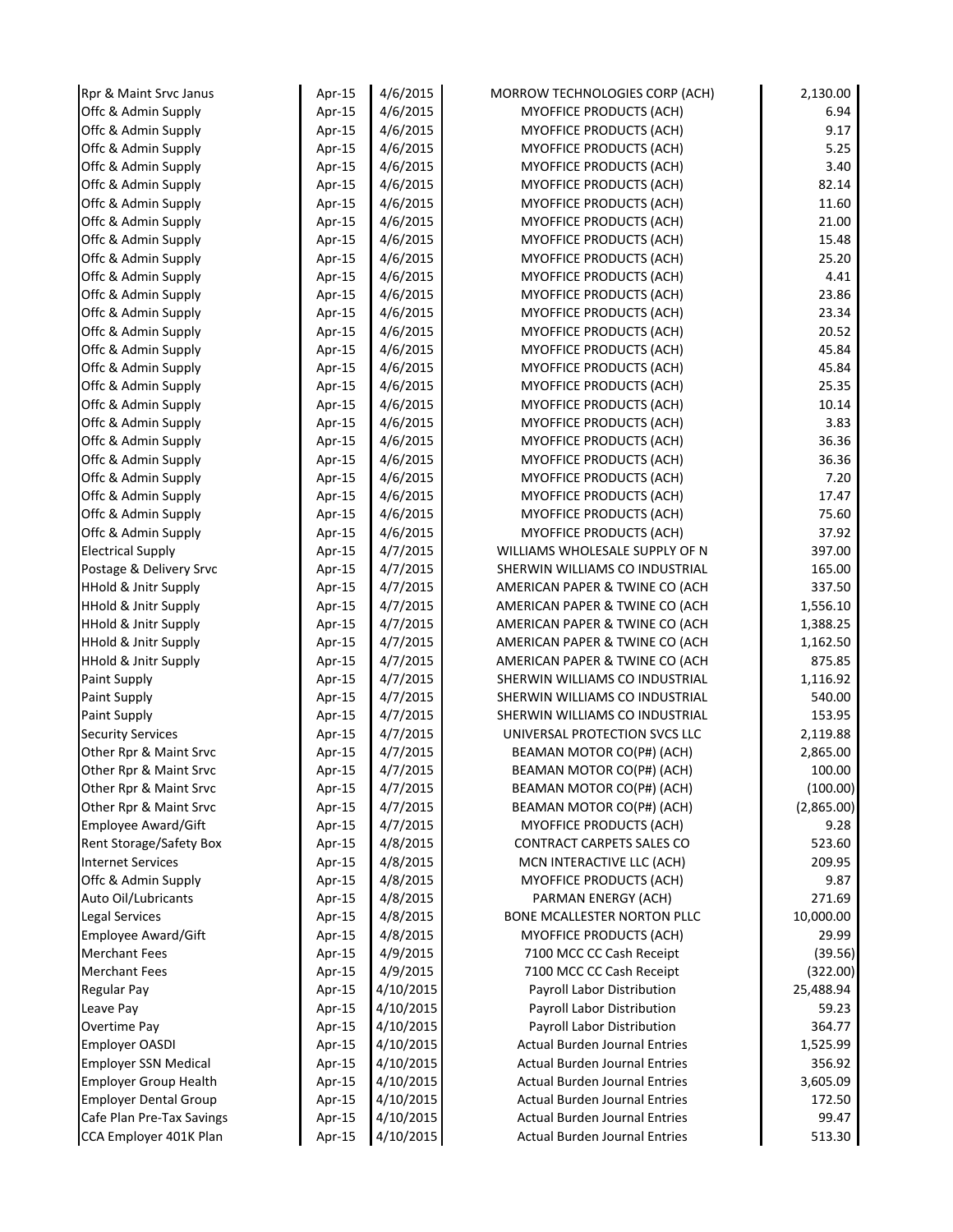| Rpr & Maint Srvc Janus          | Apr-15 | 4/6/2015  | MORROW TECHNOLOGIES CORP (ACH)       | 2,130.00   |
|---------------------------------|--------|-----------|--------------------------------------|------------|
| Offc & Admin Supply             | Apr-15 | 4/6/2015  | <b>MYOFFICE PRODUCTS (ACH)</b>       | 6.94       |
| Offc & Admin Supply             | Apr-15 | 4/6/2015  | MYOFFICE PRODUCTS (ACH)              | 9.17       |
| Offc & Admin Supply             | Apr-15 | 4/6/2015  | <b>MYOFFICE PRODUCTS (ACH)</b>       | 5.25       |
| Offc & Admin Supply             | Apr-15 | 4/6/2015  | <b>MYOFFICE PRODUCTS (ACH)</b>       | 3.40       |
| Offc & Admin Supply             | Apr-15 | 4/6/2015  | <b>MYOFFICE PRODUCTS (ACH)</b>       | 82.14      |
| Offc & Admin Supply             | Apr-15 | 4/6/2015  | <b>MYOFFICE PRODUCTS (ACH)</b>       | 11.60      |
| Offc & Admin Supply             | Apr-15 | 4/6/2015  | MYOFFICE PRODUCTS (ACH)              | 21.00      |
| Offc & Admin Supply             | Apr-15 | 4/6/2015  | MYOFFICE PRODUCTS (ACH)              | 15.48      |
| Offc & Admin Supply             | Apr-15 | 4/6/2015  | MYOFFICE PRODUCTS (ACH)              | 25.20      |
| Offc & Admin Supply             | Apr-15 | 4/6/2015  | MYOFFICE PRODUCTS (ACH)              | 4.41       |
| Offc & Admin Supply             | Apr-15 | 4/6/2015  | MYOFFICE PRODUCTS (ACH)              | 23.86      |
| Offc & Admin Supply             | Apr-15 | 4/6/2015  | MYOFFICE PRODUCTS (ACH)              | 23.34      |
| Offc & Admin Supply             | Apr-15 | 4/6/2015  | MYOFFICE PRODUCTS (ACH)              | 20.52      |
| Offc & Admin Supply             | Apr-15 | 4/6/2015  | MYOFFICE PRODUCTS (ACH)              | 45.84      |
| Offc & Admin Supply             | Apr-15 | 4/6/2015  | MYOFFICE PRODUCTS (ACH)              | 45.84      |
| Offc & Admin Supply             | Apr-15 | 4/6/2015  | <b>MYOFFICE PRODUCTS (ACH)</b>       | 25.35      |
| Offc & Admin Supply             | Apr-15 | 4/6/2015  | MYOFFICE PRODUCTS (ACH)              | 10.14      |
| Offc & Admin Supply             | Apr-15 | 4/6/2015  | <b>MYOFFICE PRODUCTS (ACH)</b>       | 3.83       |
| Offc & Admin Supply             | Apr-15 | 4/6/2015  | MYOFFICE PRODUCTS (ACH)              | 36.36      |
| Offc & Admin Supply             | Apr-15 | 4/6/2015  | MYOFFICE PRODUCTS (ACH)              | 36.36      |
| Offc & Admin Supply             | Apr-15 | 4/6/2015  | <b>MYOFFICE PRODUCTS (ACH)</b>       | 7.20       |
| Offc & Admin Supply             | Apr-15 | 4/6/2015  | MYOFFICE PRODUCTS (ACH)              | 17.47      |
| Offc & Admin Supply             | Apr-15 | 4/6/2015  | <b>MYOFFICE PRODUCTS (ACH)</b>       | 75.60      |
| Offc & Admin Supply             | Apr-15 | 4/6/2015  | MYOFFICE PRODUCTS (ACH)              | 37.92      |
| <b>Electrical Supply</b>        | Apr-15 | 4/7/2015  | WILLIAMS WHOLESALE SUPPLY OF N       | 397.00     |
| Postage & Delivery Srvc         | Apr-15 | 4/7/2015  | SHERWIN WILLIAMS CO INDUSTRIAL       | 165.00     |
| HHold & Jnitr Supply            | Apr-15 | 4/7/2015  | AMERICAN PAPER & TWINE CO (ACH       | 337.50     |
| <b>HHold &amp; Jnitr Supply</b> | Apr-15 | 4/7/2015  | AMERICAN PAPER & TWINE CO (ACH       | 1,556.10   |
| HHold & Jnitr Supply            | Apr-15 | 4/7/2015  | AMERICAN PAPER & TWINE CO (ACH       | 1,388.25   |
| <b>HHold &amp; Jnitr Supply</b> | Apr-15 | 4/7/2015  | AMERICAN PAPER & TWINE CO (ACH       | 1,162.50   |
| <b>HHold &amp; Jnitr Supply</b> | Apr-15 | 4/7/2015  | AMERICAN PAPER & TWINE CO (ACH       | 875.85     |
| Paint Supply                    | Apr-15 | 4/7/2015  | SHERWIN WILLIAMS CO INDUSTRIAL       | 1,116.92   |
| Paint Supply                    | Apr-15 | 4/7/2015  | SHERWIN WILLIAMS CO INDUSTRIAL       | 540.00     |
| Paint Supply                    | Apr-15 | 4/7/2015  | SHERWIN WILLIAMS CO INDUSTRIAL       | 153.95     |
| <b>Security Services</b>        | Apr-15 | 4/7/2015  | UNIVERSAL PROTECTION SVCS LLC        | 2,119.88   |
| Other Rpr & Maint Srvc          | Apr-15 | 4/7/2015  | BEAMAN MOTOR CO(P#) (ACH)            | 2,865.00   |
| Other Rpr & Maint Srvc          | Apr-15 | 4/7/2015  | BEAMAN MOTOR CO(P#) (ACH)            | 100.00     |
| Other Rpr & Maint Srvc          | Apr-15 | 4/7/2015  | BEAMAN MOTOR CO(P#) (ACH)            | (100.00)   |
| Other Rpr & Maint Srvc          | Apr-15 | 4/7/2015  | BEAMAN MOTOR CO(P#) (ACH)            | (2,865.00) |
| Employee Award/Gift             | Apr-15 | 4/7/2015  | MYOFFICE PRODUCTS (ACH)              | 9.28       |
| Rent Storage/Safety Box         | Apr-15 | 4/8/2015  | <b>CONTRACT CARPETS SALES CO</b>     | 523.60     |
| <b>Internet Services</b>        | Apr-15 | 4/8/2015  | MCN INTERACTIVE LLC (ACH)            | 209.95     |
| Offc & Admin Supply             | Apr-15 | 4/8/2015  | <b>MYOFFICE PRODUCTS (ACH)</b>       | 9.87       |
| Auto Oil/Lubricants             | Apr-15 | 4/8/2015  | PARMAN ENERGY (ACH)                  | 271.69     |
| Legal Services                  | Apr-15 | 4/8/2015  | <b>BONE MCALLESTER NORTON PLLC</b>   | 10,000.00  |
| Employee Award/Gift             | Apr-15 | 4/8/2015  | MYOFFICE PRODUCTS (ACH)              | 29.99      |
| <b>Merchant Fees</b>            | Apr-15 | 4/9/2015  | 7100 MCC CC Cash Receipt             | (39.56)    |
| <b>Merchant Fees</b>            | Apr-15 | 4/9/2015  | 7100 MCC CC Cash Receipt             | (322.00)   |
| <b>Regular Pay</b>              | Apr-15 | 4/10/2015 | Payroll Labor Distribution           | 25,488.94  |
| Leave Pay                       | Apr-15 | 4/10/2015 | Payroll Labor Distribution           | 59.23      |
| Overtime Pay                    | Apr-15 | 4/10/2015 | Payroll Labor Distribution           | 364.77     |
| <b>Employer OASDI</b>           | Apr-15 | 4/10/2015 | <b>Actual Burden Journal Entries</b> | 1,525.99   |
| <b>Employer SSN Medical</b>     | Apr-15 | 4/10/2015 | <b>Actual Burden Journal Entries</b> | 356.92     |
| <b>Employer Group Health</b>    | Apr-15 | 4/10/2015 | <b>Actual Burden Journal Entries</b> | 3,605.09   |
| <b>Employer Dental Group</b>    | Apr-15 | 4/10/2015 | <b>Actual Burden Journal Entries</b> | 172.50     |
| Cafe Plan Pre-Tax Savings       | Apr-15 | 4/10/2015 | <b>Actual Burden Journal Entries</b> | 99.47      |
| CCA Employer 401K Plan          | Apr-15 | 4/10/2015 | <b>Actual Burden Journal Entries</b> | 513.30     |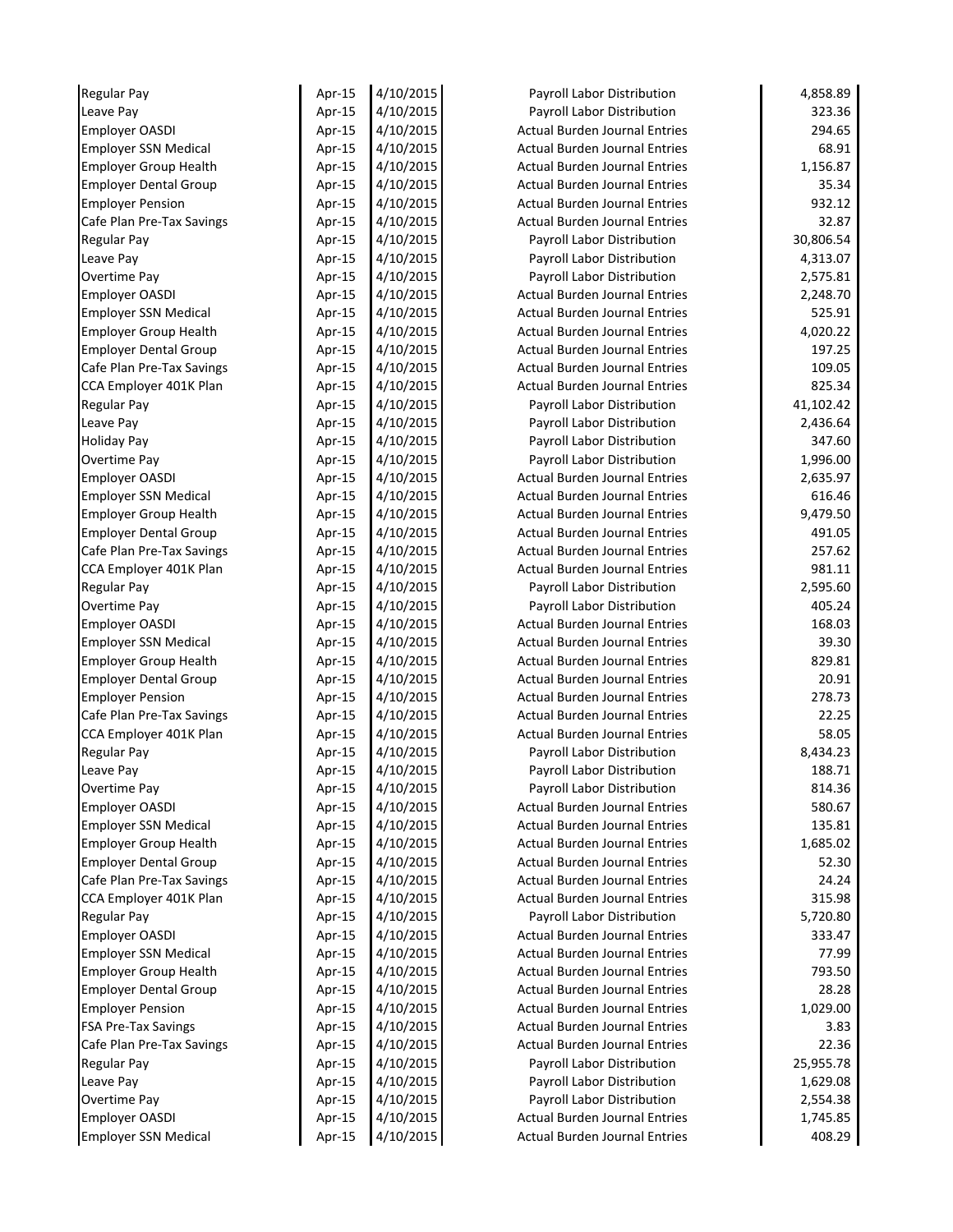| <b>Regular Pay</b>           | Apr-15 | 4/10/2015 | Payroll Labor Distribution           | 4,858.89  |
|------------------------------|--------|-----------|--------------------------------------|-----------|
| Leave Pay                    | Apr-15 | 4/10/2015 | Payroll Labor Distribution           | 323.36    |
| Employer OASDI               | Apr-15 | 4/10/2015 | <b>Actual Burden Journal Entries</b> | 294.65    |
| <b>Employer SSN Medical</b>  | Apr-15 | 4/10/2015 | <b>Actual Burden Journal Entries</b> | 68.91     |
| <b>Employer Group Health</b> | Apr-15 | 4/10/2015 | <b>Actual Burden Journal Entries</b> | 1,156.87  |
| <b>Employer Dental Group</b> | Apr-15 | 4/10/2015 | <b>Actual Burden Journal Entries</b> | 35.34     |
| <b>Employer Pension</b>      | Apr-15 | 4/10/2015 | <b>Actual Burden Journal Entries</b> | 932.12    |
| Cafe Plan Pre-Tax Savings    | Apr-15 | 4/10/2015 | <b>Actual Burden Journal Entries</b> | 32.87     |
| Regular Pay                  | Apr-15 | 4/10/2015 | Payroll Labor Distribution           | 30,806.54 |
| Leave Pay                    | Apr-15 | 4/10/2015 | Payroll Labor Distribution           | 4,313.07  |
| Overtime Pay                 | Apr-15 | 4/10/2015 | Payroll Labor Distribution           | 2,575.81  |
| <b>Employer OASDI</b>        | Apr-15 | 4/10/2015 | <b>Actual Burden Journal Entries</b> | 2,248.70  |
| <b>Employer SSN Medical</b>  | Apr-15 | 4/10/2015 | <b>Actual Burden Journal Entries</b> | 525.91    |
| <b>Employer Group Health</b> | Apr-15 | 4/10/2015 | <b>Actual Burden Journal Entries</b> | 4,020.22  |
| <b>Employer Dental Group</b> | Apr-15 | 4/10/2015 | <b>Actual Burden Journal Entries</b> | 197.25    |
| Cafe Plan Pre-Tax Savings    | Apr-15 | 4/10/2015 | <b>Actual Burden Journal Entries</b> | 109.05    |
| CCA Employer 401K Plan       | Apr-15 | 4/10/2015 | <b>Actual Burden Journal Entries</b> | 825.34    |
| Regular Pay                  | Apr-15 | 4/10/2015 | Payroll Labor Distribution           | 41,102.42 |
| Leave Pay                    | Apr-15 | 4/10/2015 | Payroll Labor Distribution           | 2,436.64  |
| <b>Holiday Pay</b>           | Apr-15 | 4/10/2015 | Payroll Labor Distribution           | 347.60    |
| Overtime Pay                 | Apr-15 | 4/10/2015 | Payroll Labor Distribution           | 1,996.00  |
| <b>Employer OASDI</b>        | Apr-15 | 4/10/2015 | <b>Actual Burden Journal Entries</b> | 2,635.97  |
| <b>Employer SSN Medical</b>  | Apr-15 | 4/10/2015 | <b>Actual Burden Journal Entries</b> | 616.46    |
| <b>Employer Group Health</b> | Apr-15 | 4/10/2015 | <b>Actual Burden Journal Entries</b> | 9,479.50  |
| <b>Employer Dental Group</b> | Apr-15 | 4/10/2015 | <b>Actual Burden Journal Entries</b> | 491.05    |
| Cafe Plan Pre-Tax Savings    | Apr-15 | 4/10/2015 | <b>Actual Burden Journal Entries</b> | 257.62    |
| CCA Employer 401K Plan       | Apr-15 | 4/10/2015 | <b>Actual Burden Journal Entries</b> | 981.11    |
| Regular Pay                  | Apr-15 | 4/10/2015 | Payroll Labor Distribution           | 2,595.60  |
| Overtime Pay                 | Apr-15 | 4/10/2015 | Payroll Labor Distribution           | 405.24    |
| <b>Employer OASDI</b>        | Apr-15 | 4/10/2015 | <b>Actual Burden Journal Entries</b> | 168.03    |
| <b>Employer SSN Medical</b>  | Apr-15 | 4/10/2015 | <b>Actual Burden Journal Entries</b> | 39.30     |
| <b>Employer Group Health</b> | Apr-15 | 4/10/2015 | <b>Actual Burden Journal Entries</b> | 829.81    |
| <b>Employer Dental Group</b> | Apr-15 | 4/10/2015 | <b>Actual Burden Journal Entries</b> | 20.91     |
| <b>Employer Pension</b>      | Apr-15 | 4/10/2015 | <b>Actual Burden Journal Entries</b> | 278.73    |
| Cafe Plan Pre-Tax Savings    | Apr-15 | 4/10/2015 | <b>Actual Burden Journal Entries</b> | 22.25     |
| CCA Employer 401K Plan       | Apr-15 | 4/10/2015 | <b>Actual Burden Journal Entries</b> | 58.05     |
| Regular Pay                  | Apr-15 | 4/10/2015 | Payroll Labor Distribution           | 8,434.23  |
| Leave Pay                    | Apr-15 | 4/10/2015 | Payroll Labor Distribution           | 188.71    |
| Overtime Pay                 | Apr-15 | 4/10/2015 | Payroll Labor Distribution           | 814.36    |
| <b>Employer OASDI</b>        | Apr-15 | 4/10/2015 | <b>Actual Burden Journal Entries</b> | 580.67    |
| <b>Employer SSN Medical</b>  | Apr-15 | 4/10/2015 | <b>Actual Burden Journal Entries</b> | 135.81    |
| <b>Employer Group Health</b> | Apr-15 | 4/10/2015 | <b>Actual Burden Journal Entries</b> | 1,685.02  |
| <b>Employer Dental Group</b> | Apr-15 | 4/10/2015 | <b>Actual Burden Journal Entries</b> | 52.30     |
| Cafe Plan Pre-Tax Savings    | Apr-15 | 4/10/2015 | <b>Actual Burden Journal Entries</b> | 24.24     |
| CCA Employer 401K Plan       | Apr-15 | 4/10/2015 | <b>Actual Burden Journal Entries</b> | 315.98    |
| Regular Pay                  | Apr-15 | 4/10/2015 | Payroll Labor Distribution           | 5,720.80  |
| <b>Employer OASDI</b>        | Apr-15 | 4/10/2015 | <b>Actual Burden Journal Entries</b> | 333.47    |
| <b>Employer SSN Medical</b>  | Apr-15 | 4/10/2015 | <b>Actual Burden Journal Entries</b> | 77.99     |
| <b>Employer Group Health</b> | Apr-15 | 4/10/2015 | <b>Actual Burden Journal Entries</b> | 793.50    |
| <b>Employer Dental Group</b> | Apr-15 | 4/10/2015 | <b>Actual Burden Journal Entries</b> | 28.28     |
| <b>Employer Pension</b>      | Apr-15 | 4/10/2015 | <b>Actual Burden Journal Entries</b> | 1,029.00  |
| <b>FSA Pre-Tax Savings</b>   | Apr-15 | 4/10/2015 | <b>Actual Burden Journal Entries</b> | 3.83      |
| Cafe Plan Pre-Tax Savings    | Apr-15 | 4/10/2015 | <b>Actual Burden Journal Entries</b> | 22.36     |
| Regular Pay                  | Apr-15 | 4/10/2015 | Payroll Labor Distribution           | 25,955.78 |
| Leave Pay                    | Apr-15 | 4/10/2015 | Payroll Labor Distribution           | 1,629.08  |
| Overtime Pay                 | Apr-15 | 4/10/2015 | Payroll Labor Distribution           | 2,554.38  |
| Employer OASDI               | Apr-15 | 4/10/2015 | <b>Actual Burden Journal Entries</b> | 1,745.85  |
| <b>Employer SSN Medical</b>  | Apr-15 | 4/10/2015 | <b>Actual Burden Journal Entries</b> | 408.29    |
|                              |        |           |                                      |           |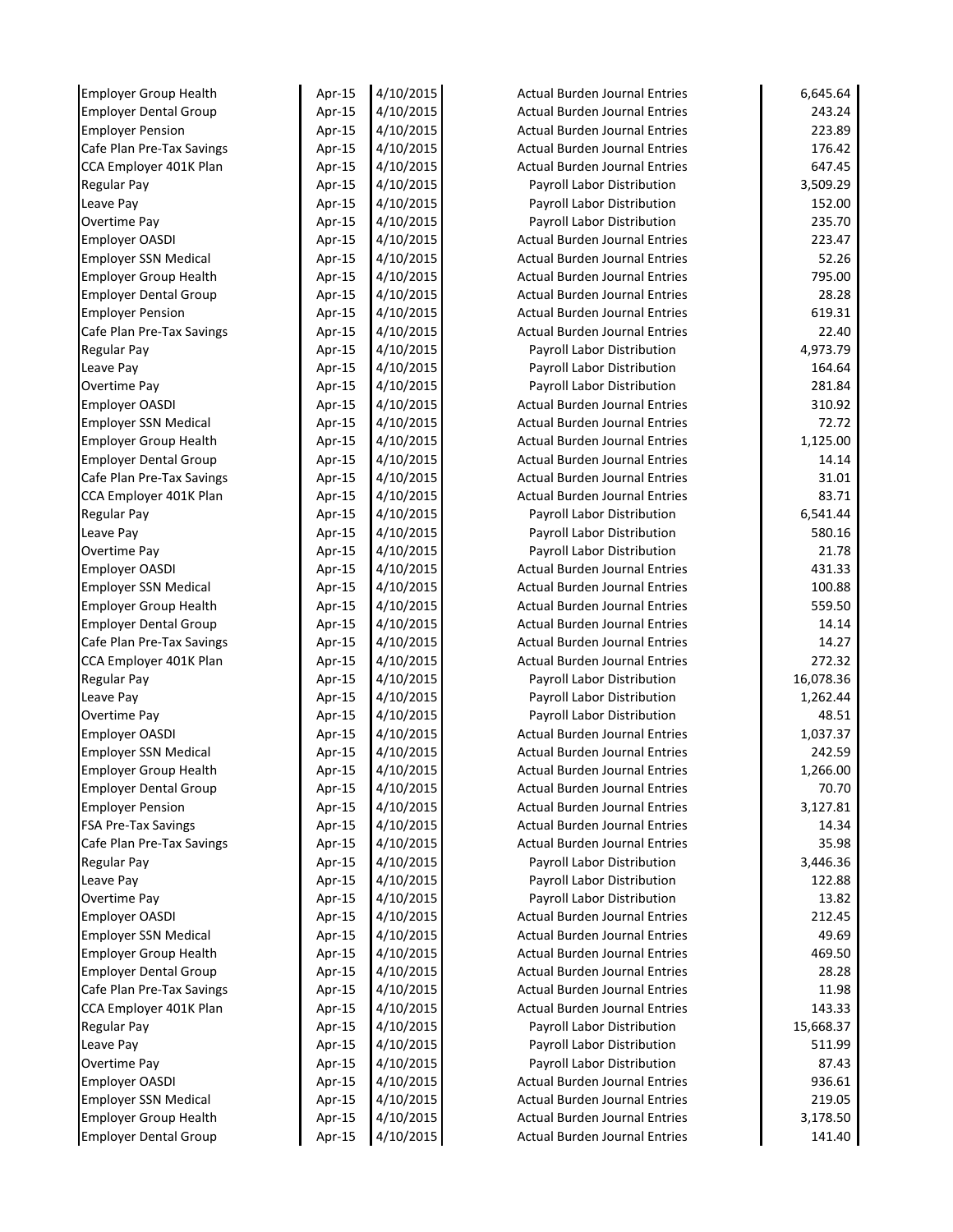| <b>Employer Group Health</b>                         | Apr-15 | 4/10/2015              | <b>Actual Burden Journal Entries</b> | 6,645.64         |
|------------------------------------------------------|--------|------------------------|--------------------------------------|------------------|
| <b>Employer Dental Group</b>                         | Apr-15 | 4/10/2015              | <b>Actual Burden Journal Entries</b> | 243.24           |
| <b>Employer Pension</b>                              | Apr-15 | 4/10/2015              | <b>Actual Burden Journal Entries</b> | 223.89           |
| Cafe Plan Pre-Tax Savings                            | Apr-15 | 4/10/2015              | <b>Actual Burden Journal Entries</b> | 176.42           |
| CCA Employer 401K Plan                               | Apr-15 | 4/10/2015              | <b>Actual Burden Journal Entries</b> | 647.45           |
| <b>Regular Pay</b>                                   | Apr-15 | 4/10/2015              | Payroll Labor Distribution           | 3,509.29         |
| Leave Pay                                            | Apr-15 | 4/10/2015              | Payroll Labor Distribution           | 152.00           |
| Overtime Pay                                         | Apr-15 | 4/10/2015              | Payroll Labor Distribution           | 235.70           |
| <b>Employer OASDI</b>                                | Apr-15 | 4/10/2015              | <b>Actual Burden Journal Entries</b> | 223.47           |
| <b>Employer SSN Medical</b>                          | Apr-15 | 4/10/2015              | <b>Actual Burden Journal Entries</b> | 52.26            |
| <b>Employer Group Health</b>                         | Apr-15 | 4/10/2015              | <b>Actual Burden Journal Entries</b> | 795.00           |
| <b>Employer Dental Group</b>                         | Apr-15 | 4/10/2015              | <b>Actual Burden Journal Entries</b> | 28.28            |
| <b>Employer Pension</b>                              | Apr-15 | 4/10/2015              | <b>Actual Burden Journal Entries</b> | 619.31           |
| Cafe Plan Pre-Tax Savings                            | Apr-15 | 4/10/2015              | <b>Actual Burden Journal Entries</b> | 22.40            |
| <b>Regular Pay</b>                                   | Apr-15 | 4/10/2015              | Payroll Labor Distribution           | 4,973.79         |
| Leave Pay                                            | Apr-15 | 4/10/2015              | Payroll Labor Distribution           | 164.64           |
| Overtime Pay                                         | Apr-15 | 4/10/2015              | Payroll Labor Distribution           | 281.84           |
| <b>Employer OASDI</b>                                | Apr-15 | 4/10/2015              | <b>Actual Burden Journal Entries</b> | 310.92           |
| <b>Employer SSN Medical</b>                          | Apr-15 | 4/10/2015              | <b>Actual Burden Journal Entries</b> | 72.72            |
| <b>Employer Group Health</b>                         | Apr-15 | 4/10/2015              | <b>Actual Burden Journal Entries</b> | 1,125.00         |
| <b>Employer Dental Group</b>                         | Apr-15 | 4/10/2015              | <b>Actual Burden Journal Entries</b> | 14.14            |
| Cafe Plan Pre-Tax Savings                            | Apr-15 | 4/10/2015              | <b>Actual Burden Journal Entries</b> | 31.01            |
| CCA Employer 401K Plan                               | Apr-15 | 4/10/2015              | <b>Actual Burden Journal Entries</b> | 83.71            |
| <b>Regular Pay</b>                                   | Apr-15 | 4/10/2015              | Payroll Labor Distribution           | 6,541.44         |
| Leave Pay                                            | Apr-15 | 4/10/2015              | Payroll Labor Distribution           | 580.16           |
| <b>Overtime Pay</b>                                  | Apr-15 | 4/10/2015              | Payroll Labor Distribution           | 21.78            |
| <b>Employer OASDI</b>                                | Apr-15 | 4/10/2015              | <b>Actual Burden Journal Entries</b> | 431.33           |
| <b>Employer SSN Medical</b>                          | Apr-15 | 4/10/2015              | <b>Actual Burden Journal Entries</b> | 100.88           |
| <b>Employer Group Health</b>                         | Apr-15 | 4/10/2015              | <b>Actual Burden Journal Entries</b> | 559.50           |
| <b>Employer Dental Group</b>                         | Apr-15 | 4/10/2015              | <b>Actual Burden Journal Entries</b> | 14.14            |
| Cafe Plan Pre-Tax Savings                            | Apr-15 | 4/10/2015              | <b>Actual Burden Journal Entries</b> | 14.27            |
| CCA Employer 401K Plan                               | Apr-15 | 4/10/2015              | <b>Actual Burden Journal Entries</b> | 272.32           |
| <b>Regular Pay</b>                                   | Apr-15 | 4/10/2015              | Payroll Labor Distribution           | 16,078.36        |
| Leave Pay                                            | Apr-15 | 4/10/2015              | Payroll Labor Distribution           | 1,262.44         |
| Overtime Pay                                         | Apr-15 | 4/10/2015              | Payroll Labor Distribution           | 48.51            |
| <b>Employer OASDI</b>                                | Apr-15 | 4/10/2015              | <b>Actual Burden Journal Entries</b> | 1,037.37         |
| <b>Employer SSN Medical</b>                          | Apr-15 | 4/10/2015              | <b>Actual Burden Journal Entries</b> | 242.59           |
| <b>Employer Group Health</b>                         | Apr-15 | 4/10/2015              | <b>Actual Burden Journal Entries</b> | 1,266.00         |
| <b>Employer Dental Group</b>                         | Apr-15 | 4/10/2015              | <b>Actual Burden Journal Entries</b> | 70.70            |
| <b>Employer Pension</b>                              | Apr-15 | 4/10/2015              | <b>Actual Burden Journal Entries</b> | 3,127.81         |
| <b>FSA Pre-Tax Savings</b>                           | Apr-15 | 4/10/2015              | <b>Actual Burden Journal Entries</b> | 14.34            |
| Cafe Plan Pre-Tax Savings                            | Apr-15 | 4/10/2015              | <b>Actual Burden Journal Entries</b> | 35.98            |
| <b>Regular Pay</b>                                   | Apr-15 | 4/10/2015              | Payroll Labor Distribution           | 3,446.36         |
| Leave Pay                                            | Apr-15 | 4/10/2015              | Payroll Labor Distribution           | 122.88           |
| Overtime Pay                                         | Apr-15 | 4/10/2015              | Payroll Labor Distribution           | 13.82            |
| <b>Employer OASDI</b>                                | Apr-15 | 4/10/2015              | <b>Actual Burden Journal Entries</b> | 212.45           |
| <b>Employer SSN Medical</b>                          | Apr-15 | 4/10/2015              | <b>Actual Burden Journal Entries</b> | 49.69            |
| <b>Employer Group Health</b>                         | Apr-15 | 4/10/2015              | <b>Actual Burden Journal Entries</b> | 469.50           |
| <b>Employer Dental Group</b>                         | Apr-15 | 4/10/2015              | <b>Actual Burden Journal Entries</b> | 28.28            |
| Cafe Plan Pre-Tax Savings                            | Apr-15 | 4/10/2015              | <b>Actual Burden Journal Entries</b> | 11.98            |
| CCA Employer 401K Plan                               | Apr-15 | 4/10/2015              | <b>Actual Burden Journal Entries</b> | 143.33           |
| <b>Regular Pay</b>                                   | Apr-15 | 4/10/2015              | Payroll Labor Distribution           | 15,668.37        |
| Leave Pay                                            |        | 4/10/2015              | Payroll Labor Distribution           | 511.99           |
| <b>Overtime Pay</b>                                  | Apr-15 | 4/10/2015              | Payroll Labor Distribution           | 87.43            |
|                                                      | Apr-15 |                        | <b>Actual Burden Journal Entries</b> |                  |
| <b>Employer OASDI</b><br><b>Employer SSN Medical</b> | Apr-15 | 4/10/2015<br>4/10/2015 | <b>Actual Burden Journal Entries</b> | 936.61<br>219.05 |
| <b>Employer Group Health</b>                         | Apr-15 | 4/10/2015              | <b>Actual Burden Journal Entries</b> | 3,178.50         |
|                                                      | Apr-15 |                        |                                      |                  |
| <b>Employer Dental Group</b>                         | Apr-15 | 4/10/2015              | <b>Actual Burden Journal Entries</b> | 141.40           |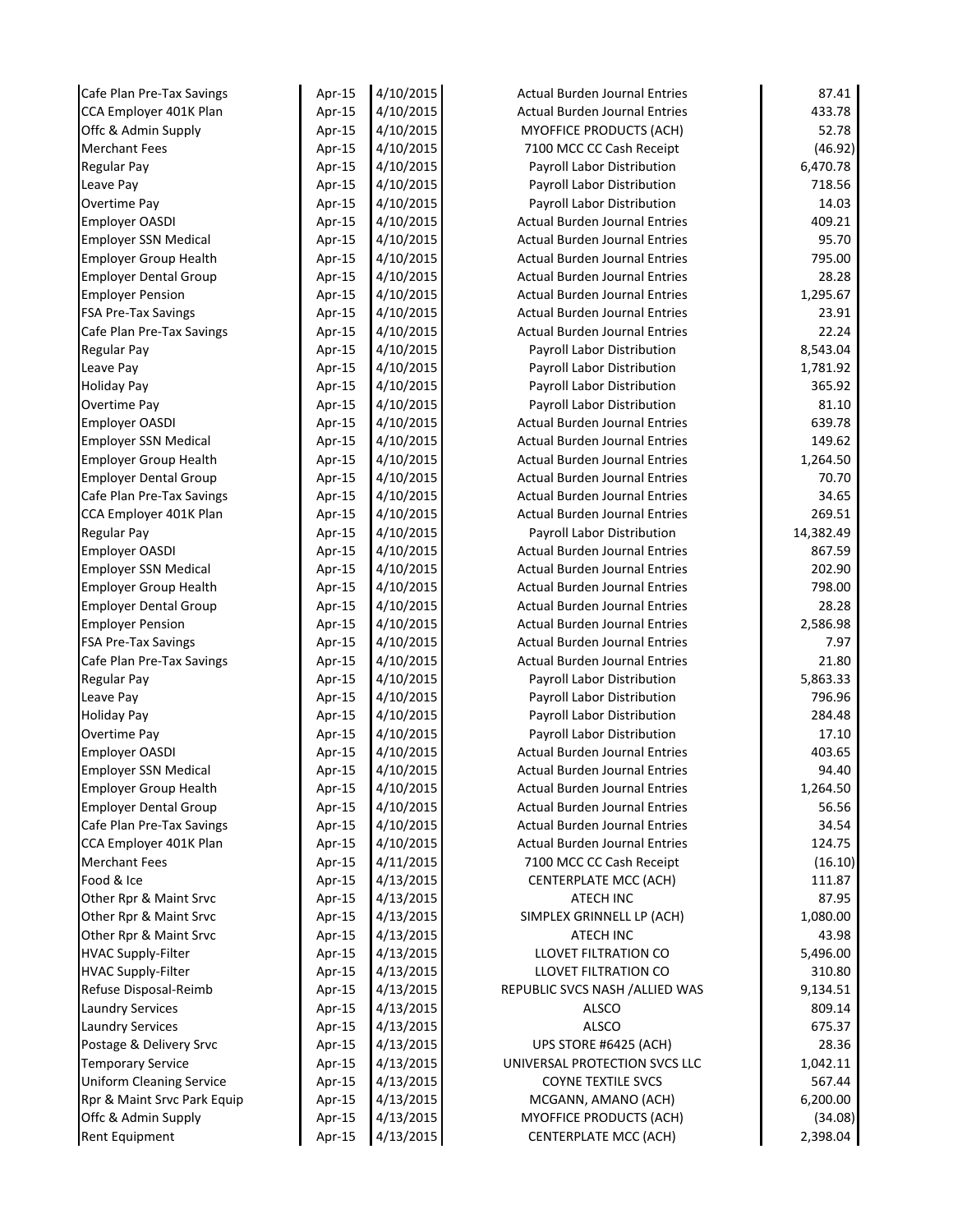| Cafe Plan Pre-Tax Savings       | Apr-15 | 4/10/2015 | <b>Actual Burden Journal Entries</b> | 87.41     |
|---------------------------------|--------|-----------|--------------------------------------|-----------|
| CCA Employer 401K Plan          | Apr-15 | 4/10/2015 | <b>Actual Burden Journal Entries</b> | 433.78    |
| Offc & Admin Supply             | Apr-15 | 4/10/2015 | <b>MYOFFICE PRODUCTS (ACH)</b>       | 52.78     |
| <b>Merchant Fees</b>            | Apr-15 | 4/10/2015 | 7100 MCC CC Cash Receipt             | (46.92)   |
| <b>Regular Pay</b>              | Apr-15 | 4/10/2015 | Payroll Labor Distribution           | 6,470.78  |
| Leave Pay                       | Apr-15 | 4/10/2015 | Payroll Labor Distribution           | 718.56    |
| Overtime Pay                    | Apr-15 | 4/10/2015 | Payroll Labor Distribution           | 14.03     |
| <b>Employer OASDI</b>           | Apr-15 | 4/10/2015 | <b>Actual Burden Journal Entries</b> | 409.21    |
| <b>Employer SSN Medical</b>     | Apr-15 | 4/10/2015 | <b>Actual Burden Journal Entries</b> | 95.70     |
| <b>Employer Group Health</b>    | Apr-15 | 4/10/2015 | <b>Actual Burden Journal Entries</b> | 795.00    |
| <b>Employer Dental Group</b>    | Apr-15 | 4/10/2015 | <b>Actual Burden Journal Entries</b> | 28.28     |
| <b>Employer Pension</b>         | Apr-15 | 4/10/2015 | <b>Actual Burden Journal Entries</b> | 1,295.67  |
| <b>FSA Pre-Tax Savings</b>      | Apr-15 | 4/10/2015 | <b>Actual Burden Journal Entries</b> | 23.91     |
| Cafe Plan Pre-Tax Savings       | Apr-15 | 4/10/2015 | <b>Actual Burden Journal Entries</b> | 22.24     |
| <b>Regular Pay</b>              | Apr-15 | 4/10/2015 | Payroll Labor Distribution           | 8,543.04  |
| Leave Pay                       | Apr-15 | 4/10/2015 | Payroll Labor Distribution           | 1,781.92  |
| <b>Holiday Pay</b>              | Apr-15 | 4/10/2015 | Payroll Labor Distribution           | 365.92    |
| Overtime Pay                    | Apr-15 | 4/10/2015 | Payroll Labor Distribution           | 81.10     |
| Employer OASDI                  | Apr-15 | 4/10/2015 | <b>Actual Burden Journal Entries</b> | 639.78    |
| <b>Employer SSN Medical</b>     | Apr-15 | 4/10/2015 | <b>Actual Burden Journal Entries</b> | 149.62    |
| <b>Employer Group Health</b>    | Apr-15 | 4/10/2015 | <b>Actual Burden Journal Entries</b> | 1,264.50  |
| <b>Employer Dental Group</b>    | Apr-15 | 4/10/2015 | <b>Actual Burden Journal Entries</b> | 70.70     |
| Cafe Plan Pre-Tax Savings       | Apr-15 | 4/10/2015 | <b>Actual Burden Journal Entries</b> | 34.65     |
| CCA Employer 401K Plan          | Apr-15 | 4/10/2015 | <b>Actual Burden Journal Entries</b> | 269.51    |
| <b>Regular Pay</b>              | Apr-15 | 4/10/2015 | Payroll Labor Distribution           | 14,382.49 |
| <b>Employer OASDI</b>           | Apr-15 | 4/10/2015 | <b>Actual Burden Journal Entries</b> | 867.59    |
| <b>Employer SSN Medical</b>     | Apr-15 | 4/10/2015 | <b>Actual Burden Journal Entries</b> | 202.90    |
| <b>Employer Group Health</b>    | Apr-15 | 4/10/2015 | <b>Actual Burden Journal Entries</b> | 798.00    |
| <b>Employer Dental Group</b>    | Apr-15 | 4/10/2015 | <b>Actual Burden Journal Entries</b> | 28.28     |
| <b>Employer Pension</b>         | Apr-15 | 4/10/2015 | <b>Actual Burden Journal Entries</b> | 2,586.98  |
| <b>FSA Pre-Tax Savings</b>      | Apr-15 | 4/10/2015 | <b>Actual Burden Journal Entries</b> | 7.97      |
| Cafe Plan Pre-Tax Savings       | Apr-15 | 4/10/2015 | <b>Actual Burden Journal Entries</b> | 21.80     |
| <b>Regular Pay</b>              | Apr-15 | 4/10/2015 | Payroll Labor Distribution           | 5,863.33  |
| Leave Pay                       | Apr-15 | 4/10/2015 | Payroll Labor Distribution           | 796.96    |
| <b>Holiday Pay</b>              | Apr-15 | 4/10/2015 | Payroll Labor Distribution           | 284.48    |
| Overtime Pay                    | Apr-15 | 4/10/2015 | Payroll Labor Distribution           | 17.10     |
| <b>Employer OASDI</b>           | Apr-15 | 4/10/2015 | <b>Actual Burden Journal Entries</b> | 403.65    |
| <b>Employer SSN Medical</b>     | Apr-15 | 4/10/2015 | <b>Actual Burden Journal Entries</b> | 94.40     |
| <b>Employer Group Health</b>    | Apr-15 | 4/10/2015 | <b>Actual Burden Journal Entries</b> | 1,264.50  |
| <b>Employer Dental Group</b>    | Apr-15 | 4/10/2015 | <b>Actual Burden Journal Entries</b> | 56.56     |
| Cafe Plan Pre-Tax Savings       | Apr-15 | 4/10/2015 | <b>Actual Burden Journal Entries</b> | 34.54     |
| CCA Employer 401K Plan          | Apr-15 | 4/10/2015 | <b>Actual Burden Journal Entries</b> | 124.75    |
| <b>Merchant Fees</b>            | Apr-15 | 4/11/2015 | 7100 MCC CC Cash Receipt             | (16.10)   |
| Food & Ice                      | Apr-15 | 4/13/2015 | CENTERPLATE MCC (ACH)                | 111.87    |
| Other Rpr & Maint Srvc          | Apr-15 | 4/13/2015 | <b>ATECH INC</b>                     | 87.95     |
| Other Rpr & Maint Srvc          | Apr-15 | 4/13/2015 | SIMPLEX GRINNELL LP (ACH)            | 1,080.00  |
| Other Rpr & Maint Srvc          | Apr-15 | 4/13/2015 | ATECH INC                            | 43.98     |
| <b>HVAC Supply-Filter</b>       | Apr-15 | 4/13/2015 | LLOVET FILTRATION CO                 | 5,496.00  |
| <b>HVAC Supply-Filter</b>       | Apr-15 | 4/13/2015 | LLOVET FILTRATION CO                 | 310.80    |
| Refuse Disposal-Reimb           | Apr-15 | 4/13/2015 | REPUBLIC SVCS NASH / ALLIED WAS      | 9,134.51  |
| <b>Laundry Services</b>         | Apr-15 | 4/13/2015 | ALSCO                                | 809.14    |
| <b>Laundry Services</b>         | Apr-15 | 4/13/2015 | <b>ALSCO</b>                         | 675.37    |
| Postage & Delivery Srvc         | Apr-15 | 4/13/2015 | UPS STORE #6425 (ACH)                | 28.36     |
| <b>Temporary Service</b>        | Apr-15 | 4/13/2015 | UNIVERSAL PROTECTION SVCS LLC        | 1,042.11  |
| <b>Uniform Cleaning Service</b> | Apr-15 | 4/13/2015 | <b>COYNE TEXTILE SVCS</b>            | 567.44    |
| Rpr & Maint Srvc Park Equip     | Apr-15 | 4/13/2015 | MCGANN, AMANO (ACH)                  | 6,200.00  |
| Offc & Admin Supply             | Apr-15 | 4/13/2015 | MYOFFICE PRODUCTS (ACH)              | (34.08)   |
| Rent Equipment                  | Apr-15 | 4/13/2015 | <b>CENTERPLATE MCC (ACH)</b>         | 2,398.04  |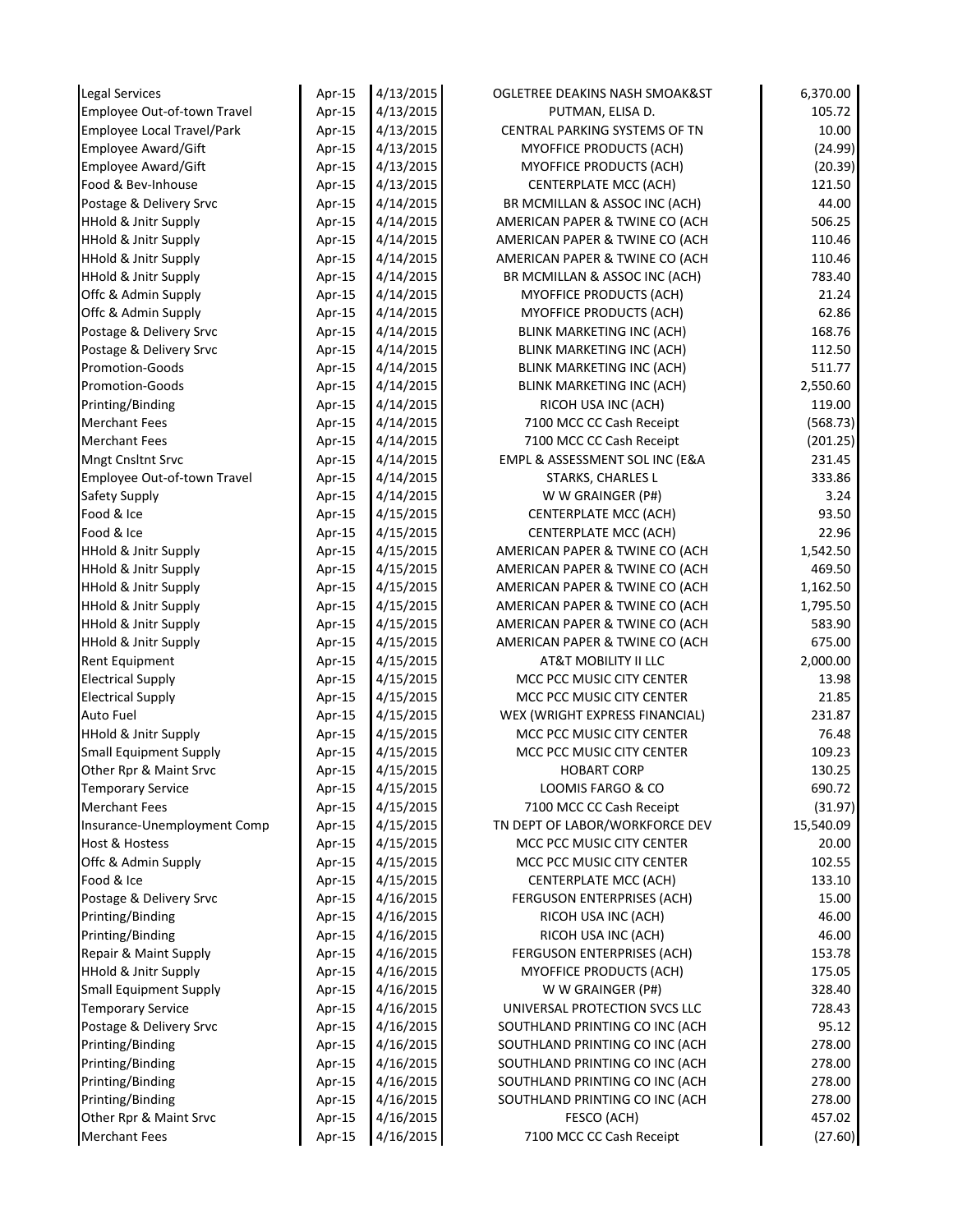| <b>Legal Services</b>             | Apr-15 | 4/13/2015 | OGLETREE DEAKINS NASH SMOAK&ST   | 6,370.00  |
|-----------------------------------|--------|-----------|----------------------------------|-----------|
| Employee Out-of-town Travel       | Apr-15 | 4/13/2015 | PUTMAN, ELISA D.                 | 105.72    |
| <b>Employee Local Travel/Park</b> | Apr-15 | 4/13/2015 | CENTRAL PARKING SYSTEMS OF TN    | 10.00     |
| Employee Award/Gift               | Apr-15 | 4/13/2015 | MYOFFICE PRODUCTS (ACH)          | (24.99)   |
| <b>Employee Award/Gift</b>        | Apr-15 | 4/13/2015 | MYOFFICE PRODUCTS (ACH)          | (20.39)   |
| Food & Bev-Inhouse                | Apr-15 | 4/13/2015 | <b>CENTERPLATE MCC (ACH)</b>     | 121.50    |
| Postage & Delivery Srvc           | Apr-15 | 4/14/2015 | BR MCMILLAN & ASSOC INC (ACH)    | 44.00     |
| <b>HHold &amp; Jnitr Supply</b>   | Apr-15 | 4/14/2015 | AMERICAN PAPER & TWINE CO (ACH   | 506.25    |
| <b>HHold &amp; Jnitr Supply</b>   | Apr-15 | 4/14/2015 | AMERICAN PAPER & TWINE CO (ACH   | 110.46    |
| <b>HHold &amp; Jnitr Supply</b>   | Apr-15 | 4/14/2015 | AMERICAN PAPER & TWINE CO (ACH   | 110.46    |
| <b>HHold &amp; Jnitr Supply</b>   | Apr-15 | 4/14/2015 | BR MCMILLAN & ASSOC INC (ACH)    | 783.40    |
| Offc & Admin Supply               | Apr-15 | 4/14/2015 | MYOFFICE PRODUCTS (ACH)          | 21.24     |
| Offc & Admin Supply               | Apr-15 | 4/14/2015 | <b>MYOFFICE PRODUCTS (ACH)</b>   | 62.86     |
| Postage & Delivery Srvc           | Apr-15 | 4/14/2015 | BLINK MARKETING INC (ACH)        | 168.76    |
| Postage & Delivery Srvc           | Apr-15 | 4/14/2015 | <b>BLINK MARKETING INC (ACH)</b> | 112.50    |
| Promotion-Goods                   | Apr-15 | 4/14/2015 | <b>BLINK MARKETING INC (ACH)</b> | 511.77    |
| Promotion-Goods                   | Apr-15 | 4/14/2015 | <b>BLINK MARKETING INC (ACH)</b> | 2,550.60  |
| Printing/Binding                  | Apr-15 | 4/14/2015 | RICOH USA INC (ACH)              | 119.00    |
| <b>Merchant Fees</b>              | Apr-15 | 4/14/2015 | 7100 MCC CC Cash Receipt         | (568.73)  |
| <b>Merchant Fees</b>              | Apr-15 | 4/14/2015 | 7100 MCC CC Cash Receipt         | (201.25)  |
| <b>Mngt Cnsltnt Srvc</b>          | Apr-15 | 4/14/2015 | EMPL & ASSESSMENT SOL INC (E&A   | 231.45    |
| Employee Out-of-town Travel       | Apr-15 | 4/14/2015 | STARKS, CHARLES L                | 333.86    |
| Safety Supply                     | Apr-15 | 4/14/2015 | W W GRAINGER (P#)                | 3.24      |
| Food & Ice                        | Apr-15 | 4/15/2015 | <b>CENTERPLATE MCC (ACH)</b>     | 93.50     |
| Food & Ice                        | Apr-15 | 4/15/2015 | <b>CENTERPLATE MCC (ACH)</b>     | 22.96     |
| <b>HHold &amp; Jnitr Supply</b>   | Apr-15 | 4/15/2015 | AMERICAN PAPER & TWINE CO (ACH   | 1,542.50  |
| <b>HHold &amp; Jnitr Supply</b>   | Apr-15 | 4/15/2015 | AMERICAN PAPER & TWINE CO (ACH   | 469.50    |
| <b>HHold &amp; Jnitr Supply</b>   | Apr-15 | 4/15/2015 | AMERICAN PAPER & TWINE CO (ACH   | 1,162.50  |
| <b>HHold &amp; Jnitr Supply</b>   | Apr-15 | 4/15/2015 | AMERICAN PAPER & TWINE CO (ACH   | 1,795.50  |
| <b>HHold &amp; Jnitr Supply</b>   | Apr-15 | 4/15/2015 | AMERICAN PAPER & TWINE CO (ACH   | 583.90    |
| <b>HHold &amp; Jnitr Supply</b>   | Apr-15 | 4/15/2015 | AMERICAN PAPER & TWINE CO (ACH   | 675.00    |
| Rent Equipment                    | Apr-15 | 4/15/2015 | AT&T MOBILITY II LLC             | 2,000.00  |
| <b>Electrical Supply</b>          | Apr-15 | 4/15/2015 | MCC PCC MUSIC CITY CENTER        | 13.98     |
| <b>Electrical Supply</b>          | Apr-15 | 4/15/2015 | MCC PCC MUSIC CITY CENTER        | 21.85     |
| <b>Auto Fuel</b>                  | Apr-15 | 4/15/2015 | WEX (WRIGHT EXPRESS FINANCIAL)   | 231.87    |
| <b>HHold &amp; Jnitr Supply</b>   | Apr-15 | 4/15/2015 | MCC PCC MUSIC CITY CENTER        | 76.48     |
| Small Equipment Supply            | Apr-15 | 4/15/2015 | MCC PCC MUSIC CITY CENTER        | 109.23    |
| Other Rpr & Maint Srvc            | Apr-15 | 4/15/2015 | <b>HOBART CORP</b>               | 130.25    |
| <b>Temporary Service</b>          | Apr-15 | 4/15/2015 | LOOMIS FARGO & CO                | 690.72    |
| <b>Merchant Fees</b>              | Apr-15 | 4/15/2015 | 7100 MCC CC Cash Receipt         | (31.97)   |
| Insurance-Unemployment Comp       | Apr-15 | 4/15/2015 | TN DEPT OF LABOR/WORKFORCE DEV   | 15,540.09 |
| Host & Hostess                    | Apr-15 | 4/15/2015 | MCC PCC MUSIC CITY CENTER        | 20.00     |
| Offc & Admin Supply               | Apr-15 | 4/15/2015 | MCC PCC MUSIC CITY CENTER        | 102.55    |
| Food & Ice                        | Apr-15 | 4/15/2015 | <b>CENTERPLATE MCC (ACH)</b>     | 133.10    |
| Postage & Delivery Srvc           | Apr-15 | 4/16/2015 | FERGUSON ENTERPRISES (ACH)       | 15.00     |
| Printing/Binding                  | Apr-15 | 4/16/2015 | RICOH USA INC (ACH)              | 46.00     |
| Printing/Binding                  | Apr-15 | 4/16/2015 | RICOH USA INC (ACH)              | 46.00     |
| Repair & Maint Supply             | Apr-15 | 4/16/2015 | FERGUSON ENTERPRISES (ACH)       | 153.78    |
| <b>HHold &amp; Jnitr Supply</b>   | Apr-15 | 4/16/2015 | MYOFFICE PRODUCTS (ACH)          | 175.05    |
| <b>Small Equipment Supply</b>     | Apr-15 | 4/16/2015 | W W GRAINGER (P#)                | 328.40    |
| <b>Temporary Service</b>          | Apr-15 | 4/16/2015 | UNIVERSAL PROTECTION SVCS LLC    | 728.43    |
| Postage & Delivery Srvc           | Apr-15 | 4/16/2015 | SOUTHLAND PRINTING CO INC (ACH   | 95.12     |
| Printing/Binding                  | Apr-15 | 4/16/2015 | SOUTHLAND PRINTING CO INC (ACH   | 278.00    |
| Printing/Binding                  | Apr-15 | 4/16/2015 | SOUTHLAND PRINTING CO INC (ACH   | 278.00    |
| Printing/Binding                  | Apr-15 | 4/16/2015 | SOUTHLAND PRINTING CO INC (ACH   | 278.00    |
| Printing/Binding                  | Apr-15 | 4/16/2015 | SOUTHLAND PRINTING CO INC (ACH   | 278.00    |
| Other Rpr & Maint Srvc            | Apr-15 | 4/16/2015 | FESCO (ACH)                      | 457.02    |
|                                   |        |           |                                  |           |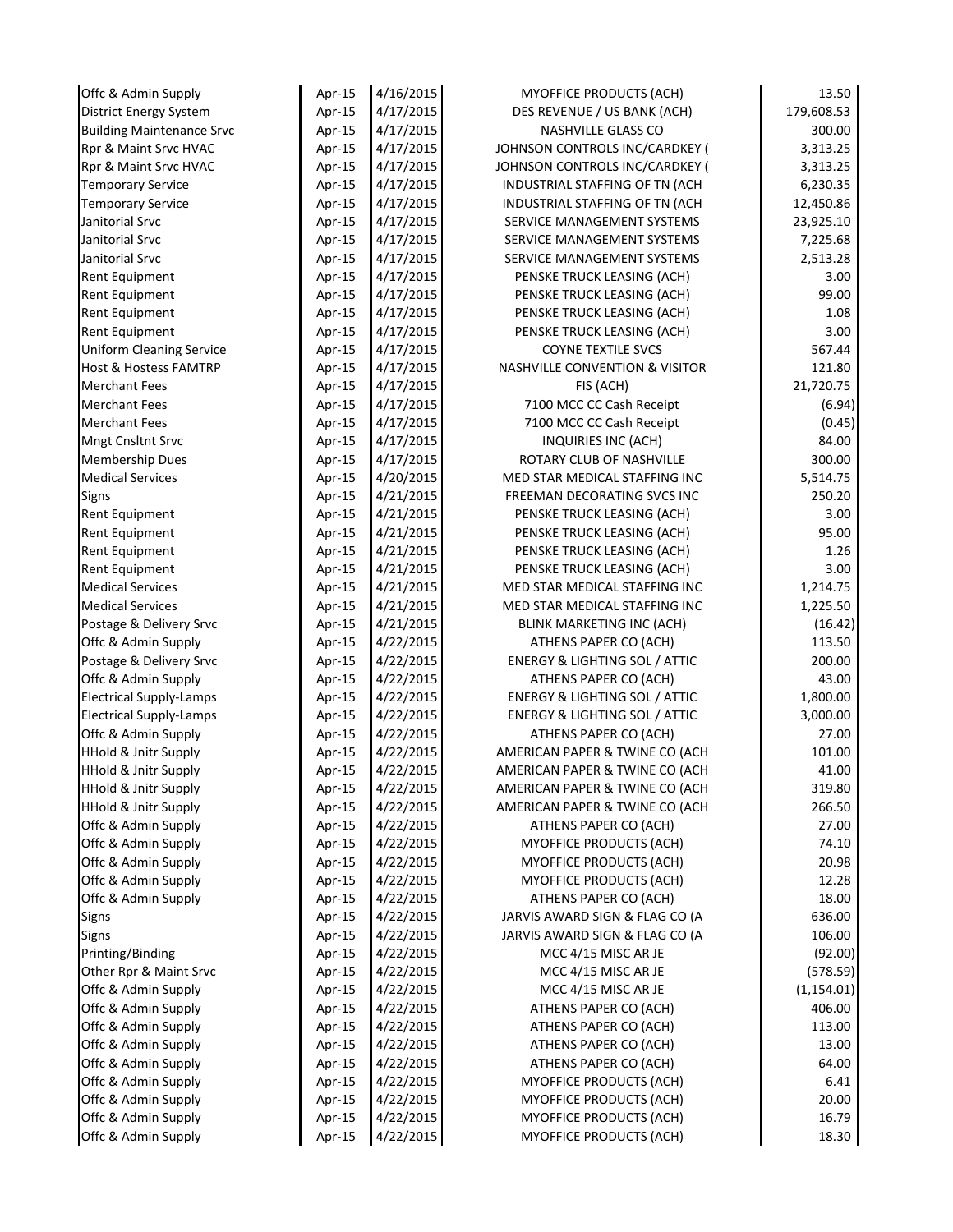| Offc & Admin Supply                        | Apr-15           | 4/16/2015              | MYOFFICE PRODUCTS (ACH)                                          | 13.50            |
|--------------------------------------------|------------------|------------------------|------------------------------------------------------------------|------------------|
| <b>District Energy System</b>              | Apr-15           | 4/17/2015              | DES REVENUE / US BANK (ACH)                                      | 179,608.53       |
| <b>Building Maintenance Srvc</b>           | Apr-15           | 4/17/2015              | NASHVILLE GLASS CO                                               | 300.00           |
| Rpr & Maint Srvc HVAC                      | Apr-15           | 4/17/2015              | JOHNSON CONTROLS INC/CARDKEY (                                   | 3,313.25         |
| Rpr & Maint Srvc HVAC                      | Apr-15           | 4/17/2015              | JOHNSON CONTROLS INC/CARDKEY (                                   | 3,313.25         |
| <b>Temporary Service</b>                   | Apr-15           | 4/17/2015              | INDUSTRIAL STAFFING OF TN (ACH                                   | 6,230.35         |
| <b>Temporary Service</b>                   | Apr-15           | 4/17/2015              | INDUSTRIAL STAFFING OF TN (ACH                                   | 12,450.86        |
| Janitorial Srvc                            | Apr-15           | 4/17/2015              | SERVICE MANAGEMENT SYSTEMS                                       | 23,925.10        |
| Janitorial Srvc                            | Apr-15           | 4/17/2015              | SERVICE MANAGEMENT SYSTEMS                                       | 7,225.68         |
| Janitorial Srvc                            | Apr-15           | 4/17/2015              | SERVICE MANAGEMENT SYSTEMS                                       | 2,513.28         |
| Rent Equipment                             | Apr-15           | 4/17/2015              | PENSKE TRUCK LEASING (ACH)                                       | 3.00             |
| Rent Equipment                             | Apr-15           | 4/17/2015              | PENSKE TRUCK LEASING (ACH)                                       | 99.00            |
| Rent Equipment                             | Apr-15           | 4/17/2015              | PENSKE TRUCK LEASING (ACH)                                       | 1.08             |
| Rent Equipment                             | Apr-15           | 4/17/2015              | PENSKE TRUCK LEASING (ACH)                                       | 3.00             |
| <b>Uniform Cleaning Service</b>            | Apr-15           | 4/17/2015              | <b>COYNE TEXTILE SVCS</b>                                        | 567.44           |
| <b>Host &amp; Hostess FAMTRP</b>           | Apr-15           | 4/17/2015              | <b>NASHVILLE CONVENTION &amp; VISITOR</b>                        | 121.80           |
| <b>Merchant Fees</b>                       | Apr-15           | 4/17/2015              | FIS (ACH)                                                        | 21,720.75        |
| <b>Merchant Fees</b>                       | Apr-15           | 4/17/2015              | 7100 MCC CC Cash Receipt                                         | (6.94)           |
| <b>Merchant Fees</b>                       | Apr-15           | 4/17/2015              | 7100 MCC CC Cash Receipt                                         | (0.45)           |
| Mngt Cnsltnt Srvc                          | Apr-15           | 4/17/2015              | INQUIRIES INC (ACH)                                              | 84.00            |
| Membership Dues                            | Apr-15           | 4/17/2015              | ROTARY CLUB OF NASHVILLE                                         | 300.00           |
| <b>Medical Services</b>                    | Apr-15           | 4/20/2015              | MED STAR MEDICAL STAFFING INC                                    | 5,514.75         |
| Signs                                      | Apr-15           | 4/21/2015              | FREEMAN DECORATING SVCS INC                                      | 250.20           |
| Rent Equipment                             | Apr- $15$        | 4/21/2015              | PENSKE TRUCK LEASING (ACH)                                       | 3.00             |
| Rent Equipment                             | Apr-15           | 4/21/2015              | PENSKE TRUCK LEASING (ACH)                                       | 95.00            |
| Rent Equipment                             | Apr-15           | 4/21/2015              | PENSKE TRUCK LEASING (ACH)                                       | 1.26             |
| <b>Rent Equipment</b>                      | Apr-15           | 4/21/2015              | PENSKE TRUCK LEASING (ACH)                                       | 3.00             |
| <b>Medical Services</b>                    | Apr-15           | 4/21/2015              | MED STAR MEDICAL STAFFING INC                                    | 1,214.75         |
| <b>Medical Services</b>                    | Apr-15           | 4/21/2015              | MED STAR MEDICAL STAFFING INC                                    | 1,225.50         |
| Postage & Delivery Srvc                    | Apr-15           | 4/21/2015              | BLINK MARKETING INC (ACH)                                        | (16.42)          |
| Offc & Admin Supply                        | Apr-15           | 4/22/2015              | ATHENS PAPER CO (ACH)                                            | 113.50           |
| Postage & Delivery Srvc                    | Apr-15           | 4/22/2015              | <b>ENERGY &amp; LIGHTING SOL / ATTIC</b>                         | 200.00           |
| Offc & Admin Supply                        | Apr-15           | 4/22/2015              | ATHENS PAPER CO (ACH)                                            | 43.00            |
| <b>Electrical Supply-Lamps</b>             | Apr-15           | 4/22/2015              | <b>ENERGY &amp; LIGHTING SOL / ATTIC</b>                         | 1,800.00         |
| <b>Electrical Supply-Lamps</b>             | Apr-15           | 4/22/2015              | <b>ENERGY &amp; LIGHTING SOL / ATTIC</b>                         | 3,000.00         |
| Offc & Admin Supply                        | Apr-15           | 4/22/2015              | ATHENS PAPER CO (ACH)                                            | 27.00            |
| HHold & Jnitr Supply                       | Apr-15           | 4/22/2015              | AMERICAN PAPER & TWINE CO (ACH                                   | 101.00           |
| <b>HHold &amp; Jnitr Supply</b>            | Apr-15           | 4/22/2015              | AMERICAN PAPER & TWINE CO (ACH                                   | 41.00            |
| <b>HHold &amp; Jnitr Supply</b>            | Apr-15           | 4/22/2015              | AMERICAN PAPER & TWINE CO (ACH<br>AMERICAN PAPER & TWINE CO (ACH | 319.80<br>266.50 |
| <b>HHold &amp; Jnitr Supply</b>            | Apr-15           | 4/22/2015              | ATHENS PAPER CO (ACH)                                            |                  |
| Offc & Admin Supply<br>Offc & Admin Supply | Apr-15           | 4/22/2015              | <b>MYOFFICE PRODUCTS (ACH)</b>                                   | 27.00<br>74.10   |
| Offc & Admin Supply                        | Apr-15<br>Apr-15 | 4/22/2015<br>4/22/2015 | MYOFFICE PRODUCTS (ACH)                                          | 20.98            |
| Offc & Admin Supply                        | Apr-15           | 4/22/2015              | MYOFFICE PRODUCTS (ACH)                                          | 12.28            |
| Offc & Admin Supply                        | Apr-15           | 4/22/2015              | ATHENS PAPER CO (ACH)                                            | 18.00            |
| Signs                                      | Apr-15           | 4/22/2015              | JARVIS AWARD SIGN & FLAG CO (A                                   | 636.00           |
| Signs                                      | Apr-15           | 4/22/2015              | JARVIS AWARD SIGN & FLAG CO (A                                   | 106.00           |
| Printing/Binding                           | Apr-15           | 4/22/2015              | MCC 4/15 MISC AR JE                                              | (92.00)          |
| Other Rpr & Maint Srvc                     | Apr-15           | 4/22/2015              | MCC 4/15 MISC AR JE                                              | (578.59)         |
| Offc & Admin Supply                        | Apr-15           | 4/22/2015              | MCC 4/15 MISC AR JE                                              | (1, 154.01)      |
| Offc & Admin Supply                        | Apr-15           | 4/22/2015              | ATHENS PAPER CO (ACH)                                            | 406.00           |
| Offc & Admin Supply                        | Apr-15           | 4/22/2015              | ATHENS PAPER CO (ACH)                                            | 113.00           |
| Offc & Admin Supply                        | Apr-15           | 4/22/2015              | ATHENS PAPER CO (ACH)                                            | 13.00            |
| Offc & Admin Supply                        | Apr-15           | 4/22/2015              | ATHENS PAPER CO (ACH)                                            | 64.00            |
| Offc & Admin Supply                        | Apr-15           | 4/22/2015              | <b>MYOFFICE PRODUCTS (ACH)</b>                                   | 6.41             |
| Offc & Admin Supply                        | Apr-15           | 4/22/2015              | MYOFFICE PRODUCTS (ACH)                                          | 20.00            |
| Offc & Admin Supply                        | Apr-15           | 4/22/2015              | MYOFFICE PRODUCTS (ACH)                                          | 16.79            |
| Offc & Admin Supply                        | Apr-15           | 4/22/2015              | <b>MYOFFICE PRODUCTS (ACH)</b>                                   | 18.30            |
|                                            |                  |                        |                                                                  |                  |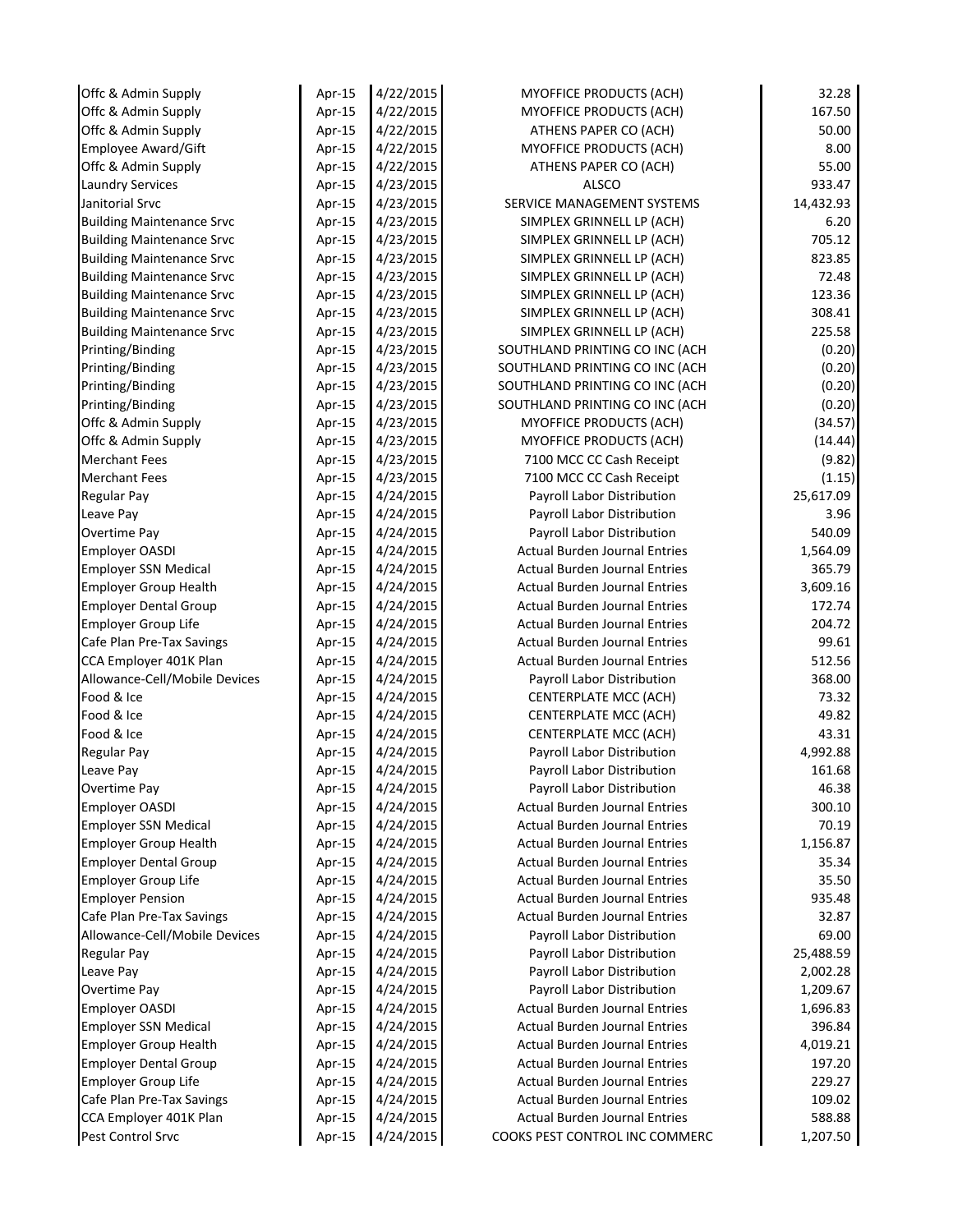| Offc & Admin Supply              | Apr-15 | 4/22/2015 | <b>MYOFFICE PRODUCTS (ACH)</b>       | 32.28     |
|----------------------------------|--------|-----------|--------------------------------------|-----------|
| Offc & Admin Supply              | Apr-15 | 4/22/2015 | MYOFFICE PRODUCTS (ACH)              | 167.50    |
| Offc & Admin Supply              | Apr-15 | 4/22/2015 | ATHENS PAPER CO (ACH)                | 50.00     |
| Employee Award/Gift              | Apr-15 | 4/22/2015 | MYOFFICE PRODUCTS (ACH)              | 8.00      |
| Offc & Admin Supply              | Apr-15 | 4/22/2015 | ATHENS PAPER CO (ACH)                | 55.00     |
| <b>Laundry Services</b>          | Apr-15 | 4/23/2015 | ALSCO                                | 933.47    |
| Janitorial Srvc                  | Apr-15 | 4/23/2015 | SERVICE MANAGEMENT SYSTEMS           | 14,432.93 |
| <b>Building Maintenance Srvc</b> | Apr-15 | 4/23/2015 | SIMPLEX GRINNELL LP (ACH)            | 6.20      |
| <b>Building Maintenance Srvc</b> | Apr-15 | 4/23/2015 | SIMPLEX GRINNELL LP (ACH)            | 705.12    |
| <b>Building Maintenance Srvc</b> | Apr-15 | 4/23/2015 | SIMPLEX GRINNELL LP (ACH)            | 823.85    |
| <b>Building Maintenance Srvc</b> | Apr-15 | 4/23/2015 | SIMPLEX GRINNELL LP (ACH)            | 72.48     |
| <b>Building Maintenance Srvc</b> | Apr-15 | 4/23/2015 | SIMPLEX GRINNELL LP (ACH)            | 123.36    |
| <b>Building Maintenance Srvc</b> | Apr-15 | 4/23/2015 | SIMPLEX GRINNELL LP (ACH)            | 308.41    |
| <b>Building Maintenance Srvc</b> | Apr-15 | 4/23/2015 | SIMPLEX GRINNELL LP (ACH)            | 225.58    |
| Printing/Binding                 | Apr-15 | 4/23/2015 | SOUTHLAND PRINTING CO INC (ACH       | (0.20)    |
| Printing/Binding                 | Apr-15 | 4/23/2015 | SOUTHLAND PRINTING CO INC (ACH       | (0.20)    |
| Printing/Binding                 | Apr-15 | 4/23/2015 | SOUTHLAND PRINTING CO INC (ACH       | (0.20)    |
| Printing/Binding                 | Apr-15 | 4/23/2015 | SOUTHLAND PRINTING CO INC (ACH       | (0.20)    |
| Offc & Admin Supply              | Apr-15 | 4/23/2015 | MYOFFICE PRODUCTS (ACH)              | (34.57)   |
| Offc & Admin Supply              | Apr-15 | 4/23/2015 | <b>MYOFFICE PRODUCTS (ACH)</b>       | (14.44)   |
| <b>Merchant Fees</b>             | Apr-15 | 4/23/2015 | 7100 MCC CC Cash Receipt             | (9.82)    |
| <b>Merchant Fees</b>             | Apr-15 | 4/23/2015 | 7100 MCC CC Cash Receipt             | (1.15)    |
| <b>Regular Pay</b>               | Apr-15 | 4/24/2015 | Payroll Labor Distribution           | 25,617.09 |
| Leave Pay                        | Apr-15 | 4/24/2015 | Payroll Labor Distribution           | 3.96      |
| <b>Overtime Pay</b>              | Apr-15 | 4/24/2015 | Payroll Labor Distribution           | 540.09    |
| <b>Employer OASDI</b>            | Apr-15 | 4/24/2015 | <b>Actual Burden Journal Entries</b> | 1,564.09  |
| <b>Employer SSN Medical</b>      | Apr-15 | 4/24/2015 | <b>Actual Burden Journal Entries</b> | 365.79    |
| <b>Employer Group Health</b>     | Apr-15 | 4/24/2015 | <b>Actual Burden Journal Entries</b> | 3,609.16  |
| <b>Employer Dental Group</b>     | Apr-15 | 4/24/2015 | <b>Actual Burden Journal Entries</b> | 172.74    |
| <b>Employer Group Life</b>       | Apr-15 | 4/24/2015 | <b>Actual Burden Journal Entries</b> | 204.72    |
| Cafe Plan Pre-Tax Savings        | Apr-15 | 4/24/2015 | <b>Actual Burden Journal Entries</b> | 99.61     |
| CCA Employer 401K Plan           | Apr-15 | 4/24/2015 | <b>Actual Burden Journal Entries</b> | 512.56    |
| Allowance-Cell/Mobile Devices    | Apr-15 | 4/24/2015 | Payroll Labor Distribution           | 368.00    |
| Food & Ice                       | Apr-15 | 4/24/2015 | CENTERPLATE MCC (ACH)                | 73.32     |
| Food & Ice                       | Apr-15 | 4/24/2015 | <b>CENTERPLATE MCC (ACH)</b>         | 49.82     |
| Food & Ice                       | Apr-15 | 4/24/2015 | CENTERPLATE MCC (ACH)                | 43.31     |
| <b>Regular Pay</b>               | Apr-15 | 4/24/2015 | Payroll Labor Distribution           | 4,992.88  |
| Leave Pay                        | Apr-15 | 4/24/2015 | Payroll Labor Distribution           | 161.68    |
| Overtime Pay                     | Apr-15 | 4/24/2015 | Payroll Labor Distribution           | 46.38     |
| Employer OASDI                   | Apr-15 | 4/24/2015 | <b>Actual Burden Journal Entries</b> | 300.10    |
| <b>Employer SSN Medical</b>      | Apr-15 | 4/24/2015 | <b>Actual Burden Journal Entries</b> | 70.19     |
| <b>Employer Group Health</b>     | Apr-15 | 4/24/2015 | <b>Actual Burden Journal Entries</b> | 1,156.87  |
| <b>Employer Dental Group</b>     | Apr-15 | 4/24/2015 | <b>Actual Burden Journal Entries</b> | 35.34     |
| <b>Employer Group Life</b>       | Apr-15 | 4/24/2015 | <b>Actual Burden Journal Entries</b> | 35.50     |
| <b>Employer Pension</b>          | Apr-15 | 4/24/2015 | <b>Actual Burden Journal Entries</b> | 935.48    |
| Cafe Plan Pre-Tax Savings        | Apr-15 | 4/24/2015 | <b>Actual Burden Journal Entries</b> | 32.87     |
| Allowance-Cell/Mobile Devices    | Apr-15 | 4/24/2015 | Payroll Labor Distribution           | 69.00     |
| Regular Pay                      | Apr-15 | 4/24/2015 | Payroll Labor Distribution           | 25,488.59 |
| Leave Pay                        | Apr-15 | 4/24/2015 | Payroll Labor Distribution           | 2,002.28  |
| <b>Overtime Pay</b>              | Apr-15 | 4/24/2015 | Payroll Labor Distribution           | 1,209.67  |
| <b>Employer OASDI</b>            | Apr-15 | 4/24/2015 | <b>Actual Burden Journal Entries</b> | 1,696.83  |
| <b>Employer SSN Medical</b>      | Apr-15 | 4/24/2015 | <b>Actual Burden Journal Entries</b> | 396.84    |
| <b>Employer Group Health</b>     | Apr-15 | 4/24/2015 | <b>Actual Burden Journal Entries</b> | 4,019.21  |
| <b>Employer Dental Group</b>     | Apr-15 | 4/24/2015 | <b>Actual Burden Journal Entries</b> | 197.20    |
| <b>Employer Group Life</b>       | Apr-15 | 4/24/2015 | <b>Actual Burden Journal Entries</b> | 229.27    |
| Cafe Plan Pre-Tax Savings        | Apr-15 | 4/24/2015 | <b>Actual Burden Journal Entries</b> | 109.02    |
| CCA Employer 401K Plan           | Apr-15 | 4/24/2015 | Actual Burden Journal Entries        | 588.88    |
| Pest Control Srvc                |        | 4/24/2015 |                                      | 1,207.50  |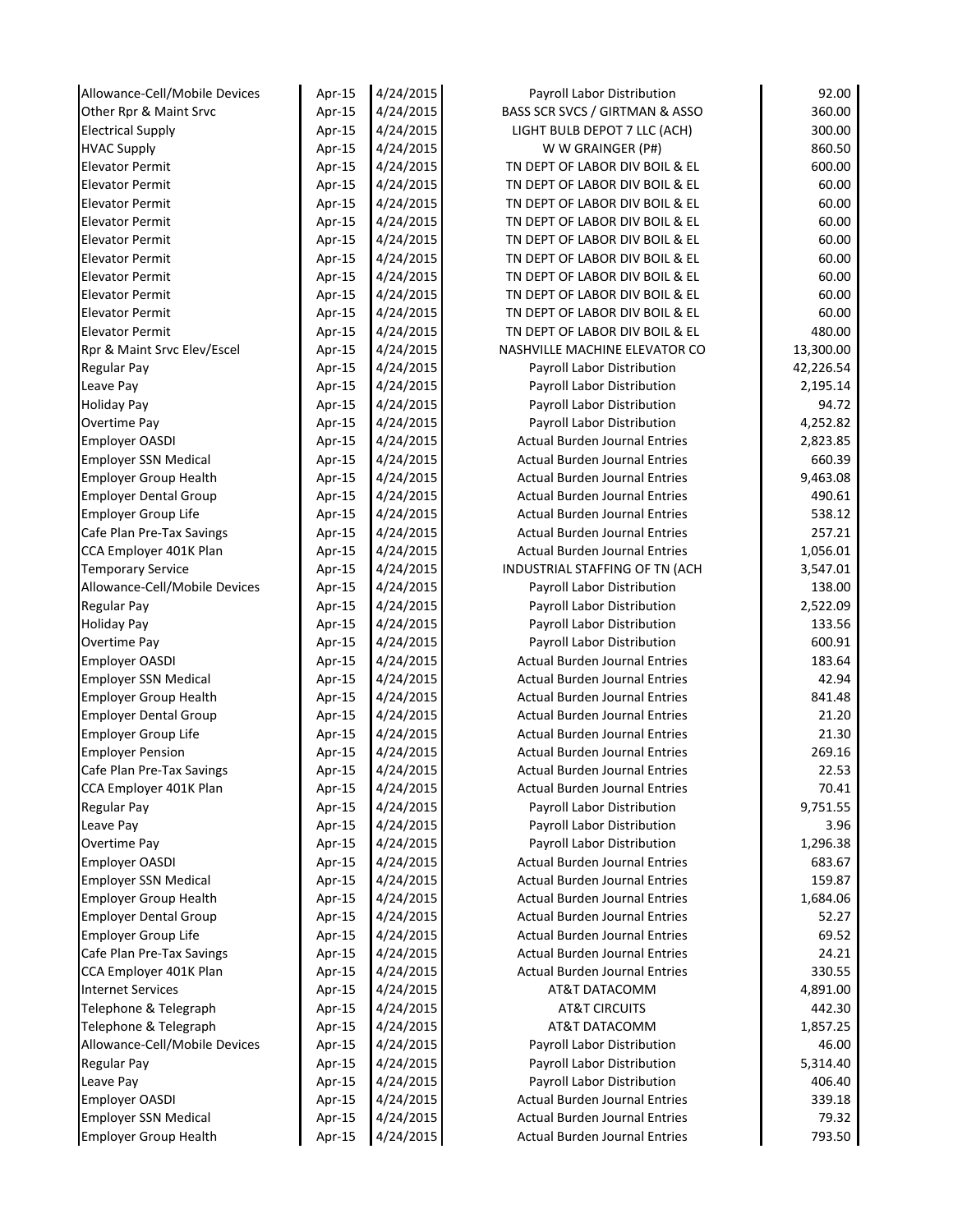| Allowance-Cell/Mobile Devices                       | Apr-15           | 4/24/2015              | Payroll Labor Distribution                | 92.00              |
|-----------------------------------------------------|------------------|------------------------|-------------------------------------------|--------------------|
| Other Rpr & Maint Srvc                              | Apr-15           | 4/24/2015              | BASS SCR SVCS / GIRTMAN & ASSO            | 360.00             |
| <b>Electrical Supply</b>                            | Apr-15           | 4/24/2015              | LIGHT BULB DEPOT 7 LLC (ACH)              | 300.00             |
| <b>HVAC Supply</b>                                  | Apr-15           | 4/24/2015              | W W GRAINGER (P#)                         | 860.50             |
| <b>Elevator Permit</b>                              | Apr-15           | 4/24/2015              | TN DEPT OF LABOR DIV BOIL & EL            | 600.00             |
| <b>Elevator Permit</b>                              | Apr-15           | 4/24/2015              | TN DEPT OF LABOR DIV BOIL & EL            | 60.00              |
| <b>Elevator Permit</b>                              | Apr-15           | 4/24/2015              | TN DEPT OF LABOR DIV BOIL & EL            | 60.00              |
| <b>Elevator Permit</b>                              | Apr-15           | 4/24/2015              | TN DEPT OF LABOR DIV BOIL & EL            | 60.00              |
| <b>Elevator Permit</b>                              | Apr-15           | 4/24/2015              | TN DEPT OF LABOR DIV BOIL & EL            | 60.00              |
| <b>Elevator Permit</b>                              | Apr-15           | 4/24/2015              | TN DEPT OF LABOR DIV BOIL & EL            | 60.00              |
| <b>Elevator Permit</b>                              | Apr-15           | 4/24/2015              | TN DEPT OF LABOR DIV BOIL & EL            | 60.00              |
| <b>Elevator Permit</b>                              | Apr-15           | 4/24/2015              | TN DEPT OF LABOR DIV BOIL & EL            | 60.00              |
| <b>Elevator Permit</b>                              | Apr-15           | 4/24/2015              | TN DEPT OF LABOR DIV BOIL & EL            | 60.00              |
| <b>Elevator Permit</b>                              | Apr-15           | 4/24/2015              | TN DEPT OF LABOR DIV BOIL & EL            | 480.00             |
| Rpr & Maint Srvc Elev/Escel                         | Apr-15           | 4/24/2015              | NASHVILLE MACHINE ELEVATOR CO             | 13,300.00          |
| <b>Regular Pay</b>                                  | Apr-15           | 4/24/2015              | Payroll Labor Distribution                | 42,226.54          |
| Leave Pay                                           | Apr-15           | 4/24/2015              | Payroll Labor Distribution                | 2,195.14           |
| <b>Holiday Pay</b>                                  | Apr-15           | 4/24/2015              | Payroll Labor Distribution                | 94.72              |
| Overtime Pay                                        | Apr-15           | 4/24/2015              | Payroll Labor Distribution                | 4,252.82           |
| <b>Employer OASDI</b>                               | Apr-15           | 4/24/2015              | <b>Actual Burden Journal Entries</b>      | 2,823.85           |
| <b>Employer SSN Medical</b>                         | Apr-15           | 4/24/2015              | <b>Actual Burden Journal Entries</b>      | 660.39             |
| <b>Employer Group Health</b>                        | Apr-15           | 4/24/2015              | <b>Actual Burden Journal Entries</b>      | 9,463.08           |
| <b>Employer Dental Group</b>                        | Apr-15           | 4/24/2015              | <b>Actual Burden Journal Entries</b>      | 490.61             |
| <b>Employer Group Life</b>                          | Apr-15           | 4/24/2015              | <b>Actual Burden Journal Entries</b>      | 538.12             |
| Cafe Plan Pre-Tax Savings                           | Apr-15           | 4/24/2015              | <b>Actual Burden Journal Entries</b>      | 257.21             |
| CCA Employer 401K Plan                              | Apr-15           | 4/24/2015              | Actual Burden Journal Entries             | 1,056.01           |
| <b>Temporary Service</b>                            | Apr-15           | 4/24/2015              | INDUSTRIAL STAFFING OF TN (ACH            | 3,547.01           |
| Allowance-Cell/Mobile Devices                       | Apr-15           | 4/24/2015              | Payroll Labor Distribution                | 138.00             |
| <b>Regular Pay</b>                                  | Apr-15           | 4/24/2015              | Payroll Labor Distribution                | 2,522.09           |
| <b>Holiday Pay</b>                                  | Apr-15           | 4/24/2015              | Payroll Labor Distribution                | 133.56             |
| Overtime Pay                                        | Apr-15           | 4/24/2015              | Payroll Labor Distribution                | 600.91             |
| Employer OASDI                                      | Apr-15           | 4/24/2015              | <b>Actual Burden Journal Entries</b>      | 183.64             |
| <b>Employer SSN Medical</b>                         | Apr-15           | 4/24/2015              | <b>Actual Burden Journal Entries</b>      | 42.94              |
| <b>Employer Group Health</b>                        | Apr-15           | 4/24/2015              | <b>Actual Burden Journal Entries</b>      | 841.48             |
| <b>Employer Dental Group</b>                        | Apr-15           | 4/24/2015              | <b>Actual Burden Journal Entries</b>      | 21.20              |
| <b>Employer Group Life</b>                          | Apr-15           | 4/24/2015              | <b>Actual Burden Journal Entries</b>      | 21.30              |
| <b>Employer Pension</b>                             | Apr-15           | 4/24/2015              | <b>Actual Burden Journal Entries</b>      | 269.16             |
| Cafe Plan Pre-Tax Savings                           | Apr-15           | 4/24/2015              | <b>Actual Burden Journal Entries</b>      | 22.53              |
| CCA Employer 401K Plan                              |                  | 4/24/2015              | <b>Actual Burden Journal Entries</b>      | 70.41              |
| <b>Regular Pay</b>                                  | Apr-15<br>Apr-15 | 4/24/2015              | Payroll Labor Distribution                | 9,751.55           |
| Leave Pay                                           | Apr-15           | 4/24/2015              | Payroll Labor Distribution                | 3.96               |
| Overtime Pay                                        | Apr-15           | 4/24/2015              | Payroll Labor Distribution                | 1,296.38           |
| <b>Employer OASDI</b>                               | Apr-15           | 4/24/2015              | <b>Actual Burden Journal Entries</b>      | 683.67             |
| <b>Employer SSN Medical</b>                         | Apr-15           | 4/24/2015              | <b>Actual Burden Journal Entries</b>      | 159.87             |
| <b>Employer Group Health</b>                        | Apr-15           | 4/24/2015              | <b>Actual Burden Journal Entries</b>      | 1,684.06           |
| <b>Employer Dental Group</b>                        |                  | 4/24/2015              | <b>Actual Burden Journal Entries</b>      | 52.27              |
| <b>Employer Group Life</b>                          | Apr-15           | 4/24/2015              | <b>Actual Burden Journal Entries</b>      | 69.52              |
|                                                     | Apr-15           | 4/24/2015              | <b>Actual Burden Journal Entries</b>      | 24.21              |
| Cafe Plan Pre-Tax Savings<br>CCA Employer 401K Plan | Apr-15           | 4/24/2015              | <b>Actual Burden Journal Entries</b>      | 330.55             |
|                                                     | Apr-15           |                        |                                           |                    |
| <b>Internet Services</b><br>Telephone & Telegraph   | Apr-15           | 4/24/2015<br>4/24/2015 | AT&T DATACOMM<br><b>AT&amp;T CIRCUITS</b> | 4,891.00<br>442.30 |
|                                                     | Apr-15           |                        |                                           |                    |
| Telephone & Telegraph                               | Apr-15           | 4/24/2015              | AT&T DATACOMM                             | 1,857.25           |
| Allowance-Cell/Mobile Devices                       | Apr-15           | 4/24/2015              | Payroll Labor Distribution                | 46.00              |
| <b>Regular Pay</b>                                  | Apr-15           | 4/24/2015              | Payroll Labor Distribution                | 5,314.40           |
| Leave Pay                                           | Apr-15           | 4/24/2015              | Payroll Labor Distribution                | 406.40             |
| <b>Employer OASDI</b>                               | Apr-15           | 4/24/2015              | <b>Actual Burden Journal Entries</b>      | 339.18             |
| <b>Employer SSN Medical</b>                         | Apr-15           | 4/24/2015              | <b>Actual Burden Journal Entries</b>      | 79.32              |
| <b>Employer Group Health</b>                        | Apr-15           | 4/24/2015              | <b>Actual Burden Journal Entries</b>      | 793.50             |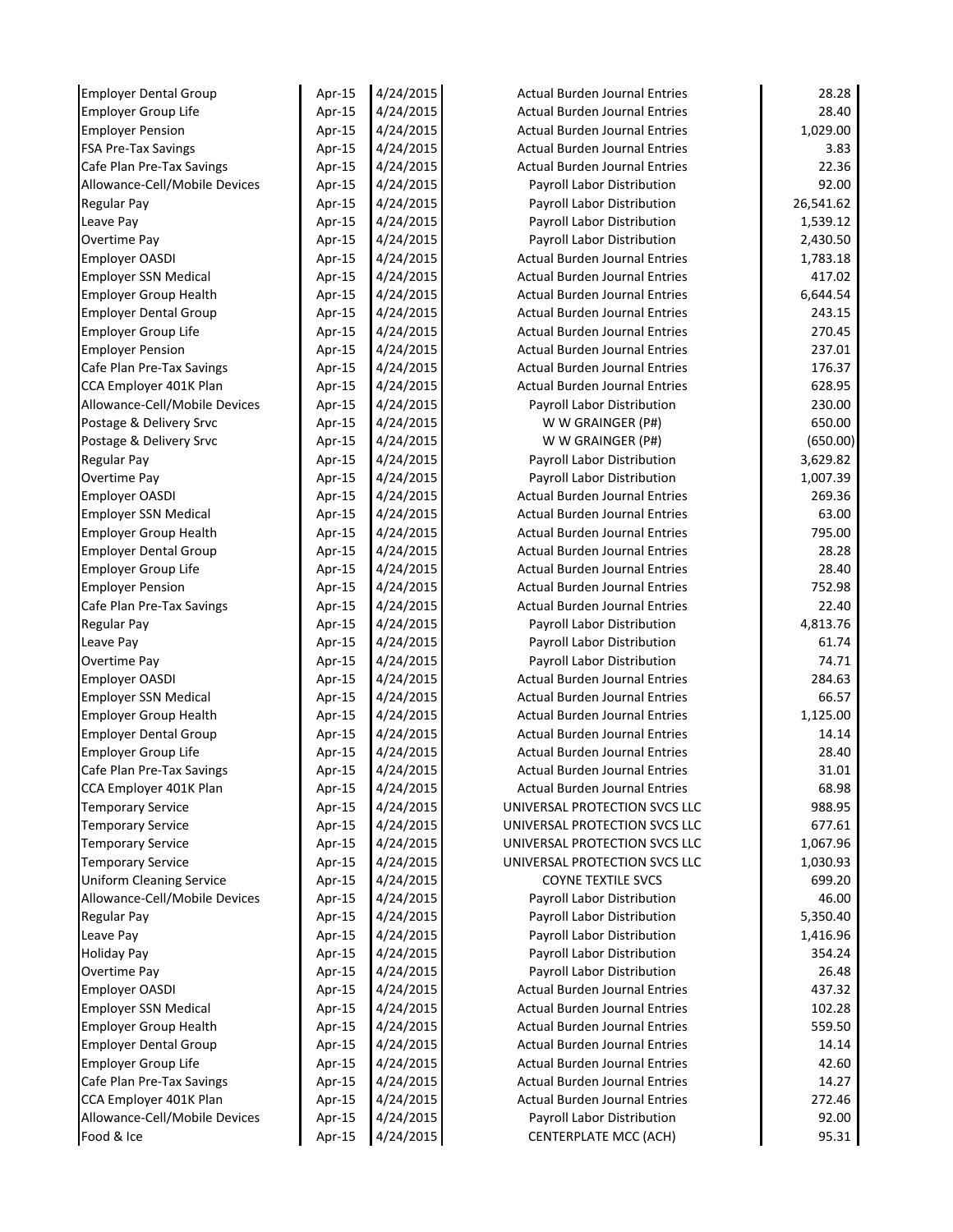| <b>Employer Dental Group</b>    | Apr-15 | 4/24/2015 | <b>Actual Burden Journal Entries</b> | 28.28     |
|---------------------------------|--------|-----------|--------------------------------------|-----------|
| <b>Employer Group Life</b>      | Apr-15 | 4/24/2015 | <b>Actual Burden Journal Entries</b> | 28.40     |
| <b>Employer Pension</b>         | Apr-15 | 4/24/2015 | <b>Actual Burden Journal Entries</b> | 1,029.00  |
| <b>FSA Pre-Tax Savings</b>      | Apr-15 | 4/24/2015 | <b>Actual Burden Journal Entries</b> | 3.83      |
| Cafe Plan Pre-Tax Savings       | Apr-15 | 4/24/2015 | <b>Actual Burden Journal Entries</b> | 22.36     |
| Allowance-Cell/Mobile Devices   | Apr-15 | 4/24/2015 | Payroll Labor Distribution           | 92.00     |
| <b>Regular Pay</b>              | Apr-15 | 4/24/2015 | Payroll Labor Distribution           | 26,541.62 |
| Leave Pay                       | Apr-15 | 4/24/2015 | Payroll Labor Distribution           | 1,539.12  |
| Overtime Pay                    | Apr-15 | 4/24/2015 | Payroll Labor Distribution           | 2,430.50  |
| <b>Employer OASDI</b>           | Apr-15 | 4/24/2015 | <b>Actual Burden Journal Entries</b> | 1,783.18  |
| <b>Employer SSN Medical</b>     | Apr-15 | 4/24/2015 | <b>Actual Burden Journal Entries</b> | 417.02    |
| <b>Employer Group Health</b>    | Apr-15 | 4/24/2015 | <b>Actual Burden Journal Entries</b> | 6,644.54  |
| <b>Employer Dental Group</b>    | Apr-15 | 4/24/2015 | <b>Actual Burden Journal Entries</b> | 243.15    |
| <b>Employer Group Life</b>      | Apr-15 | 4/24/2015 | <b>Actual Burden Journal Entries</b> | 270.45    |
| <b>Employer Pension</b>         | Apr-15 | 4/24/2015 | <b>Actual Burden Journal Entries</b> | 237.01    |
| Cafe Plan Pre-Tax Savings       | Apr-15 | 4/24/2015 | <b>Actual Burden Journal Entries</b> | 176.37    |
| CCA Employer 401K Plan          | Apr-15 | 4/24/2015 | <b>Actual Burden Journal Entries</b> | 628.95    |
| Allowance-Cell/Mobile Devices   | Apr-15 | 4/24/2015 | Payroll Labor Distribution           | 230.00    |
| Postage & Delivery Srvc         | Apr-15 | 4/24/2015 | W W GRAINGER (P#)                    | 650.00    |
| Postage & Delivery Srvc         | Apr-15 | 4/24/2015 | W W GRAINGER (P#)                    | (650.00)  |
| <b>Regular Pay</b>              | Apr-15 | 4/24/2015 | Payroll Labor Distribution           | 3,629.82  |
| Overtime Pay                    | Apr-15 | 4/24/2015 | Payroll Labor Distribution           | 1,007.39  |
| <b>Employer OASDI</b>           | Apr-15 | 4/24/2015 | <b>Actual Burden Journal Entries</b> | 269.36    |
| <b>Employer SSN Medical</b>     | Apr-15 | 4/24/2015 | <b>Actual Burden Journal Entries</b> | 63.00     |
| <b>Employer Group Health</b>    | Apr-15 | 4/24/2015 | <b>Actual Burden Journal Entries</b> | 795.00    |
| <b>Employer Dental Group</b>    | Apr-15 | 4/24/2015 | <b>Actual Burden Journal Entries</b> | 28.28     |
| <b>Employer Group Life</b>      | Apr-15 | 4/24/2015 | <b>Actual Burden Journal Entries</b> | 28.40     |
| <b>Employer Pension</b>         | Apr-15 | 4/24/2015 | <b>Actual Burden Journal Entries</b> | 752.98    |
| Cafe Plan Pre-Tax Savings       | Apr-15 | 4/24/2015 | <b>Actual Burden Journal Entries</b> | 22.40     |
| <b>Regular Pay</b>              | Apr-15 | 4/24/2015 | Payroll Labor Distribution           | 4,813.76  |
| Leave Pay                       | Apr-15 | 4/24/2015 | Payroll Labor Distribution           | 61.74     |
| Overtime Pay                    | Apr-15 | 4/24/2015 | Payroll Labor Distribution           | 74.71     |
| <b>Employer OASDI</b>           | Apr-15 | 4/24/2015 | <b>Actual Burden Journal Entries</b> | 284.63    |
| <b>Employer SSN Medical</b>     | Apr-15 | 4/24/2015 | <b>Actual Burden Journal Entries</b> | 66.57     |
| <b>Employer Group Health</b>    | Apr-15 | 4/24/2015 | <b>Actual Burden Journal Entries</b> | 1,125.00  |
| <b>Employer Dental Group</b>    | Apr-15 | 4/24/2015 | <b>Actual Burden Journal Entries</b> | 14.14     |
| <b>Employer Group Life</b>      | Apr-15 | 4/24/2015 | <b>Actual Burden Journal Entries</b> | 28.40     |
| Cafe Plan Pre-Tax Savings       | Apr-15 | 4/24/2015 | <b>Actual Burden Journal Entries</b> | 31.01     |
| CCA Employer 401K Plan          | Apr-15 | 4/24/2015 | <b>Actual Burden Journal Entries</b> | 68.98     |
| <b>Temporary Service</b>        | Apr-15 | 4/24/2015 | UNIVERSAL PROTECTION SVCS LLC        | 988.95    |
| <b>Temporary Service</b>        | Apr-15 | 4/24/2015 | UNIVERSAL PROTECTION SVCS LLC        | 677.61    |
| <b>Temporary Service</b>        | Apr-15 | 4/24/2015 | UNIVERSAL PROTECTION SVCS LLC        | 1,067.96  |
| <b>Temporary Service</b>        | Apr-15 | 4/24/2015 | UNIVERSAL PROTECTION SVCS LLC        | 1,030.93  |
| <b>Uniform Cleaning Service</b> | Apr-15 | 4/24/2015 | <b>COYNE TEXTILE SVCS</b>            | 699.20    |
| Allowance-Cell/Mobile Devices   | Apr-15 | 4/24/2015 | Payroll Labor Distribution           | 46.00     |
| <b>Regular Pay</b>              | Apr-15 | 4/24/2015 | Payroll Labor Distribution           | 5,350.40  |
| Leave Pay                       | Apr-15 | 4/24/2015 | Payroll Labor Distribution           | 1,416.96  |
| <b>Holiday Pay</b>              | Apr-15 | 4/24/2015 | Payroll Labor Distribution           | 354.24    |
| Overtime Pay                    | Apr-15 | 4/24/2015 | Payroll Labor Distribution           | 26.48     |
| <b>Employer OASDI</b>           | Apr-15 | 4/24/2015 | <b>Actual Burden Journal Entries</b> | 437.32    |
| <b>Employer SSN Medical</b>     | Apr-15 | 4/24/2015 | <b>Actual Burden Journal Entries</b> | 102.28    |
| <b>Employer Group Health</b>    | Apr-15 | 4/24/2015 | <b>Actual Burden Journal Entries</b> | 559.50    |
| <b>Employer Dental Group</b>    | Apr-15 | 4/24/2015 | <b>Actual Burden Journal Entries</b> | 14.14     |
| <b>Employer Group Life</b>      | Apr-15 | 4/24/2015 | <b>Actual Burden Journal Entries</b> | 42.60     |
| Cafe Plan Pre-Tax Savings       | Apr-15 | 4/24/2015 | <b>Actual Burden Journal Entries</b> | 14.27     |
| CCA Employer 401K Plan          | Apr-15 | 4/24/2015 | <b>Actual Burden Journal Entries</b> | 272.46    |
| Allowance-Cell/Mobile Devices   | Apr-15 | 4/24/2015 | Payroll Labor Distribution           | 92.00     |
| Food & Ice                      | Apr-15 | 4/24/2015 | <b>CENTERPLATE MCC (ACH)</b>         | 95.31     |
|                                 |        |           |                                      |           |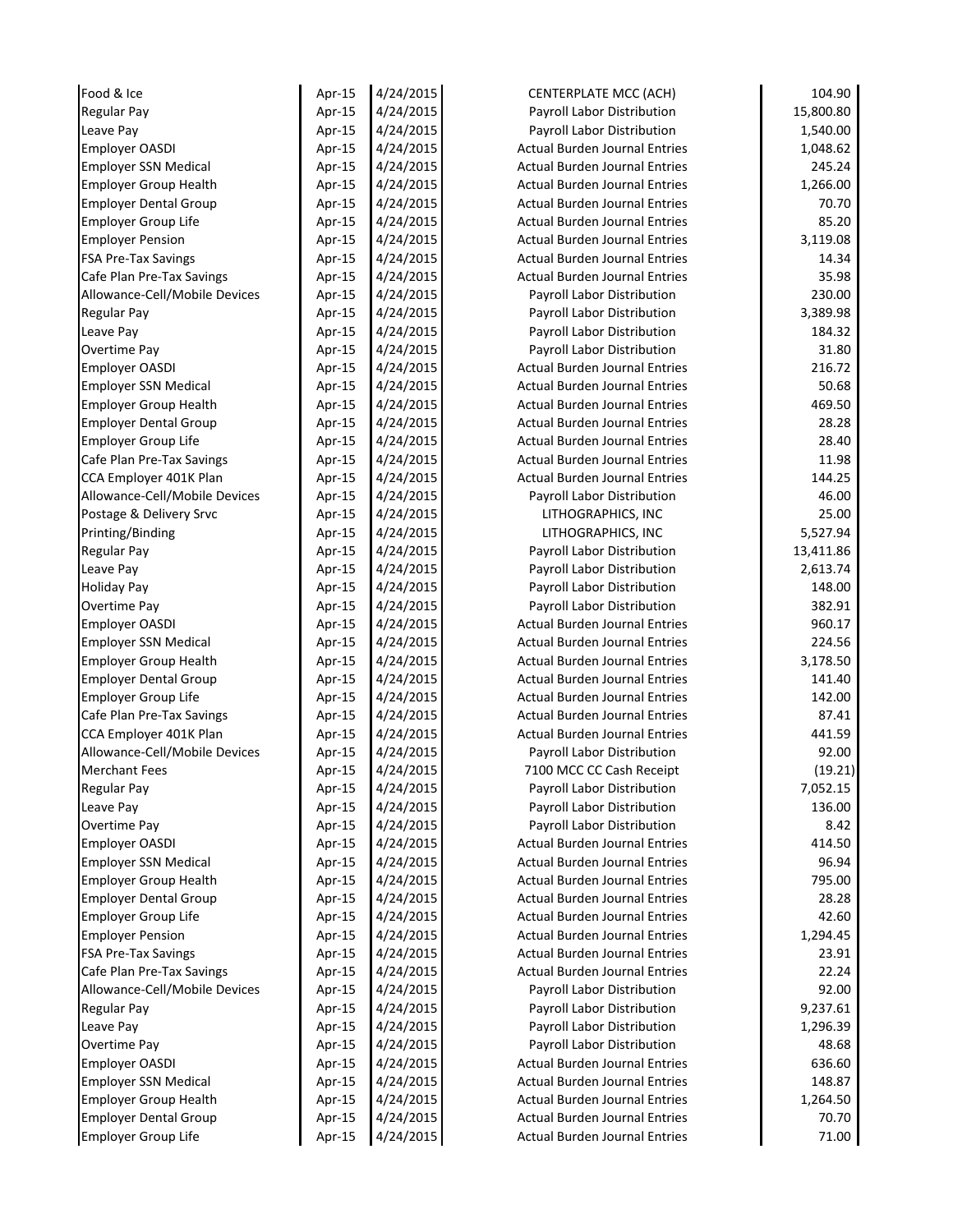| Food & Ice                    | Apr-15 | 4/24/2015 | <b>CENTERPLATE MCC (ACH)</b>         | 104.90    |
|-------------------------------|--------|-----------|--------------------------------------|-----------|
| <b>Regular Pay</b>            | Apr-15 | 4/24/2015 | Payroll Labor Distribution           | 15,800.80 |
| Leave Pay                     | Apr-15 | 4/24/2015 | Payroll Labor Distribution           | 1,540.00  |
| <b>Employer OASDI</b>         | Apr-15 | 4/24/2015 | <b>Actual Burden Journal Entries</b> | 1,048.62  |
| <b>Employer SSN Medical</b>   | Apr-15 | 4/24/2015 | <b>Actual Burden Journal Entries</b> | 245.24    |
| <b>Employer Group Health</b>  | Apr-15 | 4/24/2015 | <b>Actual Burden Journal Entries</b> | 1,266.00  |
| <b>Employer Dental Group</b>  | Apr-15 | 4/24/2015 | <b>Actual Burden Journal Entries</b> | 70.70     |
| Employer Group Life           | Apr-15 | 4/24/2015 | <b>Actual Burden Journal Entries</b> | 85.20     |
| <b>Employer Pension</b>       | Apr-15 | 4/24/2015 | <b>Actual Burden Journal Entries</b> | 3,119.08  |
| <b>FSA Pre-Tax Savings</b>    | Apr-15 | 4/24/2015 | <b>Actual Burden Journal Entries</b> | 14.34     |
| Cafe Plan Pre-Tax Savings     | Apr-15 | 4/24/2015 | <b>Actual Burden Journal Entries</b> | 35.98     |
| Allowance-Cell/Mobile Devices | Apr-15 | 4/24/2015 | Payroll Labor Distribution           | 230.00    |
| Regular Pay                   | Apr-15 | 4/24/2015 | Payroll Labor Distribution           | 3,389.98  |
| Leave Pay                     | Apr-15 | 4/24/2015 | Payroll Labor Distribution           | 184.32    |
| Overtime Pay                  | Apr-15 | 4/24/2015 | Payroll Labor Distribution           | 31.80     |
| <b>Employer OASDI</b>         | Apr-15 | 4/24/2015 | <b>Actual Burden Journal Entries</b> | 216.72    |
| <b>Employer SSN Medical</b>   | Apr-15 | 4/24/2015 | <b>Actual Burden Journal Entries</b> | 50.68     |
| <b>Employer Group Health</b>  | Apr-15 | 4/24/2015 | <b>Actual Burden Journal Entries</b> | 469.50    |
| <b>Employer Dental Group</b>  | Apr-15 | 4/24/2015 | <b>Actual Burden Journal Entries</b> | 28.28     |
| <b>Employer Group Life</b>    | Apr-15 | 4/24/2015 | <b>Actual Burden Journal Entries</b> | 28.40     |
| Cafe Plan Pre-Tax Savings     | Apr-15 | 4/24/2015 | <b>Actual Burden Journal Entries</b> | 11.98     |
| CCA Employer 401K Plan        | Apr-15 | 4/24/2015 | <b>Actual Burden Journal Entries</b> | 144.25    |
| Allowance-Cell/Mobile Devices | Apr-15 | 4/24/2015 | Payroll Labor Distribution           | 46.00     |
| Postage & Delivery Srvc       | Apr-15 | 4/24/2015 | LITHOGRAPHICS, INC                   | 25.00     |
| Printing/Binding              | Apr-15 | 4/24/2015 | LITHOGRAPHICS, INC                   | 5,527.94  |
| <b>Regular Pay</b>            | Apr-15 | 4/24/2015 | Payroll Labor Distribution           | 13,411.86 |
| Leave Pay                     | Apr-15 | 4/24/2015 | Payroll Labor Distribution           | 2,613.74  |
| <b>Holiday Pay</b>            | Apr-15 | 4/24/2015 | Payroll Labor Distribution           | 148.00    |
| Overtime Pay                  | Apr-15 | 4/24/2015 | Payroll Labor Distribution           | 382.91    |
| Employer OASDI                | Apr-15 | 4/24/2015 | <b>Actual Burden Journal Entries</b> | 960.17    |
| <b>Employer SSN Medical</b>   | Apr-15 | 4/24/2015 | <b>Actual Burden Journal Entries</b> | 224.56    |
| <b>Employer Group Health</b>  | Apr-15 | 4/24/2015 | <b>Actual Burden Journal Entries</b> | 3,178.50  |
| <b>Employer Dental Group</b>  | Apr-15 | 4/24/2015 | <b>Actual Burden Journal Entries</b> | 141.40    |
| <b>Employer Group Life</b>    | Apr-15 | 4/24/2015 | <b>Actual Burden Journal Entries</b> | 142.00    |
| Cafe Plan Pre-Tax Savings     | Apr-15 | 4/24/2015 | <b>Actual Burden Journal Entries</b> | 87.41     |
| CCA Employer 401K Plan        | Apr-15 | 4/24/2015 | <b>Actual Burden Journal Entries</b> | 441.59    |
| Allowance-Cell/Mobile Devices | Apr-15 | 4/24/2015 | Payroll Labor Distribution           | 92.00     |
| <b>Merchant Fees</b>          | Apr-15 | 4/24/2015 | 7100 MCC CC Cash Receipt             | (19.21)   |
| <b>Regular Pay</b>            | Apr-15 | 4/24/2015 | Payroll Labor Distribution           | 7,052.15  |
| Leave Pay                     | Apr-15 | 4/24/2015 | Payroll Labor Distribution           | 136.00    |
| Overtime Pay                  | Apr-15 | 4/24/2015 | Payroll Labor Distribution           | 8.42      |
| <b>Employer OASDI</b>         | Apr-15 | 4/24/2015 | <b>Actual Burden Journal Entries</b> | 414.50    |
| <b>Employer SSN Medical</b>   | Apr-15 | 4/24/2015 | <b>Actual Burden Journal Entries</b> | 96.94     |
| <b>Employer Group Health</b>  | Apr-15 | 4/24/2015 | <b>Actual Burden Journal Entries</b> | 795.00    |
| <b>Employer Dental Group</b>  | Apr-15 | 4/24/2015 | <b>Actual Burden Journal Entries</b> | 28.28     |
| <b>Employer Group Life</b>    | Apr-15 | 4/24/2015 | <b>Actual Burden Journal Entries</b> | 42.60     |
| <b>Employer Pension</b>       | Apr-15 | 4/24/2015 | <b>Actual Burden Journal Entries</b> | 1,294.45  |
| <b>FSA Pre-Tax Savings</b>    | Apr-15 | 4/24/2015 | <b>Actual Burden Journal Entries</b> | 23.91     |
| Cafe Plan Pre-Tax Savings     | Apr-15 | 4/24/2015 | <b>Actual Burden Journal Entries</b> | 22.24     |
| Allowance-Cell/Mobile Devices | Apr-15 | 4/24/2015 | Payroll Labor Distribution           | 92.00     |
| <b>Regular Pay</b>            | Apr-15 | 4/24/2015 | Payroll Labor Distribution           | 9,237.61  |
| Leave Pay                     | Apr-15 | 4/24/2015 | Payroll Labor Distribution           | 1,296.39  |
| Overtime Pay                  | Apr-15 | 4/24/2015 | Payroll Labor Distribution           | 48.68     |
| <b>Employer OASDI</b>         | Apr-15 | 4/24/2015 | <b>Actual Burden Journal Entries</b> | 636.60    |
| <b>Employer SSN Medical</b>   | Apr-15 | 4/24/2015 | <b>Actual Burden Journal Entries</b> | 148.87    |
| <b>Employer Group Health</b>  | Apr-15 | 4/24/2015 | <b>Actual Burden Journal Entries</b> | 1,264.50  |
| <b>Employer Dental Group</b>  | Apr-15 | 4/24/2015 | <b>Actual Burden Journal Entries</b> | 70.70     |
| <b>Employer Group Life</b>    |        | 4/24/2015 | <b>Actual Burden Journal Entries</b> | 71.00     |
|                               | Apr-15 |           |                                      |           |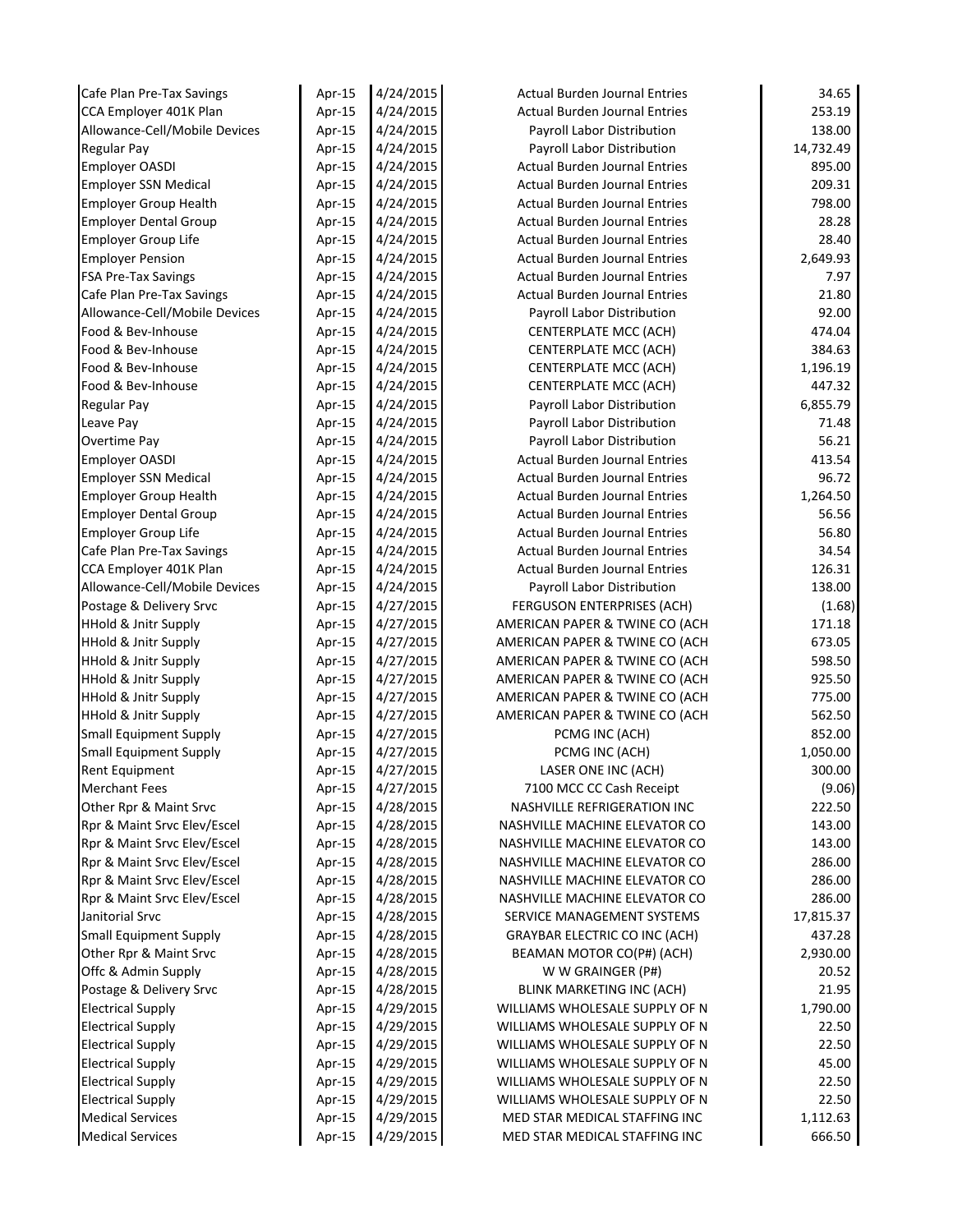| Cafe Plan Pre-Tax Savings       | Apr-15           | 4/24/2015 | <b>Actual Burden Journal Entries</b> | 34.65     |
|---------------------------------|------------------|-----------|--------------------------------------|-----------|
| CCA Employer 401K Plan          | Apr-15           | 4/24/2015 | <b>Actual Burden Journal Entries</b> | 253.19    |
| Allowance-Cell/Mobile Devices   | Apr-15           | 4/24/2015 | Payroll Labor Distribution           | 138.00    |
| <b>Regular Pay</b>              | Apr-15           | 4/24/2015 | Payroll Labor Distribution           | 14,732.49 |
| <b>Employer OASDI</b>           | Apr-15           | 4/24/2015 | <b>Actual Burden Journal Entries</b> | 895.00    |
| <b>Employer SSN Medical</b>     | Apr-15           | 4/24/2015 | <b>Actual Burden Journal Entries</b> | 209.31    |
| <b>Employer Group Health</b>    | Apr-15           | 4/24/2015 | <b>Actual Burden Journal Entries</b> | 798.00    |
| <b>Employer Dental Group</b>    | Apr-15           | 4/24/2015 | <b>Actual Burden Journal Entries</b> | 28.28     |
| <b>Employer Group Life</b>      | Apr-15           | 4/24/2015 | <b>Actual Burden Journal Entries</b> | 28.40     |
| <b>Employer Pension</b>         | Apr-15           | 4/24/2015 | <b>Actual Burden Journal Entries</b> | 2,649.93  |
| <b>FSA Pre-Tax Savings</b>      | Apr-15           | 4/24/2015 | <b>Actual Burden Journal Entries</b> | 7.97      |
| Cafe Plan Pre-Tax Savings       | Apr-15           | 4/24/2015 | <b>Actual Burden Journal Entries</b> | 21.80     |
| Allowance-Cell/Mobile Devices   | Apr-15           | 4/24/2015 | Payroll Labor Distribution           | 92.00     |
| Food & Bev-Inhouse              | Apr-15           | 4/24/2015 | CENTERPLATE MCC (ACH)                | 474.04    |
| Food & Bev-Inhouse              | Apr-15           | 4/24/2015 | CENTERPLATE MCC (ACH)                | 384.63    |
| Food & Bev-Inhouse              | Apr-15           | 4/24/2015 | CENTERPLATE MCC (ACH)                | 1,196.19  |
| Food & Bev-Inhouse              | Apr-15           | 4/24/2015 | CENTERPLATE MCC (ACH)                | 447.32    |
| <b>Regular Pay</b>              | Apr-15           | 4/24/2015 | Payroll Labor Distribution           | 6,855.79  |
| Leave Pay                       | Apr-15           | 4/24/2015 | Payroll Labor Distribution           | 71.48     |
| Overtime Pay                    | Apr-15           | 4/24/2015 | Payroll Labor Distribution           | 56.21     |
| <b>Employer OASDI</b>           | Apr-15           | 4/24/2015 | <b>Actual Burden Journal Entries</b> | 413.54    |
| <b>Employer SSN Medical</b>     | Apr-15           | 4/24/2015 | <b>Actual Burden Journal Entries</b> | 96.72     |
| <b>Employer Group Health</b>    | Apr-15           | 4/24/2015 | <b>Actual Burden Journal Entries</b> | 1,264.50  |
| <b>Employer Dental Group</b>    | Apr-15           | 4/24/2015 | <b>Actual Burden Journal Entries</b> | 56.56     |
| <b>Employer Group Life</b>      | Apr-15           | 4/24/2015 | <b>Actual Burden Journal Entries</b> | 56.80     |
| Cafe Plan Pre-Tax Savings       | Apr-15           | 4/24/2015 | <b>Actual Burden Journal Entries</b> | 34.54     |
| CCA Employer 401K Plan          | Apr-15           | 4/24/2015 | <b>Actual Burden Journal Entries</b> | 126.31    |
| Allowance-Cell/Mobile Devices   | Apr-15           | 4/24/2015 | Payroll Labor Distribution           | 138.00    |
| Postage & Delivery Srvc         | Apr-15           | 4/27/2015 | FERGUSON ENTERPRISES (ACH)           | (1.68)    |
| <b>HHold &amp; Jnitr Supply</b> | Apr-15           | 4/27/2015 | AMERICAN PAPER & TWINE CO (ACH       | 171.18    |
| <b>HHold &amp; Jnitr Supply</b> | Apr-15           | 4/27/2015 | AMERICAN PAPER & TWINE CO (ACH       | 673.05    |
| <b>HHold &amp; Jnitr Supply</b> | Apr-15           | 4/27/2015 | AMERICAN PAPER & TWINE CO (ACH       | 598.50    |
| <b>HHold &amp; Jnitr Supply</b> | Apr-15           | 4/27/2015 | AMERICAN PAPER & TWINE CO (ACH       | 925.50    |
| <b>HHold &amp; Jnitr Supply</b> | Apr-15           | 4/27/2015 | AMERICAN PAPER & TWINE CO (ACH       | 775.00    |
| <b>HHold &amp; Jnitr Supply</b> | Apr-15           | 4/27/2015 | AMERICAN PAPER & TWINE CO (ACH       | 562.50    |
| <b>Small Equipment Supply</b>   | Apr-15           | 4/27/2015 | PCMG INC (ACH)                       | 852.00    |
| Small Equipment Supply          | Apr-15           | 4/27/2015 | PCMG INC (ACH)                       | 1,050.00  |
| Rent Equipment                  | Apr-15           | 4/27/2015 | LASER ONE INC (ACH)                  | 300.00    |
| <b>Merchant Fees</b>            | Apr-15           | 4/27/2015 | 7100 MCC CC Cash Receipt             | (9.06)    |
| Other Rpr & Maint Srvc          | Apr-15           | 4/28/2015 | <b>NASHVILLE REFRIGERATION INC</b>   | 222.50    |
| Rpr & Maint Srvc Elev/Escel     | Apr-15           | 4/28/2015 | NASHVILLE MACHINE ELEVATOR CO        | 143.00    |
| Rpr & Maint Srvc Elev/Escel     | Apr-15           | 4/28/2015 | NASHVILLE MACHINE ELEVATOR CO        | 143.00    |
| Rpr & Maint Srvc Elev/Escel     | Apr-15           | 4/28/2015 | NASHVILLE MACHINE ELEVATOR CO        | 286.00    |
| Rpr & Maint Srvc Elev/Escel     | Apr-15           | 4/28/2015 | NASHVILLE MACHINE ELEVATOR CO        | 286.00    |
| Rpr & Maint Srvc Elev/Escel     | Apr-15           | 4/28/2015 | NASHVILLE MACHINE ELEVATOR CO        | 286.00    |
| Janitorial Srvc                 | Apr-15           | 4/28/2015 | SERVICE MANAGEMENT SYSTEMS           | 17,815.37 |
| <b>Small Equipment Supply</b>   | Apr-15           | 4/28/2015 | <b>GRAYBAR ELECTRIC CO INC (ACH)</b> | 437.28    |
| Other Rpr & Maint Srvc          | Apr-15           | 4/28/2015 | BEAMAN MOTOR CO(P#) (ACH)            | 2,930.00  |
| Offc & Admin Supply             | Apr-15           | 4/28/2015 | W W GRAINGER (P#)                    | 20.52     |
| Postage & Delivery Srvc         | Apr-15           | 4/28/2015 | <b>BLINK MARKETING INC (ACH)</b>     | 21.95     |
| <b>Electrical Supply</b>        | Apr-15           | 4/29/2015 | WILLIAMS WHOLESALE SUPPLY OF N       | 1,790.00  |
| <b>Electrical Supply</b>        | Apr-15           | 4/29/2015 | WILLIAMS WHOLESALE SUPPLY OF N       | 22.50     |
| <b>Electrical Supply</b>        | Apr-15           | 4/29/2015 | WILLIAMS WHOLESALE SUPPLY OF N       | 22.50     |
| <b>Electrical Supply</b>        | Apr-15           | 4/29/2015 | WILLIAMS WHOLESALE SUPPLY OF N       | 45.00     |
| <b>Electrical Supply</b>        | Apr-15           | 4/29/2015 | WILLIAMS WHOLESALE SUPPLY OF N       | 22.50     |
| <b>Electrical Supply</b>        |                  | 4/29/2015 | WILLIAMS WHOLESALE SUPPLY OF N       | 22.50     |
| <b>Medical Services</b>         | Apr-15<br>Apr-15 | 4/29/2015 | MED STAR MEDICAL STAFFING INC        | 1,112.63  |
|                                 |                  |           |                                      |           |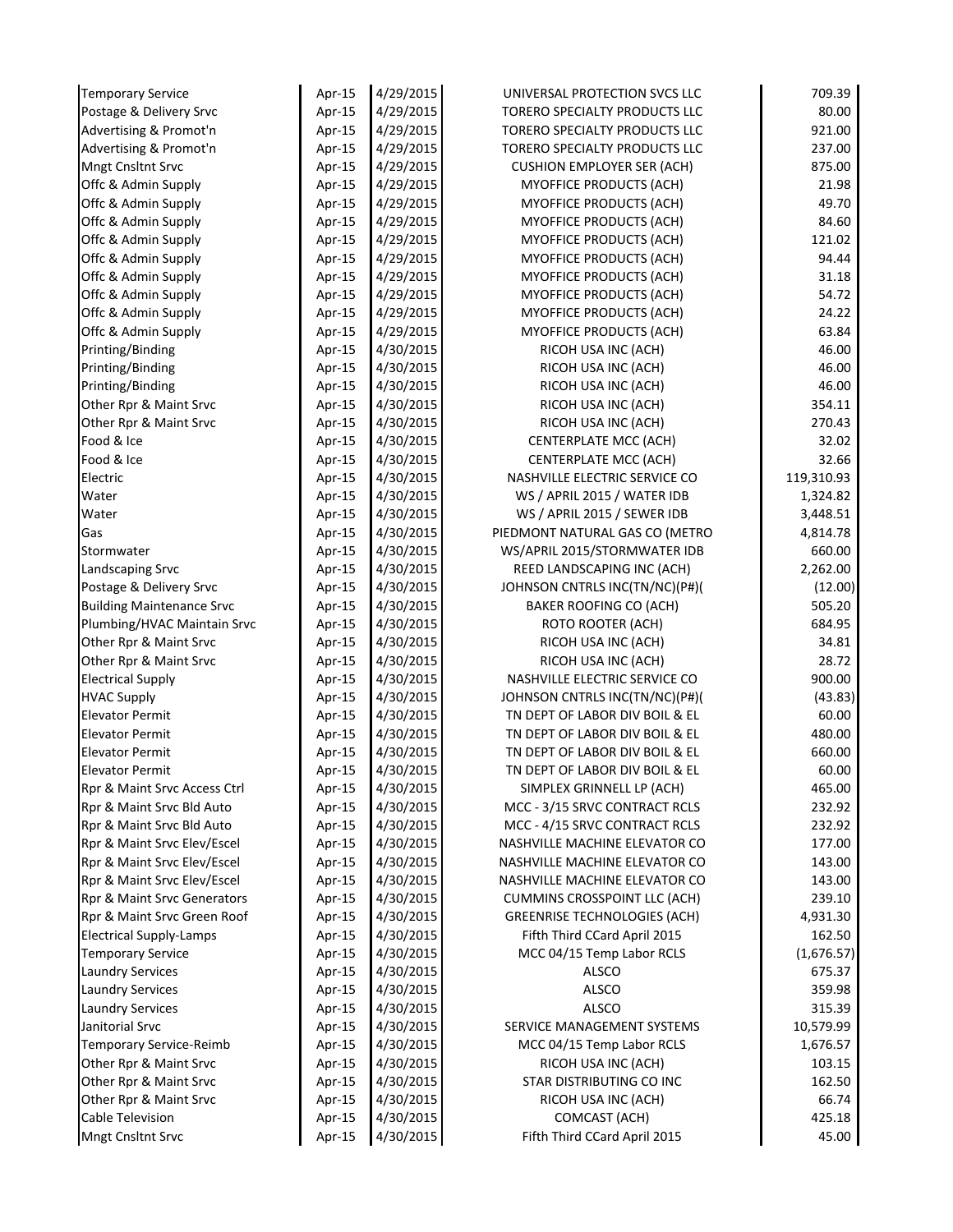| <b>Temporary Service</b>         | Apr-15 | 4/29/2015 | UNIVERSAL PROTECTION SVCS LLC       | 709.39     |
|----------------------------------|--------|-----------|-------------------------------------|------------|
| Postage & Delivery Srvc          | Apr-15 | 4/29/2015 | TORERO SPECIALTY PRODUCTS LLC       | 80.00      |
| Advertising & Promot'n           | Apr-15 | 4/29/2015 | TORERO SPECIALTY PRODUCTS LLC       | 921.00     |
| Advertising & Promot'n           | Apr-15 | 4/29/2015 | TORERO SPECIALTY PRODUCTS LLC       | 237.00     |
| <b>Mngt Cnsltnt Srvc</b>         | Apr-15 | 4/29/2015 | <b>CUSHION EMPLOYER SER (ACH)</b>   | 875.00     |
| Offc & Admin Supply              | Apr-15 | 4/29/2015 | MYOFFICE PRODUCTS (ACH)             | 21.98      |
| Offc & Admin Supply              | Apr-15 | 4/29/2015 | MYOFFICE PRODUCTS (ACH)             | 49.70      |
| Offc & Admin Supply              | Apr-15 | 4/29/2015 | MYOFFICE PRODUCTS (ACH)             | 84.60      |
| Offc & Admin Supply              | Apr-15 | 4/29/2015 | MYOFFICE PRODUCTS (ACH)             | 121.02     |
| Offc & Admin Supply              | Apr-15 | 4/29/2015 | MYOFFICE PRODUCTS (ACH)             | 94.44      |
| Offc & Admin Supply              | Apr-15 | 4/29/2015 | MYOFFICE PRODUCTS (ACH)             | 31.18      |
| Offc & Admin Supply              | Apr-15 | 4/29/2015 | MYOFFICE PRODUCTS (ACH)             | 54.72      |
| Offc & Admin Supply              | Apr-15 | 4/29/2015 | MYOFFICE PRODUCTS (ACH)             | 24.22      |
| Offc & Admin Supply              | Apr-15 | 4/29/2015 | MYOFFICE PRODUCTS (ACH)             | 63.84      |
| Printing/Binding                 | Apr-15 | 4/30/2015 | RICOH USA INC (ACH)                 | 46.00      |
| Printing/Binding                 | Apr-15 | 4/30/2015 | RICOH USA INC (ACH)                 | 46.00      |
| Printing/Binding                 | Apr-15 | 4/30/2015 | RICOH USA INC (ACH)                 | 46.00      |
| Other Rpr & Maint Srvc           | Apr-15 | 4/30/2015 | RICOH USA INC (ACH)                 | 354.11     |
| Other Rpr & Maint Srvc           | Apr-15 | 4/30/2015 | RICOH USA INC (ACH)                 | 270.43     |
| Food & Ice                       | Apr-15 | 4/30/2015 | CENTERPLATE MCC (ACH)               | 32.02      |
| Food & Ice                       | Apr-15 | 4/30/2015 | CENTERPLATE MCC (ACH)               | 32.66      |
| Electric                         | Apr-15 | 4/30/2015 | NASHVILLE ELECTRIC SERVICE CO       | 119,310.93 |
| Water                            | Apr-15 | 4/30/2015 | WS / APRIL 2015 / WATER IDB         | 1,324.82   |
| Water                            | Apr-15 | 4/30/2015 | WS / APRIL 2015 / SEWER IDB         | 3,448.51   |
| Gas                              | Apr-15 | 4/30/2015 | PIEDMONT NATURAL GAS CO (METRO      | 4,814.78   |
| Stormwater                       | Apr-15 | 4/30/2015 | WS/APRIL 2015/STORMWATER IDB        | 660.00     |
| Landscaping Srvc                 | Apr-15 | 4/30/2015 | REED LANDSCAPING INC (ACH)          | 2,262.00   |
| Postage & Delivery Srvc          | Apr-15 | 4/30/2015 | JOHNSON CNTRLS INC(TN/NC)(P#)(      | (12.00)    |
| <b>Building Maintenance Srvc</b> | Apr-15 | 4/30/2015 | <b>BAKER ROOFING CO (ACH)</b>       | 505.20     |
| Plumbing/HVAC Maintain Srvc      | Apr-15 | 4/30/2015 | ROTO ROOTER (ACH)                   | 684.95     |
| Other Rpr & Maint Srvc           | Apr-15 | 4/30/2015 | RICOH USA INC (ACH)                 | 34.81      |
| Other Rpr & Maint Srvc           | Apr-15 | 4/30/2015 | RICOH USA INC (ACH)                 | 28.72      |
| <b>Electrical Supply</b>         | Apr-15 | 4/30/2015 | NASHVILLE ELECTRIC SERVICE CO       | 900.00     |
| <b>HVAC Supply</b>               | Apr-15 | 4/30/2015 | JOHNSON CNTRLS INC(TN/NC)(P#)(      | (43.83)    |
| <b>Elevator Permit</b>           | Apr-15 | 4/30/2015 | TN DEPT OF LABOR DIV BOIL & EL      | 60.00      |
| <b>Elevator Permit</b>           | Apr-15 | 4/30/2015 | TN DEPT OF LABOR DIV BOIL & EL      | 480.00     |
| <b>Elevator Permit</b>           | Apr-15 | 4/30/2015 | TN DEPT OF LABOR DIV BOIL & EL      | 660.00     |
| <b>Elevator Permit</b>           | Apr-15 | 4/30/2015 | TN DEPT OF LABOR DIV BOIL & EL      | 60.00      |
| Rpr & Maint Srvc Access Ctrl     | Apr-15 | 4/30/2015 | SIMPLEX GRINNELL LP (ACH)           | 465.00     |
| Rpr & Maint Srvc Bld Auto        | Apr-15 | 4/30/2015 | MCC - 3/15 SRVC CONTRACT RCLS       | 232.92     |
| Rpr & Maint Srvc Bld Auto        | Apr-15 | 4/30/2015 | MCC - 4/15 SRVC CONTRACT RCLS       | 232.92     |
| Rpr & Maint Srvc Elev/Escel      | Apr-15 | 4/30/2015 | NASHVILLE MACHINE ELEVATOR CO       | 177.00     |
| Rpr & Maint Srvc Elev/Escel      | Apr-15 | 4/30/2015 | NASHVILLE MACHINE ELEVATOR CO       | 143.00     |
| Rpr & Maint Srvc Elev/Escel      | Apr-15 | 4/30/2015 | NASHVILLE MACHINE ELEVATOR CO       | 143.00     |
| Rpr & Maint Srvc Generators      | Apr-15 | 4/30/2015 | <b>CUMMINS CROSSPOINT LLC (ACH)</b> | 239.10     |
| Rpr & Maint Srvc Green Roof      | Apr-15 | 4/30/2015 | <b>GREENRISE TECHNOLOGIES (ACH)</b> | 4,931.30   |
| <b>Electrical Supply-Lamps</b>   | Apr-15 | 4/30/2015 | Fifth Third CCard April 2015        | 162.50     |
| <b>Temporary Service</b>         | Apr-15 | 4/30/2015 | MCC 04/15 Temp Labor RCLS           | (1,676.57) |
| <b>Laundry Services</b>          | Apr-15 | 4/30/2015 | ALSCO                               | 675.37     |
| <b>Laundry Services</b>          | Apr-15 | 4/30/2015 | ALSCO                               | 359.98     |
| <b>Laundry Services</b>          | Apr-15 | 4/30/2015 | <b>ALSCO</b>                        | 315.39     |
| Janitorial Srvc                  | Apr-15 | 4/30/2015 | SERVICE MANAGEMENT SYSTEMS          | 10,579.99  |
| Temporary Service-Reimb          | Apr-15 | 4/30/2015 | MCC 04/15 Temp Labor RCLS           | 1,676.57   |
| Other Rpr & Maint Srvc           | Apr-15 | 4/30/2015 | RICOH USA INC (ACH)                 | 103.15     |
| Other Rpr & Maint Srvc           | Apr-15 | 4/30/2015 | STAR DISTRIBUTING CO INC            | 162.50     |
| Other Rpr & Maint Srvc           | Apr-15 | 4/30/2015 | RICOH USA INC (ACH)                 | 66.74      |
|                                  |        |           |                                     |            |
| Cable Television                 | Apr-15 | 4/30/2015 | COMCAST (ACH)                       | 425.18     |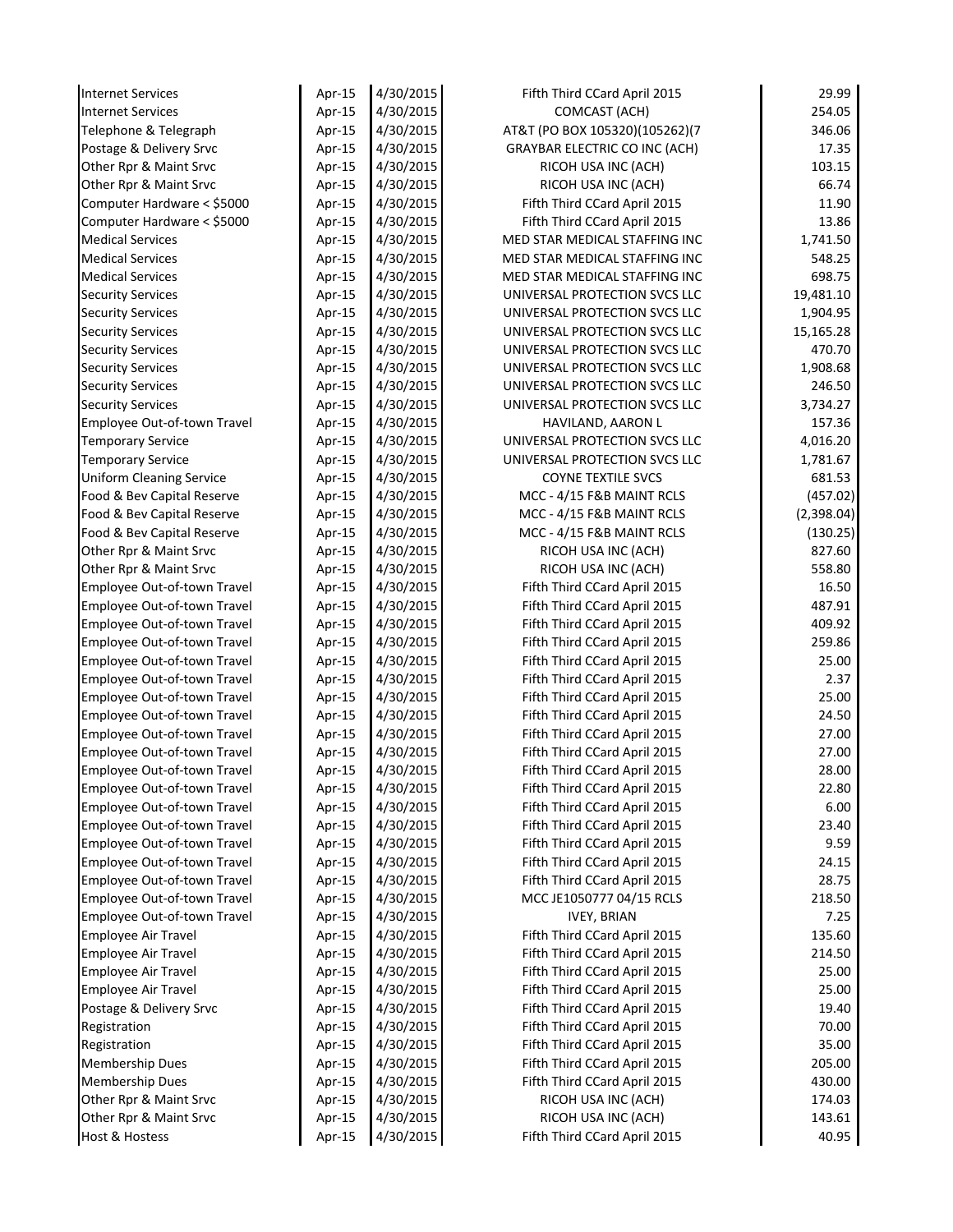| <b>Internet Services</b>                                   | Apr-15           | 4/30/2015              | Fifth Third CCard April 2015                                 | 29.99           |
|------------------------------------------------------------|------------------|------------------------|--------------------------------------------------------------|-----------------|
| <b>Internet Services</b>                                   | Apr-15           | 4/30/2015              | COMCAST (ACH)                                                | 254.05          |
| Telephone & Telegraph                                      | Apr-15           | 4/30/2015              | AT&T (PO BOX 105320)(105262)(7                               | 346.06          |
| Postage & Delivery Srvc                                    | Apr-15           | 4/30/2015              | <b>GRAYBAR ELECTRIC CO INC (ACH)</b>                         | 17.35           |
| Other Rpr & Maint Srvc                                     | Apr-15           | 4/30/2015              | RICOH USA INC (ACH)                                          | 103.15          |
| Other Rpr & Maint Srvc                                     | Apr-15           | 4/30/2015              | RICOH USA INC (ACH)                                          | 66.74           |
| Computer Hardware < \$5000                                 | Apr-15           | 4/30/2015              | Fifth Third CCard April 2015                                 | 11.90           |
| Computer Hardware < \$5000                                 | Apr-15           | 4/30/2015              | Fifth Third CCard April 2015                                 | 13.86           |
| <b>Medical Services</b>                                    | Apr-15           | 4/30/2015              | MED STAR MEDICAL STAFFING INC                                | 1,741.50        |
| <b>Medical Services</b>                                    | Apr-15           | 4/30/2015              | MED STAR MEDICAL STAFFING INC                                | 548.25          |
| <b>Medical Services</b>                                    | Apr-15           | 4/30/2015              | MED STAR MEDICAL STAFFING INC                                | 698.75          |
| <b>Security Services</b>                                   | Apr-15           | 4/30/2015              | UNIVERSAL PROTECTION SVCS LLC                                | 19,481.10       |
| <b>Security Services</b>                                   | Apr-15           | 4/30/2015              | UNIVERSAL PROTECTION SVCS LLC                                | 1,904.95        |
| <b>Security Services</b>                                   | Apr-15           | 4/30/2015              | UNIVERSAL PROTECTION SVCS LLC                                | 15,165.28       |
| <b>Security Services</b>                                   | Apr-15           | 4/30/2015              | UNIVERSAL PROTECTION SVCS LLC                                | 470.70          |
| <b>Security Services</b>                                   | Apr-15           | 4/30/2015              | UNIVERSAL PROTECTION SVCS LLC                                | 1,908.68        |
| <b>Security Services</b>                                   | Apr-15           | 4/30/2015              | UNIVERSAL PROTECTION SVCS LLC                                | 246.50          |
| <b>Security Services</b>                                   | Apr-15           | 4/30/2015              | UNIVERSAL PROTECTION SVCS LLC                                | 3,734.27        |
| Employee Out-of-town Travel                                | Apr-15           | 4/30/2015              | HAVILAND, AARON L                                            | 157.36          |
| <b>Temporary Service</b>                                   | Apr-15           | 4/30/2015              | UNIVERSAL PROTECTION SVCS LLC                                | 4,016.20        |
| <b>Temporary Service</b>                                   | Apr-15           | 4/30/2015              | UNIVERSAL PROTECTION SVCS LLC                                | 1,781.67        |
| <b>Uniform Cleaning Service</b>                            | Apr-15           | 4/30/2015              | <b>COYNE TEXTILE SVCS</b>                                    | 681.53          |
| Food & Bev Capital Reserve                                 | Apr-15           | 4/30/2015              | MCC - 4/15 F&B MAINT RCLS                                    | (457.02)        |
| Food & Bev Capital Reserve                                 | Apr-15           | 4/30/2015              | MCC - 4/15 F&B MAINT RCLS                                    | (2,398.04)      |
| Food & Bev Capital Reserve                                 | Apr-15           | 4/30/2015              | MCC - 4/15 F&B MAINT RCLS                                    | (130.25)        |
| Other Rpr & Maint Srvc                                     | Apr-15           | 4/30/2015              | RICOH USA INC (ACH)                                          | 827.60          |
| Other Rpr & Maint Srvc                                     | Apr-15           | 4/30/2015              | RICOH USA INC (ACH)                                          | 558.80          |
| Employee Out-of-town Travel                                | Apr-15           | 4/30/2015              | Fifth Third CCard April 2015                                 | 16.50           |
| Employee Out-of-town Travel                                | Apr-15           | 4/30/2015              | Fifth Third CCard April 2015                                 | 487.91          |
| Employee Out-of-town Travel                                | Apr-15           | 4/30/2015              | Fifth Third CCard April 2015                                 | 409.92          |
| Employee Out-of-town Travel                                | Apr-15           | 4/30/2015              | Fifth Third CCard April 2015                                 | 259.86<br>25.00 |
| Employee Out-of-town Travel<br>Employee Out-of-town Travel | Apr-15<br>Apr-15 | 4/30/2015<br>4/30/2015 | Fifth Third CCard April 2015<br>Fifth Third CCard April 2015 | 2.37            |
| Employee Out-of-town Travel                                |                  | 4/30/2015              | Fifth Third CCard April 2015                                 | 25.00           |
| Employee Out-of-town Travel                                | Apr-15<br>Apr-15 | 4/30/2015              | Fifth Third CCard April 2015                                 | 24.50           |
| Employee Out-of-town Travel                                | Apr-15           | 4/30/2015              | Fifth Third CCard April 2015                                 | 27.00           |
| Employee Out-of-town Travel                                | Apr-15           | 4/30/2015              | Fifth Third CCard April 2015                                 | 27.00           |
| Employee Out-of-town Travel                                | Apr-15           | 4/30/2015              | Fifth Third CCard April 2015                                 | 28.00           |
| Employee Out-of-town Travel                                | Apr-15           | 4/30/2015              | Fifth Third CCard April 2015                                 | 22.80           |
| Employee Out-of-town Travel                                | Apr-15           | 4/30/2015              | Fifth Third CCard April 2015                                 | 6.00            |
| Employee Out-of-town Travel                                | Apr-15           | 4/30/2015              | Fifth Third CCard April 2015                                 | 23.40           |
| Employee Out-of-town Travel                                | Apr-15           | 4/30/2015              | Fifth Third CCard April 2015                                 | 9.59            |
| Employee Out-of-town Travel                                | Apr-15           | 4/30/2015              | Fifth Third CCard April 2015                                 | 24.15           |
| Employee Out-of-town Travel                                | Apr-15           | 4/30/2015              | Fifth Third CCard April 2015                                 | 28.75           |
| Employee Out-of-town Travel                                | Apr-15           | 4/30/2015              | MCC JE1050777 04/15 RCLS                                     | 218.50          |
| Employee Out-of-town Travel                                | Apr-15           | 4/30/2015              | <b>IVEY, BRIAN</b>                                           | 7.25            |
| <b>Employee Air Travel</b>                                 | Apr-15           | 4/30/2015              | Fifth Third CCard April 2015                                 | 135.60          |
| <b>Employee Air Travel</b>                                 | Apr-15           | 4/30/2015              | Fifth Third CCard April 2015                                 | 214.50          |
| <b>Employee Air Travel</b>                                 | Apr-15           | 4/30/2015              | Fifth Third CCard April 2015                                 | 25.00           |
| <b>Employee Air Travel</b>                                 | Apr-15           | 4/30/2015              | Fifth Third CCard April 2015                                 | 25.00           |
| Postage & Delivery Srvc                                    | Apr-15           | 4/30/2015              | Fifth Third CCard April 2015                                 | 19.40           |
| Registration                                               | Apr-15           | 4/30/2015              | Fifth Third CCard April 2015                                 | 70.00           |
| Registration                                               | Apr-15           | 4/30/2015              | Fifth Third CCard April 2015                                 | 35.00           |
| <b>Membership Dues</b>                                     | Apr-15           | 4/30/2015              | Fifth Third CCard April 2015                                 | 205.00          |
| <b>Membership Dues</b>                                     | Apr-15           | 4/30/2015              | Fifth Third CCard April 2015                                 | 430.00          |
| Other Rpr & Maint Srvc                                     | Apr-15           | 4/30/2015              | RICOH USA INC (ACH)                                          | 174.03          |
| Other Rpr & Maint Srvc                                     | Apr-15           | 4/30/2015              | RICOH USA INC (ACH)                                          | 143.61          |
| Host & Hostess                                             | Apr-15           | 4/30/2015              | Fifth Third CCard April 2015                                 | 40.95           |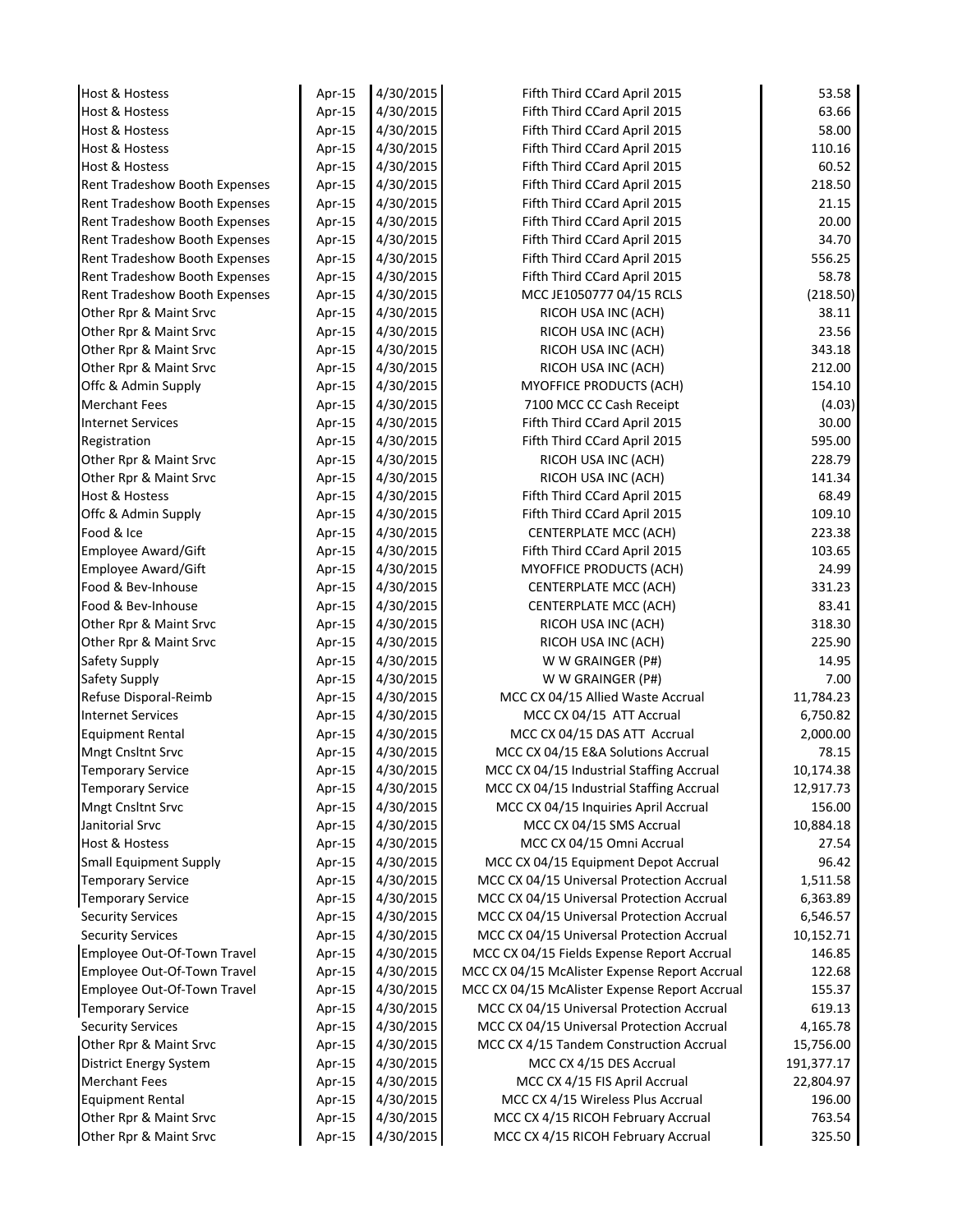| Host & Hostess                | Apr-15 | 4/30/2015 | Fifth Third CCard April 2015                  | 53.58      |
|-------------------------------|--------|-----------|-----------------------------------------------|------------|
| Host & Hostess                | Apr-15 | 4/30/2015 | Fifth Third CCard April 2015                  | 63.66      |
| Host & Hostess                | Apr-15 | 4/30/2015 | Fifth Third CCard April 2015                  | 58.00      |
| Host & Hostess                | Apr-15 | 4/30/2015 | Fifth Third CCard April 2015                  | 110.16     |
| <b>Host &amp; Hostess</b>     | Apr-15 | 4/30/2015 | Fifth Third CCard April 2015                  | 60.52      |
| Rent Tradeshow Booth Expenses | Apr-15 | 4/30/2015 | Fifth Third CCard April 2015                  | 218.50     |
| Rent Tradeshow Booth Expenses | Apr-15 | 4/30/2015 | Fifth Third CCard April 2015                  | 21.15      |
| Rent Tradeshow Booth Expenses | Apr-15 | 4/30/2015 | Fifth Third CCard April 2015                  | 20.00      |
| Rent Tradeshow Booth Expenses | Apr-15 | 4/30/2015 | Fifth Third CCard April 2015                  | 34.70      |
| Rent Tradeshow Booth Expenses | Apr-15 | 4/30/2015 | Fifth Third CCard April 2015                  | 556.25     |
| Rent Tradeshow Booth Expenses | Apr-15 | 4/30/2015 | Fifth Third CCard April 2015                  | 58.78      |
| Rent Tradeshow Booth Expenses | Apr-15 | 4/30/2015 | MCC JE1050777 04/15 RCLS                      | (218.50)   |
| Other Rpr & Maint Srvc        | Apr-15 | 4/30/2015 | RICOH USA INC (ACH)                           | 38.11      |
| Other Rpr & Maint Srvc        | Apr-15 | 4/30/2015 | RICOH USA INC (ACH)                           | 23.56      |
| Other Rpr & Maint Srvc        | Apr-15 | 4/30/2015 | RICOH USA INC (ACH)                           | 343.18     |
| Other Rpr & Maint Srvc        | Apr-15 | 4/30/2015 | RICOH USA INC (ACH)                           | 212.00     |
| Offc & Admin Supply           | Apr-15 | 4/30/2015 | <b>MYOFFICE PRODUCTS (ACH)</b>                | 154.10     |
| Merchant Fees                 | Apr-15 | 4/30/2015 | 7100 MCC CC Cash Receipt                      | (4.03)     |
| <b>Internet Services</b>      | Apr-15 | 4/30/2015 | Fifth Third CCard April 2015                  | 30.00      |
| Registration                  | Apr-15 | 4/30/2015 | Fifth Third CCard April 2015                  | 595.00     |
| Other Rpr & Maint Srvc        | Apr-15 | 4/30/2015 | RICOH USA INC (ACH)                           | 228.79     |
| Other Rpr & Maint Srvc        | Apr-15 | 4/30/2015 | RICOH USA INC (ACH)                           | 141.34     |
| Host & Hostess                | Apr-15 | 4/30/2015 | Fifth Third CCard April 2015                  | 68.49      |
| Offc & Admin Supply           | Apr-15 | 4/30/2015 | Fifth Third CCard April 2015                  | 109.10     |
| Food & Ice                    | Apr-15 | 4/30/2015 | <b>CENTERPLATE MCC (ACH)</b>                  | 223.38     |
| Employee Award/Gift           | Apr-15 | 4/30/2015 | Fifth Third CCard April 2015                  | 103.65     |
| Employee Award/Gift           | Apr-15 | 4/30/2015 | MYOFFICE PRODUCTS (ACH)                       | 24.99      |
| Food & Bev-Inhouse            | Apr-15 | 4/30/2015 | CENTERPLATE MCC (ACH)                         | 331.23     |
| Food & Bev-Inhouse            | Apr-15 | 4/30/2015 | <b>CENTERPLATE MCC (ACH)</b>                  | 83.41      |
| Other Rpr & Maint Srvc        | Apr-15 | 4/30/2015 | RICOH USA INC (ACH)                           | 318.30     |
| Other Rpr & Maint Srvc        | Apr-15 | 4/30/2015 | RICOH USA INC (ACH)                           | 225.90     |
| Safety Supply                 | Apr-15 | 4/30/2015 | W W GRAINGER (P#)                             | 14.95      |
| Safety Supply                 | Apr-15 | 4/30/2015 | W W GRAINGER (P#)                             | 7.00       |
| Refuse Disporal-Reimb         | Apr-15 | 4/30/2015 | MCC CX 04/15 Allied Waste Accrual             | 11,784.23  |
| <b>Internet Services</b>      | Apr-15 | 4/30/2015 | MCC CX 04/15 ATT Accrual                      | 6,750.82   |
| <b>Equipment Rental</b>       | Apr-15 | 4/30/2015 | MCC CX 04/15 DAS ATT Accrual                  | 2,000.00   |
| Mngt Cnsltnt Srvc             | Apr-15 | 4/30/2015 | MCC CX 04/15 E&A Solutions Accrual            | 78.15      |
| <b>Temporary Service</b>      | Apr-15 | 4/30/2015 | MCC CX 04/15 Industrial Staffing Accrual      | 10,174.38  |
| <b>Temporary Service</b>      | Apr-15 | 4/30/2015 | MCC CX 04/15 Industrial Staffing Accrual      | 12,917.73  |
| Mngt Cnsltnt Srvc             | Apr-15 | 4/30/2015 | MCC CX 04/15 Inquiries April Accrual          | 156.00     |
| Janitorial Srvc               | Apr-15 | 4/30/2015 | MCC CX 04/15 SMS Accrual                      | 10,884.18  |
| Host & Hostess                | Apr-15 | 4/30/2015 | MCC CX 04/15 Omni Accrual                     | 27.54      |
| <b>Small Equipment Supply</b> | Apr-15 | 4/30/2015 | MCC CX 04/15 Equipment Depot Accrual          | 96.42      |
| <b>Temporary Service</b>      | Apr-15 | 4/30/2015 | MCC CX 04/15 Universal Protection Accrual     | 1,511.58   |
| <b>Temporary Service</b>      | Apr-15 | 4/30/2015 | MCC CX 04/15 Universal Protection Accrual     | 6,363.89   |
| <b>Security Services</b>      | Apr-15 | 4/30/2015 | MCC CX 04/15 Universal Protection Accrual     | 6,546.57   |
| <b>Security Services</b>      | Apr-15 | 4/30/2015 | MCC CX 04/15 Universal Protection Accrual     | 10,152.71  |
| Employee Out-Of-Town Travel   | Apr-15 | 4/30/2015 | MCC CX 04/15 Fields Expense Report Accrual    | 146.85     |
| Employee Out-Of-Town Travel   | Apr-15 | 4/30/2015 | MCC CX 04/15 McAlister Expense Report Accrual | 122.68     |
| Employee Out-Of-Town Travel   | Apr-15 | 4/30/2015 | MCC CX 04/15 McAlister Expense Report Accrual | 155.37     |
| <b>Temporary Service</b>      | Apr-15 | 4/30/2015 | MCC CX 04/15 Universal Protection Accrual     | 619.13     |
| <b>Security Services</b>      | Apr-15 | 4/30/2015 | MCC CX 04/15 Universal Protection Accrual     | 4,165.78   |
| Other Rpr & Maint Srvc        | Apr-15 | 4/30/2015 | MCC CX 4/15 Tandem Construction Accrual       | 15,756.00  |
| District Energy System        | Apr-15 | 4/30/2015 | MCC CX 4/15 DES Accrual                       | 191,377.17 |
| <b>Merchant Fees</b>          | Apr-15 | 4/30/2015 | MCC CX 4/15 FIS April Accrual                 | 22,804.97  |
| <b>Equipment Rental</b>       | Apr-15 | 4/30/2015 | MCC CX 4/15 Wireless Plus Accrual             | 196.00     |
| Other Rpr & Maint Srvc        | Apr-15 | 4/30/2015 | MCC CX 4/15 RICOH February Accrual            | 763.54     |
| Other Rpr & Maint Srvc        | Apr-15 | 4/30/2015 | MCC CX 4/15 RICOH February Accrual            | 325.50     |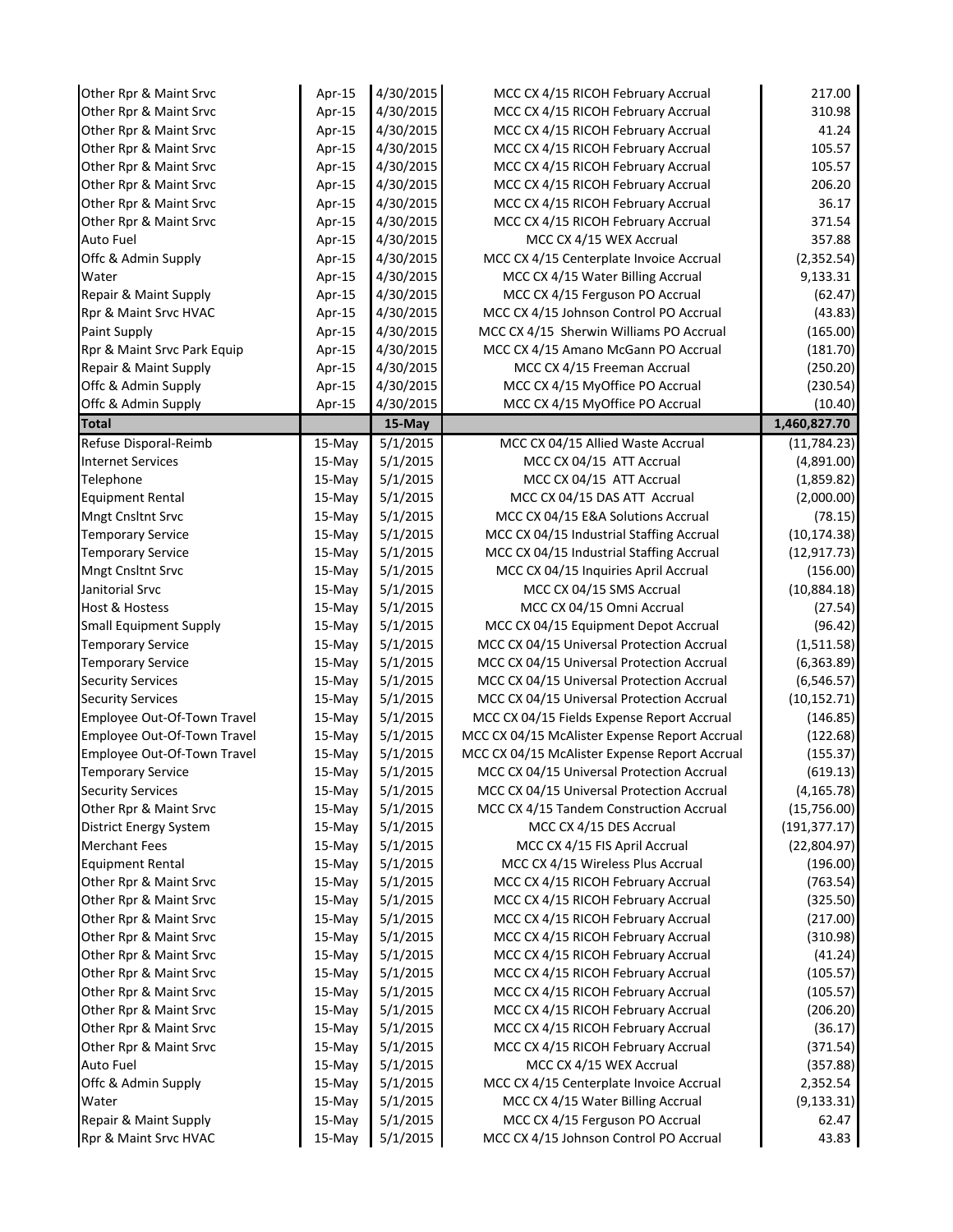| Other Rpr & Maint Srvc                           | Apr-15             | 4/30/2015            | MCC CX 4/15 RICOH February Accrual                                       | 217.00               |
|--------------------------------------------------|--------------------|----------------------|--------------------------------------------------------------------------|----------------------|
| Other Rpr & Maint Srvc                           | Apr-15             | 4/30/2015            | MCC CX 4/15 RICOH February Accrual                                       | 310.98               |
| Other Rpr & Maint Srvc                           | Apr-15             | 4/30/2015            | MCC CX 4/15 RICOH February Accrual                                       | 41.24                |
| Other Rpr & Maint Srvc                           | Apr-15             | 4/30/2015            | MCC CX 4/15 RICOH February Accrual                                       | 105.57               |
| Other Rpr & Maint Srvc                           | Apr-15             | 4/30/2015            | MCC CX 4/15 RICOH February Accrual                                       | 105.57               |
| Other Rpr & Maint Srvc                           | Apr-15             | 4/30/2015            | MCC CX 4/15 RICOH February Accrual                                       | 206.20               |
| Other Rpr & Maint Srvc                           | Apr-15             | 4/30/2015            | MCC CX 4/15 RICOH February Accrual                                       | 36.17                |
| Other Rpr & Maint Srvc                           | Apr-15             | 4/30/2015            | MCC CX 4/15 RICOH February Accrual                                       | 371.54               |
| <b>Auto Fuel</b>                                 | Apr-15             | 4/30/2015            | MCC CX 4/15 WEX Accrual                                                  | 357.88               |
| Offc & Admin Supply                              | Apr-15             | 4/30/2015            | MCC CX 4/15 Centerplate Invoice Accrual                                  | (2, 352.54)          |
| Water                                            | Apr-15             | 4/30/2015            | MCC CX 4/15 Water Billing Accrual                                        | 9,133.31             |
| Repair & Maint Supply                            | Apr-15             | 4/30/2015            | MCC CX 4/15 Ferguson PO Accrual                                          | (62.47)              |
| Rpr & Maint Srvc HVAC                            | Apr-15             | 4/30/2015            | MCC CX 4/15 Johnson Control PO Accrual                                   | (43.83)              |
| Paint Supply                                     | Apr-15             | 4/30/2015            | MCC CX 4/15 Sherwin Williams PO Accrual                                  | (165.00)             |
| Rpr & Maint Srvc Park Equip                      | Apr-15             | 4/30/2015            | MCC CX 4/15 Amano McGann PO Accrual                                      | (181.70)             |
| Repair & Maint Supply                            | Apr-15             | 4/30/2015            | MCC CX 4/15 Freeman Accrual                                              | (250.20)             |
| Offc & Admin Supply                              | Apr-15             | 4/30/2015            | MCC CX 4/15 MyOffice PO Accrual                                          | (230.54)             |
| Offc & Admin Supply                              | Apr-15             | 4/30/2015            | MCC CX 4/15 MyOffice PO Accrual                                          | (10.40)              |
| <b>Total</b>                                     |                    | 15-May               |                                                                          | 1,460,827.70         |
| Refuse Disporal-Reimb                            | 15-May             | 5/1/2015             | MCC CX 04/15 Allied Waste Accrual                                        | (11, 784.23)         |
| <b>Internet Services</b>                         | 15-May             | 5/1/2015             | MCC CX 04/15 ATT Accrual                                                 | (4,891.00)           |
| Telephone                                        | $15-May$           | 5/1/2015             | MCC CX 04/15 ATT Accrual                                                 | (1,859.82)           |
| <b>Equipment Rental</b>                          | $15-May$           | 5/1/2015             | MCC CX 04/15 DAS ATT Accrual                                             | (2,000.00)           |
| <b>Mngt Cnsltnt Srvc</b>                         | $15-May$           | 5/1/2015             | MCC CX 04/15 E&A Solutions Accrual                                       | (78.15)              |
| <b>Temporary Service</b>                         | 15-May             | 5/1/2015             | MCC CX 04/15 Industrial Staffing Accrual                                 | (10, 174.38)         |
| <b>Temporary Service</b>                         | 15-May             | 5/1/2015             | MCC CX 04/15 Industrial Staffing Accrual                                 | (12, 917.73)         |
| <b>Mngt Cnsltnt Srvc</b>                         | 15-May             | 5/1/2015             | MCC CX 04/15 Inquiries April Accrual                                     | (156.00)             |
| Janitorial Srvc                                  | 15-May             | 5/1/2015             | MCC CX 04/15 SMS Accrual                                                 | (10,884.18)          |
| <b>Host &amp; Hostess</b>                        | 15-May             | 5/1/2015             | MCC CX 04/15 Omni Accrual                                                | (27.54)              |
| <b>Small Equipment Supply</b>                    | 15-May             | 5/1/2015             | MCC CX 04/15 Equipment Depot Accrual                                     | (96.42)              |
| <b>Temporary Service</b>                         | 15-May             | 5/1/2015             | MCC CX 04/15 Universal Protection Accrual                                | (1,511.58)           |
| <b>Temporary Service</b>                         | 15-May             | 5/1/2015             | MCC CX 04/15 Universal Protection Accrual                                | (6, 363.89)          |
| <b>Security Services</b>                         | 15-May             | 5/1/2015             | MCC CX 04/15 Universal Protection Accrual                                | (6, 546.57)          |
| <b>Security Services</b>                         | 15-May             | 5/1/2015             | MCC CX 04/15 Universal Protection Accrual                                | (10, 152.71)         |
| Employee Out-Of-Town Travel                      | 15-May             | 5/1/2015             | MCC CX 04/15 Fields Expense Report Accrual                               | (146.85)             |
| Employee Out-Of-Town Travel                      | 15-May             | 5/1/2015             | MCC CX 04/15 McAlister Expense Report Accrual                            | (122.68)             |
| Employee Out-Of-Town Travel                      | 15-May             | 5/1/2015             | MCC CX 04/15 McAlister Expense Report Accrual                            | (155.37)             |
| <b>Temporary Service</b>                         | 15-May             | 5/1/2015             | MCC CX 04/15 Universal Protection Accrual                                | (619.13)             |
| <b>Security Services</b>                         | 15-May             | 5/1/2015             | MCC CX 04/15 Universal Protection Accrual                                | (4, 165.78)          |
| Other Rpr & Maint Srvc                           | 15-May             | 5/1/2015             | MCC CX 4/15 Tandem Construction Accrual                                  | (15,756.00)          |
| District Energy System                           | 15-May             | 5/1/2015             | MCC CX 4/15 DES Accrual                                                  | (191, 377.17)        |
| <b>Merchant Fees</b>                             | 15-May             | 5/1/2015             | MCC CX 4/15 FIS April Accrual                                            | (22,804.97)          |
| <b>Equipment Rental</b>                          | 15-May             | 5/1/2015             | MCC CX 4/15 Wireless Plus Accrual                                        | (196.00)<br>(763.54) |
| Other Rpr & Maint Srvc<br>Other Rpr & Maint Srvc | 15-May             | 5/1/2015<br>5/1/2015 | MCC CX 4/15 RICOH February Accrual                                       |                      |
| Other Rpr & Maint Srvc                           | 15-May             | 5/1/2015             | MCC CX 4/15 RICOH February Accrual<br>MCC CX 4/15 RICOH February Accrual | (325.50)<br>(217.00) |
| Other Rpr & Maint Srvc                           | 15-May             | 5/1/2015             | MCC CX 4/15 RICOH February Accrual                                       |                      |
| Other Rpr & Maint Srvc                           | 15-May<br>$15-May$ | 5/1/2015             | MCC CX 4/15 RICOH February Accrual                                       | (310.98)<br>(41.24)  |
| Other Rpr & Maint Srvc                           | 15-May             | 5/1/2015             | MCC CX 4/15 RICOH February Accrual                                       | (105.57)             |
| Other Rpr & Maint Srvc                           | 15-May             | 5/1/2015             | MCC CX 4/15 RICOH February Accrual                                       | (105.57)             |
| Other Rpr & Maint Srvc                           |                    | 5/1/2015             | MCC CX 4/15 RICOH February Accrual                                       |                      |
| Other Rpr & Maint Srvc                           | 15-May<br>15-May   | 5/1/2015             | MCC CX 4/15 RICOH February Accrual                                       | (206.20)<br>(36.17)  |
| Other Rpr & Maint Srvc                           | 15-May             | 5/1/2015             | MCC CX 4/15 RICOH February Accrual                                       | (371.54)             |
| Auto Fuel                                        | 15-May             | 5/1/2015             | MCC CX 4/15 WEX Accrual                                                  | (357.88)             |
| Offc & Admin Supply                              | 15-May             | 5/1/2015             | MCC CX 4/15 Centerplate Invoice Accrual                                  | 2,352.54             |
| Water                                            | 15-May             | 5/1/2015             | MCC CX 4/15 Water Billing Accrual                                        | (9, 133.31)          |
| Repair & Maint Supply                            | 15-May             | 5/1/2015             | MCC CX 4/15 Ferguson PO Accrual                                          | 62.47                |
| Rpr & Maint Srvc HVAC                            | 15-May             | 5/1/2015             | MCC CX 4/15 Johnson Control PO Accrual                                   | 43.83                |
|                                                  |                    |                      |                                                                          |                      |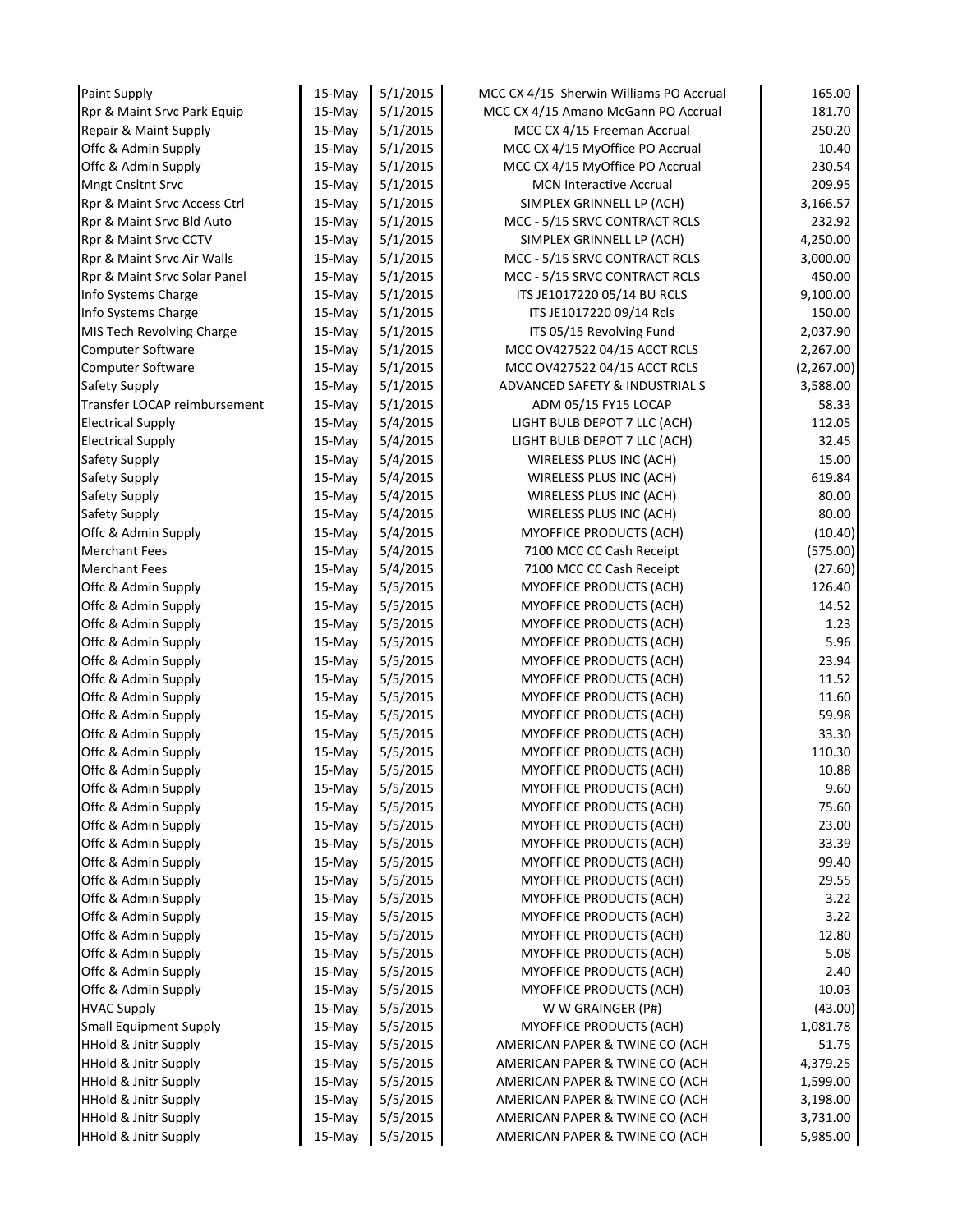| Paint Supply                    | 15-May    | 5/1/2015 | MCC CX 4/15 Sherwin Williams PO Accrual | 165.00     |
|---------------------------------|-----------|----------|-----------------------------------------|------------|
| Rpr & Maint Srvc Park Equip     | $15-May$  | 5/1/2015 | MCC CX 4/15 Amano McGann PO Accrual     | 181.70     |
| Repair & Maint Supply           | 15-May    | 5/1/2015 | MCC CX 4/15 Freeman Accrual             | 250.20     |
| Offc & Admin Supply             | 15-May    | 5/1/2015 | MCC CX 4/15 MyOffice PO Accrual         | 10.40      |
| Offc & Admin Supply             | 15-May    | 5/1/2015 | MCC CX 4/15 MyOffice PO Accrual         | 230.54     |
| <b>Mngt Cnsltnt Srvc</b>        | 15-May    | 5/1/2015 | <b>MCN Interactive Accrual</b>          | 209.95     |
| Rpr & Maint Srvc Access Ctrl    | 15-May    | 5/1/2015 | SIMPLEX GRINNELL LP (ACH)               | 3,166.57   |
| Rpr & Maint Srvc Bld Auto       | $15-May$  | 5/1/2015 | MCC - 5/15 SRVC CONTRACT RCLS           | 232.92     |
| Rpr & Maint Srvc CCTV           | $15-May$  | 5/1/2015 | SIMPLEX GRINNELL LP (ACH)               | 4,250.00   |
| Rpr & Maint Srvc Air Walls      | $15-May$  | 5/1/2015 | MCC - 5/15 SRVC CONTRACT RCLS           | 3,000.00   |
| Rpr & Maint Srvc Solar Panel    | 15-May    | 5/1/2015 | MCC - 5/15 SRVC CONTRACT RCLS           | 450.00     |
| Info Systems Charge             | 15-May    | 5/1/2015 | ITS JE1017220 05/14 BU RCLS             | 9,100.00   |
| Info Systems Charge             | $15-May$  | 5/1/2015 | ITS JE1017220 09/14 Rcls                | 150.00     |
| MIS Tech Revolving Charge       | $15-May$  | 5/1/2015 | ITS 05/15 Revolving Fund                | 2,037.90   |
| Computer Software               | 15-May    | 5/1/2015 | MCC OV427522 04/15 ACCT RCLS            | 2,267.00   |
| Computer Software               | $15-May$  | 5/1/2015 | MCC OV427522 04/15 ACCT RCLS            | (2,267.00) |
| Safety Supply                   | $15-May$  | 5/1/2015 | ADVANCED SAFETY & INDUSTRIAL S          | 3,588.00   |
| Transfer LOCAP reimbursement    | 15-May    | 5/1/2015 | ADM 05/15 FY15 LOCAP                    | 58.33      |
| <b>Electrical Supply</b>        | $15-Mav$  | 5/4/2015 | LIGHT BULB DEPOT 7 LLC (ACH)            | 112.05     |
| <b>Electrical Supply</b>        | $15-May$  | 5/4/2015 | LIGHT BULB DEPOT 7 LLC (ACH)            | 32.45      |
| Safety Supply                   | $15-May$  | 5/4/2015 | WIRELESS PLUS INC (ACH)                 | 15.00      |
| Safety Supply                   | $15-May$  | 5/4/2015 | WIRELESS PLUS INC (ACH)                 | 619.84     |
| Safety Supply                   | 15-May    | 5/4/2015 | WIRELESS PLUS INC (ACH)                 | 80.00      |
| Safety Supply                   | 15-May    | 5/4/2015 | WIRELESS PLUS INC (ACH)                 | 80.00      |
| Offc & Admin Supply             | 15-May    | 5/4/2015 | <b>MYOFFICE PRODUCTS (ACH)</b>          | (10.40)    |
| Merchant Fees                   | 15-May    | 5/4/2015 | 7100 MCC CC Cash Receipt                | (575.00)   |
| <b>Merchant Fees</b>            | $15-May$  | 5/4/2015 | 7100 MCC CC Cash Receipt                | (27.60)    |
| Offc & Admin Supply             | 15-May    | 5/5/2015 | <b>MYOFFICE PRODUCTS (ACH)</b>          | 126.40     |
| Offc & Admin Supply             | 15-May    | 5/5/2015 | MYOFFICE PRODUCTS (ACH)                 | 14.52      |
| Offc & Admin Supply             | 15-May    | 5/5/2015 | MYOFFICE PRODUCTS (ACH)                 | 1.23       |
| Offc & Admin Supply             | 15-May    | 5/5/2015 | <b>MYOFFICE PRODUCTS (ACH)</b>          | 5.96       |
| Offc & Admin Supply             | 15-May    | 5/5/2015 | MYOFFICE PRODUCTS (ACH)                 | 23.94      |
| Offc & Admin Supply             | $15-May$  | 5/5/2015 | <b>MYOFFICE PRODUCTS (ACH)</b>          | 11.52      |
| Offc & Admin Supply             | 15-May    | 5/5/2015 | MYOFFICE PRODUCTS (ACH)                 | 11.60      |
| Offc & Admin Supply             | $15-May$  | 5/5/2015 | MYOFFICE PRODUCTS (ACH)                 | 59.98      |
| Offc & Admin Supply             | 15-May    | 5/5/2015 | MYOFFICE PRODUCTS (ACH)                 | 33.30      |
| Offc & Admin Supply             | 15-May    | 5/5/2015 | MYOFFICE PRODUCTS (ACH)                 | 110.30     |
| Offc & Admin Supply             | 15-May    | 5/5/2015 | MYOFFICE PRODUCTS (ACH)                 | 10.88      |
| Offc & Admin Supply             | 15-May    | 5/5/2015 | MYOFFICE PRODUCTS (ACH)                 | 9.60       |
| Offc & Admin Supply             | 15-May    | 5/5/2015 | <b>MYOFFICE PRODUCTS (ACH)</b>          | 75.60      |
| Offc & Admin Supply             | $15-Mav$  | 5/5/2015 | MYOFFICE PRODUCTS (ACH)                 | 23.00      |
| Offc & Admin Supply             | 15-May    | 5/5/2015 | MYOFFICE PRODUCTS (ACH)                 | 33.39      |
| Offc & Admin Supply             | 15-May    | 5/5/2015 | MYOFFICE PRODUCTS (ACH)                 | 99.40      |
| Offc & Admin Supply             | $15$ -May | 5/5/2015 | <b>MYOFFICE PRODUCTS (ACH)</b>          | 29.55      |
| Offc & Admin Supply             | $15$ -May | 5/5/2015 | <b>MYOFFICE PRODUCTS (ACH)</b>          | 3.22       |
| Offc & Admin Supply             | $15$ -May | 5/5/2015 | <b>MYOFFICE PRODUCTS (ACH)</b>          | 3.22       |
| Offc & Admin Supply             | $15-Mav$  | 5/5/2015 | <b>MYOFFICE PRODUCTS (ACH)</b>          | 12.80      |
| Offc & Admin Supply             | 15-May    | 5/5/2015 | MYOFFICE PRODUCTS (ACH)                 | 5.08       |
| Offc & Admin Supply             | $15-Mav$  | 5/5/2015 | MYOFFICE PRODUCTS (ACH)                 | 2.40       |
| Offc & Admin Supply             | 15-May    | 5/5/2015 | <b>MYOFFICE PRODUCTS (ACH)</b>          | 10.03      |
| <b>HVAC Supply</b>              | 15-May    | 5/5/2015 | W W GRAINGER (P#)                       | (43.00)    |
| <b>Small Equipment Supply</b>   | 15-May    | 5/5/2015 | <b>MYOFFICE PRODUCTS (ACH)</b>          | 1,081.78   |
| HHold & Jnitr Supply            | 15-May    | 5/5/2015 | AMERICAN PAPER & TWINE CO (ACH          | 51.75      |
| <b>HHold &amp; Jnitr Supply</b> | 15-May    | 5/5/2015 | AMERICAN PAPER & TWINE CO (ACH          | 4,379.25   |
| <b>HHold &amp; Jnitr Supply</b> | 15-May    | 5/5/2015 | AMERICAN PAPER & TWINE CO (ACH          | 1,599.00   |
| <b>HHold &amp; Jnitr Supply</b> | 15-May    | 5/5/2015 | AMERICAN PAPER & TWINE CO (ACH          | 3,198.00   |
| <b>HHold &amp; Jnitr Supply</b> | 15-May    | 5/5/2015 | AMERICAN PAPER & TWINE CO (ACH          | 3,731.00   |
| <b>HHold &amp; Jnitr Supply</b> | 15-May    | 5/5/2015 | AMERICAN PAPER & TWINE CO (ACH          | 5,985.00   |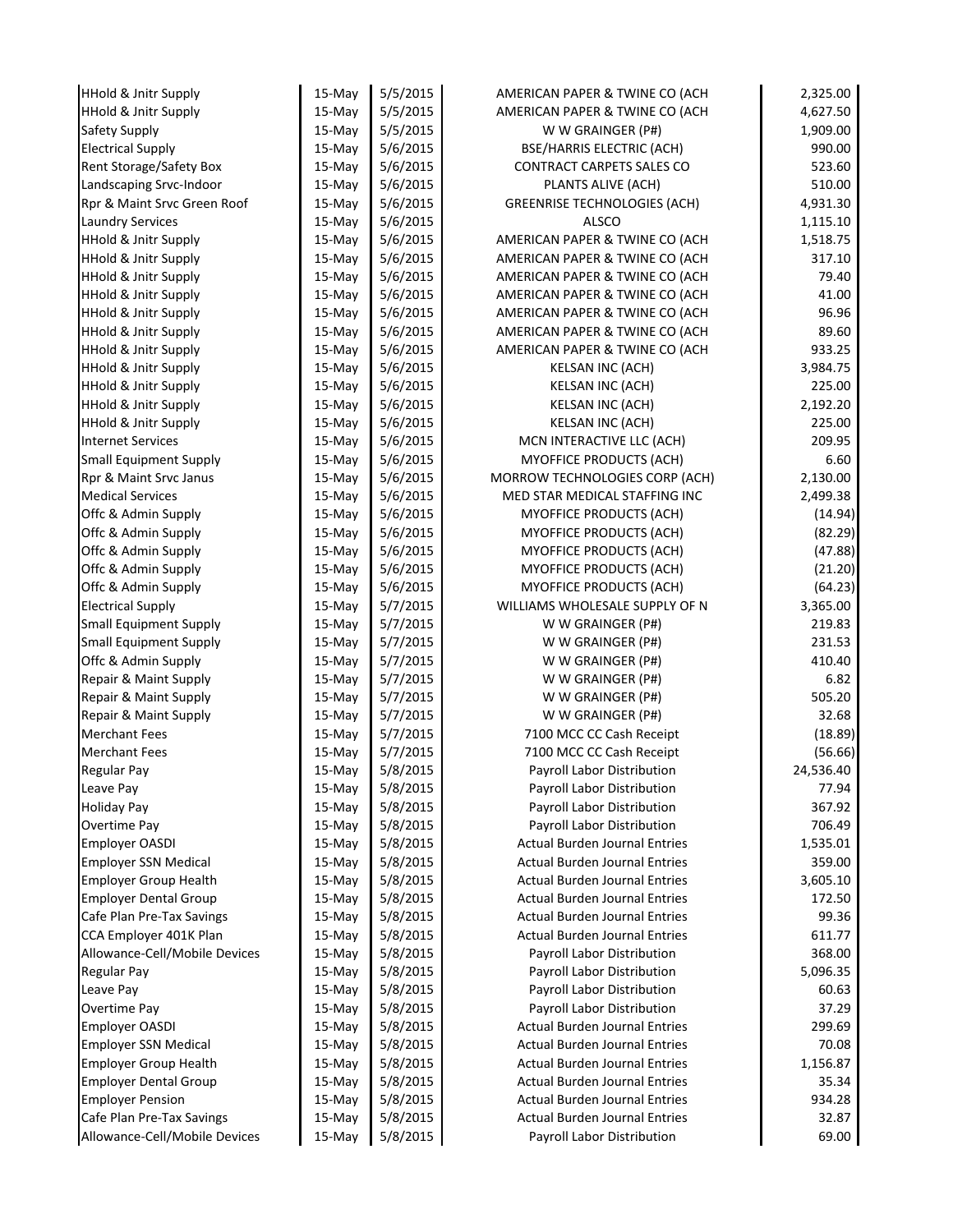| <b>HHold &amp; Jnitr Supply</b>           | 15-May           | 5/5/2015 | AMERICAN PAPER & TWINE CO (ACH                                     | 2,325.00  |
|-------------------------------------------|------------------|----------|--------------------------------------------------------------------|-----------|
| <b>HHold &amp; Jnitr Supply</b>           | 15-May           | 5/5/2015 | AMERICAN PAPER & TWINE CO (ACH                                     | 4,627.50  |
| Safety Supply                             | 15-May           | 5/5/2015 | W W GRAINGER (P#)                                                  | 1,909.00  |
| <b>Electrical Supply</b>                  | $15-May$         | 5/6/2015 | <b>BSE/HARRIS ELECTRIC (ACH)</b>                                   | 990.00    |
| Rent Storage/Safety Box                   | $15-May$         | 5/6/2015 | CONTRACT CARPETS SALES CO                                          | 523.60    |
| Landscaping Srvc-Indoor                   | $15-May$         | 5/6/2015 | PLANTS ALIVE (ACH)                                                 | 510.00    |
| Rpr & Maint Srvc Green Roof               | 15-May           | 5/6/2015 | <b>GREENRISE TECHNOLOGIES (ACH)</b>                                | 4,931.30  |
| <b>Laundry Services</b>                   | $15-May$         | 5/6/2015 | <b>ALSCO</b>                                                       | 1,115.10  |
| <b>HHold &amp; Jnitr Supply</b>           | 15-May           | 5/6/2015 | AMERICAN PAPER & TWINE CO (ACH                                     | 1,518.75  |
| <b>HHold &amp; Jnitr Supply</b>           | $15-Mav$         | 5/6/2015 | AMERICAN PAPER & TWINE CO (ACH                                     | 317.10    |
| <b>HHold &amp; Jnitr Supply</b>           | $15-May$         | 5/6/2015 | AMERICAN PAPER & TWINE CO (ACH                                     | 79.40     |
| <b>HHold &amp; Jnitr Supply</b>           | 15-May           | 5/6/2015 | AMERICAN PAPER & TWINE CO (ACH                                     | 41.00     |
| <b>HHold &amp; Jnitr Supply</b>           | $15-Mav$         | 5/6/2015 | AMERICAN PAPER & TWINE CO (ACH                                     | 96.96     |
| <b>HHold &amp; Jnitr Supply</b>           | 15-May           | 5/6/2015 | AMERICAN PAPER & TWINE CO (ACH                                     | 89.60     |
| <b>HHold &amp; Jnitr Supply</b>           | 15-May           | 5/6/2015 | AMERICAN PAPER & TWINE CO (ACH                                     | 933.25    |
| <b>HHold &amp; Jnitr Supply</b>           | 15-May           | 5/6/2015 | <b>KELSAN INC (ACH)</b>                                            | 3,984.75  |
| HHold & Jnitr Supply                      | 15-May           | 5/6/2015 | <b>KELSAN INC (ACH)</b>                                            | 225.00    |
| <b>HHold &amp; Jnitr Supply</b>           | 15-May           | 5/6/2015 | KELSAN INC (ACH)                                                   | 2,192.20  |
| <b>HHold &amp; Jnitr Supply</b>           | 15-May           | 5/6/2015 | KELSAN INC (ACH)                                                   | 225.00    |
| <b>Internet Services</b>                  | 15-May           | 5/6/2015 | MCN INTERACTIVE LLC (ACH)                                          | 209.95    |
| <b>Small Equipment Supply</b>             | 15-May           | 5/6/2015 | MYOFFICE PRODUCTS (ACH)                                            | 6.60      |
| Rpr & Maint Srvc Janus                    | 15-May           | 5/6/2015 | MORROW TECHNOLOGIES CORP (ACH)                                     | 2,130.00  |
| <b>Medical Services</b>                   | 15-May           | 5/6/2015 | MED STAR MEDICAL STAFFING INC                                      | 2,499.38  |
| Offc & Admin Supply                       | $15-May$         | 5/6/2015 | <b>MYOFFICE PRODUCTS (ACH)</b>                                     | (14.94)   |
| Offc & Admin Supply                       | $15-May$         | 5/6/2015 | MYOFFICE PRODUCTS (ACH)                                            | (82.29)   |
| Offc & Admin Supply                       | 15-May           | 5/6/2015 | MYOFFICE PRODUCTS (ACH)                                            | (47.88)   |
| Offc & Admin Supply                       | $15-May$         | 5/6/2015 | MYOFFICE PRODUCTS (ACH)                                            | (21.20)   |
| Offc & Admin Supply                       | 15-May           | 5/6/2015 | MYOFFICE PRODUCTS (ACH)                                            | (64.23)   |
| <b>Electrical Supply</b>                  | $15-May$         | 5/7/2015 | WILLIAMS WHOLESALE SUPPLY OF N                                     | 3,365.00  |
| <b>Small Equipment Supply</b>             | $15-May$         | 5/7/2015 | W W GRAINGER (P#)                                                  | 219.83    |
| <b>Small Equipment Supply</b>             | $15-May$         | 5/7/2015 | W W GRAINGER (P#)                                                  | 231.53    |
| Offc & Admin Supply                       | 15-May           | 5/7/2015 | W W GRAINGER (P#)                                                  | 410.40    |
| Repair & Maint Supply                     | $15-May$         | 5/7/2015 | W W GRAINGER (P#)                                                  | 6.82      |
| Repair & Maint Supply                     | 15-May           | 5/7/2015 | W W GRAINGER (P#)                                                  | 505.20    |
| Repair & Maint Supply                     | $15-Mav$         | 5/7/2015 | W W GRAINGER (P#)                                                  | 32.68     |
| <b>Merchant Fees</b>                      | 15-May           | 5/7/2015 | 7100 MCC CC Cash Receipt                                           | (18.89)   |
| <b>Merchant Fees</b>                      | 15-May           | 5/7/2015 | 7100 MCC CC Cash Receipt                                           | (56.66)   |
| <b>Regular Pay</b>                        |                  | 5/8/2015 | Payroll Labor Distribution                                         | 24,536.40 |
|                                           | 15-May           | 5/8/2015 | Payroll Labor Distribution                                         | 77.94     |
| Leave Pay                                 | 15-May<br>15-May | 5/8/2015 | Payroll Labor Distribution                                         |           |
| <b>Holiday Pay</b><br><b>Overtime Pay</b> |                  |          |                                                                    | 367.92    |
| <b>Employer OASDI</b>                     | 15-May           | 5/8/2015 | Payroll Labor Distribution<br><b>Actual Burden Journal Entries</b> | 706.49    |
|                                           | 15-May           | 5/8/2015 |                                                                    | 1,535.01  |
| <b>Employer SSN Medical</b>               | 15-May           | 5/8/2015 | <b>Actual Burden Journal Entries</b>                               | 359.00    |
| <b>Employer Group Health</b>              | 15-May           | 5/8/2015 | <b>Actual Burden Journal Entries</b>                               | 3,605.10  |
| <b>Employer Dental Group</b>              | 15-May           | 5/8/2015 | <b>Actual Burden Journal Entries</b>                               | 172.50    |
| Cafe Plan Pre-Tax Savings                 | 15-May           | 5/8/2015 | <b>Actual Burden Journal Entries</b>                               | 99.36     |
| CCA Employer 401K Plan                    | 15-May           | 5/8/2015 | <b>Actual Burden Journal Entries</b>                               | 611.77    |
| Allowance-Cell/Mobile Devices             | 15-May           | 5/8/2015 | Payroll Labor Distribution                                         | 368.00    |
| <b>Regular Pay</b>                        | $15-May$         | 5/8/2015 | Payroll Labor Distribution                                         | 5,096.35  |
| Leave Pay                                 | 15-May           | 5/8/2015 | Payroll Labor Distribution                                         | 60.63     |
| <b>Overtime Pay</b>                       | 15-May           | 5/8/2015 | Payroll Labor Distribution                                         | 37.29     |
| <b>Employer OASDI</b>                     | $15-May$         | 5/8/2015 | <b>Actual Burden Journal Entries</b>                               | 299.69    |
| <b>Employer SSN Medical</b>               | 15-May           | 5/8/2015 | <b>Actual Burden Journal Entries</b>                               | 70.08     |
| <b>Employer Group Health</b>              | 15-May           | 5/8/2015 | <b>Actual Burden Journal Entries</b>                               | 1,156.87  |
| <b>Employer Dental Group</b>              | $15-May$         | 5/8/2015 | <b>Actual Burden Journal Entries</b>                               | 35.34     |
| <b>Employer Pension</b>                   | 15-May           | 5/8/2015 | <b>Actual Burden Journal Entries</b>                               | 934.28    |
| Cafe Plan Pre-Tax Savings                 | 15-May           | 5/8/2015 | <b>Actual Burden Journal Entries</b>                               | 32.87     |
| Allowance-Cell/Mobile Devices             | 15-May           | 5/8/2015 | Payroll Labor Distribution                                         | 69.00     |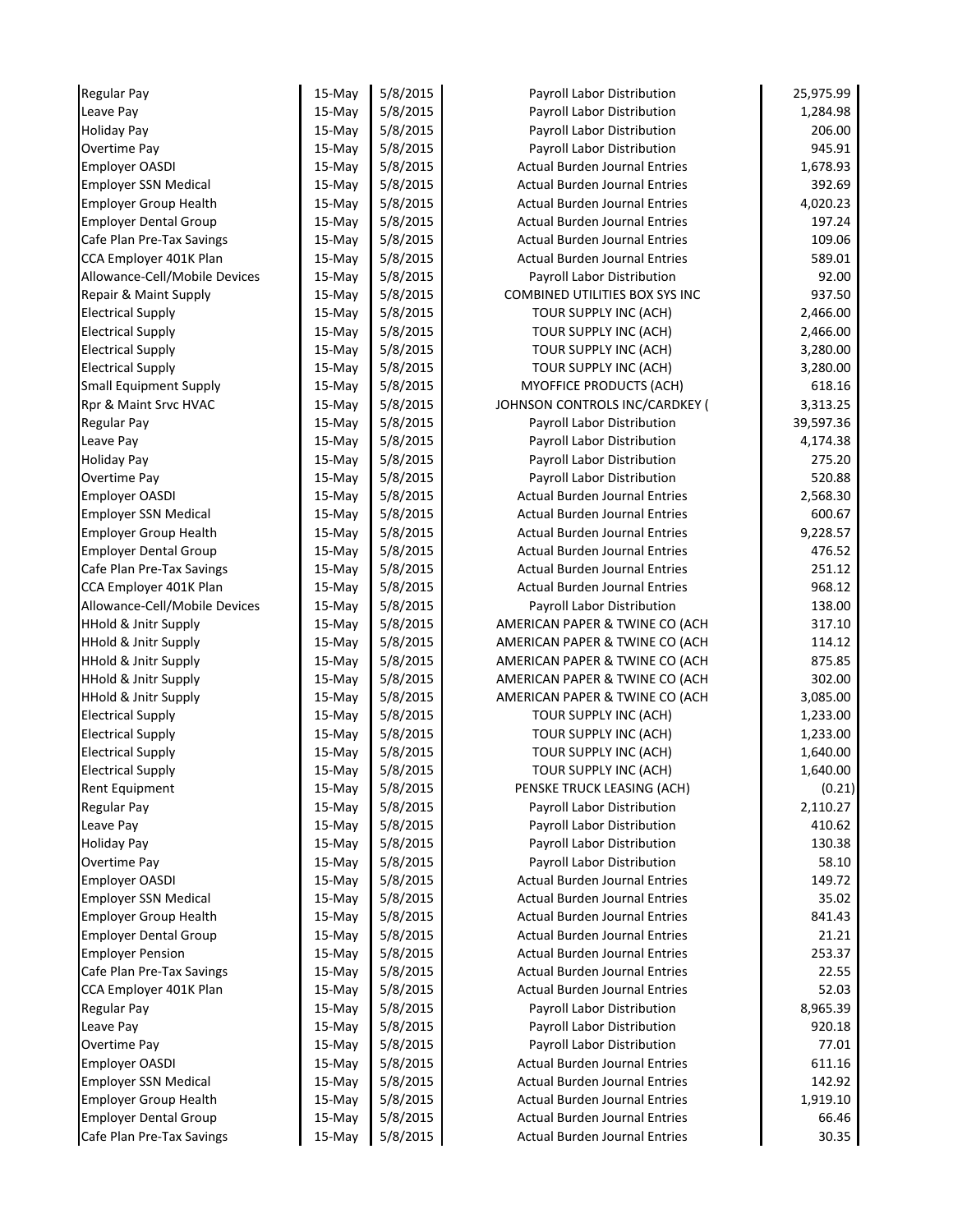| <b>Regular Pay</b>              | 15-May   | 5/8/2015 | Payroll Labor Distribution            | 25,975.99 |
|---------------------------------|----------|----------|---------------------------------------|-----------|
| Leave Pay                       | 15-May   | 5/8/2015 | Payroll Labor Distribution            | 1,284.98  |
| <b>Holiday Pay</b>              | 15-May   | 5/8/2015 | Payroll Labor Distribution            | 206.00    |
| Overtime Pay                    | 15-May   | 5/8/2015 | Payroll Labor Distribution            | 945.91    |
| <b>Employer OASDI</b>           | $15-May$ | 5/8/2015 | <b>Actual Burden Journal Entries</b>  | 1,678.93  |
| <b>Employer SSN Medical</b>     | $15-May$ | 5/8/2015 | <b>Actual Burden Journal Entries</b>  | 392.69    |
| <b>Employer Group Health</b>    | $15-May$ | 5/8/2015 | <b>Actual Burden Journal Entries</b>  | 4,020.23  |
| <b>Employer Dental Group</b>    | $15-May$ | 5/8/2015 | <b>Actual Burden Journal Entries</b>  | 197.24    |
| Cafe Plan Pre-Tax Savings       | $15-May$ | 5/8/2015 | <b>Actual Burden Journal Entries</b>  | 109.06    |
| CCA Employer 401K Plan          | 15-May   | 5/8/2015 | <b>Actual Burden Journal Entries</b>  | 589.01    |
| Allowance-Cell/Mobile Devices   | $15-May$ | 5/8/2015 | Payroll Labor Distribution            | 92.00     |
| Repair & Maint Supply           | $15-May$ | 5/8/2015 | <b>COMBINED UTILITIES BOX SYS INC</b> | 937.50    |
| <b>Electrical Supply</b>        | $15-May$ | 5/8/2015 | TOUR SUPPLY INC (ACH)                 | 2,466.00  |
| <b>Electrical Supply</b>        | $15-May$ | 5/8/2015 | TOUR SUPPLY INC (ACH)                 | 2,466.00  |
| <b>Electrical Supply</b>        | 15-May   | 5/8/2015 | TOUR SUPPLY INC (ACH)                 | 3,280.00  |
| <b>Electrical Supply</b>        | $15-May$ | 5/8/2015 | TOUR SUPPLY INC (ACH)                 | 3,280.00  |
| <b>Small Equipment Supply</b>   | $15-May$ | 5/8/2015 | MYOFFICE PRODUCTS (ACH)               | 618.16    |
| Rpr & Maint Srvc HVAC           | $15-May$ | 5/8/2015 | JOHNSON CONTROLS INC/CARDKEY (        | 3,313.25  |
| <b>Regular Pay</b>              | $15-Mav$ | 5/8/2015 | Payroll Labor Distribution            | 39,597.36 |
| Leave Pay                       | $15-Mav$ | 5/8/2015 | Payroll Labor Distribution            | 4,174.38  |
| <b>Holiday Pay</b>              | $15-May$ | 5/8/2015 | Payroll Labor Distribution            | 275.20    |
| <b>Overtime Pay</b>             | 15-May   | 5/8/2015 | Payroll Labor Distribution            | 520.88    |
| <b>Employer OASDI</b>           | 15-May   | 5/8/2015 | <b>Actual Burden Journal Entries</b>  | 2,568.30  |
| <b>Employer SSN Medical</b>     | $15-May$ | 5/8/2015 | <b>Actual Burden Journal Entries</b>  | 600.67    |
| <b>Employer Group Health</b>    | 15-May   | 5/8/2015 | <b>Actual Burden Journal Entries</b>  | 9,228.57  |
| <b>Employer Dental Group</b>    | 15-May   | 5/8/2015 | <b>Actual Burden Journal Entries</b>  | 476.52    |
| Cafe Plan Pre-Tax Savings       | $15-May$ | 5/8/2015 | <b>Actual Burden Journal Entries</b>  | 251.12    |
| CCA Employer 401K Plan          | 15-May   | 5/8/2015 | <b>Actual Burden Journal Entries</b>  | 968.12    |
| Allowance-Cell/Mobile Devices   | 15-May   | 5/8/2015 | Payroll Labor Distribution            | 138.00    |
| HHold & Jnitr Supply            | $15-May$ | 5/8/2015 | AMERICAN PAPER & TWINE CO (ACH        | 317.10    |
| HHold & Jnitr Supply            | $15-May$ | 5/8/2015 | AMERICAN PAPER & TWINE CO (ACH        | 114.12    |
| HHold & Jnitr Supply            | $15-May$ | 5/8/2015 | AMERICAN PAPER & TWINE CO (ACH        | 875.85    |
| <b>HHold &amp; Jnitr Supply</b> | $15-May$ | 5/8/2015 | AMERICAN PAPER & TWINE CO (ACH        | 302.00    |
| <b>HHold &amp; Jnitr Supply</b> | $15-May$ | 5/8/2015 | AMERICAN PAPER & TWINE CO (ACH        | 3,085.00  |
| <b>Electrical Supply</b>        | $15-May$ | 5/8/2015 | TOUR SUPPLY INC (ACH)                 | 1,233.00  |
| <b>Electrical Supply</b>        | 15-May   | 5/8/2015 | TOUR SUPPLY INC (ACH)                 | 1,233.00  |
| <b>Electrical Supply</b>        | 15-May   | 5/8/2015 | TOUR SUPPLY INC (ACH)                 | 1,640.00  |
| <b>Electrical Supply</b>        | 15-May   | 5/8/2015 | TOUR SUPPLY INC (ACH)                 | 1,640.00  |
| Rent Equipment                  | 15-May   | 5/8/2015 | PENSKE TRUCK LEASING (ACH)            | (0.21)    |
| <b>Regular Pay</b>              | 15-May   | 5/8/2015 | Payroll Labor Distribution            | 2,110.27  |
| Leave Pay                       | 15-May   | 5/8/2015 | Payroll Labor Distribution            | 410.62    |
| <b>Holiday Pay</b>              | 15-May   | 5/8/2015 | Payroll Labor Distribution            | 130.38    |
| Overtime Pay                    | 15-May   | 5/8/2015 | Payroll Labor Distribution            | 58.10     |
| <b>Employer OASDI</b>           | $15-May$ | 5/8/2015 | <b>Actual Burden Journal Entries</b>  | 149.72    |
| <b>Employer SSN Medical</b>     | 15-May   | 5/8/2015 | <b>Actual Burden Journal Entries</b>  | 35.02     |
| <b>Employer Group Health</b>    | 15-May   | 5/8/2015 | <b>Actual Burden Journal Entries</b>  | 841.43    |
| <b>Employer Dental Group</b>    | 15-May   | 5/8/2015 | <b>Actual Burden Journal Entries</b>  | 21.21     |
| <b>Employer Pension</b>         | 15-May   | 5/8/2015 | <b>Actual Burden Journal Entries</b>  | 253.37    |
| Cafe Plan Pre-Tax Savings       | 15-May   | 5/8/2015 | <b>Actual Burden Journal Entries</b>  | 22.55     |
| CCA Employer 401K Plan          | 15-May   | 5/8/2015 | <b>Actual Burden Journal Entries</b>  | 52.03     |
| <b>Regular Pay</b>              | 15-May   | 5/8/2015 | Payroll Labor Distribution            | 8,965.39  |
| Leave Pay                       | 15-May   | 5/8/2015 | Payroll Labor Distribution            | 920.18    |
| Overtime Pay                    | 15-May   | 5/8/2015 | Payroll Labor Distribution            | 77.01     |
| <b>Employer OASDI</b>           | 15-May   | 5/8/2015 | <b>Actual Burden Journal Entries</b>  | 611.16    |
| <b>Employer SSN Medical</b>     | 15-May   | 5/8/2015 | <b>Actual Burden Journal Entries</b>  | 142.92    |
| <b>Employer Group Health</b>    | 15-May   | 5/8/2015 | <b>Actual Burden Journal Entries</b>  | 1,919.10  |
| <b>Employer Dental Group</b>    | 15-May   | 5/8/2015 | Actual Burden Journal Entries         | 66.46     |
| Cafe Plan Pre-Tax Savings       | 15-May   | 5/8/2015 | Actual Burden Journal Entries         | 30.35     |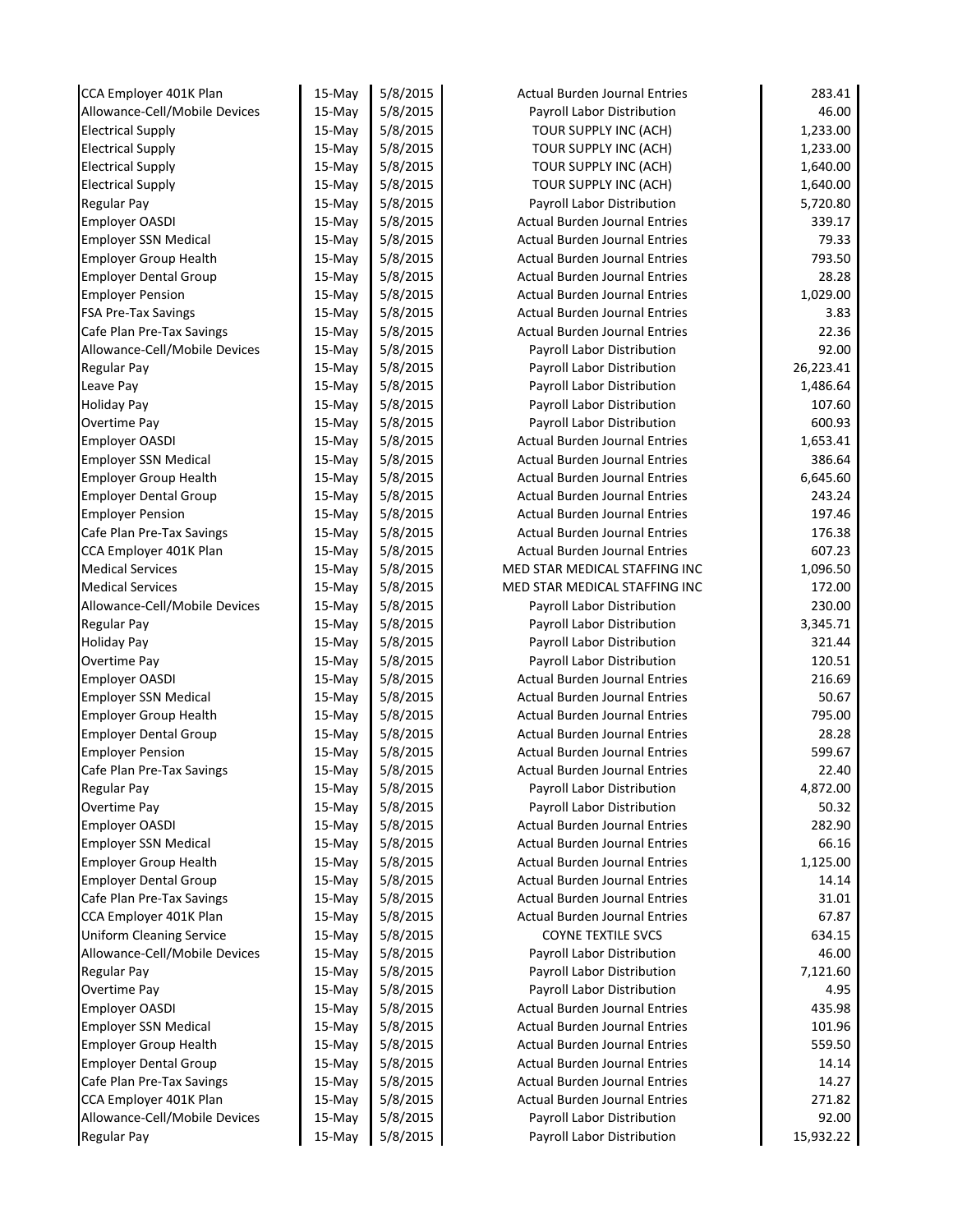| CCA Employer 401K Plan          | 15-May    | 5/8/2015 | <b>Actual Burden Journal Entries</b> | 283.41    |
|---------------------------------|-----------|----------|--------------------------------------|-----------|
| Allowance-Cell/Mobile Devices   | $15-Mav$  | 5/8/2015 | Payroll Labor Distribution           | 46.00     |
| <b>Electrical Supply</b>        | 15-May    | 5/8/2015 | TOUR SUPPLY INC (ACH)                | 1,233.00  |
| <b>Electrical Supply</b>        | 15-May    | 5/8/2015 | TOUR SUPPLY INC (ACH)                | 1,233.00  |
| <b>Electrical Supply</b>        | $15-Mav$  | 5/8/2015 | TOUR SUPPLY INC (ACH)                | 1,640.00  |
| <b>Electrical Supply</b>        | 15-May    | 5/8/2015 | TOUR SUPPLY INC (ACH)                | 1,640.00  |
| Regular Pay                     | $15-May$  | 5/8/2015 | Payroll Labor Distribution           | 5,720.80  |
| Employer OASDI                  | $15-May$  | 5/8/2015 | <b>Actual Burden Journal Entries</b> | 339.17    |
| <b>Employer SSN Medical</b>     | $15-May$  | 5/8/2015 | <b>Actual Burden Journal Entries</b> | 79.33     |
| <b>Employer Group Health</b>    | $15-May$  | 5/8/2015 | <b>Actual Burden Journal Entries</b> | 793.50    |
| <b>Employer Dental Group</b>    | $15-May$  | 5/8/2015 | <b>Actual Burden Journal Entries</b> | 28.28     |
| <b>Employer Pension</b>         | 15-May    | 5/8/2015 | <b>Actual Burden Journal Entries</b> | 1,029.00  |
| <b>FSA Pre-Tax Savings</b>      | $15-May$  | 5/8/2015 | <b>Actual Burden Journal Entries</b> | 3.83      |
| Cafe Plan Pre-Tax Savings       | $15-May$  | 5/8/2015 | <b>Actual Burden Journal Entries</b> | 22.36     |
| Allowance-Cell/Mobile Devices   | $15-May$  | 5/8/2015 | Payroll Labor Distribution           | 92.00     |
| <b>Regular Pay</b>              | $15-May$  | 5/8/2015 | Payroll Labor Distribution           | 26,223.41 |
| Leave Pay                       | $15-May$  | 5/8/2015 | Payroll Labor Distribution           | 1,486.64  |
| <b>Holiday Pay</b>              | 15-May    | 5/8/2015 | Payroll Labor Distribution           | 107.60    |
| Overtime Pay                    | $15-May$  | 5/8/2015 | Payroll Labor Distribution           | 600.93    |
| <b>Employer OASDI</b>           | $15-Mav$  | 5/8/2015 | <b>Actual Burden Journal Entries</b> | 1,653.41  |
| <b>Employer SSN Medical</b>     | $15-May$  | 5/8/2015 | <b>Actual Burden Journal Entries</b> | 386.64    |
| <b>Employer Group Health</b>    | $15-Mav$  | 5/8/2015 | <b>Actual Burden Journal Entries</b> | 6,645.60  |
| <b>Employer Dental Group</b>    | 15-May    | 5/8/2015 | <b>Actual Burden Journal Entries</b> | 243.24    |
| <b>Employer Pension</b>         | 15-May    | 5/8/2015 | <b>Actual Burden Journal Entries</b> | 197.46    |
| Cafe Plan Pre-Tax Savings       | 15-May    | 5/8/2015 | <b>Actual Burden Journal Entries</b> | 176.38    |
| CCA Employer 401K Plan          | 15-May    | 5/8/2015 | <b>Actual Burden Journal Entries</b> | 607.23    |
| <b>Medical Services</b>         | $15-May$  | 5/8/2015 | MED STAR MEDICAL STAFFING INC        | 1,096.50  |
| <b>Medical Services</b>         | 15-May    | 5/8/2015 | MED STAR MEDICAL STAFFING INC        | 172.00    |
| Allowance-Cell/Mobile Devices   | 15-May    | 5/8/2015 | Payroll Labor Distribution           | 230.00    |
| Regular Pay                     | $15-May$  | 5/8/2015 | Payroll Labor Distribution           | 3,345.71  |
| <b>Holiday Pay</b>              | 15-May    | 5/8/2015 | Payroll Labor Distribution           | 321.44    |
| Overtime Pay                    | $15-May$  | 5/8/2015 | Payroll Labor Distribution           | 120.51    |
| <b>Employer OASDI</b>           | $15-May$  | 5/8/2015 | <b>Actual Burden Journal Entries</b> | 216.69    |
| <b>Employer SSN Medical</b>     | $15-May$  | 5/8/2015 | <b>Actual Burden Journal Entries</b> | 50.67     |
| <b>Employer Group Health</b>    | $15-May$  | 5/8/2015 | <b>Actual Burden Journal Entries</b> | 795.00    |
| <b>Employer Dental Group</b>    | 15-May    | 5/8/2015 | <b>Actual Burden Journal Entries</b> | 28.28     |
| <b>Employer Pension</b>         | 15-May    | 5/8/2015 | <b>Actual Burden Journal Entries</b> | 599.67    |
| Cafe Plan Pre-Tax Savings       | 15-May    | 5/8/2015 | <b>Actual Burden Journal Entries</b> | 22.40     |
| <b>Regular Pay</b>              | 15-May    | 5/8/2015 | Payroll Labor Distribution           | 4,872.00  |
| Overtime Pay                    | 15-May    | 5/8/2015 | Payroll Labor Distribution           | 50.32     |
| <b>Employer OASDI</b>           | $15-May$  | 5/8/2015 | <b>Actual Burden Journal Entries</b> | 282.90    |
| <b>Employer SSN Medical</b>     | 15-May    | 5/8/2015 | <b>Actual Burden Journal Entries</b> | 66.16     |
| <b>Employer Group Health</b>    | 15-May    | 5/8/2015 | <b>Actual Burden Journal Entries</b> | 1,125.00  |
| <b>Employer Dental Group</b>    | 15-May    | 5/8/2015 | <b>Actual Burden Journal Entries</b> | 14.14     |
| Cafe Plan Pre-Tax Savings       | $15-Mav$  | 5/8/2015 | <b>Actual Burden Journal Entries</b> | 31.01     |
| CCA Employer 401K Plan          | $15$ -May | 5/8/2015 | <b>Actual Burden Journal Entries</b> | 67.87     |
| <b>Uniform Cleaning Service</b> | 15-May    | 5/8/2015 | <b>COYNE TEXTILE SVCS</b>            | 634.15    |
| Allowance-Cell/Mobile Devices   | 15-May    | 5/8/2015 | Payroll Labor Distribution           | 46.00     |
| Regular Pay                     | 15-May    | 5/8/2015 | Payroll Labor Distribution           | 7,121.60  |
| Overtime Pay                    | 15-May    | 5/8/2015 | Payroll Labor Distribution           | 4.95      |
| Employer OASDI                  | 15-May    | 5/8/2015 | <b>Actual Burden Journal Entries</b> | 435.98    |
| <b>Employer SSN Medical</b>     | $15$ -May | 5/8/2015 | <b>Actual Burden Journal Entries</b> | 101.96    |
| <b>Employer Group Health</b>    | 15-May    | 5/8/2015 | <b>Actual Burden Journal Entries</b> | 559.50    |
| <b>Employer Dental Group</b>    | 15-May    | 5/8/2015 | <b>Actual Burden Journal Entries</b> | 14.14     |
| Cafe Plan Pre-Tax Savings       | 15-May    | 5/8/2015 | <b>Actual Burden Journal Entries</b> | 14.27     |
| CCA Employer 401K Plan          | 15-May    | 5/8/2015 | <b>Actual Burden Journal Entries</b> | 271.82    |
| Allowance-Cell/Mobile Devices   | 15-May    | 5/8/2015 | Payroll Labor Distribution           | 92.00     |
| <b>Regular Pay</b>              | 15-May    | 5/8/2015 | Payroll Labor Distribution           | 15,932.22 |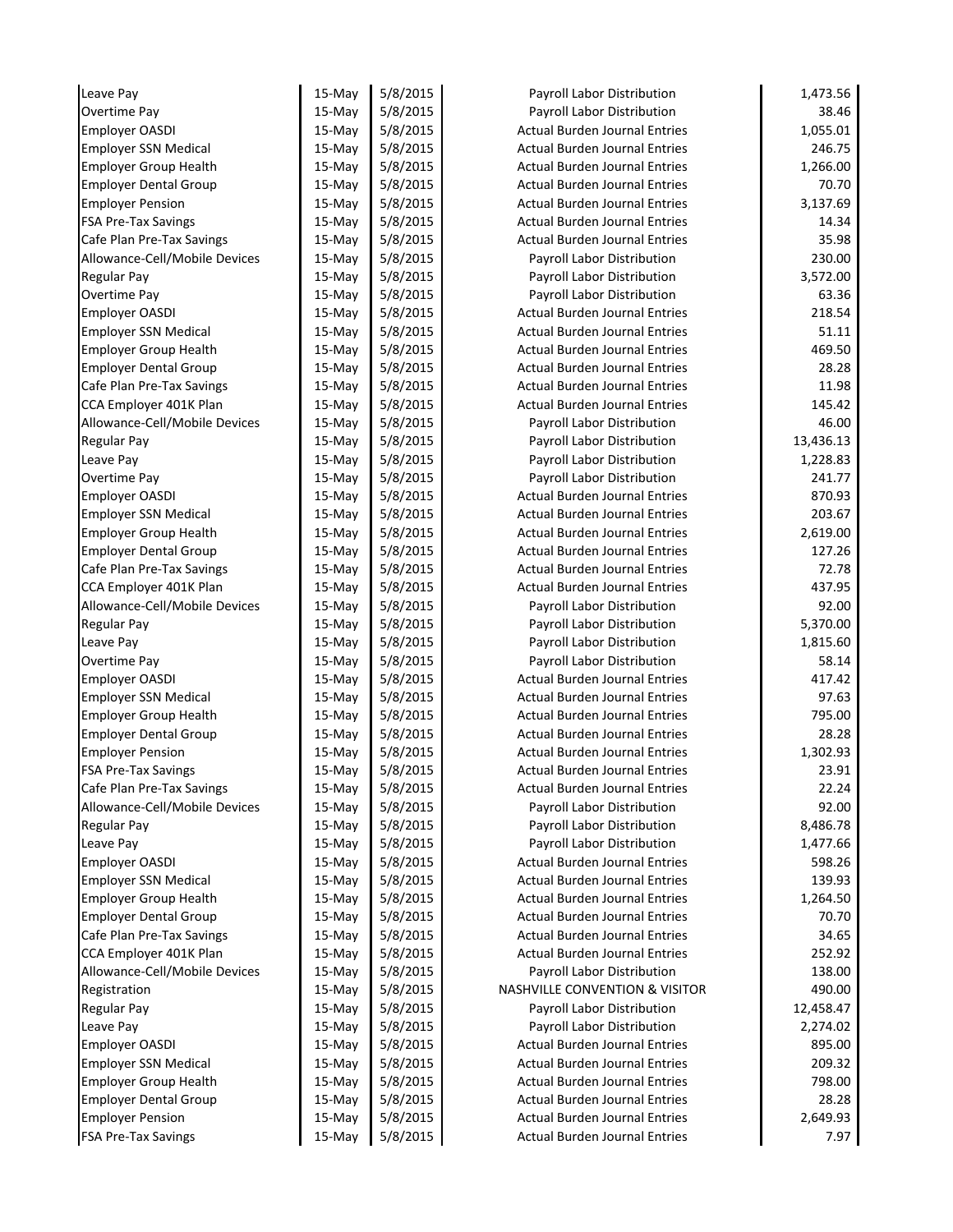| Leave Pay                     | 15-May   | 5/8/2015 | Payroll Labor Distribution           | 1,473.56  |
|-------------------------------|----------|----------|--------------------------------------|-----------|
| Overtime Pay                  | 15-May   | 5/8/2015 | Payroll Labor Distribution           | 38.46     |
| <b>Employer OASDI</b>         | 15-May   | 5/8/2015 | <b>Actual Burden Journal Entries</b> | 1,055.01  |
| <b>Employer SSN Medical</b>   | $15-Mav$ | 5/8/2015 | <b>Actual Burden Journal Entries</b> | 246.75    |
| <b>Employer Group Health</b>  | $15-May$ | 5/8/2015 | <b>Actual Burden Journal Entries</b> | 1,266.00  |
| <b>Employer Dental Group</b>  | $15-May$ | 5/8/2015 | <b>Actual Burden Journal Entries</b> | 70.70     |
| <b>Employer Pension</b>       | 15-May   | 5/8/2015 | <b>Actual Burden Journal Entries</b> | 3,137.69  |
| <b>FSA Pre-Tax Savings</b>    | $15-May$ | 5/8/2015 | <b>Actual Burden Journal Entries</b> | 14.34     |
| Cafe Plan Pre-Tax Savings     | $15-May$ | 5/8/2015 | <b>Actual Burden Journal Entries</b> | 35.98     |
| Allowance-Cell/Mobile Devices | $15-Mav$ | 5/8/2015 | Payroll Labor Distribution           | 230.00    |
| Regular Pay                   | $15-Mav$ | 5/8/2015 | Payroll Labor Distribution           | 3,572.00  |
| Overtime Pay                  | 15-May   | 5/8/2015 | Payroll Labor Distribution           | 63.36     |
| <b>Employer OASDI</b>         | 15-May   | 5/8/2015 | <b>Actual Burden Journal Entries</b> | 218.54    |
| <b>Employer SSN Medical</b>   | $15-May$ | 5/8/2015 | <b>Actual Burden Journal Entries</b> | 51.11     |
| <b>Employer Group Health</b>  | $15-May$ | 5/8/2015 | <b>Actual Burden Journal Entries</b> | 469.50    |
| <b>Employer Dental Group</b>  | $15-May$ | 5/8/2015 | <b>Actual Burden Journal Entries</b> | 28.28     |
| Cafe Plan Pre-Tax Savings     | 15-May   | 5/8/2015 | <b>Actual Burden Journal Entries</b> | 11.98     |
| CCA Employer 401K Plan        | 15-May   | 5/8/2015 | <b>Actual Burden Journal Entries</b> | 145.42    |
| Allowance-Cell/Mobile Devices | 15-May   | 5/8/2015 | Payroll Labor Distribution           | 46.00     |
| <b>Regular Pay</b>            | 15-May   | 5/8/2015 | Payroll Labor Distribution           | 13,436.13 |
| Leave Pay                     | 15-May   | 5/8/2015 | Payroll Labor Distribution           | 1,228.83  |
| <b>Overtime Pay</b>           | 15-May   | 5/8/2015 | Payroll Labor Distribution           | 241.77    |
| <b>Employer OASDI</b>         | 15-May   | 5/8/2015 | Actual Burden Journal Entries        | 870.93    |
| <b>Employer SSN Medical</b>   | 15-May   | 5/8/2015 | <b>Actual Burden Journal Entries</b> | 203.67    |
| <b>Employer Group Health</b>  | 15-May   | 5/8/2015 | <b>Actual Burden Journal Entries</b> | 2,619.00  |
| <b>Employer Dental Group</b>  | $15-May$ | 5/8/2015 | <b>Actual Burden Journal Entries</b> | 127.26    |
| Cafe Plan Pre-Tax Savings     | 15-May   | 5/8/2015 | <b>Actual Burden Journal Entries</b> | 72.78     |
| CCA Employer 401K Plan        | $15-May$ | 5/8/2015 | <b>Actual Burden Journal Entries</b> | 437.95    |
| Allowance-Cell/Mobile Devices | $15-May$ | 5/8/2015 | Payroll Labor Distribution           | 92.00     |
| <b>Regular Pay</b>            | 15-May   | 5/8/2015 | Payroll Labor Distribution           | 5,370.00  |
| Leave Pay                     | 15-May   | 5/8/2015 | Payroll Labor Distribution           | 1,815.60  |
| Overtime Pay                  | $15-May$ | 5/8/2015 | Payroll Labor Distribution           | 58.14     |
| <b>Employer OASDI</b>         | 15-May   | 5/8/2015 | <b>Actual Burden Journal Entries</b> | 417.42    |
| <b>Employer SSN Medical</b>   | $15-Mav$ | 5/8/2015 | <b>Actual Burden Journal Entries</b> | 97.63     |
| <b>Employer Group Health</b>  | 15-May   | 5/8/2015 | <b>Actual Burden Journal Entries</b> | 795.00    |
| <b>Employer Dental Group</b>  | 15-May   | 5/8/2015 | <b>Actual Burden Journal Entries</b> | 28.28     |
| <b>Employer Pension</b>       | $15-Mav$ | 5/8/2015 | Actual Burden Journal Entries        | 1,302.93  |
| <b>FSA Pre-Tax Savings</b>    | 15-May   | 5/8/2015 | <b>Actual Burden Journal Entries</b> | 23.91     |
| Cafe Plan Pre-Tax Savings     | 15-May   | 5/8/2015 | <b>Actual Burden Journal Entries</b> | 22.24     |
| Allowance-Cell/Mobile Devices | 15-May   | 5/8/2015 | Payroll Labor Distribution           | 92.00     |
| Regular Pay                   | $15-May$ | 5/8/2015 | Payroll Labor Distribution           | 8,486.78  |
| Leave Pay                     | 15-May   | 5/8/2015 | Payroll Labor Distribution           | 1,477.66  |
| Employer OASDI                | 15-May   | 5/8/2015 | <b>Actual Burden Journal Entries</b> | 598.26    |
| <b>Employer SSN Medical</b>   | 15-May   | 5/8/2015 | <b>Actual Burden Journal Entries</b> | 139.93    |
| <b>Employer Group Health</b>  | 15-May   | 5/8/2015 | <b>Actual Burden Journal Entries</b> | 1,264.50  |
| <b>Employer Dental Group</b>  | 15-May   | 5/8/2015 | <b>Actual Burden Journal Entries</b> | 70.70     |
| Cafe Plan Pre-Tax Savings     | 15-May   | 5/8/2015 | <b>Actual Burden Journal Entries</b> | 34.65     |
| CCA Employer 401K Plan        | 15-May   | 5/8/2015 | Actual Burden Journal Entries        | 252.92    |
| Allowance-Cell/Mobile Devices | 15-May   | 5/8/2015 | Payroll Labor Distribution           | 138.00    |
| Registration                  | 15-May   | 5/8/2015 | NASHVILLE CONVENTION & VISITOR       | 490.00    |
| <b>Regular Pay</b>            | 15-May   | 5/8/2015 | Payroll Labor Distribution           | 12,458.47 |
| Leave Pay                     | 15-May   | 5/8/2015 | Payroll Labor Distribution           | 2,274.02  |
| <b>Employer OASDI</b>         | $15-May$ | 5/8/2015 | Actual Burden Journal Entries        | 895.00    |
| <b>Employer SSN Medical</b>   | 15-May   | 5/8/2015 | <b>Actual Burden Journal Entries</b> | 209.32    |
| <b>Employer Group Health</b>  | 15-May   | 5/8/2015 | <b>Actual Burden Journal Entries</b> | 798.00    |
| <b>Employer Dental Group</b>  | 15-May   | 5/8/2015 | <b>Actual Burden Journal Entries</b> | 28.28     |
| <b>Employer Pension</b>       | 15-May   | 5/8/2015 | <b>Actual Burden Journal Entries</b> | 2,649.93  |
| <b>FSA Pre-Tax Savings</b>    | 15-May   | 5/8/2015 | Actual Burden Journal Entries        | 7.97      |
|                               |          |          |                                      |           |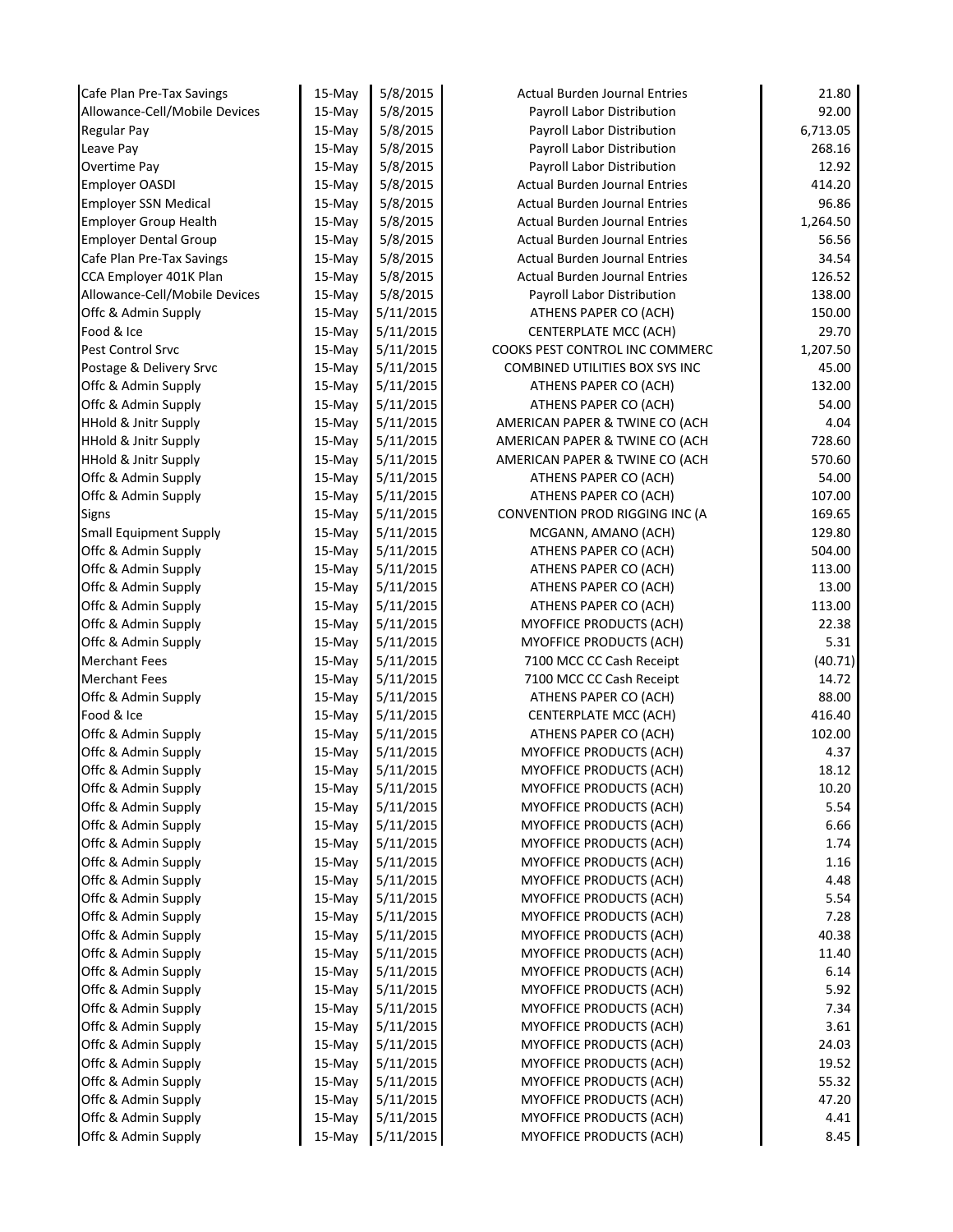| Cafe Plan Pre-Tax Savings                  | 15-May              | 5/8/2015               | <b>Actual Burden Journal Entries</b>                      | 21.80        |
|--------------------------------------------|---------------------|------------------------|-----------------------------------------------------------|--------------|
| Allowance-Cell/Mobile Devices              | $15-May$            | 5/8/2015               | Payroll Labor Distribution                                | 92.00        |
| <b>Regular Pay</b>                         | 15-May              | 5/8/2015               | Payroll Labor Distribution                                | 6,713.05     |
| Leave Pay                                  | 15-May              | 5/8/2015               | Payroll Labor Distribution                                | 268.16       |
| <b>Overtime Pay</b>                        | $15-Mav$            | 5/8/2015               | Payroll Labor Distribution                                | 12.92        |
| <b>Employer OASDI</b>                      | 15-May              | 5/8/2015               | <b>Actual Burden Journal Entries</b>                      | 414.20       |
| <b>Employer SSN Medical</b>                | 15-May              | 5/8/2015               | <b>Actual Burden Journal Entries</b>                      | 96.86        |
| Employer Group Health                      | $15-May$            | 5/8/2015               | <b>Actual Burden Journal Entries</b>                      | 1,264.50     |
| <b>Employer Dental Group</b>               | 15-May              | 5/8/2015               | <b>Actual Burden Journal Entries</b>                      | 56.56        |
| Cafe Plan Pre-Tax Savings                  | $15-May$            | 5/8/2015               | <b>Actual Burden Journal Entries</b>                      | 34.54        |
| CCA Employer 401K Plan                     | 15-May              | 5/8/2015               | <b>Actual Burden Journal Entries</b>                      | 126.52       |
| Allowance-Cell/Mobile Devices              | 15-May              | 5/8/2015               | Payroll Labor Distribution                                | 138.00       |
| Offc & Admin Supply                        | $15-May$            | 5/11/2015              | ATHENS PAPER CO (ACH)                                     | 150.00       |
| Food & Ice                                 | $15-May$            | 5/11/2015              | <b>CENTERPLATE MCC (ACH)</b>                              | 29.70        |
| Pest Control Srvc                          | 15-May              | 5/11/2015              | COOKS PEST CONTROL INC COMMERC                            | 1,207.50     |
| Postage & Delivery Srvc                    | $15-May$            | 5/11/2015              | COMBINED UTILITIES BOX SYS INC                            | 45.00        |
| Offc & Admin Supply                        | 15-May              | 5/11/2015              | ATHENS PAPER CO (ACH)                                     | 132.00       |
| Offc & Admin Supply                        | 15-May              | 5/11/2015              | ATHENS PAPER CO (ACH)                                     | 54.00        |
| <b>HHold &amp; Jnitr Supply</b>            | $15-May$            | 5/11/2015              | AMERICAN PAPER & TWINE CO (ACH                            | 4.04         |
| <b>HHold &amp; Jnitr Supply</b>            | 15-May              | 5/11/2015              | AMERICAN PAPER & TWINE CO (ACH                            | 728.60       |
| <b>HHold &amp; Jnitr Supply</b>            | $15-May$            | 5/11/2015              | AMERICAN PAPER & TWINE CO (ACH                            | 570.60       |
| Offc & Admin Supply                        | $15$ -May           | 5/11/2015              | ATHENS PAPER CO (ACH)                                     | 54.00        |
| Offc & Admin Supply                        | 15-May              | 5/11/2015              | ATHENS PAPER CO (ACH)                                     | 107.00       |
| <b>Signs</b>                               | $15-May$            | 5/11/2015              | CONVENTION PROD RIGGING INC (A                            | 169.65       |
| <b>Small Equipment Supply</b>              | 15-May              | 5/11/2015              | MCGANN, AMANO (ACH)                                       | 129.80       |
| Offc & Admin Supply                        | 15-May              | 5/11/2015              | ATHENS PAPER CO (ACH)                                     | 504.00       |
| Offc & Admin Supply                        | $15-May$            | 5/11/2015              | ATHENS PAPER CO (ACH)                                     | 113.00       |
| Offc & Admin Supply                        | 15-May              | 5/11/2015              | ATHENS PAPER CO (ACH)                                     | 13.00        |
| Offc & Admin Supply                        | 15-May              | 5/11/2015              | ATHENS PAPER CO (ACH)                                     | 113.00       |
| Offc & Admin Supply                        | $15-May$            | 5/11/2015              | MYOFFICE PRODUCTS (ACH)                                   | 22.38        |
| Offc & Admin Supply                        | 15-May              | 5/11/2015              | <b>MYOFFICE PRODUCTS (ACH)</b>                            | 5.31         |
| <b>Merchant Fees</b>                       | 15-May              | 5/11/2015              | 7100 MCC CC Cash Receipt                                  | (40.71)      |
| <b>Merchant Fees</b>                       | $15-May$            | 5/11/2015              | 7100 MCC CC Cash Receipt                                  | 14.72        |
| Offc & Admin Supply                        | 15-May              | 5/11/2015              | ATHENS PAPER CO (ACH)                                     | 88.00        |
| Food & Ice                                 | $15-May$            | 5/11/2015              | <b>CENTERPLATE MCC (ACH)</b>                              | 416.40       |
| Offc & Admin Supply                        | 15-May              | 5/11/2015              | ATHENS PAPER CO (ACH)                                     | 102.00       |
| Offc & Admin Supply                        | 15-May              | 5/11/2015              | <b>MYOFFICE PRODUCTS (ACH)</b>                            | 4.37         |
| Offc & Admin Supply                        | 15-May              | 5/11/2015              | <b>MYOFFICE PRODUCTS (ACH)</b>                            | 18.12        |
| Offc & Admin Supply                        | 15-May              | 5/11/2015              | MYOFFICE PRODUCTS (ACH)                                   | 10.20        |
| Offc & Admin Supply                        | 15-May              | 5/11/2015              | <b>MYOFFICE PRODUCTS (ACH)</b>                            | 5.54         |
| Offc & Admin Supply                        | $15-May$            | 5/11/2015              | <b>MYOFFICE PRODUCTS (ACH)</b>                            | 6.66         |
| Offc & Admin Supply                        | $15-May$            | 5/11/2015              | <b>MYOFFICE PRODUCTS (ACH)</b>                            | 1.74         |
| Offc & Admin Supply                        | 15-May              | 5/11/2015              | <b>MYOFFICE PRODUCTS (ACH)</b>                            | 1.16         |
| Offc & Admin Supply                        | $15-May$            | 5/11/2015              | <b>MYOFFICE PRODUCTS (ACH)</b>                            | 4.48         |
| Offc & Admin Supply                        | $15-Mav$            | 5/11/2015              | <b>MYOFFICE PRODUCTS (ACH)</b>                            | 5.54         |
| Offc & Admin Supply                        | $15$ -May           | 5/11/2015              | <b>MYOFFICE PRODUCTS (ACH)</b>                            | 7.28         |
| Offc & Admin Supply                        | $15$ -May           | 5/11/2015              | <b>MYOFFICE PRODUCTS (ACH)</b>                            | 40.38        |
| Offc & Admin Supply                        | 15-May              | 5/11/2015              | MYOFFICE PRODUCTS (ACH)                                   | 11.40        |
| Offc & Admin Supply                        | 15-May              | 5/11/2015              | <b>MYOFFICE PRODUCTS (ACH)</b>                            | 6.14         |
| Offc & Admin Supply<br>Offc & Admin Supply | 15-May<br>15-May    | 5/11/2015<br>5/11/2015 | <b>MYOFFICE PRODUCTS (ACH)</b><br>MYOFFICE PRODUCTS (ACH) | 5.92<br>7.34 |
| Offc & Admin Supply                        |                     | 5/11/2015              | <b>MYOFFICE PRODUCTS (ACH)</b>                            | 3.61         |
| Offc & Admin Supply                        | $15$ -May<br>15-May | 5/11/2015              | <b>MYOFFICE PRODUCTS (ACH)</b>                            | 24.03        |
| Offc & Admin Supply                        | 15-May              | 5/11/2015              | MYOFFICE PRODUCTS (ACH)                                   | 19.52        |
| Offc & Admin Supply                        | $15$ -May           | 5/11/2015              | <b>MYOFFICE PRODUCTS (ACH)</b>                            | 55.32        |
| Offc & Admin Supply                        | 15-May              | 5/11/2015              | <b>MYOFFICE PRODUCTS (ACH)</b>                            | 47.20        |
| Offc & Admin Supply                        | 15-May              | 5/11/2015              | <b>MYOFFICE PRODUCTS (ACH)</b>                            | 4.41         |
| Offc & Admin Supply                        | 15-May              | 5/11/2015              | <b>MYOFFICE PRODUCTS (ACH)</b>                            | 8.45         |
|                                            |                     |                        |                                                           |              |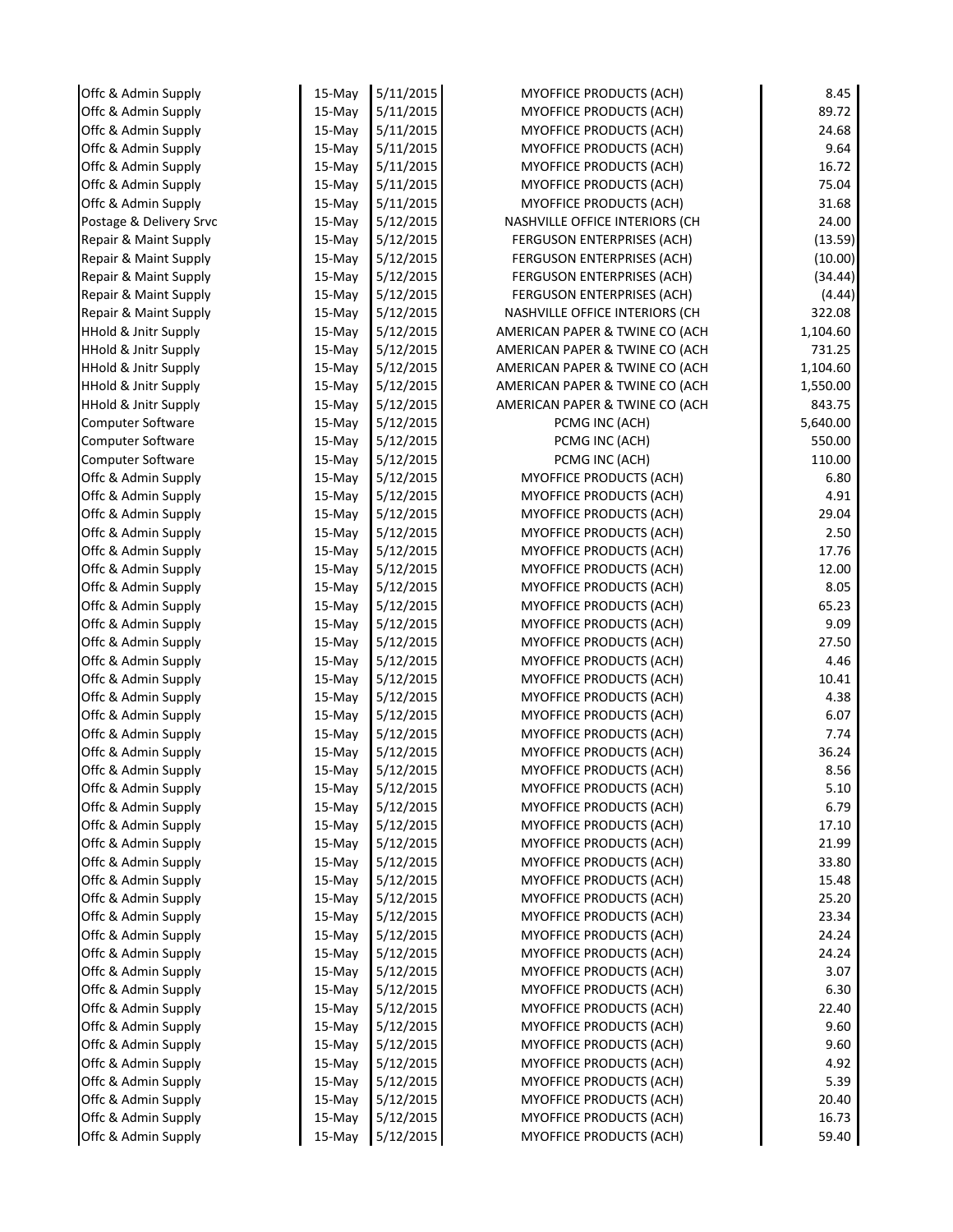| Offc & Admin Supply             | 15-May    | 5/11/2015 | <b>MYOFFICE PRODUCTS (ACH)</b> | 8.45     |
|---------------------------------|-----------|-----------|--------------------------------|----------|
| Offc & Admin Supply             | $15-Mav$  | 5/11/2015 | <b>MYOFFICE PRODUCTS (ACH)</b> | 89.72    |
| Offc & Admin Supply             | 15-May    | 5/11/2015 | <b>MYOFFICE PRODUCTS (ACH)</b> | 24.68    |
| Offc & Admin Supply             | 15-May    | 5/11/2015 | <b>MYOFFICE PRODUCTS (ACH)</b> | 9.64     |
| Offc & Admin Supply             | 15-May    | 5/11/2015 | MYOFFICE PRODUCTS (ACH)        | 16.72    |
| Offc & Admin Supply             | 15-May    | 5/11/2015 | <b>MYOFFICE PRODUCTS (ACH)</b> | 75.04    |
| Offc & Admin Supply             | 15-May    | 5/11/2015 | <b>MYOFFICE PRODUCTS (ACH)</b> | 31.68    |
| Postage & Delivery Srvc         | 15-May    | 5/12/2015 | NASHVILLE OFFICE INTERIORS (CH | 24.00    |
| Repair & Maint Supply           | 15-May    | 5/12/2015 | FERGUSON ENTERPRISES (ACH)     | (13.59)  |
| Repair & Maint Supply           | $15-May$  | 5/12/2015 | FERGUSON ENTERPRISES (ACH)     | (10.00)  |
| Repair & Maint Supply           | 15-May    | 5/12/2015 | FERGUSON ENTERPRISES (ACH)     | (34.44)  |
| Repair & Maint Supply           | 15-May    | 5/12/2015 | FERGUSON ENTERPRISES (ACH)     | (4.44)   |
| Repair & Maint Supply           | $15-May$  | 5/12/2015 | NASHVILLE OFFICE INTERIORS (CH | 322.08   |
| <b>HHold &amp; Jnitr Supply</b> | $15-May$  | 5/12/2015 | AMERICAN PAPER & TWINE CO (ACH | 1,104.60 |
| <b>HHold &amp; Jnitr Supply</b> | 15-May    | 5/12/2015 | AMERICAN PAPER & TWINE CO (ACH | 731.25   |
| HHold & Jnitr Supply            | $15-May$  | 5/12/2015 | AMERICAN PAPER & TWINE CO (ACH | 1,104.60 |
| <b>HHold &amp; Jnitr Supply</b> | 15-May    | 5/12/2015 | AMERICAN PAPER & TWINE CO (ACH | 1,550.00 |
| <b>HHold &amp; Jnitr Supply</b> | 15-May    | 5/12/2015 | AMERICAN PAPER & TWINE CO (ACH | 843.75   |
| <b>Computer Software</b>        | 15-May    | 5/12/2015 | PCMG INC (ACH)                 | 5,640.00 |
| Computer Software               | 15-May    | 5/12/2015 | PCMG INC (ACH)                 | 550.00   |
| <b>Computer Software</b>        | 15-May    | 5/12/2015 | PCMG INC (ACH)                 | 110.00   |
| Offc & Admin Supply             | $15$ -May | 5/12/2015 | <b>MYOFFICE PRODUCTS (ACH)</b> | 6.80     |
| Offc & Admin Supply             | 15-May    | 5/12/2015 | MYOFFICE PRODUCTS (ACH)        | 4.91     |
| Offc & Admin Supply             | 15-May    | 5/12/2015 | MYOFFICE PRODUCTS (ACH)        | 29.04    |
| Offc & Admin Supply             | 15-May    | 5/12/2015 | <b>MYOFFICE PRODUCTS (ACH)</b> | 2.50     |
| Offc & Admin Supply             | 15-May    | 5/12/2015 | <b>MYOFFICE PRODUCTS (ACH)</b> | 17.76    |
| Offc & Admin Supply             | $15-May$  | 5/12/2015 | <b>MYOFFICE PRODUCTS (ACH)</b> | 12.00    |
| Offc & Admin Supply             | 15-May    | 5/12/2015 | <b>MYOFFICE PRODUCTS (ACH)</b> | 8.05     |
| Offc & Admin Supply             | 15-May    | 5/12/2015 | <b>MYOFFICE PRODUCTS (ACH)</b> | 65.23    |
| Offc & Admin Supply             | 15-May    | 5/12/2015 | MYOFFICE PRODUCTS (ACH)        | 9.09     |
| Offc & Admin Supply             | 15-May    | 5/12/2015 | <b>MYOFFICE PRODUCTS (ACH)</b> | 27.50    |
| Offc & Admin Supply             | 15-May    | 5/12/2015 | MYOFFICE PRODUCTS (ACH)        | 4.46     |
| Offc & Admin Supply             | 15-May    | 5/12/2015 | <b>MYOFFICE PRODUCTS (ACH)</b> | 10.41    |
| Offc & Admin Supply             | 15-May    | 5/12/2015 | <b>MYOFFICE PRODUCTS (ACH)</b> | 4.38     |
| Offc & Admin Supply             | 15-May    | 5/12/2015 | MYOFFICE PRODUCTS (ACH)        | 6.07     |
| Offc & Admin Supply             | 15-May    | 5/12/2015 | MYOFFICE PRODUCTS (ACH)        | 7.74     |
| Offc & Admin Supply             | 15-May    | 5/12/2015 | MYOFFICE PRODUCTS (ACH)        | 36.24    |
| Offc & Admin Supply             | 15-May    | 5/12/2015 | MYOFFICE PRODUCTS (ACH)        | 8.56     |
| Offc & Admin Supply             | $15$ -May | 5/12/2015 | <b>MYOFFICE PRODUCTS (ACH)</b> | 5.10     |
| Offc & Admin Supply             | 15-May    | 5/12/2015 | <b>MYOFFICE PRODUCTS (ACH)</b> | 6.79     |
| Offc & Admin Supply             | $15-Mav$  | 5/12/2015 | MYOFFICE PRODUCTS (ACH)        | 17.10    |
| Offc & Admin Supply             | $15-May$  | 5/12/2015 | MYOFFICE PRODUCTS (ACH)        | 21.99    |
| Offc & Admin Supply             | 15-May    | 5/12/2015 | <b>MYOFFICE PRODUCTS (ACH)</b> | 33.80    |
| Offc & Admin Supply             | $15-May$  | 5/12/2015 | <b>MYOFFICE PRODUCTS (ACH)</b> | 15.48    |
| Offc & Admin Supply             | $15$ -May | 5/12/2015 | <b>MYOFFICE PRODUCTS (ACH)</b> | 25.20    |
| Offc & Admin Supply             | $15-May$  | 5/12/2015 | <b>MYOFFICE PRODUCTS (ACH)</b> | 23.34    |
| Offc & Admin Supply             | $15$ -May | 5/12/2015 | <b>MYOFFICE PRODUCTS (ACH)</b> | 24.24    |
| Offc & Admin Supply             | 15-May    | 5/12/2015 | MYOFFICE PRODUCTS (ACH)        | 24.24    |
| Offc & Admin Supply             | $15-May$  | 5/12/2015 | MYOFFICE PRODUCTS (ACH)        | 3.07     |
| Offc & Admin Supply             | 15-May    | 5/12/2015 | <b>MYOFFICE PRODUCTS (ACH)</b> | 6.30     |
| Offc & Admin Supply             | 15-May    | 5/12/2015 | <b>MYOFFICE PRODUCTS (ACH)</b> | 22.40    |
| Offc & Admin Supply             | $15-May$  | 5/12/2015 | <b>MYOFFICE PRODUCTS (ACH)</b> | 9.60     |
| Offc & Admin Supply             | 15-May    | 5/12/2015 | <b>MYOFFICE PRODUCTS (ACH)</b> | 9.60     |
| Offc & Admin Supply             | 15-May    | 5/12/2015 | MYOFFICE PRODUCTS (ACH)        | 4.92     |
| Offc & Admin Supply             | 15-May    | 5/12/2015 | MYOFFICE PRODUCTS (ACH)        | 5.39     |
| Offc & Admin Supply             | 15-May    | 5/12/2015 | <b>MYOFFICE PRODUCTS (ACH)</b> | 20.40    |
| Offc & Admin Supply             | 15-May    | 5/12/2015 | <b>MYOFFICE PRODUCTS (ACH)</b> | 16.73    |
| Offc & Admin Supply             | 15-May    | 5/12/2015 | <b>MYOFFICE PRODUCTS (ACH)</b> | 59.40    |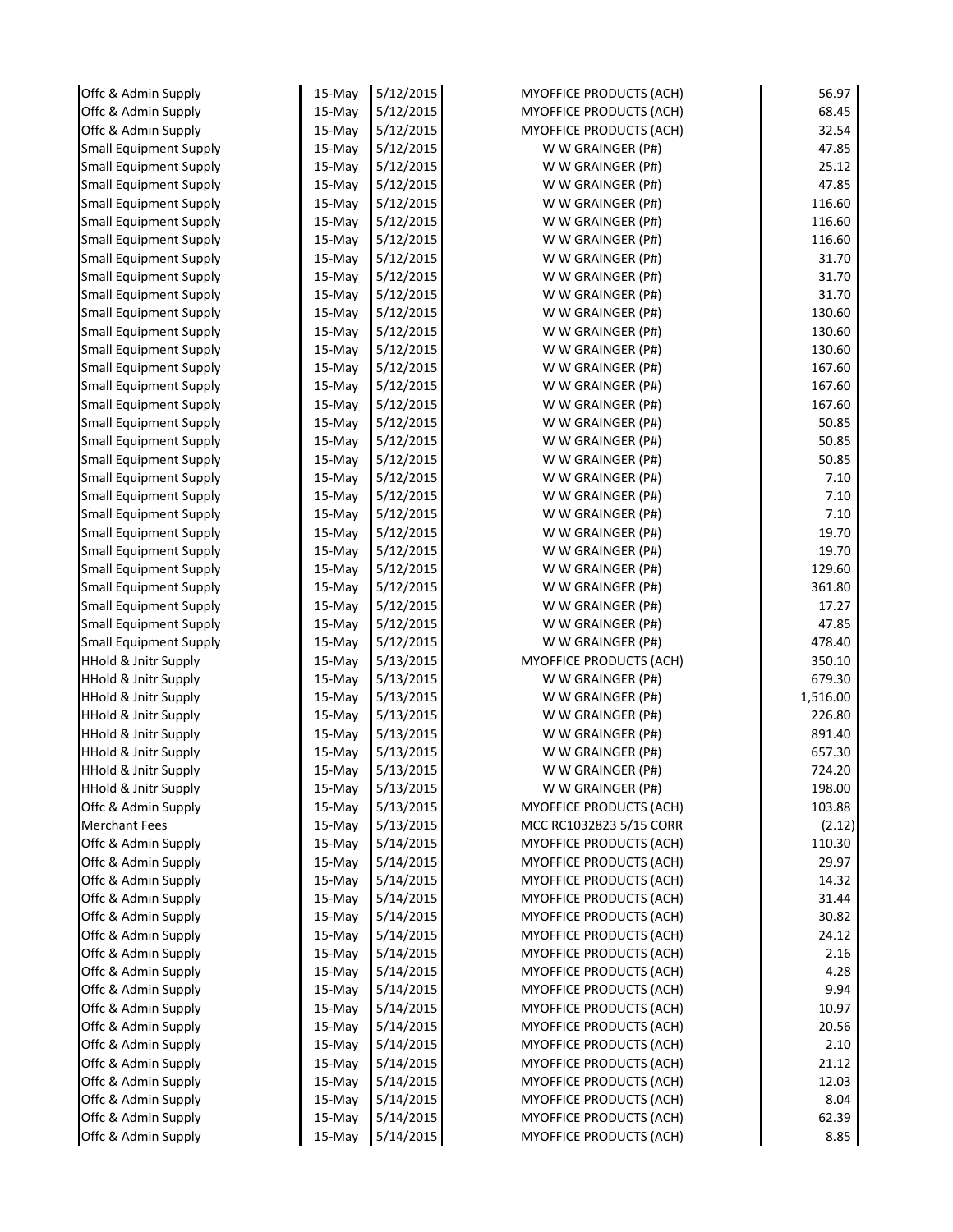| Offc & Admin Supply             | 15-May    | 5/12/2015 | MYOFFICE PRODUCTS (ACH)        | 56.97    |
|---------------------------------|-----------|-----------|--------------------------------|----------|
| Offc & Admin Supply             | 15-May    | 5/12/2015 | <b>MYOFFICE PRODUCTS (ACH)</b> | 68.45    |
| Offc & Admin Supply             | 15-May    | 5/12/2015 | <b>MYOFFICE PRODUCTS (ACH)</b> | 32.54    |
| <b>Small Equipment Supply</b>   | 15-May    | 5/12/2015 | W W GRAINGER (P#)              | 47.85    |
| <b>Small Equipment Supply</b>   | 15-May    | 5/12/2015 | W W GRAINGER (P#)              | 25.12    |
| <b>Small Equipment Supply</b>   | 15-May    | 5/12/2015 | W W GRAINGER (P#)              | 47.85    |
| <b>Small Equipment Supply</b>   | 15-May    | 5/12/2015 | W W GRAINGER (P#)              | 116.60   |
| <b>Small Equipment Supply</b>   | 15-May    | 5/12/2015 | W W GRAINGER (P#)              | 116.60   |
| <b>Small Equipment Supply</b>   | 15-May    | 5/12/2015 | W W GRAINGER (P#)              | 116.60   |
| <b>Small Equipment Supply</b>   | $15$ -May | 5/12/2015 | W W GRAINGER (P#)              | 31.70    |
| <b>Small Equipment Supply</b>   | 15-May    | 5/12/2015 | W W GRAINGER (P#)              | 31.70    |
| <b>Small Equipment Supply</b>   | 15-May    | 5/12/2015 | W W GRAINGER (P#)              | 31.70    |
| <b>Small Equipment Supply</b>   | 15-May    | 5/12/2015 | W W GRAINGER (P#)              | 130.60   |
| <b>Small Equipment Supply</b>   | 15-May    | 5/12/2015 | W W GRAINGER (P#)              | 130.60   |
| <b>Small Equipment Supply</b>   | 15-May    | 5/12/2015 | W W GRAINGER (P#)              | 130.60   |
| <b>Small Equipment Supply</b>   | 15-May    | 5/12/2015 | W W GRAINGER (P#)              | 167.60   |
| <b>Small Equipment Supply</b>   | 15-May    | 5/12/2015 | W W GRAINGER (P#)              | 167.60   |
| <b>Small Equipment Supply</b>   | 15-May    | 5/12/2015 | W W GRAINGER (P#)              | 167.60   |
| <b>Small Equipment Supply</b>   | 15-May    | 5/12/2015 | W W GRAINGER (P#)              | 50.85    |
| <b>Small Equipment Supply</b>   | 15-May    | 5/12/2015 | W W GRAINGER (P#)              | 50.85    |
| <b>Small Equipment Supply</b>   | 15-May    | 5/12/2015 | W W GRAINGER (P#)              | 50.85    |
| <b>Small Equipment Supply</b>   | 15-May    | 5/12/2015 | W W GRAINGER (P#)              | 7.10     |
| <b>Small Equipment Supply</b>   | 15-May    | 5/12/2015 | W W GRAINGER (P#)              | 7.10     |
| <b>Small Equipment Supply</b>   | 15-May    | 5/12/2015 | W W GRAINGER (P#)              | 7.10     |
| <b>Small Equipment Supply</b>   | 15-May    | 5/12/2015 | W W GRAINGER (P#)              | 19.70    |
| <b>Small Equipment Supply</b>   | 15-May    | 5/12/2015 | W W GRAINGER (P#)              | 19.70    |
| <b>Small Equipment Supply</b>   | 15-May    | 5/12/2015 | W W GRAINGER (P#)              | 129.60   |
| <b>Small Equipment Supply</b>   | 15-May    | 5/12/2015 | W W GRAINGER (P#)              | 361.80   |
| <b>Small Equipment Supply</b>   | 15-May    | 5/12/2015 | W W GRAINGER (P#)              | 17.27    |
| <b>Small Equipment Supply</b>   | 15-May    | 5/12/2015 | W W GRAINGER (P#)              | 47.85    |
| <b>Small Equipment Supply</b>   | 15-May    | 5/12/2015 | W W GRAINGER (P#)              | 478.40   |
| <b>HHold &amp; Jnitr Supply</b> | 15-May    | 5/13/2015 | MYOFFICE PRODUCTS (ACH)        | 350.10   |
| <b>HHold &amp; Jnitr Supply</b> | 15-May    | 5/13/2015 | W W GRAINGER (P#)              | 679.30   |
| <b>HHold &amp; Jnitr Supply</b> | 15-May    | 5/13/2015 | W W GRAINGER (P#)              | 1,516.00 |
| <b>HHold &amp; Jnitr Supply</b> | $15$ -May | 5/13/2015 | W W GRAINGER (P#)              | 226.80   |
| <b>HHold &amp; Jnitr Supply</b> | 15-May    | 5/13/2015 | W W GRAINGER (P#)              | 891.40   |
| <b>HHold &amp; Jnitr Supply</b> | 15-May    | 5/13/2015 | W W GRAINGER (P#)              | 657.30   |
| <b>HHold &amp; Jnitr Supply</b> | 15-May    | 5/13/2015 | W W GRAINGER (P#)              | 724.20   |
| <b>HHold &amp; Jnitr Supply</b> | 15-May    | 5/13/2015 | W W GRAINGER (P#)              | 198.00   |
| Offc & Admin Supply             | 15-May    | 5/13/2015 | MYOFFICE PRODUCTS (ACH)        | 103.88   |
| <b>Merchant Fees</b>            | $15$ -May | 5/13/2015 | MCC RC1032823 5/15 CORR        | (2.12)   |
| Offc & Admin Supply             | $15$ -May | 5/14/2015 | <b>MYOFFICE PRODUCTS (ACH)</b> | 110.30   |
| Offc & Admin Supply             | 15-May    | 5/14/2015 | <b>MYOFFICE PRODUCTS (ACH)</b> | 29.97    |
| Offc & Admin Supply             | 15-May    | 5/14/2015 | <b>MYOFFICE PRODUCTS (ACH)</b> | 14.32    |
| Offc & Admin Supply             | 15-May    | 5/14/2015 | <b>MYOFFICE PRODUCTS (ACH)</b> | 31.44    |
| Offc & Admin Supply             | 15-May    | 5/14/2015 | <b>MYOFFICE PRODUCTS (ACH)</b> | 30.82    |
| Offc & Admin Supply             | 15-May    | 5/14/2015 | <b>MYOFFICE PRODUCTS (ACH)</b> | 24.12    |
| Offc & Admin Supply             | 15-May    | 5/14/2015 | MYOFFICE PRODUCTS (ACH)        | 2.16     |
| Offc & Admin Supply             | 15-May    | 5/14/2015 | <b>MYOFFICE PRODUCTS (ACH)</b> | 4.28     |
| Offc & Admin Supply             | 15-May    | 5/14/2015 | <b>MYOFFICE PRODUCTS (ACH)</b> | 9.94     |
| Offc & Admin Supply             | 15-May    | 5/14/2015 | MYOFFICE PRODUCTS (ACH)        | 10.97    |
| Offc & Admin Supply             | $15$ -May | 5/14/2015 | <b>MYOFFICE PRODUCTS (ACH)</b> | 20.56    |
| Offc & Admin Supply             | $15$ -May | 5/14/2015 | <b>MYOFFICE PRODUCTS (ACH)</b> | 2.10     |
| Offc & Admin Supply             | 15-May    | 5/14/2015 | MYOFFICE PRODUCTS (ACH)        | 21.12    |
| Offc & Admin Supply             | $15$ -May | 5/14/2015 | MYOFFICE PRODUCTS (ACH)        | 12.03    |
| Offc & Admin Supply             | 15-May    | 5/14/2015 | MYOFFICE PRODUCTS (ACH)        | 8.04     |
| Offc & Admin Supply             | 15-May    | 5/14/2015 | <b>MYOFFICE PRODUCTS (ACH)</b> | 62.39    |
| Offc & Admin Supply             | 15-May    | 5/14/2015 | <b>MYOFFICE PRODUCTS (ACH)</b> | 8.85     |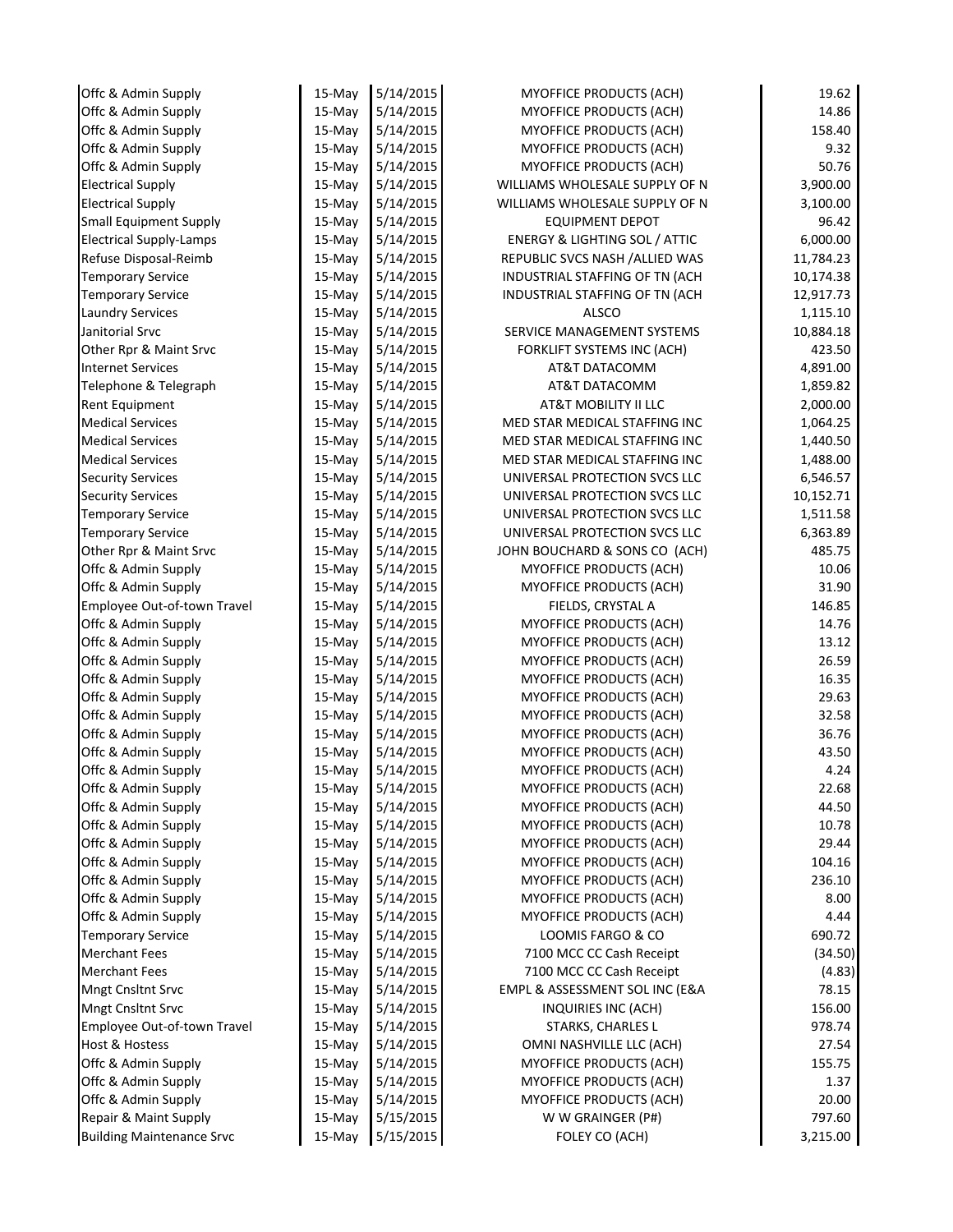| Offc & Admin Supply                              | 15-May           | 5/14/2015              | <b>MYOFFICE PRODUCTS (ACH)</b>                      | 19.62          |
|--------------------------------------------------|------------------|------------------------|-----------------------------------------------------|----------------|
| Offc & Admin Supply                              | $15-May$         | 5/14/2015              | MYOFFICE PRODUCTS (ACH)                             | 14.86          |
| Offc & Admin Supply                              | 15-May           | 5/14/2015              | MYOFFICE PRODUCTS (ACH)                             | 158.40         |
| Offc & Admin Supply                              | 15-May           | 5/14/2015              | MYOFFICE PRODUCTS (ACH)                             | 9.32           |
| Offc & Admin Supply                              | $15-May$         | 5/14/2015              | MYOFFICE PRODUCTS (ACH)                             | 50.76          |
| <b>Electrical Supply</b>                         | 15-May           | 5/14/2015              | WILLIAMS WHOLESALE SUPPLY OF N                      | 3,900.00       |
| <b>Electrical Supply</b>                         | 15-May           | 5/14/2015              | WILLIAMS WHOLESALE SUPPLY OF N                      | 3,100.00       |
| <b>Small Equipment Supply</b>                    | 15-May           | 5/14/2015              | <b>EQUIPMENT DEPOT</b>                              | 96.42          |
| <b>Electrical Supply-Lamps</b>                   | $15-May$         | 5/14/2015              | <b>ENERGY &amp; LIGHTING SOL / ATTIC</b>            | 6,000.00       |
| Refuse Disposal-Reimb                            | $15-May$         | 5/14/2015              | REPUBLIC SVCS NASH / ALLIED WAS                     | 11,784.23      |
| <b>Temporary Service</b>                         | 15-May           | 5/14/2015              | INDUSTRIAL STAFFING OF TN (ACH                      | 10,174.38      |
| <b>Temporary Service</b>                         | 15-May           | 5/14/2015              | INDUSTRIAL STAFFING OF TN (ACH                      | 12,917.73      |
| <b>Laundry Services</b>                          | 15-May           | 5/14/2015              | <b>ALSCO</b>                                        | 1,115.10       |
| Janitorial Srvc                                  | 15-May           | 5/14/2015              | SERVICE MANAGEMENT SYSTEMS                          | 10,884.18      |
| Other Rpr & Maint Srvc                           | 15-May           | 5/14/2015              | FORKLIFT SYSTEMS INC (ACH)                          | 423.50         |
| <b>Internet Services</b>                         | 15-May           | 5/14/2015              | AT&T DATACOMM                                       | 4,891.00       |
| Telephone & Telegraph                            | 15-May           | 5/14/2015              | AT&T DATACOMM                                       | 1,859.82       |
| Rent Equipment                                   | 15-May           | 5/14/2015              | AT&T MOBILITY II LLC                                | 2,000.00       |
| <b>Medical Services</b>                          | $15-Mav$         | 5/14/2015              | MED STAR MEDICAL STAFFING INC                       | 1,064.25       |
| <b>Medical Services</b>                          | 15-May           | 5/14/2015              | MED STAR MEDICAL STAFFING INC                       | 1,440.50       |
| <b>Medical Services</b>                          | 15-May           | 5/14/2015              | MED STAR MEDICAL STAFFING INC                       | 1,488.00       |
| <b>Security Services</b>                         | 15-May           | 5/14/2015              | UNIVERSAL PROTECTION SVCS LLC                       | 6,546.57       |
| <b>Security Services</b>                         | 15-May           | 5/14/2015              | UNIVERSAL PROTECTION SVCS LLC                       | 10,152.71      |
| <b>Temporary Service</b>                         | 15-May           | 5/14/2015              | UNIVERSAL PROTECTION SVCS LLC                       | 1,511.58       |
| <b>Temporary Service</b>                         | 15-May           | 5/14/2015              | UNIVERSAL PROTECTION SVCS LLC                       | 6,363.89       |
| Other Rpr & Maint Srvc                           | 15-May           | 5/14/2015              | JOHN BOUCHARD & SONS CO (ACH)                       | 485.75         |
| Offc & Admin Supply                              | $15-May$         | 5/14/2015              | MYOFFICE PRODUCTS (ACH)                             | 10.06          |
| Offc & Admin Supply                              | 15-May           | 5/14/2015              | MYOFFICE PRODUCTS (ACH)                             | 31.90          |
| Employee Out-of-town Travel                      | 15-May           | 5/14/2015              | FIELDS, CRYSTAL A                                   | 146.85         |
| Offc & Admin Supply                              | $15-May$         | 5/14/2015              | MYOFFICE PRODUCTS (ACH)                             | 14.76          |
| Offc & Admin Supply                              | $15-May$         | 5/14/2015              | MYOFFICE PRODUCTS (ACH)                             | 13.12          |
| Offc & Admin Supply                              | 15-May           | 5/14/2015              | MYOFFICE PRODUCTS (ACH)                             | 26.59          |
| Offc & Admin Supply                              | $15-May$         | 5/14/2015              | MYOFFICE PRODUCTS (ACH)                             | 16.35          |
| Offc & Admin Supply                              | 15-May           | 5/14/2015              | MYOFFICE PRODUCTS (ACH)                             | 29.63          |
| Offc & Admin Supply                              | $15-May$         | 5/14/2015              | MYOFFICE PRODUCTS (ACH)                             | 32.58          |
| Offc & Admin Supply                              | 15-May           | 5/14/2015              | MYOFFICE PRODUCTS (ACH)                             | 36.76          |
| Offc & Admin Supply                              | 15-May           | 5/14/2015              | MYOFFICE PRODUCTS (ACH)                             | 43.50          |
| Offc & Admin Supply                              | 15-May           | 5/14/2015              | MYOFFICE PRODUCTS (ACH)                             | 4.24           |
| Offc & Admin Supply                              | 15-May           | 5/14/2015              | <b>MYOFFICE PRODUCTS (ACH)</b>                      | 22.68          |
| Offc & Admin Supply                              | 15-May           | 5/14/2015              | MYOFFICE PRODUCTS (ACH)                             | 44.50          |
| Offc & Admin Supply                              | $15$ -May        | 5/14/2015              | <b>MYOFFICE PRODUCTS (ACH)</b>                      | 10.78          |
| Offc & Admin Supply                              | 15-May           | 5/14/2015              | <b>MYOFFICE PRODUCTS (ACH)</b>                      | 29.44          |
| Offc & Admin Supply                              | 15-May           | 5/14/2015              | MYOFFICE PRODUCTS (ACH)                             | 104.16         |
| Offc & Admin Supply                              | 15-May           | 5/14/2015              | <b>MYOFFICE PRODUCTS (ACH)</b>                      | 236.10         |
| Offc & Admin Supply                              | 15-May           | 5/14/2015              | MYOFFICE PRODUCTS (ACH)                             | 8.00           |
| Offc & Admin Supply                              | 15-May           | 5/14/2015<br>5/14/2015 | <b>MYOFFICE PRODUCTS (ACH)</b><br>LOOMIS FARGO & CO | 4.44<br>690.72 |
| <b>Temporary Service</b><br><b>Merchant Fees</b> | 15-May<br>15-May | 5/14/2015              | 7100 MCC CC Cash Receipt                            | (34.50)        |
| <b>Merchant Fees</b>                             | 15-May           | 5/14/2015              | 7100 MCC CC Cash Receipt                            | (4.83)         |
| Mngt Cnsltnt Srvc                                | 15-May           | 5/14/2015              | EMPL & ASSESSMENT SOL INC (E&A                      | 78.15          |
| Mngt Cnsltnt Srvc                                | 15-May           | 5/14/2015              | INQUIRIES INC (ACH)                                 | 156.00         |
| Employee Out-of-town Travel                      | 15-May           | 5/14/2015              | <b>STARKS, CHARLES L</b>                            | 978.74         |
| Host & Hostess                                   | $15$ -May        | 5/14/2015              | OMNI NASHVILLE LLC (ACH)                            | 27.54          |
| Offc & Admin Supply                              | 15-May           | 5/14/2015              | MYOFFICE PRODUCTS (ACH)                             | 155.75         |
| Offc & Admin Supply                              | $15-May$         | 5/14/2015              | MYOFFICE PRODUCTS (ACH)                             | 1.37           |
| Offc & Admin Supply                              | 15-May           | 5/14/2015              | MYOFFICE PRODUCTS (ACH)                             | 20.00          |
| Repair & Maint Supply                            | 15-May           | 5/15/2015              | W W GRAINGER (P#)                                   | 797.60         |
| <b>Building Maintenance Srvc</b>                 | 15-May           | 5/15/2015              | FOLEY CO (ACH)                                      | 3,215.00       |
|                                                  |                  |                        |                                                     |                |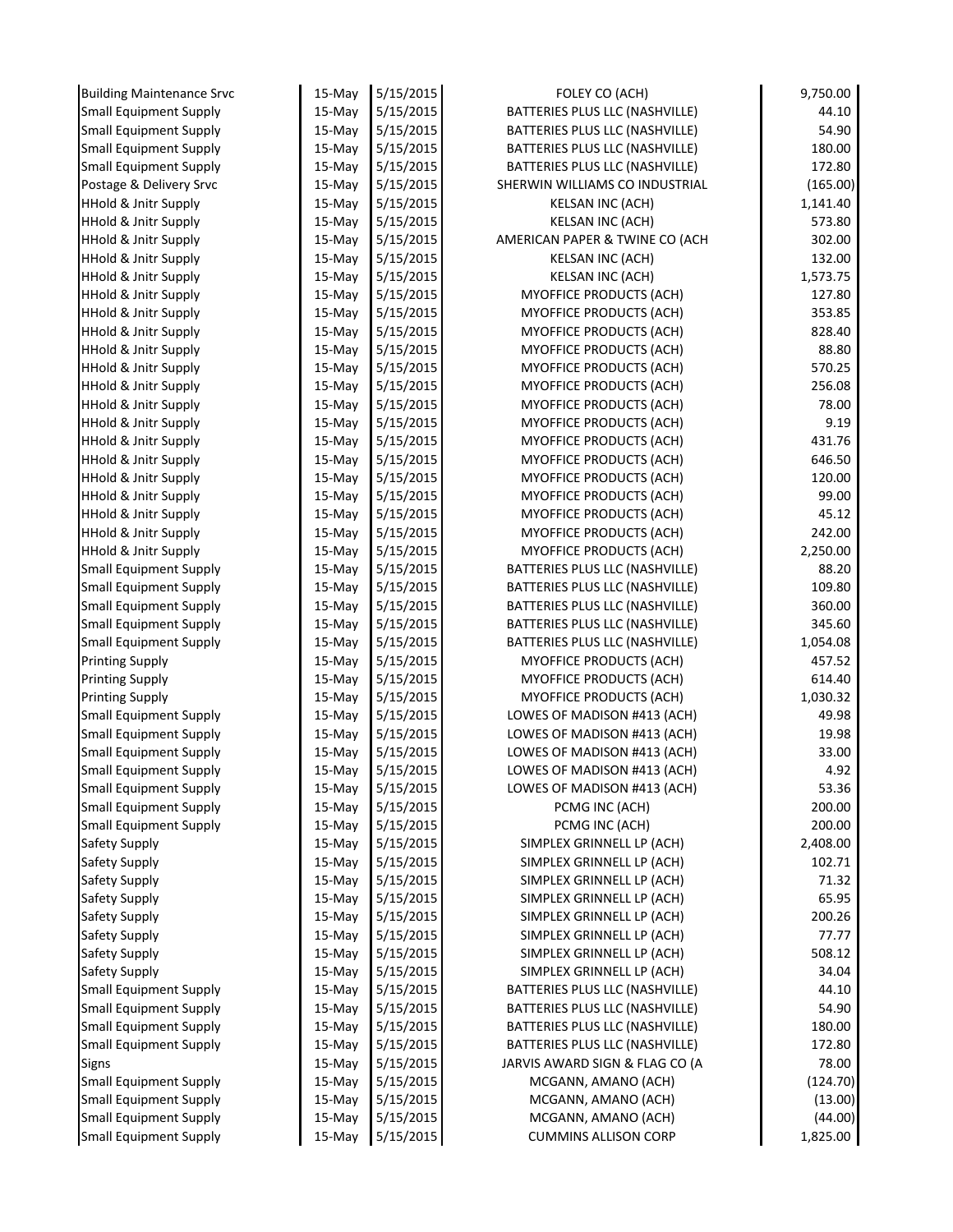| <b>Building Maintenance Srvc</b>                               | $15-May$         | 5/15/2015              | FOLEY CO (ACH)                                | 9,750.00      |
|----------------------------------------------------------------|------------------|------------------------|-----------------------------------------------|---------------|
| <b>Small Equipment Supply</b>                                  | 15-May           | 5/15/2015              | BATTERIES PLUS LLC (NASHVILLE)                | 44.10         |
| <b>Small Equipment Supply</b>                                  | 15-May           | 5/15/2015              | BATTERIES PLUS LLC (NASHVILLE)                | 54.90         |
| <b>Small Equipment Supply</b>                                  | 15-May           | 5/15/2015              | BATTERIES PLUS LLC (NASHVILLE)                | 180.00        |
| <b>Small Equipment Supply</b>                                  | 15-May           | 5/15/2015              | BATTERIES PLUS LLC (NASHVILLE)                | 172.80        |
| Postage & Delivery Srvc                                        | 15-May           | 5/15/2015              | SHERWIN WILLIAMS CO INDUSTRIAL                | (165.00)      |
| <b>HHold &amp; Jnitr Supply</b>                                | 15-May           | 5/15/2015              | KELSAN INC (ACH)                              | 1,141.40      |
| <b>HHold &amp; Jnitr Supply</b>                                | 15-May           | 5/15/2015              | KELSAN INC (ACH)                              | 573.80        |
| <b>HHold &amp; Jnitr Supply</b>                                | 15-May           | 5/15/2015              | AMERICAN PAPER & TWINE CO (ACH                | 302.00        |
| <b>HHold &amp; Jnitr Supply</b>                                | 15-May           | 5/15/2015              | KELSAN INC (ACH)                              | 132.00        |
| <b>HHold &amp; Jnitr Supply</b>                                | 15-May           | 5/15/2015              | <b>KELSAN INC (ACH)</b>                       | 1,573.75      |
| <b>HHold &amp; Jnitr Supply</b>                                | 15-May           | 5/15/2015              | MYOFFICE PRODUCTS (ACH)                       | 127.80        |
| <b>HHold &amp; Jnitr Supply</b>                                | 15-May           | 5/15/2015              | MYOFFICE PRODUCTS (ACH)                       | 353.85        |
| <b>HHold &amp; Jnitr Supply</b>                                | 15-May           | 5/15/2015              | MYOFFICE PRODUCTS (ACH)                       | 828.40        |
| <b>HHold &amp; Jnitr Supply</b>                                | 15-May           | 5/15/2015              | <b>MYOFFICE PRODUCTS (ACH)</b>                | 88.80         |
| <b>HHold &amp; Jnitr Supply</b>                                | 15-May           | 5/15/2015              | <b>MYOFFICE PRODUCTS (ACH)</b>                | 570.25        |
| <b>HHold &amp; Jnitr Supply</b>                                | 15-May           | 5/15/2015              | <b>MYOFFICE PRODUCTS (ACH)</b>                | 256.08        |
| <b>HHold &amp; Jnitr Supply</b>                                | 15-May           | 5/15/2015              | <b>MYOFFICE PRODUCTS (ACH)</b>                | 78.00         |
| <b>HHold &amp; Jnitr Supply</b>                                | 15-May           | 5/15/2015              | MYOFFICE PRODUCTS (ACH)                       | 9.19          |
| <b>HHold &amp; Jnitr Supply</b>                                | 15-May           | 5/15/2015              | MYOFFICE PRODUCTS (ACH)                       | 431.76        |
| <b>HHold &amp; Jnitr Supply</b>                                | 15-May           | 5/15/2015              | MYOFFICE PRODUCTS (ACH)                       | 646.50        |
| <b>HHold &amp; Jnitr Supply</b>                                | 15-May           | 5/15/2015              | <b>MYOFFICE PRODUCTS (ACH)</b>                | 120.00        |
| <b>HHold &amp; Jnitr Supply</b>                                | 15-May           | 5/15/2015              | MYOFFICE PRODUCTS (ACH)                       | 99.00         |
| <b>HHold &amp; Jnitr Supply</b>                                | 15-May           | 5/15/2015              | MYOFFICE PRODUCTS (ACH)                       | 45.12         |
| <b>HHold &amp; Jnitr Supply</b>                                | 15-May           | 5/15/2015              | MYOFFICE PRODUCTS (ACH)                       | 242.00        |
| <b>HHold &amp; Jnitr Supply</b>                                | 15-May           | 5/15/2015              | MYOFFICE PRODUCTS (ACH)                       | 2,250.00      |
| Small Equipment Supply                                         | 15-May           | 5/15/2015              | BATTERIES PLUS LLC (NASHVILLE)                | 88.20         |
| <b>Small Equipment Supply</b>                                  | 15-May           | 5/15/2015              | BATTERIES PLUS LLC (NASHVILLE)                | 109.80        |
| <b>Small Equipment Supply</b>                                  | 15-May           | 5/15/2015              | BATTERIES PLUS LLC (NASHVILLE)                | 360.00        |
| <b>Small Equipment Supply</b>                                  | 15-May           | 5/15/2015              | BATTERIES PLUS LLC (NASHVILLE)                | 345.60        |
| <b>Small Equipment Supply</b>                                  | 15-May           | 5/15/2015              | BATTERIES PLUS LLC (NASHVILLE)                | 1,054.08      |
| <b>Printing Supply</b>                                         | 15-May           | 5/15/2015              | MYOFFICE PRODUCTS (ACH)                       | 457.52        |
| <b>Printing Supply</b>                                         | 15-May           | 5/15/2015              | MYOFFICE PRODUCTS (ACH)                       | 614.40        |
| <b>Printing Supply</b>                                         | 15-May           | 5/15/2015              | MYOFFICE PRODUCTS (ACH)                       | 1,030.32      |
| <b>Small Equipment Supply</b>                                  | 15-May           | 5/15/2015              | LOWES OF MADISON #413 (ACH)                   | 49.98         |
| <b>Small Equipment Supply</b>                                  | 15-May           | 5/15/2015              | LOWES OF MADISON #413 (ACH)                   | 19.98         |
| <b>Small Equipment Supply</b>                                  | 15-May           | 5/15/2015              | LOWES OF MADISON #413 (ACH)                   | 33.00         |
| <b>Small Equipment Supply</b>                                  | 15-May           | 5/15/2015              | LOWES OF MADISON #413 (ACH)                   | 4.92<br>53.36 |
| <b>Small Equipment Supply</b>                                  | 15-May           | 5/15/2015<br>5/15/2015 | LOWES OF MADISON #413 (ACH)<br>PCMG INC (ACH) | 200.00        |
| <b>Small Equipment Supply</b><br><b>Small Equipment Supply</b> | 15-May<br>15-May | 5/15/2015              | PCMG INC (ACH)                                | 200.00        |
| Safety Supply                                                  | $15$ -May        | 5/15/2015              | SIMPLEX GRINNELL LP (ACH)                     | 2,408.00      |
| Safety Supply                                                  | 15-May           | 5/15/2015              | SIMPLEX GRINNELL LP (ACH)                     | 102.71        |
| Safety Supply                                                  | 15-May           | 5/15/2015              | SIMPLEX GRINNELL LP (ACH)                     | 71.32         |
| Safety Supply                                                  | 15-May           | 5/15/2015              | SIMPLEX GRINNELL LP (ACH)                     | 65.95         |
| Safety Supply                                                  | 15-May           | 5/15/2015              | SIMPLEX GRINNELL LP (ACH)                     | 200.26        |
| Safety Supply                                                  | 15-May           | 5/15/2015              | SIMPLEX GRINNELL LP (ACH)                     | 77.77         |
| Safety Supply                                                  | $15-May$         | 5/15/2015              | SIMPLEX GRINNELL LP (ACH)                     | 508.12        |
| Safety Supply                                                  | 15-May           | 5/15/2015              | SIMPLEX GRINNELL LP (ACH)                     | 34.04         |
| <b>Small Equipment Supply</b>                                  | 15-May           | 5/15/2015              | BATTERIES PLUS LLC (NASHVILLE)                | 44.10         |
| <b>Small Equipment Supply</b>                                  | 15-May           | 5/15/2015              | BATTERIES PLUS LLC (NASHVILLE)                | 54.90         |
| <b>Small Equipment Supply</b>                                  | 15-May           | 5/15/2015              | BATTERIES PLUS LLC (NASHVILLE)                | 180.00        |
| <b>Small Equipment Supply</b>                                  | 15-May           | 5/15/2015              | BATTERIES PLUS LLC (NASHVILLE)                | 172.80        |
| Signs                                                          | 15-May           | 5/15/2015              | JARVIS AWARD SIGN & FLAG CO (A                | 78.00         |
| <b>Small Equipment Supply</b>                                  | 15-May           | 5/15/2015              | MCGANN, AMANO (ACH)                           | (124.70)      |
| <b>Small Equipment Supply</b>                                  | 15-May           | 5/15/2015              | MCGANN, AMANO (ACH)                           | (13.00)       |
| <b>Small Equipment Supply</b>                                  | 15-May           | 5/15/2015              | MCGANN, AMANO (ACH)                           | (44.00)       |
| <b>Small Equipment Supply</b>                                  | 15-May           | 5/15/2015              | <b>CUMMINS ALLISON CORP</b>                   | 1,825.00      |
|                                                                |                  |                        |                                               |               |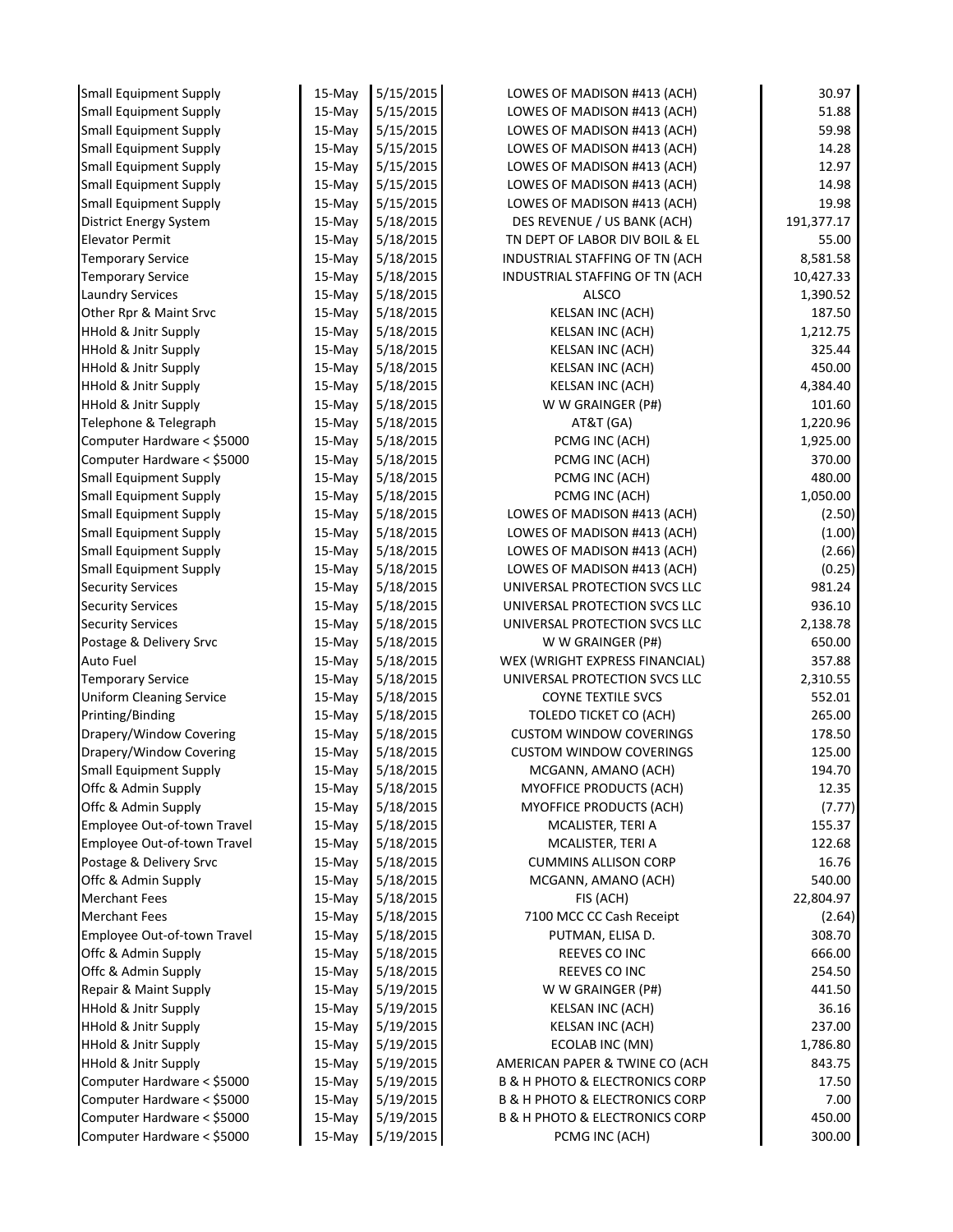| <b>Small Equipment Supply</b>   | 15-May   | 5/15/2015 | LOWES OF MADISON #413 (ACH)                   | 30.97      |
|---------------------------------|----------|-----------|-----------------------------------------------|------------|
| <b>Small Equipment Supply</b>   | $15-May$ | 5/15/2015 | LOWES OF MADISON #413 (ACH)                   | 51.88      |
| Small Equipment Supply          | $15-May$ | 5/15/2015 | LOWES OF MADISON #413 (ACH)                   | 59.98      |
| <b>Small Equipment Supply</b>   | $15-Mav$ | 5/15/2015 | LOWES OF MADISON #413 (ACH)                   | 14.28      |
| <b>Small Equipment Supply</b>   | $15-Mav$ | 5/15/2015 | LOWES OF MADISON #413 (ACH)                   | 12.97      |
| <b>Small Equipment Supply</b>   | $15-May$ | 5/15/2015 | LOWES OF MADISON #413 (ACH)                   | 14.98      |
| <b>Small Equipment Supply</b>   | 15-May   | 5/15/2015 | LOWES OF MADISON #413 (ACH)                   | 19.98      |
| <b>District Energy System</b>   | $15-Mav$ | 5/18/2015 | DES REVENUE / US BANK (ACH)                   | 191,377.17 |
| <b>Elevator Permit</b>          | $15-Mav$ | 5/18/2015 | TN DEPT OF LABOR DIV BOIL & EL                | 55.00      |
| <b>Temporary Service</b>        | 15-May   | 5/18/2015 | INDUSTRIAL STAFFING OF TN (ACH                | 8,581.58   |
| <b>Temporary Service</b>        | 15-May   | 5/18/2015 | INDUSTRIAL STAFFING OF TN (ACH                | 10,427.33  |
| <b>Laundry Services</b>         | 15-May   | 5/18/2015 | <b>ALSCO</b>                                  | 1,390.52   |
| Other Rpr & Maint Srvc          | 15-May   | 5/18/2015 | KELSAN INC (ACH)                              | 187.50     |
| <b>HHold &amp; Jnitr Supply</b> | $15-May$ | 5/18/2015 | KELSAN INC (ACH)                              | 1,212.75   |
| <b>HHold &amp; Jnitr Supply</b> | $15-May$ | 5/18/2015 | KELSAN INC (ACH)                              | 325.44     |
| <b>HHold &amp; Jnitr Supply</b> | 15-May   | 5/18/2015 | KELSAN INC (ACH)                              | 450.00     |
| <b>HHold &amp; Jnitr Supply</b> | 15-May   | 5/18/2015 | KELSAN INC (ACH)                              | 4,384.40   |
| <b>HHold &amp; Jnitr Supply</b> | 15-May   | 5/18/2015 | W W GRAINGER (P#)                             | 101.60     |
| Telephone & Telegraph           | 15-May   | 5/18/2015 | AT&T (GA)                                     | 1,220.96   |
| Computer Hardware < \$5000      | 15-May   | 5/18/2015 | PCMG INC (ACH)                                | 1,925.00   |
| Computer Hardware < \$5000      | 15-May   | 5/18/2015 | PCMG INC (ACH)                                | 370.00     |
| <b>Small Equipment Supply</b>   | 15-May   | 5/18/2015 | PCMG INC (ACH)                                | 480.00     |
| <b>Small Equipment Supply</b>   | 15-May   | 5/18/2015 | PCMG INC (ACH)                                | 1,050.00   |
| <b>Small Equipment Supply</b>   | 15-May   | 5/18/2015 | LOWES OF MADISON #413 (ACH)                   | (2.50)     |
| <b>Small Equipment Supply</b>   | 15-May   | 5/18/2015 | LOWES OF MADISON #413 (ACH)                   | (1.00)     |
| <b>Small Equipment Supply</b>   | $15-May$ | 5/18/2015 | LOWES OF MADISON #413 (ACH)                   | (2.66)     |
| <b>Small Equipment Supply</b>   | 15-May   | 5/18/2015 | LOWES OF MADISON #413 (ACH)                   | (0.25)     |
| <b>Security Services</b>        | $15-May$ | 5/18/2015 | UNIVERSAL PROTECTION SVCS LLC                 | 981.24     |
| <b>Security Services</b>        | $15-May$ | 5/18/2015 | UNIVERSAL PROTECTION SVCS LLC                 | 936.10     |
| <b>Security Services</b>        | 15-May   | 5/18/2015 | UNIVERSAL PROTECTION SVCS LLC                 | 2,138.78   |
| Postage & Delivery Srvc         | $15-May$ | 5/18/2015 | W W GRAINGER (P#)                             | 650.00     |
| <b>Auto Fuel</b>                | 15-May   | 5/18/2015 | WEX (WRIGHT EXPRESS FINANCIAL)                | 357.88     |
| <b>Temporary Service</b>        | 15-May   | 5/18/2015 | UNIVERSAL PROTECTION SVCS LLC                 | 2,310.55   |
| <b>Uniform Cleaning Service</b> | 15-May   | 5/18/2015 | <b>COYNE TEXTILE SVCS</b>                     | 552.01     |
| Printing/Binding                | $15-Mav$ | 5/18/2015 | TOLEDO TICKET CO (ACH)                        | 265.00     |
| Drapery/Window Covering         | 15-May   | 5/18/2015 | <b>CUSTOM WINDOW COVERINGS</b>                | 178.50     |
| Drapery/Window Covering         | $15-Mav$ | 5/18/2015 | <b>CUSTOM WINDOW COVERINGS</b>                | 125.00     |
| <b>Small Equipment Supply</b>   | 15-May   | 5/18/2015 | MCGANN, AMANO (ACH)                           | 194.70     |
| Offc & Admin Supply             | 15-May   | 5/18/2015 | MYOFFICE PRODUCTS (ACH)                       | 12.35      |
| Offc & Admin Supply             | $15-May$ | 5/18/2015 | MYOFFICE PRODUCTS (ACH)                       | (7.77)     |
| Employee Out-of-town Travel     | 15-May   | 5/18/2015 | MCALISTER, TERI A                             | 155.37     |
| Employee Out-of-town Travel     | 15-May   | 5/18/2015 | MCALISTER, TERI A                             | 122.68     |
| Postage & Delivery Srvc         | 15-May   | 5/18/2015 | <b>CUMMINS ALLISON CORP</b>                   | 16.76      |
| Offc & Admin Supply             | 15-May   | 5/18/2015 | MCGANN, AMANO (ACH)                           | 540.00     |
| <b>Merchant Fees</b>            | 15-May   | 5/18/2015 | FIS (ACH)                                     | 22,804.97  |
| <b>Merchant Fees</b>            | 15-May   | 5/18/2015 | 7100 MCC CC Cash Receipt                      | (2.64)     |
| Employee Out-of-town Travel     | 15-May   | 5/18/2015 | PUTMAN, ELISA D.                              | 308.70     |
| Offc & Admin Supply             | 15-May   | 5/18/2015 | REEVES CO INC                                 | 666.00     |
| Offc & Admin Supply             | 15-May   | 5/18/2015 | REEVES CO INC                                 | 254.50     |
| Repair & Maint Supply           | 15-May   | 5/19/2015 | W W GRAINGER (P#)                             | 441.50     |
| <b>HHold &amp; Jnitr Supply</b> | 15-May   | 5/19/2015 | <b>KELSAN INC (ACH)</b>                       | 36.16      |
| <b>HHold &amp; Jnitr Supply</b> | 15-May   | 5/19/2015 | KELSAN INC (ACH)                              | 237.00     |
| <b>HHold &amp; Jnitr Supply</b> | 15-May   | 5/19/2015 | ECOLAB INC (MN)                               | 1,786.80   |
| <b>HHold &amp; Jnitr Supply</b> | 15-May   | 5/19/2015 | AMERICAN PAPER & TWINE CO (ACH                | 843.75     |
| Computer Hardware < \$5000      | 15-May   | 5/19/2015 | <b>B &amp; H PHOTO &amp; ELECTRONICS CORP</b> | 17.50      |
| Computer Hardware < \$5000      | 15-May   | 5/19/2015 | <b>B &amp; H PHOTO &amp; ELECTRONICS CORP</b> | 7.00       |
|                                 |          |           |                                               |            |
| Computer Hardware < \$5000      | 15-May   | 5/19/2015 | <b>B &amp; H PHOTO &amp; ELECTRONICS CORP</b> | 450.00     |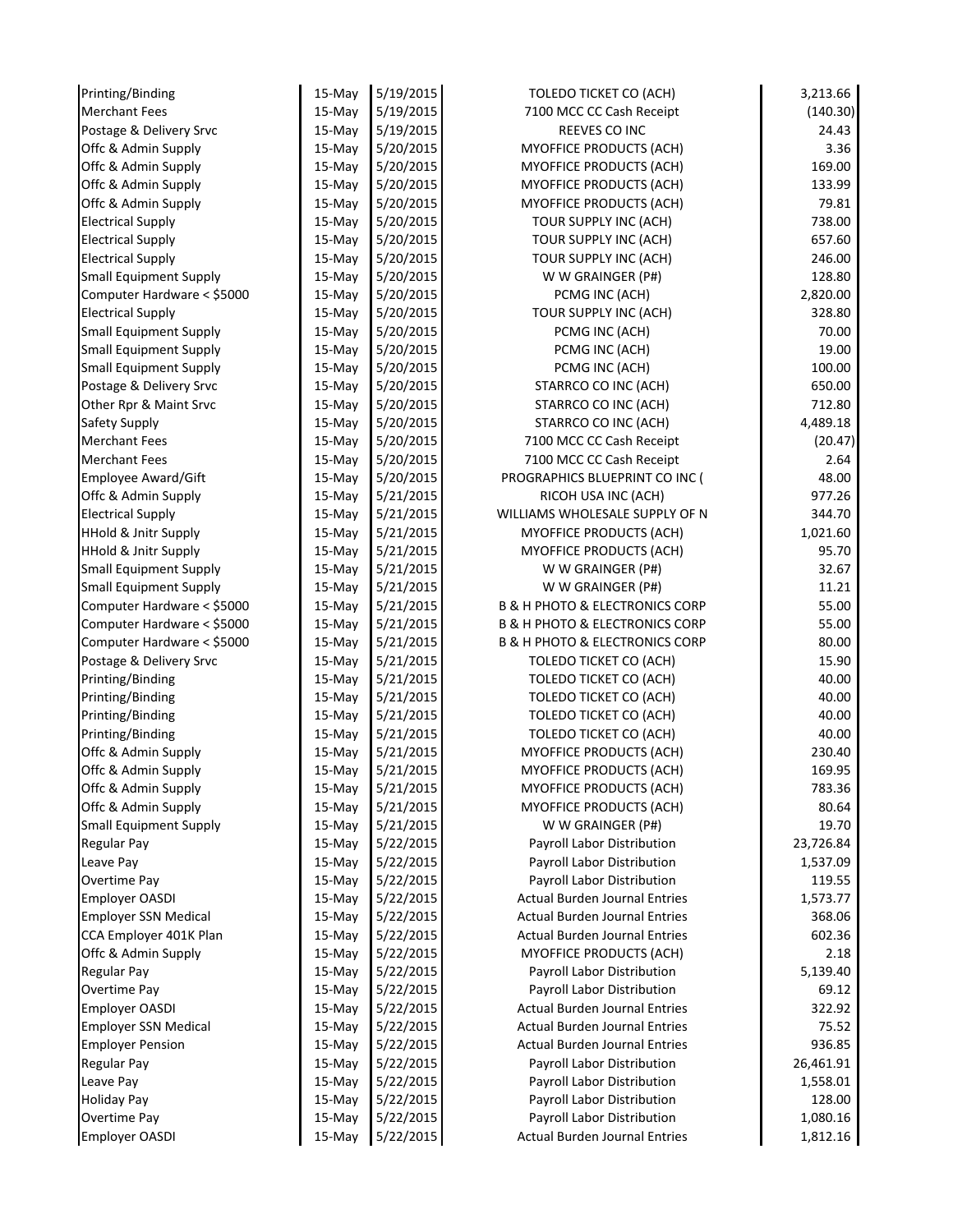| Printing/Binding                | 15-May    | 5/19/2015 | TOLEDO TICKET CO (ACH)                        | 3,213.66  |
|---------------------------------|-----------|-----------|-----------------------------------------------|-----------|
| <b>Merchant Fees</b>            | 15-May    | 5/19/2015 | 7100 MCC CC Cash Receipt                      | (140.30)  |
| Postage & Delivery Srvc         | 15-May    | 5/19/2015 | REEVES CO INC                                 | 24.43     |
| Offc & Admin Supply             | 15-May    | 5/20/2015 | MYOFFICE PRODUCTS (ACH)                       | 3.36      |
| Offc & Admin Supply             | 15-May    | 5/20/2015 | MYOFFICE PRODUCTS (ACH)                       | 169.00    |
| Offc & Admin Supply             | 15-May    | 5/20/2015 | MYOFFICE PRODUCTS (ACH)                       | 133.99    |
| Offc & Admin Supply             | 15-May    | 5/20/2015 | MYOFFICE PRODUCTS (ACH)                       | 79.81     |
| <b>Electrical Supply</b>        | $15-May$  | 5/20/2015 | TOUR SUPPLY INC (ACH)                         | 738.00    |
| <b>Electrical Supply</b>        | 15-May    | 5/20/2015 | TOUR SUPPLY INC (ACH)                         | 657.60    |
| <b>Electrical Supply</b>        | $15-May$  | 5/20/2015 | TOUR SUPPLY INC (ACH)                         | 246.00    |
| <b>Small Equipment Supply</b>   | 15-May    | 5/20/2015 | W W GRAINGER (P#)                             | 128.80    |
| Computer Hardware < \$5000      | $15$ -May | 5/20/2015 | PCMG INC (ACH)                                | 2,820.00  |
| <b>Electrical Supply</b>        | 15-May    | 5/20/2015 | TOUR SUPPLY INC (ACH)                         | 328.80    |
| <b>Small Equipment Supply</b>   | 15-May    | 5/20/2015 | PCMG INC (ACH)                                | 70.00     |
| <b>Small Equipment Supply</b>   | 15-May    | 5/20/2015 | PCMG INC (ACH)                                | 19.00     |
| <b>Small Equipment Supply</b>   | 15-May    | 5/20/2015 | PCMG INC (ACH)                                | 100.00    |
| Postage & Delivery Srvc         | 15-May    | 5/20/2015 | STARRCO CO INC (ACH)                          | 650.00    |
| Other Rpr & Maint Srvc          | 15-May    | 5/20/2015 | STARRCO CO INC (ACH)                          | 712.80    |
| Safety Supply                   | $15-May$  | 5/20/2015 | STARRCO CO INC (ACH)                          | 4,489.18  |
| <b>Merchant Fees</b>            | 15-May    | 5/20/2015 | 7100 MCC CC Cash Receipt                      | (20.47)   |
| <b>Merchant Fees</b>            | 15-May    | 5/20/2015 | 7100 MCC CC Cash Receipt                      | 2.64      |
| Employee Award/Gift             | 15-May    | 5/20/2015 | PROGRAPHICS BLUEPRINT CO INC (                | 48.00     |
| Offc & Admin Supply             | 15-May    | 5/21/2015 | RICOH USA INC (ACH)                           | 977.26    |
| <b>Electrical Supply</b>        | $15-May$  | 5/21/2015 | WILLIAMS WHOLESALE SUPPLY OF N                | 344.70    |
| <b>HHold &amp; Jnitr Supply</b> | $15-May$  | 5/21/2015 | <b>MYOFFICE PRODUCTS (ACH)</b>                | 1,021.60  |
| <b>HHold &amp; Jnitr Supply</b> | 15-May    | 5/21/2015 | MYOFFICE PRODUCTS (ACH)                       | 95.70     |
| <b>Small Equipment Supply</b>   | $15-May$  | 5/21/2015 | W W GRAINGER (P#)                             | 32.67     |
| <b>Small Equipment Supply</b>   |           | 5/21/2015 | W W GRAINGER (P#)                             | 11.21     |
| Computer Hardware < \$5000      | 15-May    | 5/21/2015 | <b>B &amp; H PHOTO &amp; ELECTRONICS CORP</b> | 55.00     |
|                                 | 15-May    |           | <b>B &amp; H PHOTO &amp; ELECTRONICS CORP</b> |           |
| Computer Hardware < \$5000      | 15-May    | 5/21/2015 |                                               | 55.00     |
| Computer Hardware < \$5000      | 15-May    | 5/21/2015 | <b>B &amp; H PHOTO &amp; ELECTRONICS CORP</b> | 80.00     |
| Postage & Delivery Srvc         | 15-May    | 5/21/2015 | TOLEDO TICKET CO (ACH)                        | 15.90     |
| Printing/Binding                | $15-May$  | 5/21/2015 | TOLEDO TICKET CO (ACH)                        | 40.00     |
| Printing/Binding                | 15-May    | 5/21/2015 | TOLEDO TICKET CO (ACH)                        | 40.00     |
| Printing/Binding                | 15-May    | 5/21/2015 | TOLEDO TICKET CO (ACH)                        | 40.00     |
| Printing/Binding                | 15-May    | 5/21/2015 | TOLEDO TICKET CO (ACH)                        | 40.00     |
| Offc & Admin Supply             | 15-May    | 5/21/2015 | MYOFFICE PRODUCTS (ACH)                       | 230.40    |
| Offc & Admin Supply             | 15-May    | 5/21/2015 | MYOFFICE PRODUCTS (ACH)                       | 169.95    |
| Offc & Admin Supply             | 15-May    | 5/21/2015 | MYOFFICE PRODUCTS (ACH)                       | 783.36    |
| Offc & Admin Supply             | 15-May    | 5/21/2015 | MYOFFICE PRODUCTS (ACH)                       | 80.64     |
| <b>Small Equipment Supply</b>   | 15-May    | 5/21/2015 | W W GRAINGER (P#)                             | 19.70     |
| <b>Regular Pay</b>              | $15-May$  | 5/22/2015 | Payroll Labor Distribution                    | 23,726.84 |
| Leave Pay                       | 15-May    | 5/22/2015 | Payroll Labor Distribution                    | 1,537.09  |
| Overtime Pay                    | 15-May    | 5/22/2015 | Payroll Labor Distribution                    | 119.55    |
| <b>Employer OASDI</b>           | 15-May    | 5/22/2015 | <b>Actual Burden Journal Entries</b>          | 1,573.77  |
| <b>Employer SSN Medical</b>     | 15-May    | 5/22/2015 | <b>Actual Burden Journal Entries</b>          | 368.06    |
| CCA Employer 401K Plan          | 15-May    | 5/22/2015 | <b>Actual Burden Journal Entries</b>          | 602.36    |
| Offc & Admin Supply             | 15-May    | 5/22/2015 | MYOFFICE PRODUCTS (ACH)                       | 2.18      |
| <b>Regular Pay</b>              | 15-May    | 5/22/2015 | Payroll Labor Distribution                    | 5,139.40  |
| <b>Overtime Pay</b>             | 15-May    | 5/22/2015 | Payroll Labor Distribution                    | 69.12     |
| <b>Employer OASDI</b>           | 15-May    | 5/22/2015 | <b>Actual Burden Journal Entries</b>          | 322.92    |
| <b>Employer SSN Medical</b>     | $15-May$  | 5/22/2015 | <b>Actual Burden Journal Entries</b>          | 75.52     |
| <b>Employer Pension</b>         | 15-May    | 5/22/2015 | <b>Actual Burden Journal Entries</b>          | 936.85    |
| <b>Regular Pay</b>              | 15-May    | 5/22/2015 | Payroll Labor Distribution                    | 26,461.91 |
| Leave Pay                       | 15-May    | 5/22/2015 | Payroll Labor Distribution                    | 1,558.01  |
| <b>Holiday Pay</b>              | 15-May    | 5/22/2015 | Payroll Labor Distribution                    | 128.00    |
| Overtime Pay                    | 15-May    | 5/22/2015 | Payroll Labor Distribution                    | 1,080.16  |
| <b>Employer OASDI</b>           | 15-May    | 5/22/2015 | <b>Actual Burden Journal Entries</b>          | 1,812.16  |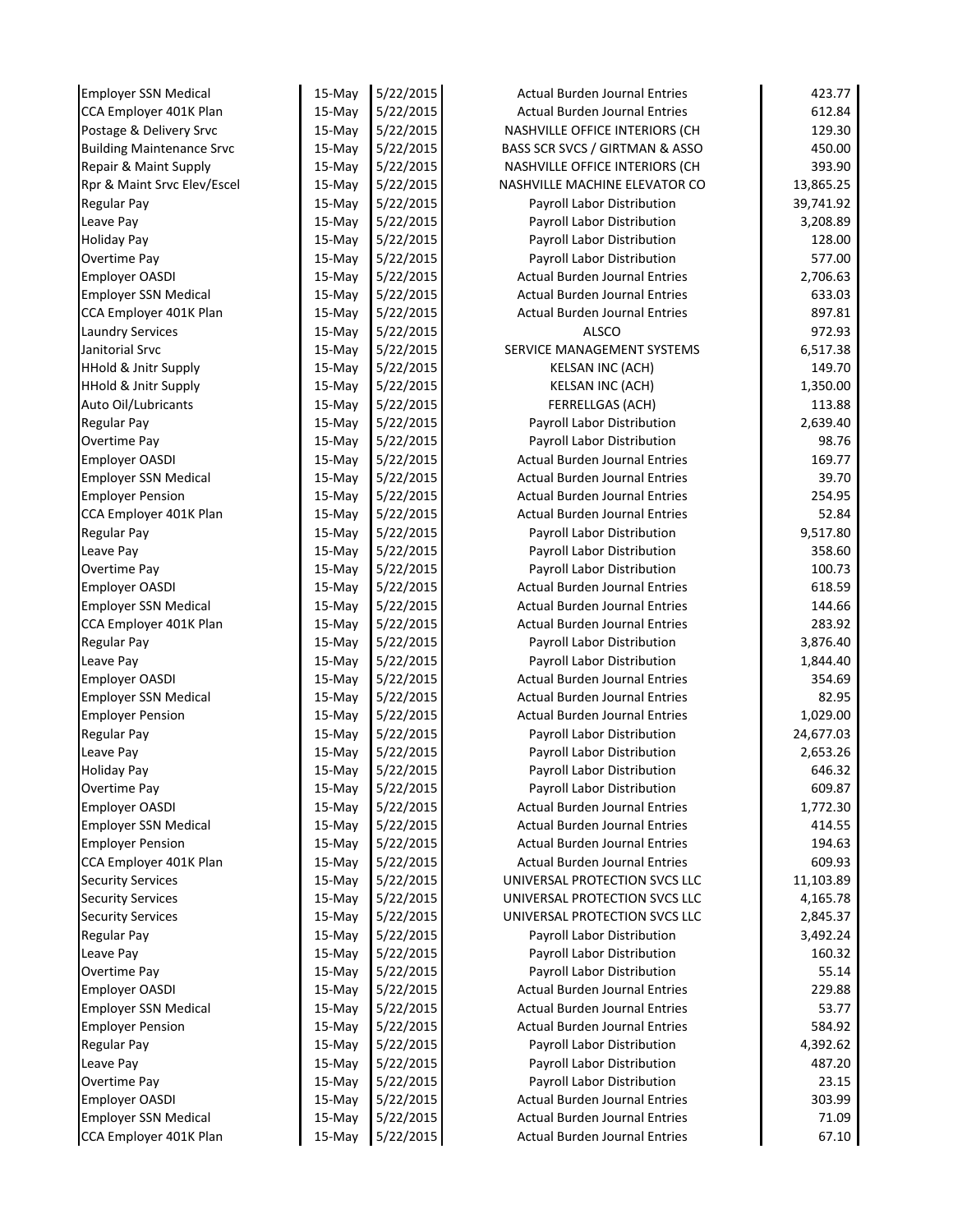| <b>Employer SSN Medical</b>      | 15-May           | 5/22/2015 | <b>Actual Burden Journal Entries</b>                               | 423.77             |
|----------------------------------|------------------|-----------|--------------------------------------------------------------------|--------------------|
| CCA Employer 401K Plan           | 15-May           | 5/22/2015 | <b>Actual Burden Journal Entries</b>                               | 612.84             |
| Postage & Delivery Srvc          | 15-May           | 5/22/2015 | NASHVILLE OFFICE INTERIORS (CH                                     | 129.30             |
| <b>Building Maintenance Srvc</b> | $15$ -May        | 5/22/2015 | BASS SCR SVCS / GIRTMAN & ASSO                                     | 450.00             |
| Repair & Maint Supply            | $15-May$         | 5/22/2015 | NASHVILLE OFFICE INTERIORS (CH                                     | 393.90             |
| Rpr & Maint Srvc Elev/Escel      | 15-May           | 5/22/2015 | NASHVILLE MACHINE ELEVATOR CO                                      | 13,865.25          |
| <b>Regular Pay</b>               | 15-May           | 5/22/2015 | Payroll Labor Distribution                                         | 39,741.92          |
| Leave Pay                        | $15-May$         | 5/22/2015 | Payroll Labor Distribution                                         | 3,208.89           |
| <b>Holiday Pay</b>               | 15-May           | 5/22/2015 | Payroll Labor Distribution                                         | 128.00             |
| Overtime Pay                     | $15-May$         | 5/22/2015 | Payroll Labor Distribution                                         | 577.00             |
| <b>Employer OASDI</b>            | 15-May           | 5/22/2015 | <b>Actual Burden Journal Entries</b>                               | 2,706.63           |
| <b>Employer SSN Medical</b>      | 15-May           | 5/22/2015 | <b>Actual Burden Journal Entries</b>                               | 633.03             |
| CCA Employer 401K Plan           | 15-May           | 5/22/2015 | <b>Actual Burden Journal Entries</b>                               | 897.81             |
| Laundry Services                 | 15-May           | 5/22/2015 | <b>ALSCO</b>                                                       | 972.93             |
| Janitorial Srvc                  | 15-May           | 5/22/2015 | SERVICE MANAGEMENT SYSTEMS                                         | 6,517.38           |
| <b>HHold &amp; Jnitr Supply</b>  | 15-May           | 5/22/2015 | KELSAN INC (ACH)                                                   | 149.70             |
| HHold & Jnitr Supply             | 15-May           | 5/22/2015 | <b>KELSAN INC (ACH)</b>                                            | 1,350.00           |
| Auto Oil/Lubricants              | 15-May           | 5/22/2015 | FERRELLGAS (ACH)                                                   | 113.88             |
| <b>Regular Pay</b>               | 15-May           | 5/22/2015 | Payroll Labor Distribution                                         | 2,639.40           |
| <b>Overtime Pay</b>              | 15-May           | 5/22/2015 | Payroll Labor Distribution                                         | 98.76              |
| <b>Employer OASDI</b>            | $15-May$         | 5/22/2015 | <b>Actual Burden Journal Entries</b>                               | 169.77             |
| <b>Employer SSN Medical</b>      | 15-May           | 5/22/2015 | <b>Actual Burden Journal Entries</b>                               | 39.70              |
| <b>Employer Pension</b>          | 15-May           | 5/22/2015 | <b>Actual Burden Journal Entries</b>                               | 254.95             |
| CCA Employer 401K Plan           | $15-May$         | 5/22/2015 | <b>Actual Burden Journal Entries</b>                               | 52.84              |
| <b>Regular Pay</b>               | 15-May           | 5/22/2015 | Payroll Labor Distribution                                         | 9,517.80           |
| Leave Pay                        | 15-May           | 5/22/2015 | Payroll Labor Distribution                                         | 358.60             |
| <b>Overtime Pay</b>              | $15-May$         | 5/22/2015 | Payroll Labor Distribution                                         | 100.73             |
| <b>Employer OASDI</b>            | 15-May           | 5/22/2015 | <b>Actual Burden Journal Entries</b>                               | 618.59             |
| <b>Employer SSN Medical</b>      | 15-May           | 5/22/2015 | <b>Actual Burden Journal Entries</b>                               | 144.66             |
| CCA Employer 401K Plan           | $15-May$         | 5/22/2015 | <b>Actual Burden Journal Entries</b>                               | 283.92             |
| <b>Regular Pay</b>               | $15-May$         | 5/22/2015 | Payroll Labor Distribution                                         | 3,876.40           |
| Leave Pay                        | 15-May           | 5/22/2015 | Payroll Labor Distribution                                         | 1,844.40           |
| <b>Employer OASDI</b>            | 15-May           | 5/22/2015 | <b>Actual Burden Journal Entries</b>                               | 354.69             |
| <b>Employer SSN Medical</b>      | 15-May           | 5/22/2015 | <b>Actual Burden Journal Entries</b>                               | 82.95              |
| <b>Employer Pension</b>          | $15-May$         | 5/22/2015 | <b>Actual Burden Journal Entries</b>                               | 1,029.00           |
| <b>Regular Pay</b>               | 15-May           | 5/22/2015 | Payroll Labor Distribution                                         | 24,677.03          |
| Leave Pay                        | 15-May           | 5/22/2015 | Payroll Labor Distribution                                         | 2,653.26           |
| <b>Holiday Pay</b>               | 15-May           | 5/22/2015 | Payroll Labor Distribution                                         | 646.32             |
| Overtime Pay                     | 15-May           | 5/22/2015 | Payroll Labor Distribution                                         | 609.87             |
| <b>Employer OASDI</b>            | 15-May           | 5/22/2015 | <b>Actual Burden Journal Entries</b>                               | 1,772.30           |
| <b>Employer SSN Medical</b>      | 15-May           | 5/22/2015 | <b>Actual Burden Journal Entries</b>                               | 414.55             |
| <b>Employer Pension</b>          | 15-May           | 5/22/2015 | <b>Actual Burden Journal Entries</b>                               | 194.63             |
| CCA Employer 401K Plan           | 15-May           | 5/22/2015 | Actual Burden Journal Entries                                      | 609.93             |
| <b>Security Services</b>         | 15-May           | 5/22/2015 | UNIVERSAL PROTECTION SVCS LLC                                      | 11,103.89          |
| <b>Security Services</b>         | 15-May           | 5/22/2015 | UNIVERSAL PROTECTION SVCS LLC                                      | 4,165.78           |
| <b>Security Services</b>         | 15-May           | 5/22/2015 | UNIVERSAL PROTECTION SVCS LLC                                      | 2,845.37           |
| <b>Regular Pay</b>               | 15-May           | 5/22/2015 | Payroll Labor Distribution                                         | 3,492.24           |
| Leave Pay                        | 15-May           | 5/22/2015 | Payroll Labor Distribution                                         | 160.32             |
| <b>Overtime Pay</b>              | 15-May           | 5/22/2015 | Payroll Labor Distribution                                         | 55.14              |
| <b>Employer OASDI</b>            |                  | 5/22/2015 | <b>Actual Burden Journal Entries</b>                               | 229.88             |
| <b>Employer SSN Medical</b>      | 15-May<br>15-May | 5/22/2015 | <b>Actual Burden Journal Entries</b>                               | 53.77              |
|                                  | $15-May$         | 5/22/2015 | <b>Actual Burden Journal Entries</b>                               | 584.92             |
| <b>Employer Pension</b>          |                  |           |                                                                    |                    |
| <b>Regular Pay</b>               | $15-May$         | 5/22/2015 | Payroll Labor Distribution                                         | 4,392.62<br>487.20 |
| Leave Pay                        | $15$ -May        | 5/22/2015 | Payroll Labor Distribution                                         |                    |
| <b>Overtime Pay</b>              | 15-May           | 5/22/2015 | Payroll Labor Distribution<br><b>Actual Burden Journal Entries</b> | 23.15              |
| <b>Employer OASDI</b>            | 15-May           | 5/22/2015 | <b>Actual Burden Journal Entries</b>                               | 303.99             |
| <b>Employer SSN Medical</b>      | 15-May           | 5/22/2015 |                                                                    | 71.09              |
| CCA Employer 401K Plan           | 15-May           | 5/22/2015 | <b>Actual Burden Journal Entries</b>                               | 67.10              |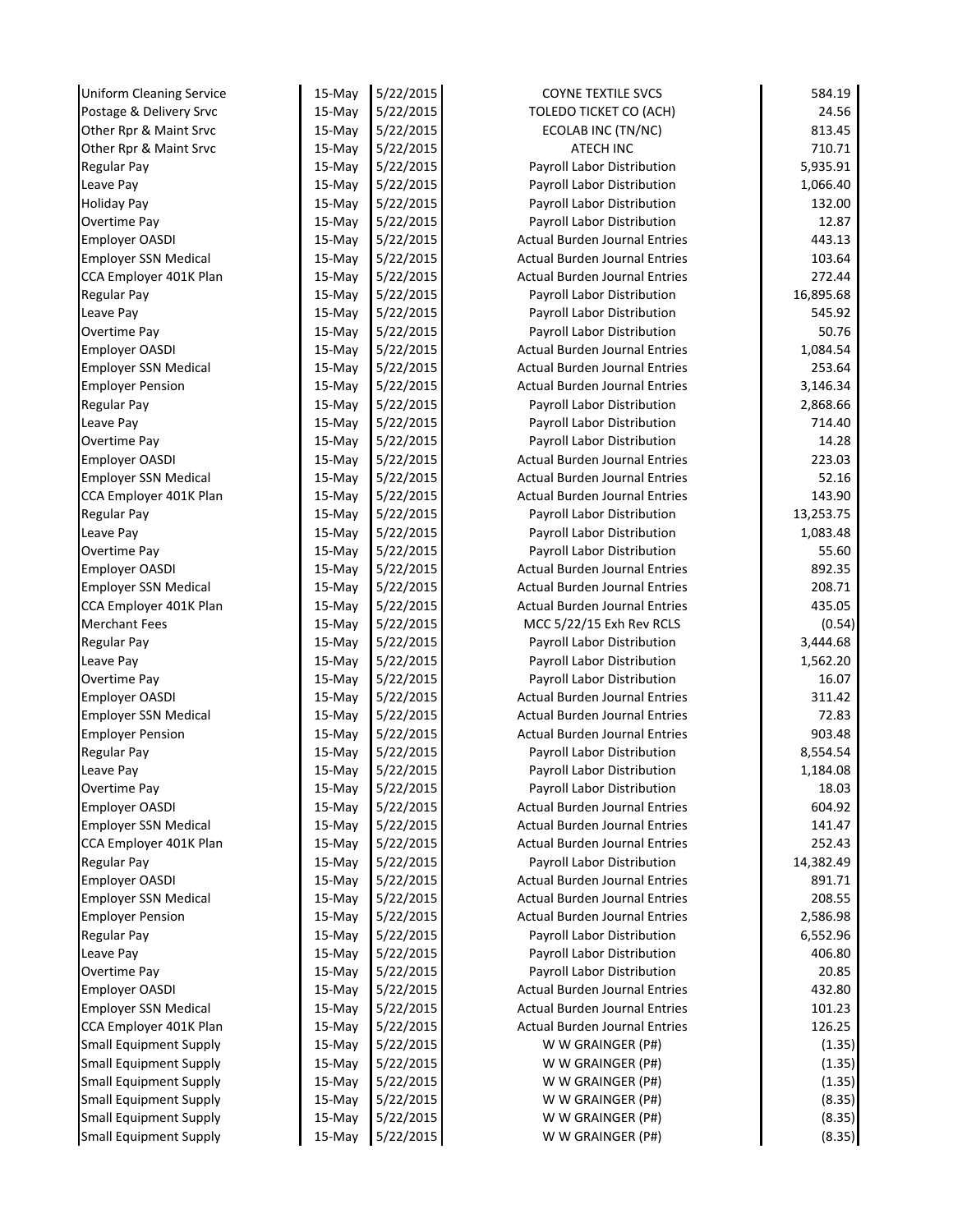| <b>Uniform Cleaning Service</b> | $15-May$ | 5/22/2015 | <b>COYNE TEXTILE SVCS</b>            | 584.19    |
|---------------------------------|----------|-----------|--------------------------------------|-----------|
| Postage & Delivery Srvc         | $15-Mav$ | 5/22/2015 | TOLEDO TICKET CO (ACH)               | 24.56     |
| Other Rpr & Maint Srvc          | 15-May   | 5/22/2015 | ECOLAB INC (TN/NC)                   | 813.45    |
| Other Rpr & Maint Srvc          | $15-Mav$ | 5/22/2015 | <b>ATECH INC</b>                     | 710.71    |
| <b>Regular Pay</b>              | 15-May   | 5/22/2015 | Payroll Labor Distribution           | 5,935.91  |
| Leave Pay                       | 15-May   | 5/22/2015 | Payroll Labor Distribution           | 1,066.40  |
| <b>Holiday Pay</b>              | $15-May$ | 5/22/2015 | Payroll Labor Distribution           | 132.00    |
| Overtime Pay                    | $15-May$ | 5/22/2015 | Payroll Labor Distribution           | 12.87     |
| <b>Employer OASDI</b>           | $15-May$ | 5/22/2015 | <b>Actual Burden Journal Entries</b> | 443.13    |
| <b>Employer SSN Medical</b>     | $15-May$ | 5/22/2015 | <b>Actual Burden Journal Entries</b> | 103.64    |
| CCA Employer 401K Plan          | 15-May   | 5/22/2015 | <b>Actual Burden Journal Entries</b> | 272.44    |
| Regular Pay                     | 15-May   | 5/22/2015 | Payroll Labor Distribution           | 16,895.68 |
| Leave Pay                       | 15-May   | 5/22/2015 | Payroll Labor Distribution           | 545.92    |
| Overtime Pay                    | $15-May$ | 5/22/2015 | Payroll Labor Distribution           | 50.76     |
| <b>Employer OASDI</b>           | $15-May$ | 5/22/2015 | <b>Actual Burden Journal Entries</b> | 1,084.54  |
| <b>Employer SSN Medical</b>     | 15-May   | 5/22/2015 | <b>Actual Burden Journal Entries</b> | 253.64    |
| <b>Employer Pension</b>         | 15-May   | 5/22/2015 | <b>Actual Burden Journal Entries</b> | 3,146.34  |
| <b>Regular Pay</b>              | 15-May   | 5/22/2015 | Payroll Labor Distribution           | 2,868.66  |
| Leave Pay                       | 15-May   | 5/22/2015 | Payroll Labor Distribution           | 714.40    |
| Overtime Pay                    | 15-May   | 5/22/2015 | Payroll Labor Distribution           | 14.28     |
| <b>Employer OASDI</b>           | 15-May   | 5/22/2015 | <b>Actual Burden Journal Entries</b> | 223.03    |
| <b>Employer SSN Medical</b>     | 15-May   | 5/22/2015 | <b>Actual Burden Journal Entries</b> | 52.16     |
| CCA Employer 401K Plan          | 15-May   | 5/22/2015 | Actual Burden Journal Entries        | 143.90    |
| <b>Regular Pay</b>              | 15-May   | 5/22/2015 | Payroll Labor Distribution           | 13,253.75 |
| Leave Pay                       | 15-May   | 5/22/2015 | Payroll Labor Distribution           | 1,083.48  |
| Overtime Pay                    | $15-May$ | 5/22/2015 | Payroll Labor Distribution           | 55.60     |
| <b>Employer OASDI</b>           | 15-May   | 5/22/2015 | <b>Actual Burden Journal Entries</b> | 892.35    |
| <b>Employer SSN Medical</b>     | $15-May$ | 5/22/2015 | <b>Actual Burden Journal Entries</b> | 208.71    |
| CCA Employer 401K Plan          | 15-May   | 5/22/2015 | <b>Actual Burden Journal Entries</b> | 435.05    |
| <b>Merchant Fees</b>            | 15-May   | 5/22/2015 | MCC 5/22/15 Exh Rev RCLS             | (0.54)    |
| <b>Regular Pay</b>              | 15-May   | 5/22/2015 | Payroll Labor Distribution           | 3,444.68  |
| Leave Pay                       | 15-May   | 5/22/2015 | Payroll Labor Distribution           | 1,562.20  |
| Overtime Pay                    | 15-May   | 5/22/2015 | Payroll Labor Distribution           | 16.07     |
| <b>Employer OASDI</b>           | 15-May   | 5/22/2015 | <b>Actual Burden Journal Entries</b> | 311.42    |
| <b>Employer SSN Medical</b>     | 15-May   | 5/22/2015 | <b>Actual Burden Journal Entries</b> | 72.83     |
| <b>Employer Pension</b>         | 15-May   | 5/22/2015 | <b>Actual Burden Journal Entries</b> | 903.48    |
| <b>Regular Pay</b>              | $15-May$ | 5/22/2015 | Payroll Labor Distribution           | 8,554.54  |
| Leave Pay                       | 15-May   | 5/22/2015 | Payroll Labor Distribution           | 1,184.08  |
| Overtime Pay                    | 15-May   | 5/22/2015 | Payroll Labor Distribution           | 18.03     |
| Employer OASDI                  | 15-May   | 5/22/2015 | <b>Actual Burden Journal Entries</b> | 604.92    |
| <b>Employer SSN Medical</b>     | $15-Mav$ | 5/22/2015 | <b>Actual Burden Journal Entries</b> | 141.47    |
| CCA Employer 401K Plan          | 15-May   | 5/22/2015 | Actual Burden Journal Entries        | 252.43    |
| <b>Regular Pay</b>              | 15-May   | 5/22/2015 | Payroll Labor Distribution           | 14,382.49 |
| <b>Employer OASDI</b>           | 15-May   | 5/22/2015 | <b>Actual Burden Journal Entries</b> | 891.71    |
| <b>Employer SSN Medical</b>     | 15-May   | 5/22/2015 | <b>Actual Burden Journal Entries</b> | 208.55    |
| <b>Employer Pension</b>         | 15-May   | 5/22/2015 | <b>Actual Burden Journal Entries</b> | 2,586.98  |
| <b>Regular Pay</b>              | 15-May   | 5/22/2015 | Payroll Labor Distribution           | 6,552.96  |
| Leave Pay                       | 15-May   | 5/22/2015 | Payroll Labor Distribution           | 406.80    |
| Overtime Pay                    | 15-May   | 5/22/2015 | Payroll Labor Distribution           | 20.85     |
| <b>Employer OASDI</b>           | 15-May   | 5/22/2015 | <b>Actual Burden Journal Entries</b> | 432.80    |
| <b>Employer SSN Medical</b>     | 15-May   | 5/22/2015 | <b>Actual Burden Journal Entries</b> | 101.23    |
| CCA Employer 401K Plan          | 15-May   | 5/22/2015 | <b>Actual Burden Journal Entries</b> | 126.25    |
| <b>Small Equipment Supply</b>   | 15-May   | 5/22/2015 | W W GRAINGER (P#)                    | (1.35)    |
| <b>Small Equipment Supply</b>   | 15-May   | 5/22/2015 | W W GRAINGER (P#)                    | (1.35)    |
| <b>Small Equipment Supply</b>   | 15-May   | 5/22/2015 | W W GRAINGER (P#)                    | (1.35)    |
| <b>Small Equipment Supply</b>   | 15-May   | 5/22/2015 | W W GRAINGER (P#)                    | (8.35)    |
| <b>Small Equipment Supply</b>   | 15-May   | 5/22/2015 | W W GRAINGER (P#)                    | (8.35)    |
|                                 |          |           |                                      |           |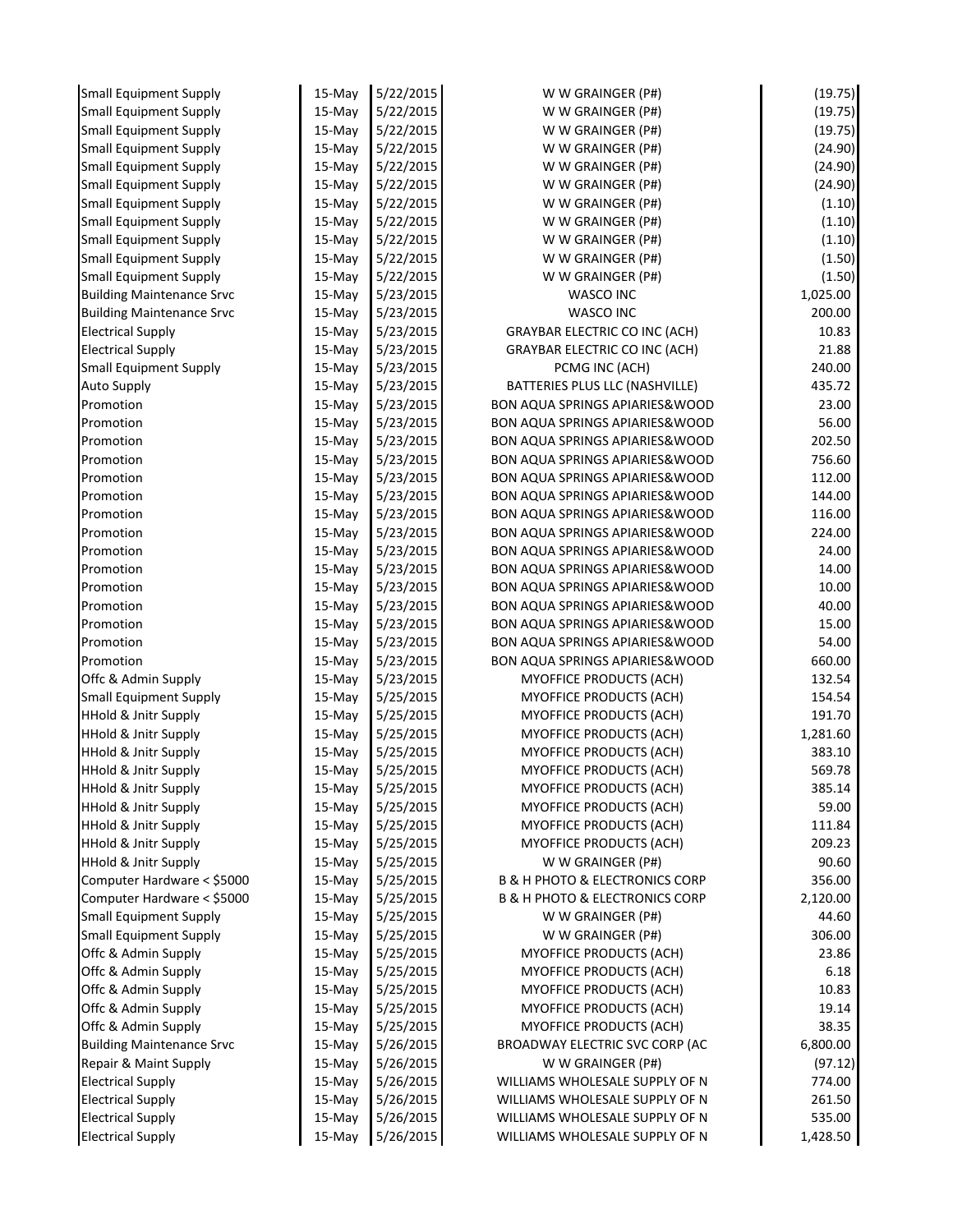| <b>Small Equipment Supply</b>                            | $15-May$           | 5/22/2015              | W W GRAINGER (P#)                                                                              | (19.75)            |
|----------------------------------------------------------|--------------------|------------------------|------------------------------------------------------------------------------------------------|--------------------|
| <b>Small Equipment Supply</b>                            | 15-May             | 5/22/2015              | W W GRAINGER (P#)                                                                              | (19.75)            |
| <b>Small Equipment Supply</b>                            | 15-May             | 5/22/2015              | W W GRAINGER (P#)                                                                              | (19.75)            |
| <b>Small Equipment Supply</b>                            | 15-May             | 5/22/2015              | W W GRAINGER (P#)                                                                              | (24.90)            |
| <b>Small Equipment Supply</b>                            | $15-May$           | 5/22/2015              | W W GRAINGER (P#)                                                                              | (24.90)            |
| <b>Small Equipment Supply</b>                            | 15-May             | 5/22/2015              | W W GRAINGER (P#)                                                                              | (24.90)            |
| <b>Small Equipment Supply</b>                            | 15-May             | 5/22/2015              | W W GRAINGER (P#)                                                                              | (1.10)             |
| <b>Small Equipment Supply</b>                            | 15-May             | 5/22/2015              | W W GRAINGER (P#)                                                                              | (1.10)             |
| <b>Small Equipment Supply</b>                            | 15-May             | 5/22/2015              | W W GRAINGER (P#)                                                                              | (1.10)             |
| <b>Small Equipment Supply</b>                            | 15-May             | 5/22/2015              | W W GRAINGER (P#)                                                                              | (1.50)             |
| <b>Small Equipment Supply</b>                            | 15-May             | 5/22/2015              | W W GRAINGER (P#)                                                                              | (1.50)             |
| <b>Building Maintenance Srvc</b>                         | 15-May             | 5/23/2015              | <b>WASCO INC</b>                                                                               | 1,025.00           |
| <b>Building Maintenance Srvc</b>                         | 15-May             | 5/23/2015              | <b>WASCO INC</b>                                                                               | 200.00             |
| <b>Electrical Supply</b>                                 | 15-May             | 5/23/2015              | <b>GRAYBAR ELECTRIC CO INC (ACH)</b>                                                           | 10.83              |
| <b>Electrical Supply</b>                                 | 15-May             | 5/23/2015              | <b>GRAYBAR ELECTRIC CO INC (ACH)</b>                                                           | 21.88              |
| <b>Small Equipment Supply</b>                            | 15-May             | 5/23/2015              | PCMG INC (ACH)                                                                                 | 240.00             |
| <b>Auto Supply</b>                                       | 15-May             | 5/23/2015              | BATTERIES PLUS LLC (NASHVILLE)                                                                 | 435.72             |
| Promotion                                                | 15-May             | 5/23/2015              | <b>BON AQUA SPRINGS APIARIES&amp;WOOD</b>                                                      | 23.00              |
| Promotion                                                | 15-May             | 5/23/2015              | <b>BON AQUA SPRINGS APIARIES&amp;WOOD</b>                                                      | 56.00              |
| Promotion                                                | 15-May             | 5/23/2015              | <b>BON AQUA SPRINGS APIARIES&amp;WOOD</b>                                                      | 202.50             |
| Promotion                                                | 15-May             | 5/23/2015              | <b>BON AQUA SPRINGS APIARIES&amp;WOOD</b>                                                      | 756.60             |
| Promotion                                                | 15-May             | 5/23/2015              | <b>BON AQUA SPRINGS APIARIES&amp;WOOD</b>                                                      | 112.00             |
| Promotion                                                | 15-May             | 5/23/2015              | <b>BON AQUA SPRINGS APIARIES&amp; WOOD</b>                                                     | 144.00             |
| Promotion                                                | 15-May             | 5/23/2015              | <b>BON AQUA SPRINGS APIARIES&amp;WOOD</b>                                                      | 116.00             |
| Promotion                                                | 15-May             | 5/23/2015              | <b>BON AQUA SPRINGS APIARIES&amp;WOOD</b>                                                      | 224.00             |
| Promotion                                                | 15-May             | 5/23/2015              | <b>BON AQUA SPRINGS APIARIES&amp;WOOD</b>                                                      | 24.00              |
| Promotion                                                | 15-May             | 5/23/2015              | <b>BON AQUA SPRINGS APIARIES&amp;WOOD</b>                                                      | 14.00              |
| Promotion                                                | 15-May             | 5/23/2015              | <b>BON AQUA SPRINGS APIARIES&amp;WOOD</b>                                                      | 10.00              |
| Promotion                                                | 15-May             | 5/23/2015              | <b>BON AQUA SPRINGS APIARIES&amp;WOOD</b>                                                      | 40.00              |
| Promotion                                                | 15-May             | 5/23/2015              | <b>BON AQUA SPRINGS APIARIES&amp; WOOD</b>                                                     | 15.00              |
| Promotion                                                | 15-May             | 5/23/2015              | BON AQUA SPRINGS APIARIES& WOOD                                                                | 54.00              |
| Promotion                                                | 15-May             | 5/23/2015              | <b>BON AQUA SPRINGS APIARIES&amp;WOOD</b>                                                      | 660.00             |
| Offc & Admin Supply                                      | 15-May             | 5/23/2015              | MYOFFICE PRODUCTS (ACH)                                                                        | 132.54             |
| <b>Small Equipment Supply</b>                            | 15-May             | 5/25/2015              | MYOFFICE PRODUCTS (ACH)                                                                        | 154.54             |
| <b>HHold &amp; Jnitr Supply</b>                          | 15-May             | 5/25/2015              | MYOFFICE PRODUCTS (ACH)                                                                        | 191.70             |
| <b>HHold &amp; Jnitr Supply</b>                          | 15-May             | 5/25/2015              | MYOFFICE PRODUCTS (ACH)                                                                        | 1,281.60           |
| <b>HHold &amp; Jnitr Supply</b>                          | 15-May             | 5/25/2015              | MYOFFICE PRODUCTS (ACH)                                                                        | 383.10             |
| <b>HHold &amp; Jnitr Supply</b>                          | 15-May             | 5/25/2015              | MYOFFICE PRODUCTS (ACH)                                                                        | 569.78             |
| <b>HHold &amp; Jnitr Supply</b>                          | 15-May             | 5/25/2015              | <b>MYOFFICE PRODUCTS (ACH)</b>                                                                 | 385.14             |
| HHold & Jnitr Supply                                     | 15-May             | 5/25/2015              | <b>MYOFFICE PRODUCTS (ACH)</b>                                                                 | 59.00              |
| <b>HHold &amp; Jnitr Supply</b>                          | $15-May$           | 5/25/2015              | MYOFFICE PRODUCTS (ACH)                                                                        | 111.84             |
| <b>HHold &amp; Jnitr Supply</b>                          | 15-May             | 5/25/2015              | <b>MYOFFICE PRODUCTS (ACH)</b><br>W W GRAINGER (P#)                                            | 209.23             |
| <b>HHold &amp; Jnitr Supply</b>                          | 15-May             | 5/25/2015              |                                                                                                | 90.60              |
| Computer Hardware < \$5000<br>Computer Hardware < \$5000 | 15-May<br>$15-May$ | 5/25/2015<br>5/25/2015 | <b>B &amp; H PHOTO &amp; ELECTRONICS CORP</b><br><b>B &amp; H PHOTO &amp; ELECTRONICS CORP</b> | 356.00<br>2,120.00 |
| <b>Small Equipment Supply</b>                            |                    | 5/25/2015              | W W GRAINGER (P#)                                                                              | 44.60              |
| <b>Small Equipment Supply</b>                            | 15-May<br>15-May   | 5/25/2015              | W W GRAINGER (P#)                                                                              | 306.00             |
| Offc & Admin Supply                                      | $15-May$           | 5/25/2015              | <b>MYOFFICE PRODUCTS (ACH)</b>                                                                 | 23.86              |
| Offc & Admin Supply                                      | $15-May$           | 5/25/2015              | <b>MYOFFICE PRODUCTS (ACH)</b>                                                                 | 6.18               |
| Offc & Admin Supply                                      | 15-May             | 5/25/2015              | MYOFFICE PRODUCTS (ACH)                                                                        | 10.83              |
| Offc & Admin Supply                                      | 15-May             | 5/25/2015              | MYOFFICE PRODUCTS (ACH)                                                                        | 19.14              |
| Offc & Admin Supply                                      | 15-May             | 5/25/2015              | MYOFFICE PRODUCTS (ACH)                                                                        | 38.35              |
| <b>Building Maintenance Srvc</b>                         | 15-May             | 5/26/2015              | BROADWAY ELECTRIC SVC CORP (AC                                                                 | 6,800.00           |
| Repair & Maint Supply                                    | 15-May             | 5/26/2015              | W W GRAINGER (P#)                                                                              | (97.12)            |
| <b>Electrical Supply</b>                                 | $15-May$           | 5/26/2015              | WILLIAMS WHOLESALE SUPPLY OF N                                                                 | 774.00             |
| <b>Electrical Supply</b>                                 | $15-May$           | 5/26/2015              | WILLIAMS WHOLESALE SUPPLY OF N                                                                 | 261.50             |
| <b>Electrical Supply</b>                                 | 15-May             | 5/26/2015              | WILLIAMS WHOLESALE SUPPLY OF N                                                                 | 535.00             |
| <b>Electrical Supply</b>                                 | 15-May             | 5/26/2015              | WILLIAMS WHOLESALE SUPPLY OF N                                                                 | 1,428.50           |
|                                                          |                    |                        |                                                                                                |                    |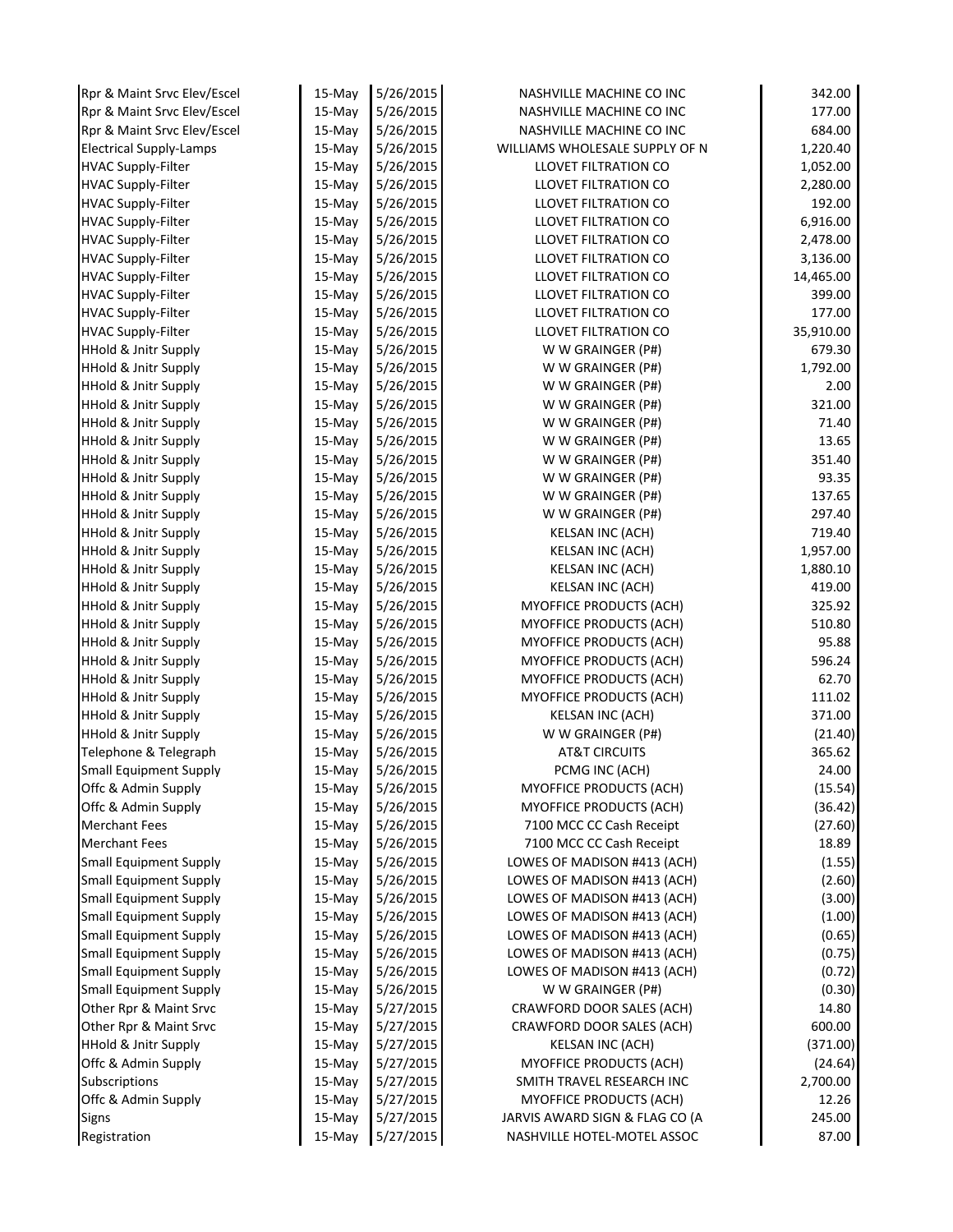| Rpr & Maint Srvc Elev/Escel          | 15-May    | 5/26/2015              | NASHVILLE MACHINE CO INC                                  | 342.00            |
|--------------------------------------|-----------|------------------------|-----------------------------------------------------------|-------------------|
| Rpr & Maint Srvc Elev/Escel          | 15-May    | 5/26/2015              | NASHVILLE MACHINE CO INC                                  | 177.00            |
| Rpr & Maint Srvc Elev/Escel          | 15-May    | 5/26/2015              | NASHVILLE MACHINE CO INC                                  | 684.00            |
| <b>Electrical Supply-Lamps</b>       | 15-May    | 5/26/2015              | WILLIAMS WHOLESALE SUPPLY OF N                            | 1,220.40          |
| <b>HVAC Supply-Filter</b>            | 15-May    | 5/26/2015              | <b>LLOVET FILTRATION CO</b>                               | 1,052.00          |
| <b>HVAC Supply-Filter</b>            | $15-May$  | 5/26/2015              | LLOVET FILTRATION CO                                      | 2,280.00          |
| <b>HVAC Supply-Filter</b>            | 15-May    | 5/26/2015              | LLOVET FILTRATION CO                                      | 192.00            |
| <b>HVAC Supply-Filter</b>            | 15-May    | 5/26/2015              | <b>LLOVET FILTRATION CO</b>                               | 6,916.00          |
| <b>HVAC Supply-Filter</b>            | 15-May    | 5/26/2015              | LLOVET FILTRATION CO                                      | 2,478.00          |
| <b>HVAC Supply-Filter</b>            | $15-May$  | 5/26/2015              | <b>LLOVET FILTRATION CO</b>                               | 3,136.00          |
| <b>HVAC Supply-Filter</b>            | 15-May    | 5/26/2015              | <b>LLOVET FILTRATION CO</b>                               | 14,465.00         |
| <b>HVAC Supply-Filter</b>            | 15-May    | 5/26/2015              | LLOVET FILTRATION CO                                      | 399.00            |
| <b>HVAC Supply-Filter</b>            | $15-May$  | 5/26/2015              | <b>LLOVET FILTRATION CO</b>                               | 177.00            |
| <b>HVAC Supply-Filter</b>            | $15-May$  | 5/26/2015              | <b>LLOVET FILTRATION CO</b>                               | 35,910.00         |
| <b>HHold &amp; Jnitr Supply</b>      | 15-May    | 5/26/2015              | W W GRAINGER (P#)                                         | 679.30            |
| <b>HHold &amp; Jnitr Supply</b>      | 15-May    | 5/26/2015              | W W GRAINGER (P#)                                         | 1,792.00          |
| <b>HHold &amp; Jnitr Supply</b>      | $15$ -May | 5/26/2015              | W W GRAINGER (P#)                                         | 2.00              |
| <b>HHold &amp; Jnitr Supply</b>      | 15-May    | 5/26/2015              | W W GRAINGER (P#)                                         | 321.00            |
| <b>HHold &amp; Jnitr Supply</b>      | 15-May    | 5/26/2015              | W W GRAINGER (P#)                                         | 71.40             |
| <b>HHold &amp; Jnitr Supply</b>      | 15-May    | 5/26/2015              | W W GRAINGER (P#)                                         | 13.65             |
| <b>HHold &amp; Jnitr Supply</b>      | 15-May    | 5/26/2015              | W W GRAINGER (P#)                                         | 351.40            |
| <b>HHold &amp; Jnitr Supply</b>      | 15-May    | 5/26/2015              | W W GRAINGER (P#)                                         | 93.35             |
| <b>HHold &amp; Jnitr Supply</b>      | 15-May    | 5/26/2015              | W W GRAINGER (P#)                                         | 137.65            |
| <b>HHold &amp; Jnitr Supply</b>      | 15-May    | 5/26/2015              | W W GRAINGER (P#)                                         | 297.40            |
| <b>HHold &amp; Jnitr Supply</b>      | 15-May    | 5/26/2015              | <b>KELSAN INC (ACH)</b>                                   | 719.40            |
| <b>HHold &amp; Jnitr Supply</b>      | 15-May    | 5/26/2015              | KELSAN INC (ACH)                                          | 1,957.00          |
| <b>HHold &amp; Jnitr Supply</b>      | $15-May$  | 5/26/2015              | <b>KELSAN INC (ACH)</b>                                   | 1,880.10          |
| <b>HHold &amp; Jnitr Supply</b>      | 15-May    | 5/26/2015              | <b>KELSAN INC (ACH)</b>                                   | 419.00            |
| <b>HHold &amp; Jnitr Supply</b>      | 15-May    | 5/26/2015              | MYOFFICE PRODUCTS (ACH)                                   | 325.92            |
| <b>HHold &amp; Jnitr Supply</b>      | 15-May    | 5/26/2015              | <b>MYOFFICE PRODUCTS (ACH)</b>                            | 510.80            |
| <b>HHold &amp; Jnitr Supply</b>      | 15-May    | 5/26/2015              | <b>MYOFFICE PRODUCTS (ACH)</b>                            | 95.88             |
| <b>HHold &amp; Jnitr Supply</b>      | 15-May    | 5/26/2015              | MYOFFICE PRODUCTS (ACH)                                   | 596.24            |
| <b>HHold &amp; Jnitr Supply</b>      | $15-May$  | 5/26/2015              | MYOFFICE PRODUCTS (ACH)                                   | 62.70             |
| <b>HHold &amp; Jnitr Supply</b>      | 15-May    | 5/26/2015              | MYOFFICE PRODUCTS (ACH)                                   | 111.02            |
| <b>HHold &amp; Jnitr Supply</b>      | $15-May$  | 5/26/2015              | <b>KELSAN INC (ACH)</b>                                   | 371.00            |
| <b>HHold &amp; Jnitr Supply</b>      | $15-May$  | 5/26/2015              | W W GRAINGER (P#)                                         | (21.40)           |
| Telephone & Telegraph                | 15-May    | 5/26/2015              | <b>AT&amp;T CIRCUITS</b>                                  | 365.62            |
| <b>Small Equipment Supply</b>        | 15-May    | 5/26/2015              | PCMG INC (ACH)                                            | 24.00             |
| Offc & Admin Supply                  | 15-May    | 5/26/2015              | <b>MYOFFICE PRODUCTS (ACH)</b>                            | (15.54)           |
| Offc & Admin Supply                  | 15-May    | 5/26/2015              | MYOFFICE PRODUCTS (ACH)                                   | (36.42)           |
| <b>Merchant Fees</b>                 | 15-May    | 5/26/2015              | 7100 MCC CC Cash Receipt                                  | (27.60)           |
| <b>Merchant Fees</b>                 | $15$ -May | 5/26/2015              | 7100 MCC CC Cash Receipt                                  | 18.89             |
| <b>Small Equipment Supply</b>        | 15-May    | 5/26/2015              | LOWES OF MADISON #413 (ACH)                               | (1.55)            |
| <b>Small Equipment Supply</b>        | $15-Mav$  | 5/26/2015              | LOWES OF MADISON #413 (ACH)                               | (2.60)            |
| <b>Small Equipment Supply</b>        | 15-May    | 5/26/2015              | LOWES OF MADISON #413 (ACH)                               | (3.00)            |
| <b>Small Equipment Supply</b>        | 15-May    | 5/26/2015              | LOWES OF MADISON #413 (ACH)                               | (1.00)            |
| <b>Small Equipment Supply</b>        | 15-May    | 5/26/2015              | LOWES OF MADISON #413 (ACH)                               | (0.65)            |
| <b>Small Equipment Supply</b>        | 15-May    | 5/26/2015              | LOWES OF MADISON #413 (ACH)                               | (0.75)            |
| <b>Small Equipment Supply</b>        | 15-May    | 5/26/2015              | LOWES OF MADISON #413 (ACH)                               | (0.72)            |
| <b>Small Equipment Supply</b>        | 15-May    | 5/26/2015              | W W GRAINGER (P#)                                         | (0.30)            |
| Other Rpr & Maint Srvc               | 15-May    | 5/27/2015              | CRAWFORD DOOR SALES (ACH)                                 | 14.80             |
| Other Rpr & Maint Srvc               | $15-May$  | 5/27/2015              | CRAWFORD DOOR SALES (ACH)                                 | 600.00            |
| <b>HHold &amp; Jnitr Supply</b>      | 15-May    | 5/27/2015              | <b>KELSAN INC (ACH)</b>                                   | (371.00)          |
| Offc & Admin Supply                  | 15-May    | 5/27/2015              | MYOFFICE PRODUCTS (ACH)                                   | (24.64)           |
| Subscriptions<br>Offc & Admin Supply | $15-May$  | 5/27/2015<br>5/27/2015 | SMITH TRAVEL RESEARCH INC                                 | 2,700.00<br>12.26 |
|                                      | 15-May    | 5/27/2015              | MYOFFICE PRODUCTS (ACH)<br>JARVIS AWARD SIGN & FLAG CO (A | 245.00            |
| <b>Signs</b>                         | 15-May    |                        |                                                           |                   |
| Registration                         | 15-May    | 5/27/2015              | NASHVILLE HOTEL-MOTEL ASSOC                               | 87.00             |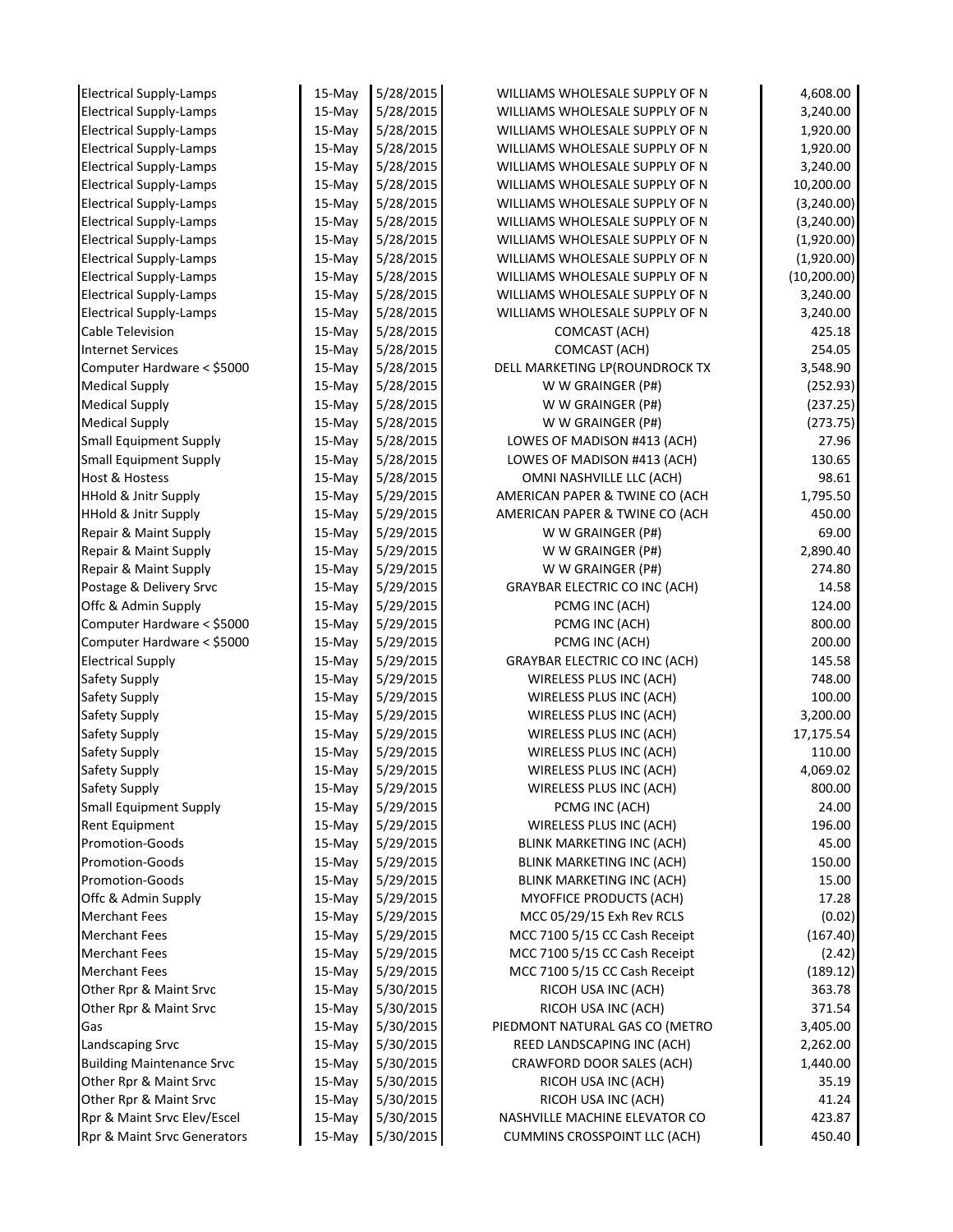| <b>Electrical Supply-Lamps</b>   | 15-May    | 5/28/2015 | WILLIAMS WHOLESALE SUPPLY OF N       | 4,608.00     |
|----------------------------------|-----------|-----------|--------------------------------------|--------------|
| <b>Electrical Supply-Lamps</b>   | 15-May    | 5/28/2015 | WILLIAMS WHOLESALE SUPPLY OF N       | 3,240.00     |
| <b>Electrical Supply-Lamps</b>   | 15-May    | 5/28/2015 | WILLIAMS WHOLESALE SUPPLY OF N       | 1,920.00     |
| <b>Electrical Supply-Lamps</b>   | 15-May    | 5/28/2015 | WILLIAMS WHOLESALE SUPPLY OF N       | 1,920.00     |
| <b>Electrical Supply-Lamps</b>   | 15-May    | 5/28/2015 | WILLIAMS WHOLESALE SUPPLY OF N       | 3,240.00     |
| <b>Electrical Supply-Lamps</b>   | 15-May    | 5/28/2015 | WILLIAMS WHOLESALE SUPPLY OF N       | 10,200.00    |
| <b>Electrical Supply-Lamps</b>   | 15-May    | 5/28/2015 | WILLIAMS WHOLESALE SUPPLY OF N       | (3,240.00)   |
| <b>Electrical Supply-Lamps</b>   | 15-May    | 5/28/2015 | WILLIAMS WHOLESALE SUPPLY OF N       | (3,240.00)   |
| <b>Electrical Supply-Lamps</b>   | 15-May    | 5/28/2015 | WILLIAMS WHOLESALE SUPPLY OF N       | (1,920.00)   |
| <b>Electrical Supply-Lamps</b>   | 15-May    | 5/28/2015 | WILLIAMS WHOLESALE SUPPLY OF N       | (1,920.00)   |
| <b>Electrical Supply-Lamps</b>   | 15-May    | 5/28/2015 | WILLIAMS WHOLESALE SUPPLY OF N       | (10, 200.00) |
| <b>Electrical Supply-Lamps</b>   | 15-May    | 5/28/2015 | WILLIAMS WHOLESALE SUPPLY OF N       | 3,240.00     |
| <b>Electrical Supply-Lamps</b>   | 15-May    | 5/28/2015 | WILLIAMS WHOLESALE SUPPLY OF N       | 3,240.00     |
| Cable Television                 | 15-May    | 5/28/2015 | COMCAST (ACH)                        | 425.18       |
| <b>Internet Services</b>         | 15-May    | 5/28/2015 | COMCAST (ACH)                        | 254.05       |
| Computer Hardware < \$5000       | 15-May    | 5/28/2015 | DELL MARKETING LP(ROUNDROCK TX       | 3,548.90     |
| <b>Medical Supply</b>            | 15-May    | 5/28/2015 | W W GRAINGER (P#)                    | (252.93)     |
| <b>Medical Supply</b>            | 15-May    | 5/28/2015 | W W GRAINGER (P#)                    | (237.25)     |
| <b>Medical Supply</b>            | 15-May    | 5/28/2015 | W W GRAINGER (P#)                    | (273.75)     |
| <b>Small Equipment Supply</b>    | 15-May    | 5/28/2015 | LOWES OF MADISON #413 (ACH)          | 27.96        |
| Small Equipment Supply           | 15-May    | 5/28/2015 | LOWES OF MADISON #413 (ACH)          | 130.65       |
| <b>Host &amp; Hostess</b>        | 15-May    | 5/28/2015 | OMNI NASHVILLE LLC (ACH)             | 98.61        |
| <b>HHold &amp; Jnitr Supply</b>  | 15-May    | 5/29/2015 | AMERICAN PAPER & TWINE CO (ACH       | 1,795.50     |
| <b>HHold &amp; Jnitr Supply</b>  | 15-May    | 5/29/2015 | AMERICAN PAPER & TWINE CO (ACH       | 450.00       |
| Repair & Maint Supply            | 15-May    | 5/29/2015 | W W GRAINGER (P#)                    | 69.00        |
| Repair & Maint Supply            |           | 5/29/2015 | W W GRAINGER (P#)                    | 2,890.40     |
|                                  | 15-May    | 5/29/2015 |                                      | 274.80       |
| Repair & Maint Supply            | 15-May    |           | W W GRAINGER (P#)                    | 14.58        |
| Postage & Delivery Srvc          | 15-May    | 5/29/2015 | <b>GRAYBAR ELECTRIC CO INC (ACH)</b> |              |
| Offc & Admin Supply              | 15-May    | 5/29/2015 | PCMG INC (ACH)                       | 124.00       |
| Computer Hardware < \$5000       | 15-May    | 5/29/2015 | PCMG INC (ACH)                       | 800.00       |
| Computer Hardware < \$5000       | 15-May    | 5/29/2015 | PCMG INC (ACH)                       | 200.00       |
| <b>Electrical Supply</b>         | 15-May    | 5/29/2015 | <b>GRAYBAR ELECTRIC CO INC (ACH)</b> | 145.58       |
| Safety Supply                    | 15-May    | 5/29/2015 | WIRELESS PLUS INC (ACH)              | 748.00       |
| Safety Supply                    | 15-May    | 5/29/2015 | WIRELESS PLUS INC (ACH)              | 100.00       |
| Safety Supply                    | 15-May    | 5/29/2015 | WIRELESS PLUS INC (ACH)              | 3,200.00     |
| Safety Supply                    | 15-May    | 5/29/2015 | WIRELESS PLUS INC (ACH)              | 17,175.54    |
| Safety Supply                    | 15-May    | 5/29/2015 | WIRELESS PLUS INC (ACH)              | 110.00       |
| Safety Supply                    | 15-May    | 5/29/2015 | WIRELESS PLUS INC (ACH)              | 4,069.02     |
| Safety Supply                    | 15-May    | 5/29/2015 | WIRELESS PLUS INC (ACH)              | 800.00       |
| <b>Small Equipment Supply</b>    | 15-May    | 5/29/2015 | PCMG INC (ACH)                       | 24.00        |
| Rent Equipment                   | 15-May    | 5/29/2015 | WIRELESS PLUS INC (ACH)              | 196.00       |
| Promotion-Goods                  | 15-May    | 5/29/2015 | <b>BLINK MARKETING INC (ACH)</b>     | 45.00        |
| Promotion-Goods                  | 15-May    | 5/29/2015 | BLINK MARKETING INC (ACH)            | 150.00       |
| Promotion-Goods                  | 15-May    | 5/29/2015 | BLINK MARKETING INC (ACH)            | 15.00        |
| Offc & Admin Supply              | 15-May    | 5/29/2015 | <b>MYOFFICE PRODUCTS (ACH)</b>       | 17.28        |
| <b>Merchant Fees</b>             | 15-May    | 5/29/2015 | MCC 05/29/15 Exh Rev RCLS            | (0.02)       |
| <b>Merchant Fees</b>             | 15-May    | 5/29/2015 | MCC 7100 5/15 CC Cash Receipt        | (167.40)     |
| <b>Merchant Fees</b>             | 15-May    | 5/29/2015 | MCC 7100 5/15 CC Cash Receipt        | (2.42)       |
| <b>Merchant Fees</b>             | $15$ -May | 5/29/2015 | MCC 7100 5/15 CC Cash Receipt        | (189.12)     |
| Other Rpr & Maint Srvc           | 15-May    | 5/30/2015 | RICOH USA INC (ACH)                  | 363.78       |
| Other Rpr & Maint Srvc           | 15-May    | 5/30/2015 | RICOH USA INC (ACH)                  | 371.54       |
| Gas                              | 15-May    | 5/30/2015 | PIEDMONT NATURAL GAS CO (METRO       | 3,405.00     |
| Landscaping Srvc                 | 15-May    | 5/30/2015 | REED LANDSCAPING INC (ACH)           | 2,262.00     |
| <b>Building Maintenance Srvc</b> | 15-May    | 5/30/2015 | CRAWFORD DOOR SALES (ACH)            | 1,440.00     |
| Other Rpr & Maint Srvc           | 15-May    | 5/30/2015 | RICOH USA INC (ACH)                  | 35.19        |
| Other Rpr & Maint Srvc           | $15$ -May | 5/30/2015 | RICOH USA INC (ACH)                  | 41.24        |
| Rpr & Maint Srvc Elev/Escel      | 15-May    | 5/30/2015 | NASHVILLE MACHINE ELEVATOR CO        | 423.87       |
| Rpr & Maint Srvc Generators      | 15-May    | 5/30/2015 | <b>CUMMINS CROSSPOINT LLC (ACH)</b>  | 450.40       |
|                                  |           |           |                                      |              |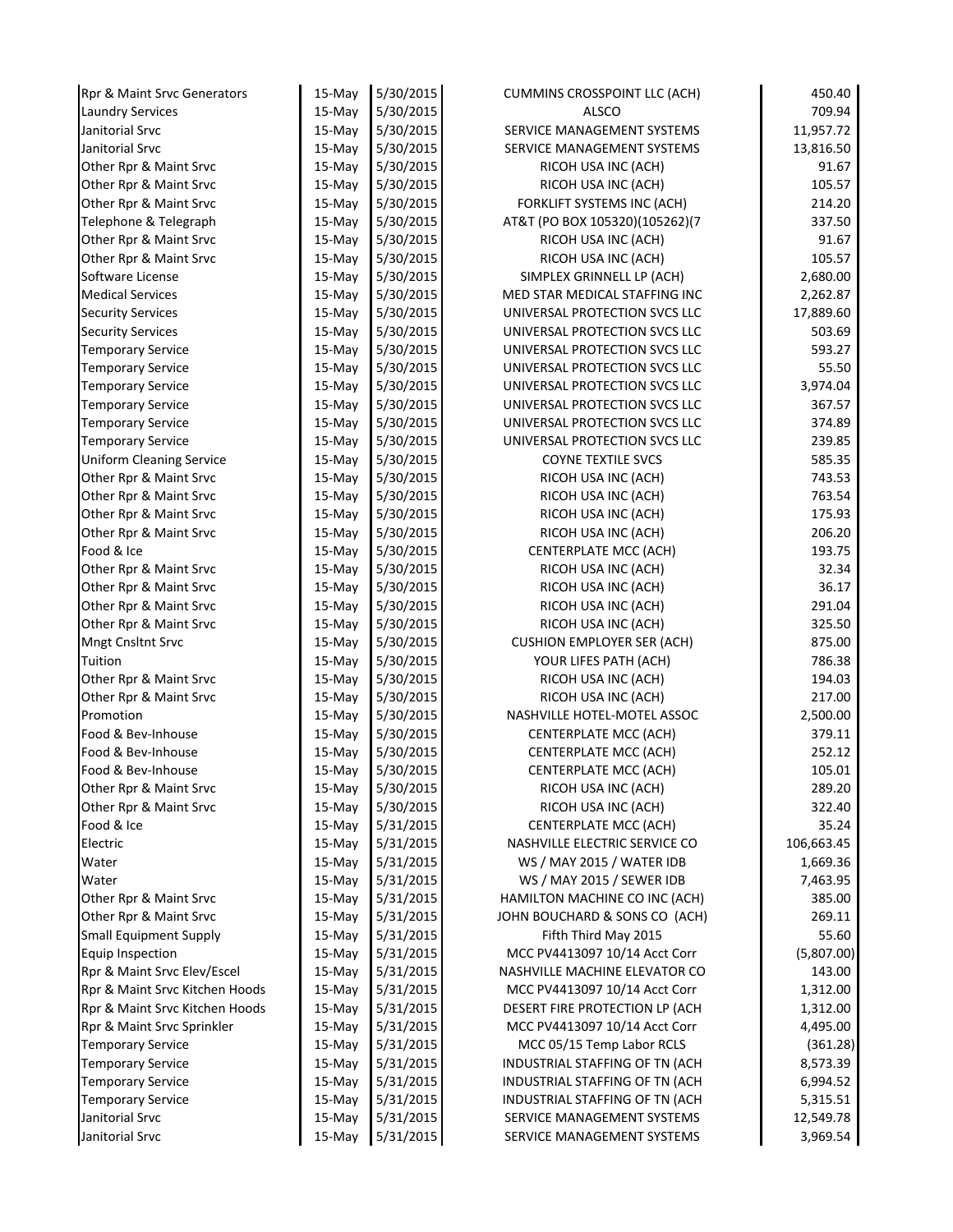| Rpr & Maint Srvc Generators                                   | 15-May           | 5/30/2015              | CUMMINS CROSSPOINT LLC (ACH)                                   | 450.40               |
|---------------------------------------------------------------|------------------|------------------------|----------------------------------------------------------------|----------------------|
| <b>Laundry Services</b>                                       | 15-May           | 5/30/2015              | <b>ALSCO</b>                                                   | 709.94               |
| Janitorial Srvc                                               | 15-May           | 5/30/2015              | SERVICE MANAGEMENT SYSTEMS                                     | 11,957.72            |
| Janitorial Srvc                                               | 15-May           | 5/30/2015              | SERVICE MANAGEMENT SYSTEMS                                     | 13,816.50            |
| Other Rpr & Maint Srvc                                        | $15-May$         | 5/30/2015              | RICOH USA INC (ACH)                                            | 91.67                |
| Other Rpr & Maint Srvc                                        | 15-May           | 5/30/2015              | RICOH USA INC (ACH)                                            | 105.57               |
| Other Rpr & Maint Srvc                                        | 15-May           | 5/30/2015              | FORKLIFT SYSTEMS INC (ACH)                                     | 214.20               |
| Telephone & Telegraph                                         | 15-May           | 5/30/2015              | AT&T (PO BOX 105320)(105262)(7                                 | 337.50               |
| Other Rpr & Maint Srvc                                        | 15-May           | 5/30/2015              | RICOH USA INC (ACH)                                            | 91.67                |
| Other Rpr & Maint Srvc                                        | $15-May$         | 5/30/2015              | RICOH USA INC (ACH)                                            | 105.57               |
| Software License                                              | $15-May$         | 5/30/2015              | SIMPLEX GRINNELL LP (ACH)                                      | 2,680.00             |
| <b>Medical Services</b>                                       | 15-May           | 5/30/2015              | MED STAR MEDICAL STAFFING INC                                  | 2,262.87             |
| <b>Security Services</b>                                      | $15-May$         | 5/30/2015              | UNIVERSAL PROTECTION SVCS LLC                                  | 17,889.60            |
| <b>Security Services</b>                                      | 15-May           | 5/30/2015              | UNIVERSAL PROTECTION SVCS LLC                                  | 503.69               |
| <b>Temporary Service</b>                                      | 15-May           | 5/30/2015              | UNIVERSAL PROTECTION SVCS LLC                                  | 593.27               |
| <b>Temporary Service</b>                                      | $15-May$         | 5/30/2015              | UNIVERSAL PROTECTION SVCS LLC                                  | 55.50                |
| <b>Temporary Service</b>                                      | 15-May           | 5/30/2015              | UNIVERSAL PROTECTION SVCS LLC                                  | 3,974.04             |
| <b>Temporary Service</b>                                      | 15-May           | 5/30/2015              | UNIVERSAL PROTECTION SVCS LLC                                  | 367.57               |
| <b>Temporary Service</b>                                      | $15-May$         | 5/30/2015              | UNIVERSAL PROTECTION SVCS LLC                                  | 374.89               |
| <b>Temporary Service</b>                                      | 15-May           | 5/30/2015              | UNIVERSAL PROTECTION SVCS LLC                                  | 239.85               |
| <b>Uniform Cleaning Service</b>                               | $15-May$         | 5/30/2015              | <b>COYNE TEXTILE SVCS</b>                                      | 585.35               |
| Other Rpr & Maint Srvc                                        | 15-May           | 5/30/2015              | RICOH USA INC (ACH)                                            | 743.53               |
| Other Rpr & Maint Srvc                                        | 15-May           | 5/30/2015              | RICOH USA INC (ACH)                                            | 763.54               |
| Other Rpr & Maint Srvc                                        | $15-Mav$         | 5/30/2015              | RICOH USA INC (ACH)                                            | 175.93               |
| Other Rpr & Maint Srvc                                        | 15-May           | 5/30/2015              | RICOH USA INC (ACH)                                            | 206.20               |
| Food & Ice                                                    | 15-May           | 5/30/2015              | CENTERPLATE MCC (ACH)                                          | 193.75               |
| Other Rpr & Maint Srvc                                        | $15-May$         | 5/30/2015              | RICOH USA INC (ACH)                                            | 32.34                |
| Other Rpr & Maint Srvc                                        | 15-May           | 5/30/2015              | RICOH USA INC (ACH)                                            | 36.17                |
| Other Rpr & Maint Srvc                                        | 15-May           | 5/30/2015              | RICOH USA INC (ACH)                                            | 291.04               |
| Other Rpr & Maint Srvc                                        | $15-May$         | 5/30/2015              | RICOH USA INC (ACH)                                            | 325.50               |
| Mngt Cnsltnt Srvc                                             | 15-May           | 5/30/2015              | <b>CUSHION EMPLOYER SER (ACH)</b>                              | 875.00               |
| Tuition                                                       | 15-May           | 5/30/2015              | YOUR LIFES PATH (ACH)                                          | 786.38               |
| Other Rpr & Maint Srvc                                        | $15-May$         | 5/30/2015              | RICOH USA INC (ACH)                                            | 194.03               |
| Other Rpr & Maint Srvc                                        | 15-May           | 5/30/2015              | RICOH USA INC (ACH)                                            | 217.00               |
| Promotion                                                     | $15-Mav$         | 5/30/2015              | NASHVILLE HOTEL-MOTEL ASSOC                                    | 2,500.00             |
| Food & Bev-Inhouse                                            | 15-May           | 5/30/2015              | CENTERPLATE MCC (ACH)                                          | 379.11               |
| Food & Bev-Inhouse                                            | 15-May           | 5/30/2015              | CENTERPLATE MCC (ACH)                                          | 252.12               |
| Food & Bev-Inhouse                                            | 15-May           | 5/30/2015              | CENTERPLATE MCC (ACH)                                          | 105.01               |
| Other Rpr & Maint Srvc                                        | 15-May           | 5/30/2015              | RICOH USA INC (ACH)                                            | 289.20               |
| Other Rpr & Maint Srvc                                        | 15-May           | 5/30/2015              | RICOH USA INC (ACH)                                            | 322.40               |
| Food & Ice                                                    | $15-Mav$         | 5/31/2015              | <b>CENTERPLATE MCC (ACH)</b>                                   | 35.24                |
| Electric                                                      | $15$ -May        | 5/31/2015              | NASHVILLE ELECTRIC SERVICE CO                                  | 106,663.45           |
| Water                                                         | 15-May           | 5/31/2015              | WS / MAY 2015 / WATER IDB                                      | 1,669.36             |
| Water                                                         | $15$ -May        | 5/31/2015              | WS / MAY 2015 / SEWER IDB                                      | 7,463.95             |
| Other Rpr & Maint Srvc                                        | 15-May           | 5/31/2015              | HAMILTON MACHINE CO INC (ACH)                                  | 385.00               |
| Other Rpr & Maint Srvc                                        | $15-Mav$         | 5/31/2015              | JOHN BOUCHARD & SONS CO (ACH)                                  | 269.11               |
| <b>Small Equipment Supply</b>                                 | 15-May           | 5/31/2015              | Fifth Third May 2015                                           | 55.60                |
| Equip Inspection                                              | 15-May           | 5/31/2015              | MCC PV4413097 10/14 Acct Corr                                  | (5,807.00)           |
| Rpr & Maint Srvc Elev/Escel<br>Rpr & Maint Srvc Kitchen Hoods | $15-May$         | 5/31/2015<br>5/31/2015 | NASHVILLE MACHINE ELEVATOR CO<br>MCC PV4413097 10/14 Acct Corr | 143.00               |
| Rpr & Maint Srvc Kitchen Hoods                                | 15-May<br>15-May | 5/31/2015              | DESERT FIRE PROTECTION LP (ACH                                 | 1,312.00<br>1,312.00 |
| Rpr & Maint Srvc Sprinkler                                    | $15-May$         | 5/31/2015              | MCC PV4413097 10/14 Acct Corr                                  | 4,495.00             |
| <b>Temporary Service</b>                                      | 15-May           | 5/31/2015              | MCC 05/15 Temp Labor RCLS                                      | (361.28)             |
| <b>Temporary Service</b>                                      | 15-May           | 5/31/2015              | INDUSTRIAL STAFFING OF TN (ACH                                 | 8,573.39             |
| <b>Temporary Service</b>                                      | 15-May           | 5/31/2015              | INDUSTRIAL STAFFING OF TN (ACH                                 | 6,994.52             |
| <b>Temporary Service</b>                                      | 15-May           | 5/31/2015              | INDUSTRIAL STAFFING OF TN (ACH                                 | 5,315.51             |
| Janitorial Srvc                                               | 15-May           | 5/31/2015              | SERVICE MANAGEMENT SYSTEMS                                     | 12,549.78            |
| Janitorial Srvc                                               | 15-May           | 5/31/2015              | SERVICE MANAGEMENT SYSTEMS                                     | 3,969.54             |
|                                                               |                  |                        |                                                                |                      |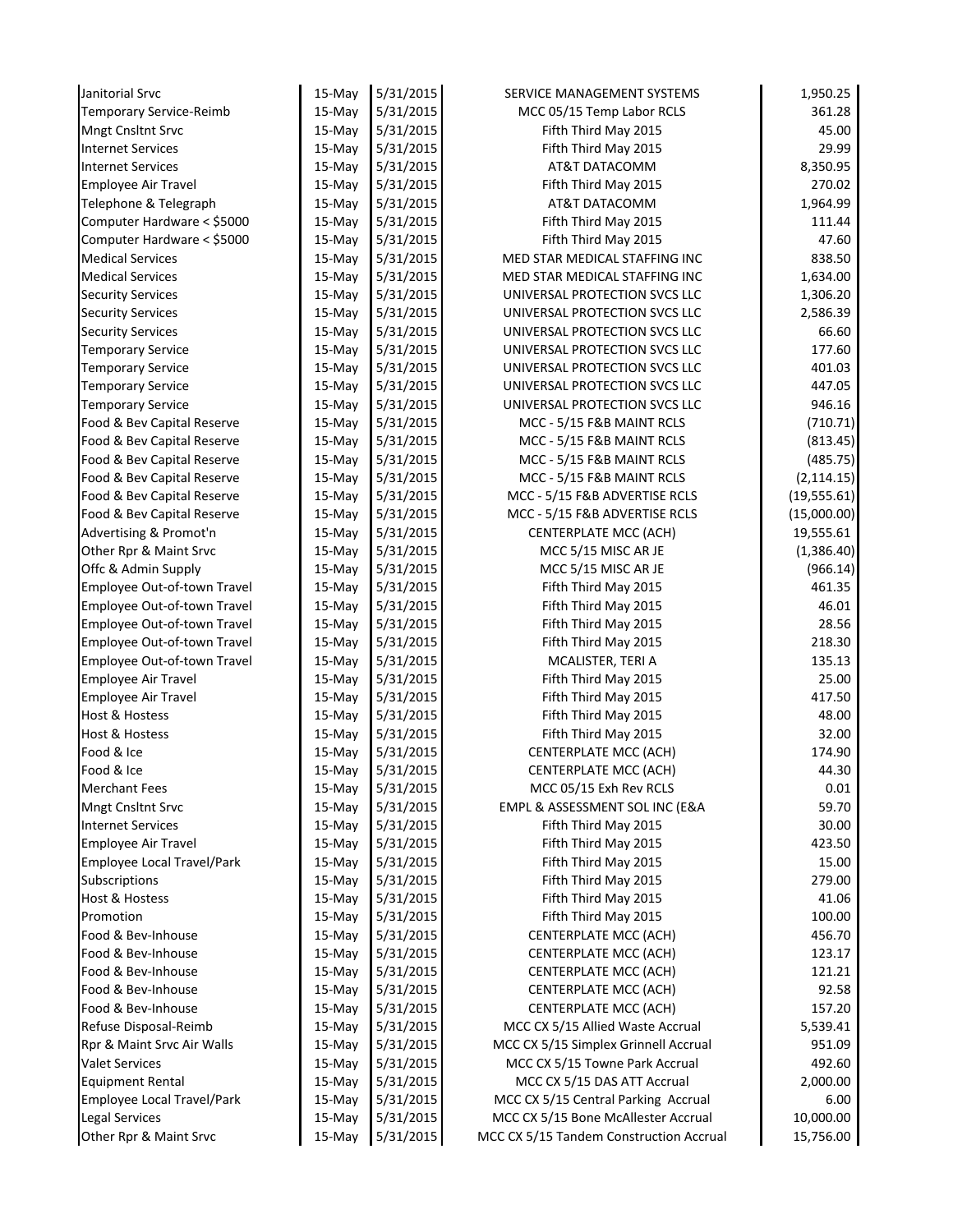| Janitorial Srvc                                 | 15-May   | 5/31/2015              | SERVICE MANAGEMENT SYSTEMS                                         | 1,950.25         |
|-------------------------------------------------|----------|------------------------|--------------------------------------------------------------------|------------------|
| Temporary Service-Reimb                         | 15-May   | 5/31/2015              | MCC 05/15 Temp Labor RCLS                                          | 361.28           |
| <b>Mngt Cnsltnt Srvc</b>                        | 15-May   | 5/31/2015              | Fifth Third May 2015                                               | 45.00            |
| <b>Internet Services</b>                        | 15-May   | 5/31/2015              | Fifth Third May 2015                                               | 29.99            |
| <b>Internet Services</b>                        | $15-May$ | 5/31/2015              | AT&T DATACOMM                                                      | 8,350.95         |
| Employee Air Travel                             | $15-May$ | 5/31/2015              | Fifth Third May 2015                                               | 270.02           |
| Telephone & Telegraph                           | 15-May   | 5/31/2015              | AT&T DATACOMM                                                      | 1,964.99         |
| Computer Hardware < \$5000                      | $15-May$ | 5/31/2015              | Fifth Third May 2015                                               | 111.44           |
| Computer Hardware < \$5000                      | 15-May   | 5/31/2015              | Fifth Third May 2015                                               | 47.60            |
| <b>Medical Services</b>                         | 15-May   | 5/31/2015              | MED STAR MEDICAL STAFFING INC                                      | 838.50           |
| <b>Medical Services</b>                         | $15-May$ | 5/31/2015              | MED STAR MEDICAL STAFFING INC                                      | 1,634.00         |
| <b>Security Services</b>                        | 15-May   | 5/31/2015              | UNIVERSAL PROTECTION SVCS LLC                                      | 1,306.20         |
| <b>Security Services</b>                        | 15-May   | 5/31/2015              | UNIVERSAL PROTECTION SVCS LLC                                      | 2,586.39         |
| <b>Security Services</b>                        | $15-May$ | 5/31/2015              | UNIVERSAL PROTECTION SVCS LLC                                      | 66.60            |
| <b>Temporary Service</b>                        | 15-May   | 5/31/2015              | UNIVERSAL PROTECTION SVCS LLC                                      | 177.60           |
| <b>Temporary Service</b>                        | 15-May   | 5/31/2015              | UNIVERSAL PROTECTION SVCS LLC                                      | 401.03           |
| <b>Temporary Service</b>                        | 15-May   | 5/31/2015              | UNIVERSAL PROTECTION SVCS LLC                                      | 447.05           |
| <b>Temporary Service</b>                        | 15-May   | 5/31/2015              | UNIVERSAL PROTECTION SVCS LLC                                      | 946.16           |
| Food & Bev Capital Reserve                      | 15-May   | 5/31/2015              | MCC - 5/15 F&B MAINT RCLS                                          | (710.71)         |
| Food & Bev Capital Reserve                      | 15-May   | 5/31/2015              | MCC - 5/15 F&B MAINT RCLS                                          | (813.45)         |
| Food & Bev Capital Reserve                      | 15-May   | 5/31/2015              | MCC - 5/15 F&B MAINT RCLS                                          | (485.75)         |
| Food & Bev Capital Reserve                      | 15-May   | 5/31/2015              | MCC - 5/15 F&B MAINT RCLS                                          | (2, 114.15)      |
| Food & Bev Capital Reserve                      | 15-May   | 5/31/2015              | MCC - 5/15 F&B ADVERTISE RCLS                                      | (19, 555.61)     |
| Food & Bev Capital Reserve                      | 15-May   | 5/31/2015              | MCC - 5/15 F&B ADVERTISE RCLS                                      | (15,000.00)      |
| Advertising & Promot'n                          | 15-May   | 5/31/2015              | <b>CENTERPLATE MCC (ACH)</b>                                       | 19,555.61        |
| Other Rpr & Maint Srvc                          | 15-May   | 5/31/2015              | MCC 5/15 MISC AR JE                                                | (1,386.40)       |
| Offc & Admin Supply                             | 15-May   | 5/31/2015              | MCC 5/15 MISC AR JE                                                | (966.14)         |
| Employee Out-of-town Travel                     | 15-May   | 5/31/2015              | Fifth Third May 2015                                               | 461.35           |
| Employee Out-of-town Travel                     | 15-May   | 5/31/2015              | Fifth Third May 2015                                               | 46.01            |
| Employee Out-of-town Travel                     | $15-May$ | 5/31/2015              | Fifth Third May 2015                                               | 28.56            |
| Employee Out-of-town Travel                     | 15-May   | 5/31/2015              | Fifth Third May 2015                                               | 218.30           |
| Employee Out-of-town Travel                     | 15-May   | 5/31/2015              | MCALISTER, TERI A                                                  | 135.13           |
| Employee Air Travel                             | $15-May$ | 5/31/2015              | Fifth Third May 2015                                               | 25.00            |
| <b>Employee Air Travel</b>                      | 15-May   | 5/31/2015              | Fifth Third May 2015                                               | 417.50           |
| <b>Host &amp; Hostess</b>                       | 15-May   | 5/31/2015              | Fifth Third May 2015                                               | 48.00            |
| <b>Host &amp; Hostess</b>                       | 15-May   | 5/31/2015              | Fifth Third May 2015                                               | 32.00            |
| Food & Ice                                      | 15-May   | 5/31/2015              | <b>CENTERPLATE MCC (ACH)</b>                                       | 174.90           |
| Food & Ice                                      | 15-May   | 5/31/2015              | <b>CENTERPLATE MCC (ACH)</b>                                       | 44.30            |
| <b>Merchant Fees</b>                            | 15-May   | 5/31/2015              | MCC 05/15 Exh Rev RCLS                                             | 0.01             |
| Mngt Cnsltnt Srvc                               | 15-May   | 5/31/2015              | EMPL & ASSESSMENT SOL INC (E&A                                     | 59.70            |
| <b>Internet Services</b>                        | 15-May   | 5/31/2015              | Fifth Third May 2015                                               | 30.00            |
| Employee Air Travel                             | $15-May$ | 5/31/2015              | Fifth Third May 2015                                               | 423.50           |
| Employee Local Travel/Park                      | 15-May   | 5/31/2015              | Fifth Third May 2015                                               | 15.00            |
| Subscriptions                                   | 15-May   | 5/31/2015              | Fifth Third May 2015                                               | 279.00           |
| Host & Hostess                                  | 15-May   | 5/31/2015              | Fifth Third May 2015                                               | 41.06            |
| Promotion                                       | $15-Mav$ | 5/31/2015              | Fifth Third May 2015                                               | 100.00           |
| Food & Bev-Inhouse                              | 15-May   | 5/31/2015              | CENTERPLATE MCC (ACH)                                              | 456.70           |
| Food & Bev-Inhouse                              | 15-May   | 5/31/2015              | <b>CENTERPLATE MCC (ACH)</b>                                       | 123.17           |
| Food & Bev-Inhouse                              | 15-May   | 5/31/2015              | <b>CENTERPLATE MCC (ACH)</b>                                       | 121.21           |
| Food & Bev-Inhouse<br>Food & Bev-Inhouse        | 15-May   | 5/31/2015              | <b>CENTERPLATE MCC (ACH)</b>                                       | 92.58            |
|                                                 | 15-May   | 5/31/2015              | <b>CENTERPLATE MCC (ACH)</b>                                       | 157.20           |
| Refuse Disposal-Reimb                           | 15-May   | 5/31/2015              | MCC CX 5/15 Allied Waste Accrual                                   | 5,539.41         |
| Rpr & Maint Srvc Air Walls                      | 15-May   | 5/31/2015              | MCC CX 5/15 Simplex Grinnell Accrual                               | 951.09           |
| <b>Valet Services</b>                           | 15-May   | 5/31/2015              | MCC CX 5/15 Towne Park Accrual                                     | 492.60           |
| <b>Equipment Rental</b>                         | 15-May   | 5/31/2015<br>5/31/2015 | MCC CX 5/15 DAS ATT Accrual<br>MCC CX 5/15 Central Parking Accrual | 2,000.00<br>6.00 |
| Employee Local Travel/Park                      | 15-May   |                        | MCC CX 5/15 Bone McAllester Accrual                                | 10,000.00        |
| <b>Legal Services</b><br>Other Rpr & Maint Srvc | 15-May   | 5/31/2015<br>5/31/2015 | MCC CX 5/15 Tandem Construction Accrual                            | 15,756.00        |
|                                                 | 15-May   |                        |                                                                    |                  |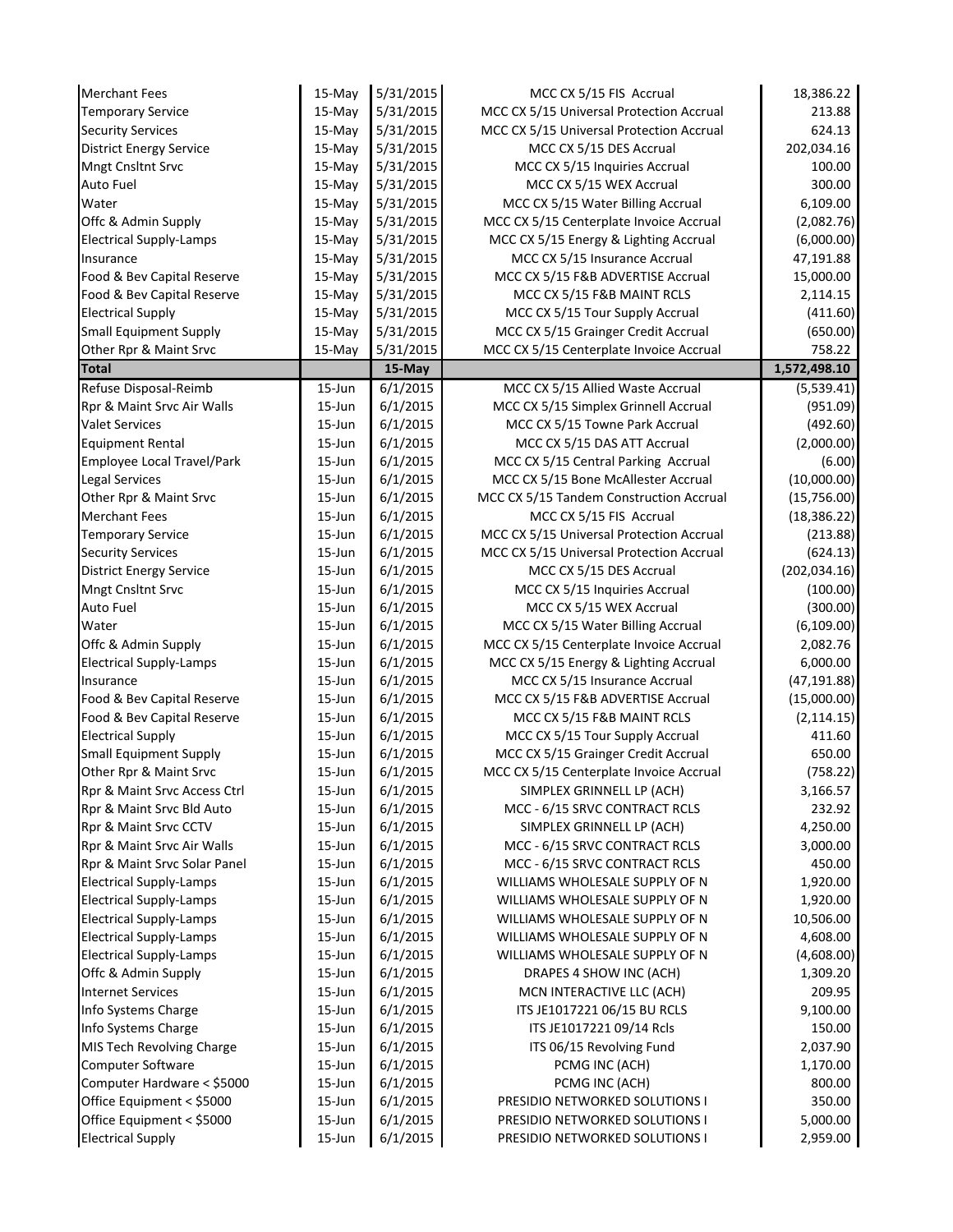| <b>Merchant Fees</b>                                | 15-May           | 5/31/2015            | MCC CX 5/15 FIS Accrual                                  | 18,386.22            |
|-----------------------------------------------------|------------------|----------------------|----------------------------------------------------------|----------------------|
| <b>Temporary Service</b>                            | 15-May           | 5/31/2015            | MCC CX 5/15 Universal Protection Accrual                 | 213.88               |
| <b>Security Services</b>                            | 15-May           | 5/31/2015            | MCC CX 5/15 Universal Protection Accrual                 | 624.13               |
| <b>District Energy Service</b>                      | 15-May           | 5/31/2015            | MCC CX 5/15 DES Accrual                                  | 202,034.16           |
| Mngt Cnsltnt Srvc                                   | 15-May           | 5/31/2015            | MCC CX 5/15 Inquiries Accrual                            | 100.00               |
| Auto Fuel                                           | 15-May           | 5/31/2015            | MCC CX 5/15 WEX Accrual                                  | 300.00               |
| Water                                               | 15-May           | 5/31/2015            | MCC CX 5/15 Water Billing Accrual                        | 6,109.00             |
| Offc & Admin Supply                                 | 15-May           | 5/31/2015            | MCC CX 5/15 Centerplate Invoice Accrual                  | (2,082.76)           |
| <b>Electrical Supply-Lamps</b>                      | 15-May           | 5/31/2015            | MCC CX 5/15 Energy & Lighting Accrual                    | (6,000.00)           |
| Insurance                                           | $15-May$         | 5/31/2015            | MCC CX 5/15 Insurance Accrual                            | 47,191.88            |
| Food & Bev Capital Reserve                          | $15-May$         | 5/31/2015            | MCC CX 5/15 F&B ADVERTISE Accrual                        | 15,000.00            |
| Food & Bev Capital Reserve                          | 15-May           | 5/31/2015            | MCC CX 5/15 F&B MAINT RCLS                               | 2,114.15             |
| <b>Electrical Supply</b>                            | 15-May           | 5/31/2015            | MCC CX 5/15 Tour Supply Accrual                          | (411.60)             |
| <b>Small Equipment Supply</b>                       | 15-May           | 5/31/2015            | MCC CX 5/15 Grainger Credit Accrual                      | (650.00)             |
| Other Rpr & Maint Srvc                              | 15-May           | 5/31/2015            | MCC CX 5/15 Centerplate Invoice Accrual                  | 758.22               |
| <b>Total</b>                                        |                  | 15-May               |                                                          | 1,572,498.10         |
| Refuse Disposal-Reimb                               | 15-Jun           | 6/1/2015             | MCC CX 5/15 Allied Waste Accrual                         | (5,539.41)           |
| Rpr & Maint Srvc Air Walls                          | $15 - Jun$       | 6/1/2015             | MCC CX 5/15 Simplex Grinnell Accrual                     | (951.09)             |
| <b>Valet Services</b>                               | $15 - Jun$       | 6/1/2015             | MCC CX 5/15 Towne Park Accrual                           | (492.60)             |
| <b>Equipment Rental</b>                             | $15 - Jun$       | 6/1/2015             | MCC CX 5/15 DAS ATT Accrual                              | (2,000.00)           |
| <b>Employee Local Travel/Park</b>                   | $15 - Jun$       | 6/1/2015             | MCC CX 5/15 Central Parking Accrual                      | (6.00)               |
| Legal Services                                      | 15-Jun           | 6/1/2015             | MCC CX 5/15 Bone McAllester Accrual                      | (10,000.00)          |
| Other Rpr & Maint Srvc                              | 15-Jun           | 6/1/2015             | MCC CX 5/15 Tandem Construction Accrual                  | (15,756.00)          |
| <b>Merchant Fees</b>                                | $15 - Jun$       | 6/1/2015             | MCC CX 5/15 FIS Accrual                                  | (18, 386.22)         |
| <b>Temporary Service</b>                            | 15-Jun           | 6/1/2015             | MCC CX 5/15 Universal Protection Accrual                 | (213.88)             |
| <b>Security Services</b>                            | $15 - Jun$       | 6/1/2015             | MCC CX 5/15 Universal Protection Accrual                 | (624.13)             |
| <b>District Energy Service</b><br>Mngt Cnsltnt Srvc | 15-Jun<br>15-Jun | 6/1/2015<br>6/1/2015 | MCC CX 5/15 DES Accrual<br>MCC CX 5/15 Inquiries Accrual | (202, 034.16)        |
| Auto Fuel                                           | 15-Jun           | 6/1/2015             | MCC CX 5/15 WEX Accrual                                  | (100.00)<br>(300.00) |
| Water                                               | 15-Jun           | 6/1/2015             | MCC CX 5/15 Water Billing Accrual                        | (6, 109.00)          |
| Offc & Admin Supply                                 | 15-Jun           | 6/1/2015             | MCC CX 5/15 Centerplate Invoice Accrual                  | 2,082.76             |
| <b>Electrical Supply-Lamps</b>                      | 15-Jun           | 6/1/2015             | MCC CX 5/15 Energy & Lighting Accrual                    | 6,000.00             |
| Insurance                                           | 15-Jun           | 6/1/2015             | MCC CX 5/15 Insurance Accrual                            | (47, 191.88)         |
| Food & Bev Capital Reserve                          | 15-Jun           | 6/1/2015             | MCC CX 5/15 F&B ADVERTISE Accrual                        | (15,000.00)          |
| Food & Bev Capital Reserve                          | 15-Jun           | 6/1/2015             | MCC CX 5/15 F&B MAINT RCLS                               | (2, 114.15)          |
| <b>Electrical Supply</b>                            | 15-Jun           | 6/1/2015             | MCC CX 5/15 Tour Supply Accrual                          | 411.60               |
| <b>Small Equipment Supply</b>                       | $15$ -Jun        | 6/1/2015             | MCC CX 5/15 Grainger Credit Accrual                      | 650.00               |
| Other Rpr & Maint Srvc                              | 15-Jun           | 6/1/2015             | MCC CX 5/15 Centerplate Invoice Accrual                  | (758.22)             |
| Rpr & Maint Srvc Access Ctrl                        | 15-Jun           | 6/1/2015             | SIMPLEX GRINNELL LP (ACH)                                | 3,166.57             |
| Rpr & Maint Srvc Bld Auto                           | 15-Jun           | 6/1/2015             | MCC - 6/15 SRVC CONTRACT RCLS                            | 232.92               |
| Rpr & Maint Srvc CCTV                               | 15-Jun           | 6/1/2015             | SIMPLEX GRINNELL LP (ACH)                                | 4,250.00             |
| Rpr & Maint Srvc Air Walls                          | 15-Jun           | 6/1/2015             | MCC - 6/15 SRVC CONTRACT RCLS                            | 3,000.00             |
| Rpr & Maint Srvc Solar Panel                        | $15 - Jun$       | 6/1/2015             | MCC - 6/15 SRVC CONTRACT RCLS                            | 450.00               |
| <b>Electrical Supply-Lamps</b>                      | 15-Jun           | 6/1/2015             | WILLIAMS WHOLESALE SUPPLY OF N                           | 1,920.00             |
| <b>Electrical Supply-Lamps</b>                      | 15-Jun           | 6/1/2015             | WILLIAMS WHOLESALE SUPPLY OF N                           | 1,920.00             |
| <b>Electrical Supply-Lamps</b>                      | 15-Jun           | 6/1/2015             | WILLIAMS WHOLESALE SUPPLY OF N                           | 10,506.00            |
| <b>Electrical Supply-Lamps</b>                      | 15-Jun           | 6/1/2015             | WILLIAMS WHOLESALE SUPPLY OF N                           | 4,608.00             |
| <b>Electrical Supply-Lamps</b>                      | 15-Jun           | 6/1/2015             | WILLIAMS WHOLESALE SUPPLY OF N                           | (4,608.00)           |
| Offc & Admin Supply                                 | 15-Jun           | 6/1/2015             | DRAPES 4 SHOW INC (ACH)                                  | 1,309.20             |
| <b>Internet Services</b>                            | 15-Jun           | 6/1/2015             | MCN INTERACTIVE LLC (ACH)                                | 209.95               |
| Info Systems Charge                                 | 15-Jun           | 6/1/2015             | ITS JE1017221 06/15 BU RCLS                              | 9,100.00             |
| Info Systems Charge                                 | 15-Jun           | 6/1/2015             | ITS JE1017221 09/14 Rcls                                 | 150.00               |
| MIS Tech Revolving Charge                           | 15-Jun           | 6/1/2015             | ITS 06/15 Revolving Fund                                 | 2,037.90             |
| Computer Software                                   | 15-Jun           | 6/1/2015             | PCMG INC (ACH)                                           | 1,170.00             |
| Computer Hardware < \$5000                          | 15-Jun           | 6/1/2015             | PCMG INC (ACH)                                           | 800.00               |
| Office Equipment < \$5000                           | 15-Jun           | 6/1/2015             | PRESIDIO NETWORKED SOLUTIONS I                           | 350.00               |
| Office Equipment < \$5000                           | 15-Jun           | 6/1/2015             | PRESIDIO NETWORKED SOLUTIONS I                           | 5,000.00             |
| <b>Electrical Supply</b>                            | 15-Jun           | 6/1/2015             | PRESIDIO NETWORKED SOLUTIONS I                           | 2,959.00             |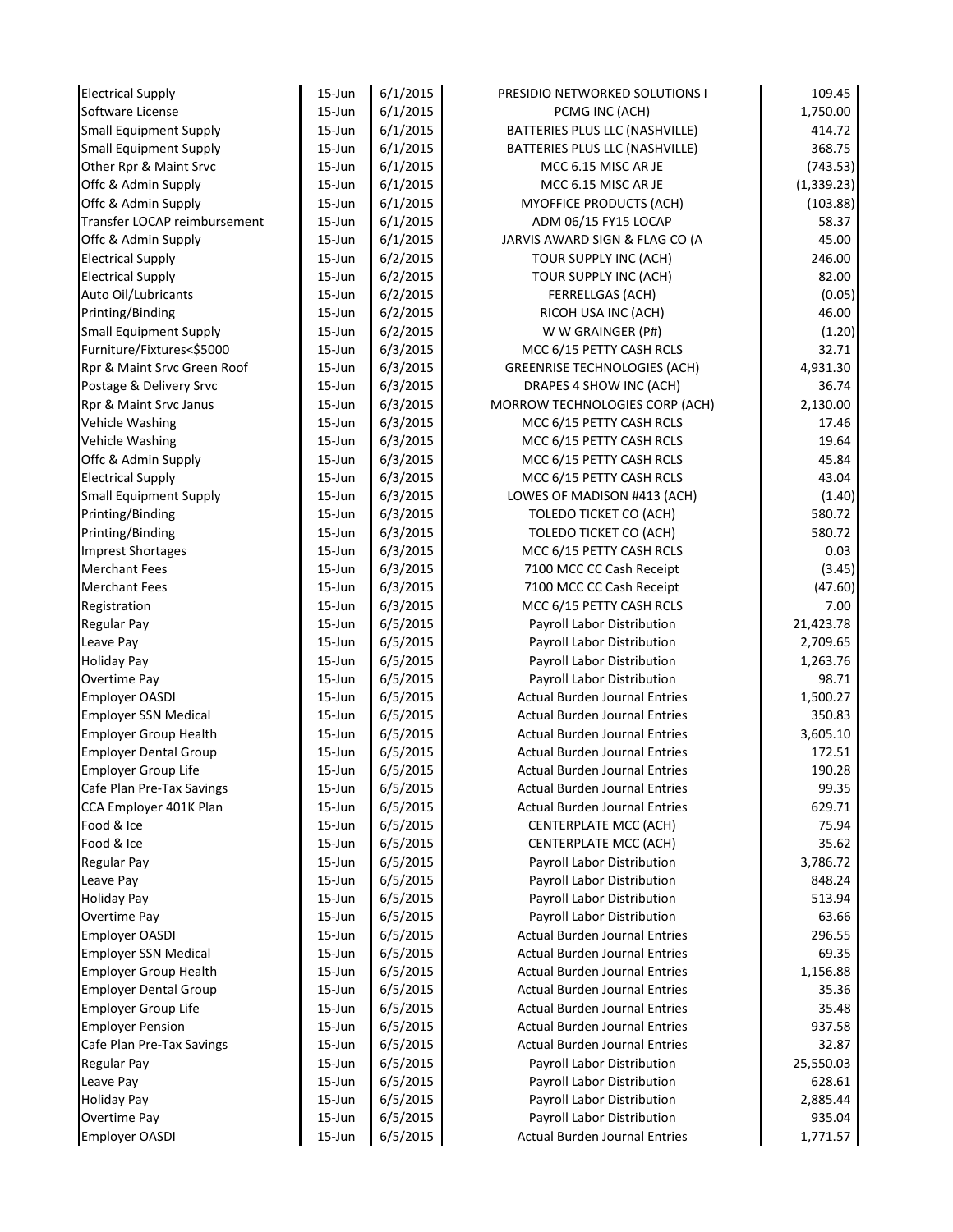| <b>Electrical Supply</b>              | 15-Jun     | 6/1/2015             | PRESIDIO NETWORKED SOLUTIONS I                                     | 109.45      |
|---------------------------------------|------------|----------------------|--------------------------------------------------------------------|-------------|
| Software License                      | $15 - Jun$ | 6/1/2015             | PCMG INC (ACH)                                                     | 1,750.00    |
| <b>Small Equipment Supply</b>         | $15 - Jun$ | 6/1/2015             | BATTERIES PLUS LLC (NASHVILLE)                                     | 414.72      |
| <b>Small Equipment Supply</b>         | $15 - Jun$ | 6/1/2015             | BATTERIES PLUS LLC (NASHVILLE)                                     | 368.75      |
| Other Rpr & Maint Srvc                | $15 - Jun$ | 6/1/2015             | MCC 6.15 MISC AR JE                                                | (743.53)    |
| Offc & Admin Supply                   | $15 - Jun$ | 6/1/2015             | MCC 6.15 MISC AR JE                                                | (1, 339.23) |
| Offc & Admin Supply                   | 15-Jun     | 6/1/2015             | MYOFFICE PRODUCTS (ACH)                                            | (103.88)    |
| Transfer LOCAP reimbursement          | 15-Jun     | 6/1/2015             | ADM 06/15 FY15 LOCAP                                               | 58.37       |
| Offc & Admin Supply                   | $15 - Jun$ | 6/1/2015             | JARVIS AWARD SIGN & FLAG CO (A                                     | 45.00       |
| <b>Electrical Supply</b>              | $15 - Jun$ | 6/2/2015             | TOUR SUPPLY INC (ACH)                                              | 246.00      |
| <b>Electrical Supply</b>              | $15 - Jun$ | 6/2/2015             | TOUR SUPPLY INC (ACH)                                              | 82.00       |
| Auto Oil/Lubricants                   | $15 - Jun$ | 6/2/2015             | <b>FERRELLGAS (ACH)</b>                                            | (0.05)      |
| Printing/Binding                      | $15 - Jun$ | 6/2/2015             | RICOH USA INC (ACH)                                                | 46.00       |
| <b>Small Equipment Supply</b>         | $15 - Jun$ | 6/2/2015             | W W GRAINGER (P#)                                                  | (1.20)      |
| Furniture/Fixtures<\$5000             | 15-Jun     | 6/3/2015             | MCC 6/15 PETTY CASH RCLS                                           | 32.71       |
| Rpr & Maint Srvc Green Roof           | $15 - Jun$ | 6/3/2015             | <b>GREENRISE TECHNOLOGIES (ACH)</b>                                | 4,931.30    |
| Postage & Delivery Srvc               | $15 - Jun$ | 6/3/2015             | DRAPES 4 SHOW INC (ACH)                                            | 36.74       |
| Rpr & Maint Srvc Janus                | 15-Jun     | 6/3/2015             | MORROW TECHNOLOGIES CORP (ACH)                                     | 2,130.00    |
| Vehicle Washing                       | $15 - Jun$ | 6/3/2015             | MCC 6/15 PETTY CASH RCLS                                           | 17.46       |
| <b>Vehicle Washing</b>                | 15-Jun     | 6/3/2015             | MCC 6/15 PETTY CASH RCLS                                           | 19.64       |
| Offc & Admin Supply                   | $15 - Jun$ | 6/3/2015             | MCC 6/15 PETTY CASH RCLS                                           | 45.84       |
| <b>Electrical Supply</b>              | $15 - Jun$ | 6/3/2015             | MCC 6/15 PETTY CASH RCLS                                           | 43.04       |
| <b>Small Equipment Supply</b>         | $15 - Jun$ | 6/3/2015             | LOWES OF MADISON #413 (ACH)                                        | (1.40)      |
| Printing/Binding                      | $15 - Jun$ | 6/3/2015             | <b>TOLEDO TICKET CO (ACH)</b>                                      | 580.72      |
| Printing/Binding                      | $15 - Jun$ | 6/3/2015             | <b>TOLEDO TICKET CO (ACH)</b>                                      | 580.72      |
| <b>Imprest Shortages</b>              | $15 - Jun$ | 6/3/2015             | MCC 6/15 PETTY CASH RCLS                                           | 0.03        |
| <b>Merchant Fees</b>                  | $15 - Jun$ | 6/3/2015             | 7100 MCC CC Cash Receipt                                           | (3.45)      |
| <b>Merchant Fees</b>                  | $15 - Jun$ | 6/3/2015             | 7100 MCC CC Cash Receipt                                           | (47.60)     |
| Registration                          | $15 - Jun$ | 6/3/2015             | MCC 6/15 PETTY CASH RCLS                                           | 7.00        |
| <b>Regular Pay</b>                    | $15 - Jun$ | 6/5/2015             | Payroll Labor Distribution                                         | 21,423.78   |
| Leave Pay                             | $15 - Jun$ | 6/5/2015             | Payroll Labor Distribution                                         | 2,709.65    |
| <b>Holiday Pay</b>                    | $15 - Jun$ | 6/5/2015             |                                                                    | 1,263.76    |
|                                       | $15 - Jun$ |                      | Payroll Labor Distribution                                         | 98.71       |
| Overtime Pay<br><b>Employer OASDI</b> | $15 - Jun$ | 6/5/2015<br>6/5/2015 | Payroll Labor Distribution<br><b>Actual Burden Journal Entries</b> |             |
|                                       |            |                      |                                                                    | 1,500.27    |
| <b>Employer SSN Medical</b>           | $15 - Jun$ | 6/5/2015             | <b>Actual Burden Journal Entries</b>                               | 350.83      |
| <b>Employer Group Health</b>          | $15 - Jun$ | 6/5/2015             | <b>Actual Burden Journal Entries</b>                               | 3,605.10    |
| <b>Employer Dental Group</b>          | $15 - Jun$ | 6/5/2015             | <b>Actual Burden Journal Entries</b>                               | 172.51      |
| <b>Employer Group Life</b>            | $15 - Jun$ | 6/5/2015             | <b>Actual Burden Journal Entries</b>                               | 190.28      |
| Cafe Plan Pre-Tax Savings             | $15 - Jun$ | 6/5/2015             | <b>Actual Burden Journal Entries</b>                               | 99.35       |
| CCA Employer 401K Plan                | 15-Jun     | 6/5/2015             | <b>Actual Burden Journal Entries</b>                               | 629.71      |
| Food & Ice                            | 15-Jun     | 6/5/2015             | <b>CENTERPLATE MCC (ACH)</b>                                       | 75.94       |
| Food & Ice                            | 15-Jun     | 6/5/2015             | <b>CENTERPLATE MCC (ACH)</b>                                       | 35.62       |
| <b>Regular Pay</b>                    | 15-Jun     | 6/5/2015             | Payroll Labor Distribution                                         | 3,786.72    |
| Leave Pay                             | 15-Jun     | 6/5/2015             | Payroll Labor Distribution                                         | 848.24      |
| <b>Holiday Pay</b>                    | 15-Jun     | 6/5/2015             | Payroll Labor Distribution                                         | 513.94      |
| <b>Overtime Pay</b>                   | 15-Jun     | 6/5/2015             | Payroll Labor Distribution                                         | 63.66       |
| <b>Employer OASDI</b>                 | $15 - Jun$ | 6/5/2015             | <b>Actual Burden Journal Entries</b>                               | 296.55      |
| <b>Employer SSN Medical</b>           | $15 - Jun$ | 6/5/2015             | <b>Actual Burden Journal Entries</b>                               | 69.35       |
| <b>Employer Group Health</b>          | $15 - Jun$ | 6/5/2015             | <b>Actual Burden Journal Entries</b>                               | 1,156.88    |
| <b>Employer Dental Group</b>          | 15-Jun     | 6/5/2015             | <b>Actual Burden Journal Entries</b>                               | 35.36       |
| <b>Employer Group Life</b>            | 15-Jun     | 6/5/2015             | <b>Actual Burden Journal Entries</b>                               | 35.48       |
| <b>Employer Pension</b>               | $15 - Jun$ | 6/5/2015             | <b>Actual Burden Journal Entries</b>                               | 937.58      |
| Cafe Plan Pre-Tax Savings             | 15-Jun     | 6/5/2015             | <b>Actual Burden Journal Entries</b>                               | 32.87       |
| <b>Regular Pay</b>                    | 15-Jun     | 6/5/2015             | Payroll Labor Distribution                                         | 25,550.03   |
| Leave Pay                             | $15 - Jun$ | 6/5/2015             | Payroll Labor Distribution                                         | 628.61      |
| <b>Holiday Pay</b>                    | 15-Jun     | 6/5/2015             | Payroll Labor Distribution                                         | 2,885.44    |
| Overtime Pay                          | 15-Jun     | 6/5/2015             | Payroll Labor Distribution                                         | 935.04      |
| <b>Employer OASDI</b>                 | 15-Jun     | 6/5/2015             | Actual Burden Journal Entries                                      | 1,771.57    |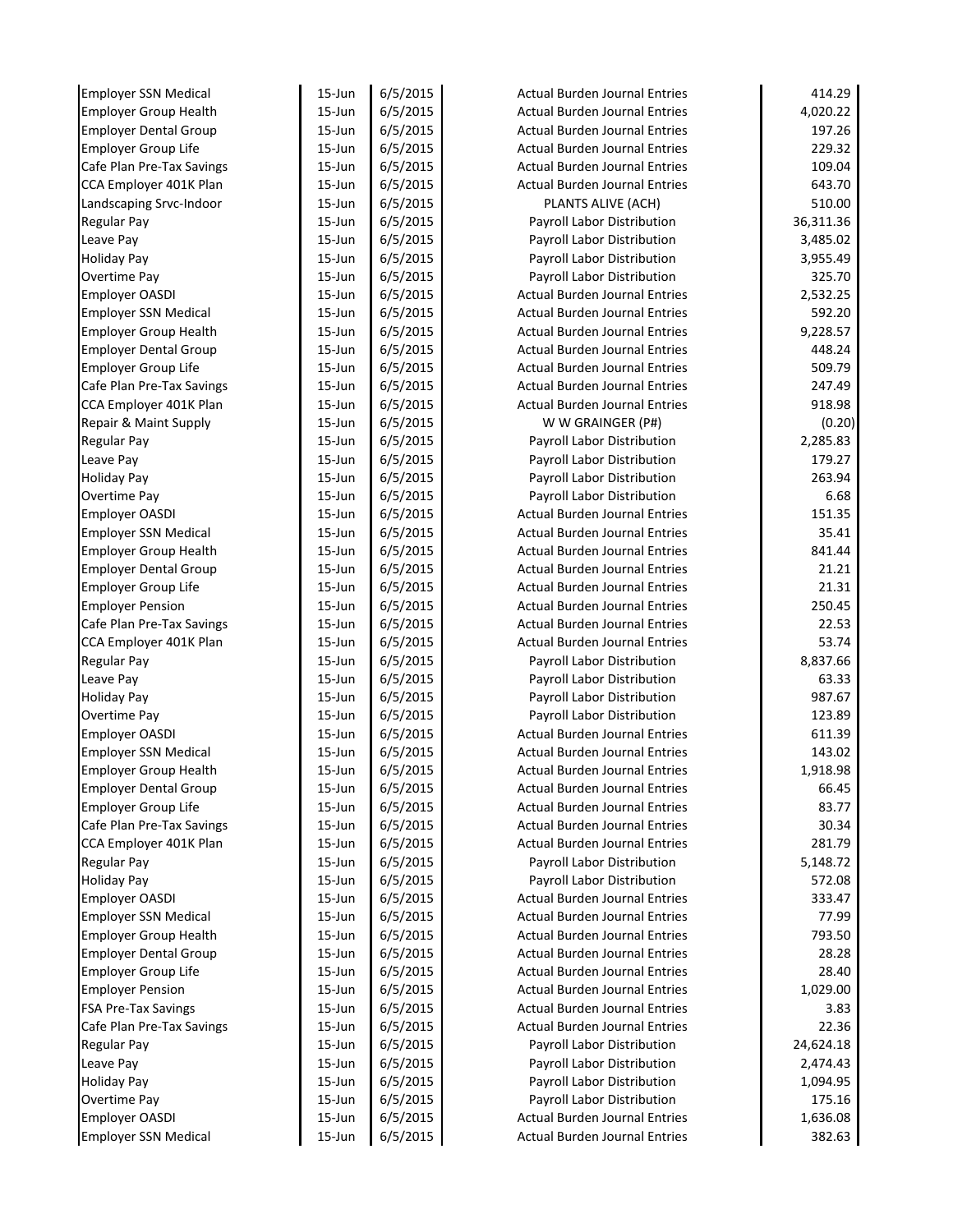| <b>Employer SSN Medical</b>           | 15-Jun     | 6/5/2015 | <b>Actual Burden Journal Entries</b>                               | 414.29    |
|---------------------------------------|------------|----------|--------------------------------------------------------------------|-----------|
| <b>Employer Group Health</b>          | $15 - Jun$ | 6/5/2015 | <b>Actual Burden Journal Entries</b>                               | 4,020.22  |
| <b>Employer Dental Group</b>          | $15$ -Jun  | 6/5/2015 | <b>Actual Burden Journal Entries</b>                               | 197.26    |
| <b>Employer Group Life</b>            | $15$ -Jun  | 6/5/2015 | <b>Actual Burden Journal Entries</b>                               | 229.32    |
| Cafe Plan Pre-Tax Savings             | $15$ -Jun  | 6/5/2015 | <b>Actual Burden Journal Entries</b>                               | 109.04    |
| CCA Employer 401K Plan                | $15$ -Jun  | 6/5/2015 | <b>Actual Burden Journal Entries</b>                               | 643.70    |
| Landscaping Srvc-Indoor               | $15$ -Jun  | 6/5/2015 | PLANTS ALIVE (ACH)                                                 | 510.00    |
| <b>Regular Pay</b>                    | $15$ -Jun  | 6/5/2015 | Payroll Labor Distribution                                         | 36,311.36 |
| Leave Pay                             | $15$ -Jun  | 6/5/2015 | Payroll Labor Distribution                                         | 3,485.02  |
| <b>Holiday Pay</b>                    | $15$ -Jun  | 6/5/2015 | Payroll Labor Distribution                                         | 3,955.49  |
| Overtime Pay                          | $15$ -Jun  | 6/5/2015 | Payroll Labor Distribution                                         | 325.70    |
| Employer OASDI                        | $15$ -Jun  | 6/5/2015 | <b>Actual Burden Journal Entries</b>                               | 2,532.25  |
| <b>Employer SSN Medical</b>           | $15$ -Jun  | 6/5/2015 | <b>Actual Burden Journal Entries</b>                               | 592.20    |
| <b>Employer Group Health</b>          | $15$ -Jun  | 6/5/2015 | <b>Actual Burden Journal Entries</b>                               | 9,228.57  |
| <b>Employer Dental Group</b>          | $15$ -Jun  | 6/5/2015 | <b>Actual Burden Journal Entries</b>                               | 448.24    |
| <b>Employer Group Life</b>            | $15$ -Jun  | 6/5/2015 | <b>Actual Burden Journal Entries</b>                               | 509.79    |
| Cafe Plan Pre-Tax Savings             | 15-Jun     | 6/5/2015 | <b>Actual Burden Journal Entries</b>                               | 247.49    |
| CCA Employer 401K Plan                | $15$ -Jun  | 6/5/2015 | <b>Actual Burden Journal Entries</b>                               | 918.98    |
| Repair & Maint Supply                 | $15$ -Jun  | 6/5/2015 | W W GRAINGER (P#)                                                  | (0.20)    |
| <b>Regular Pay</b>                    | $15$ -Jun  | 6/5/2015 | Payroll Labor Distribution                                         | 2,285.83  |
| Leave Pay                             | $15$ -Jun  | 6/5/2015 | Payroll Labor Distribution                                         | 179.27    |
| <b>Holiday Pay</b>                    | $15$ -Jun  | 6/5/2015 | Payroll Labor Distribution                                         | 263.94    |
| Overtime Pay                          | 15-Jun     | 6/5/2015 | Payroll Labor Distribution                                         | 6.68      |
| <b>Employer OASDI</b>                 | $15$ -Jun  | 6/5/2015 | <b>Actual Burden Journal Entries</b>                               | 151.35    |
| <b>Employer SSN Medical</b>           | $15$ -Jun  | 6/5/2015 | <b>Actual Burden Journal Entries</b>                               | 35.41     |
| <b>Employer Group Health</b>          | $15$ -Jun  | 6/5/2015 | <b>Actual Burden Journal Entries</b>                               | 841.44    |
| <b>Employer Dental Group</b>          | $15$ -Jun  | 6/5/2015 | <b>Actual Burden Journal Entries</b>                               | 21.21     |
| <b>Employer Group Life</b>            | $15$ -Jun  | 6/5/2015 | <b>Actual Burden Journal Entries</b>                               | 21.31     |
| <b>Employer Pension</b>               | $15$ -Jun  | 6/5/2015 | <b>Actual Burden Journal Entries</b>                               | 250.45    |
| Cafe Plan Pre-Tax Savings             | $15$ -Jun  | 6/5/2015 | <b>Actual Burden Journal Entries</b>                               | 22.53     |
| CCA Employer 401K Plan                | $15$ -Jun  | 6/5/2015 | <b>Actual Burden Journal Entries</b>                               | 53.74     |
| <b>Regular Pay</b>                    | $15$ -Jun  | 6/5/2015 | Payroll Labor Distribution                                         | 8,837.66  |
| Leave Pay                             | $15$ -Jun  | 6/5/2015 | Payroll Labor Distribution                                         | 63.33     |
| <b>Holiday Pay</b>                    | $15$ -Jun  | 6/5/2015 | Payroll Labor Distribution                                         | 987.67    |
| Overtime Pay                          | $15$ -Jun  | 6/5/2015 | Payroll Labor Distribution                                         | 123.89    |
| <b>Employer OASDI</b>                 | $15$ -Jun  | 6/5/2015 | <b>Actual Burden Journal Entries</b>                               | 611.39    |
| <b>Employer SSN Medical</b>           | $15$ -Jun  | 6/5/2015 | <b>Actual Burden Journal Entries</b>                               | 143.02    |
| <b>Employer Group Health</b>          | 15-Jun     | 6/5/2015 | <b>Actual Burden Journal Entries</b>                               | 1,918.98  |
| <b>Employer Dental Group</b>          | $15$ -Jun  | 6/5/2015 | <b>Actual Burden Journal Entries</b>                               | 66.45     |
| <b>Employer Group Life</b>            | $15$ -Jun  | 6/5/2015 | <b>Actual Burden Journal Entries</b>                               | 83.77     |
| Cafe Plan Pre-Tax Savings             | 15-Jun     | 6/5/2015 | <b>Actual Burden Journal Entries</b>                               | 30.34     |
| CCA Employer 401K Plan                | 15-Jun     | 6/5/2015 | Actual Burden Journal Entries                                      | 281.79    |
| <b>Regular Pay</b>                    | 15-Jun     | 6/5/2015 | Payroll Labor Distribution                                         | 5,148.72  |
| <b>Holiday Pay</b>                    | 15-Jun     | 6/5/2015 | Payroll Labor Distribution                                         | 572.08    |
| <b>Employer OASDI</b>                 | 15-Jun     | 6/5/2015 | Actual Burden Journal Entries                                      | 333.47    |
| <b>Employer SSN Medical</b>           | 15-Jun     | 6/5/2015 | <b>Actual Burden Journal Entries</b>                               | 77.99     |
| <b>Employer Group Health</b>          | 15-Jun     | 6/5/2015 | <b>Actual Burden Journal Entries</b>                               | 793.50    |
| <b>Employer Dental Group</b>          | 15-Jun     | 6/5/2015 | Actual Burden Journal Entries                                      | 28.28     |
| Employer Group Life                   | 15-Jun     | 6/5/2015 | <b>Actual Burden Journal Entries</b>                               | 28.40     |
| <b>Employer Pension</b>               | 15-Jun     | 6/5/2015 | <b>Actual Burden Journal Entries</b>                               | 1,029.00  |
| <b>FSA Pre-Tax Savings</b>            | $15$ -Jun  | 6/5/2015 | <b>Actual Burden Journal Entries</b>                               | 3.83      |
| Cafe Plan Pre-Tax Savings             | $15$ -Jun  | 6/5/2015 | <b>Actual Burden Journal Entries</b>                               | 22.36     |
| <b>Regular Pay</b>                    | $15$ -Jun  | 6/5/2015 | Payroll Labor Distribution                                         | 24,624.18 |
| Leave Pay                             | 15-Jun     | 6/5/2015 | Payroll Labor Distribution                                         | 2,474.43  |
| <b>Holiday Pay</b>                    | 15-Jun     | 6/5/2015 | Payroll Labor Distribution                                         | 1,094.95  |
|                                       |            |          |                                                                    |           |
| Overtime Pay<br><b>Employer OASDI</b> | 15-Jun     | 6/5/2015 | Payroll Labor Distribution<br><b>Actual Burden Journal Entries</b> | 175.16    |
|                                       | 15-Jun     | 6/5/2015 |                                                                    | 1,636.08  |
| <b>Employer SSN Medical</b>           | 15-Jun     | 6/5/2015 | <b>Actual Burden Journal Entries</b>                               | 382.63    |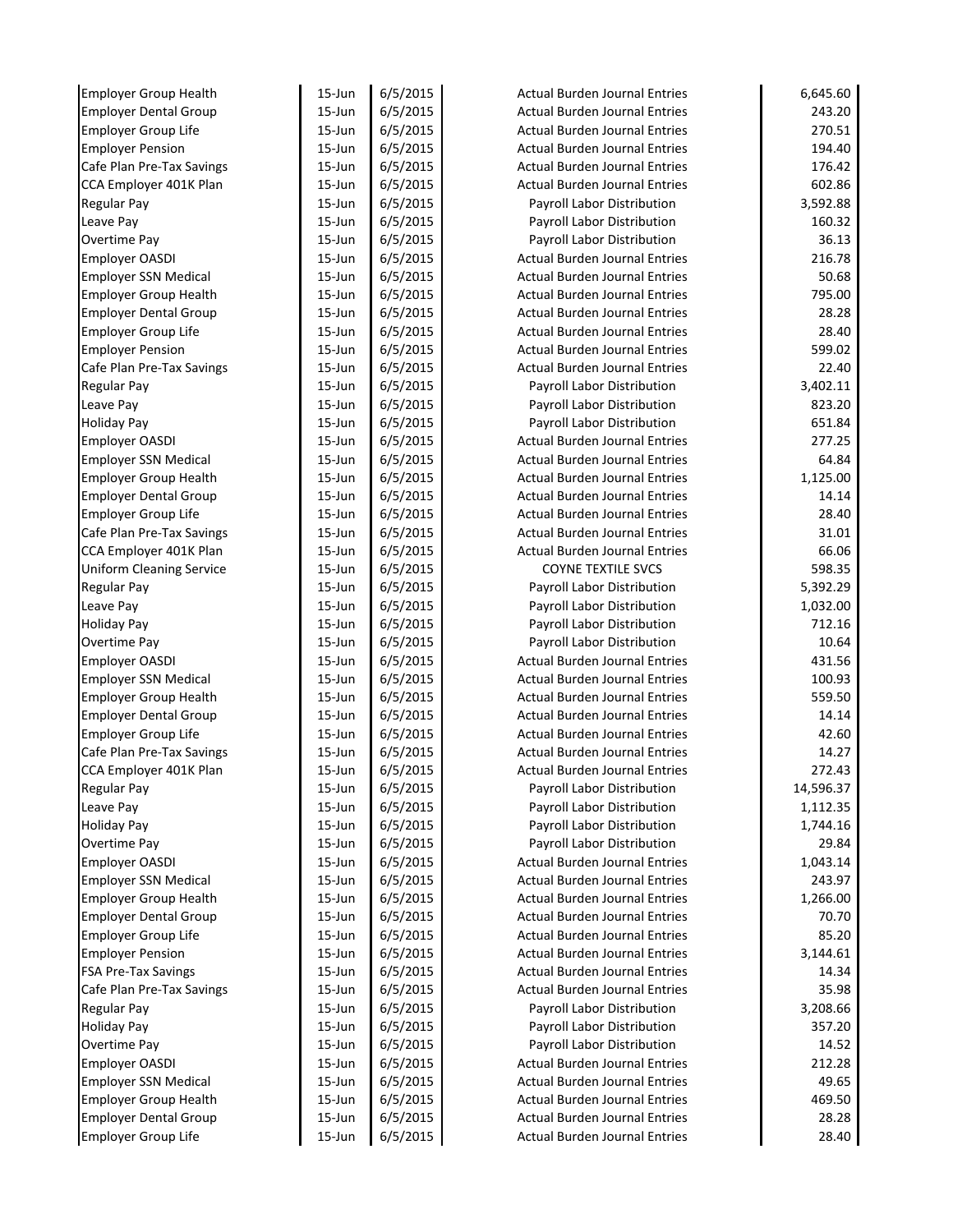| <b>Employer Group Health</b>                                 | 15-Jun           | 6/5/2015             | <b>Actual Burden Journal Entries</b> | 6,645.60        |
|--------------------------------------------------------------|------------------|----------------------|--------------------------------------|-----------------|
| <b>Employer Dental Group</b>                                 | $15 - Jun$       | 6/5/2015             | <b>Actual Burden Journal Entries</b> | 243.20          |
| <b>Employer Group Life</b>                                   | $15$ -Jun        | 6/5/2015             | <b>Actual Burden Journal Entries</b> | 270.51          |
| <b>Employer Pension</b>                                      | $15$ -Jun        | 6/5/2015             | <b>Actual Burden Journal Entries</b> | 194.40          |
| Cafe Plan Pre-Tax Savings                                    | $15$ -Jun        | 6/5/2015             | <b>Actual Burden Journal Entries</b> | 176.42          |
| CCA Employer 401K Plan                                       | $15$ -Jun        | 6/5/2015             | <b>Actual Burden Journal Entries</b> | 602.86          |
| <b>Regular Pay</b>                                           | $15$ -Jun        | 6/5/2015             | Payroll Labor Distribution           | 3,592.88        |
| Leave Pay                                                    | $15$ -Jun        | 6/5/2015             | Payroll Labor Distribution           | 160.32          |
| Overtime Pay                                                 | $15 - Jun$       | 6/5/2015             | Payroll Labor Distribution           | 36.13           |
| <b>Employer OASDI</b>                                        | $15 - Jun$       | 6/5/2015             | <b>Actual Burden Journal Entries</b> | 216.78          |
| <b>Employer SSN Medical</b>                                  | $15$ -Jun        | 6/5/2015             | <b>Actual Burden Journal Entries</b> | 50.68           |
| <b>Employer Group Health</b>                                 | $15$ -Jun        | 6/5/2015             | <b>Actual Burden Journal Entries</b> | 795.00          |
| <b>Employer Dental Group</b>                                 | $15$ -Jun        | 6/5/2015             | <b>Actual Burden Journal Entries</b> | 28.28           |
| <b>Employer Group Life</b>                                   | $15$ -Jun        | 6/5/2015             | <b>Actual Burden Journal Entries</b> | 28.40           |
| <b>Employer Pension</b>                                      | $15$ -Jun        | 6/5/2015             | <b>Actual Burden Journal Entries</b> | 599.02          |
| Cafe Plan Pre-Tax Savings                                    | $15$ -Jun        | 6/5/2015             | <b>Actual Burden Journal Entries</b> | 22.40           |
| <b>Regular Pay</b>                                           | 15-Jun           | 6/5/2015             | Payroll Labor Distribution           | 3,402.11        |
| Leave Pay                                                    | $15$ -Jun        | 6/5/2015             | Payroll Labor Distribution           | 823.20          |
| <b>Holiday Pay</b>                                           | $15$ -Jun        | 6/5/2015             | Payroll Labor Distribution           | 651.84          |
| <b>Employer OASDI</b>                                        | $15$ -Jun        | 6/5/2015             | <b>Actual Burden Journal Entries</b> | 277.25          |
| <b>Employer SSN Medical</b>                                  | $15$ -Jun        | 6/5/2015             | <b>Actual Burden Journal Entries</b> | 64.84           |
| <b>Employer Group Health</b>                                 | $15$ -Jun        | 6/5/2015             | <b>Actual Burden Journal Entries</b> | 1,125.00        |
| <b>Employer Dental Group</b>                                 | 15-Jun           | 6/5/2015             | <b>Actual Burden Journal Entries</b> | 14.14           |
| <b>Employer Group Life</b>                                   | $15$ -Jun        | 6/5/2015             | <b>Actual Burden Journal Entries</b> | 28.40           |
| Cafe Plan Pre-Tax Savings                                    | $15$ -Jun        | 6/5/2015             | <b>Actual Burden Journal Entries</b> | 31.01           |
| CCA Employer 401K Plan                                       | $15$ -Jun        | 6/5/2015             | <b>Actual Burden Journal Entries</b> | 66.06           |
| <b>Uniform Cleaning Service</b>                              | $15$ -Jun        | 6/5/2015             | <b>COYNE TEXTILE SVCS</b>            | 598.35          |
| <b>Regular Pay</b>                                           | $15$ -Jun        | 6/5/2015             | Payroll Labor Distribution           | 5,392.29        |
| Leave Pay                                                    | $15$ -Jun        | 6/5/2015             | Payroll Labor Distribution           | 1,032.00        |
| <b>Holiday Pay</b>                                           | $15$ -Jun        | 6/5/2015             | Payroll Labor Distribution           | 712.16          |
| Overtime Pay                                                 | $15$ -Jun        | 6/5/2015             | Payroll Labor Distribution           | 10.64           |
| <b>Employer OASDI</b>                                        | $15$ -Jun        | 6/5/2015             | <b>Actual Burden Journal Entries</b> | 431.56          |
| <b>Employer SSN Medical</b>                                  | $15$ -Jun        | 6/5/2015             | <b>Actual Burden Journal Entries</b> | 100.93          |
| <b>Employer Group Health</b>                                 | $15$ -Jun        | 6/5/2015             | <b>Actual Burden Journal Entries</b> | 559.50          |
| <b>Employer Dental Group</b>                                 | $15$ -Jun        | 6/5/2015             | <b>Actual Burden Journal Entries</b> | 14.14           |
| <b>Employer Group Life</b>                                   | $15$ -Jun        | 6/5/2015             | <b>Actual Burden Journal Entries</b> | 42.60           |
| Cafe Plan Pre-Tax Savings                                    | $15$ -Jun        | 6/5/2015             | Actual Burden Journal Entries        | 14.27           |
| CCA Employer 401K Plan                                       | 15-Jun           | 6/5/2015             | <b>Actual Burden Journal Entries</b> | 272.43          |
| <b>Regular Pay</b>                                           | 15-Jun           | 6/5/2015             | Payroll Labor Distribution           | 14,596.37       |
| Leave Pay                                                    | 15-Jun           | 6/5/2015             | Payroll Labor Distribution           | 1,112.35        |
| <b>Holiday Pay</b>                                           | 15-Jun           | 6/5/2015             | Payroll Labor Distribution           | 1,744.16        |
| Overtime Pay                                                 | 15-Jun           | 6/5/2015             | Payroll Labor Distribution           | 29.84           |
| <b>Employer OASDI</b>                                        | 15-Jun           | 6/5/2015             | <b>Actual Burden Journal Entries</b> | 1,043.14        |
| <b>Employer SSN Medical</b>                                  | 15-Jun           | 6/5/2015             | <b>Actual Burden Journal Entries</b> | 243.97          |
| <b>Employer Group Health</b>                                 | 15-Jun           | 6/5/2015             | <b>Actual Burden Journal Entries</b> | 1,266.00        |
| <b>Employer Dental Group</b>                                 | 15-Jun           | 6/5/2015             | <b>Actual Burden Journal Entries</b> | 70.70           |
| <b>Employer Group Life</b>                                   | 15-Jun           | 6/5/2015             | <b>Actual Burden Journal Entries</b> | 85.20           |
| <b>Employer Pension</b>                                      | 15-Jun           | 6/5/2015             | Actual Burden Journal Entries        | 3,144.61        |
| <b>FSA Pre-Tax Savings</b>                                   | 15-Jun           | 6/5/2015             | <b>Actual Burden Journal Entries</b> | 14.34           |
| Cafe Plan Pre-Tax Savings                                    | 15-Jun           | 6/5/2015             | <b>Actual Burden Journal Entries</b> | 35.98           |
| <b>Regular Pay</b>                                           | $15$ -Jun        | 6/5/2015             | Payroll Labor Distribution           | 3,208.66        |
| <b>Holiday Pay</b>                                           | $15$ -Jun        | 6/5/2015             | Payroll Labor Distribution           | 357.20          |
| Overtime Pay                                                 | 15-Jun           | 6/5/2015             | Payroll Labor Distribution           | 14.52           |
| <b>Employer OASDI</b>                                        | 15-Jun           | 6/5/2015             | Actual Burden Journal Entries        | 212.28          |
| <b>Employer SSN Medical</b>                                  | 15-Jun           | 6/5/2015             | <b>Actual Burden Journal Entries</b> | 49.65           |
|                                                              |                  |                      | <b>Actual Burden Journal Entries</b> |                 |
|                                                              |                  |                      |                                      |                 |
| <b>Employer Group Health</b><br><b>Employer Dental Group</b> | 15-Jun<br>15-Jun | 6/5/2015<br>6/5/2015 | <b>Actual Burden Journal Entries</b> | 469.50<br>28.28 |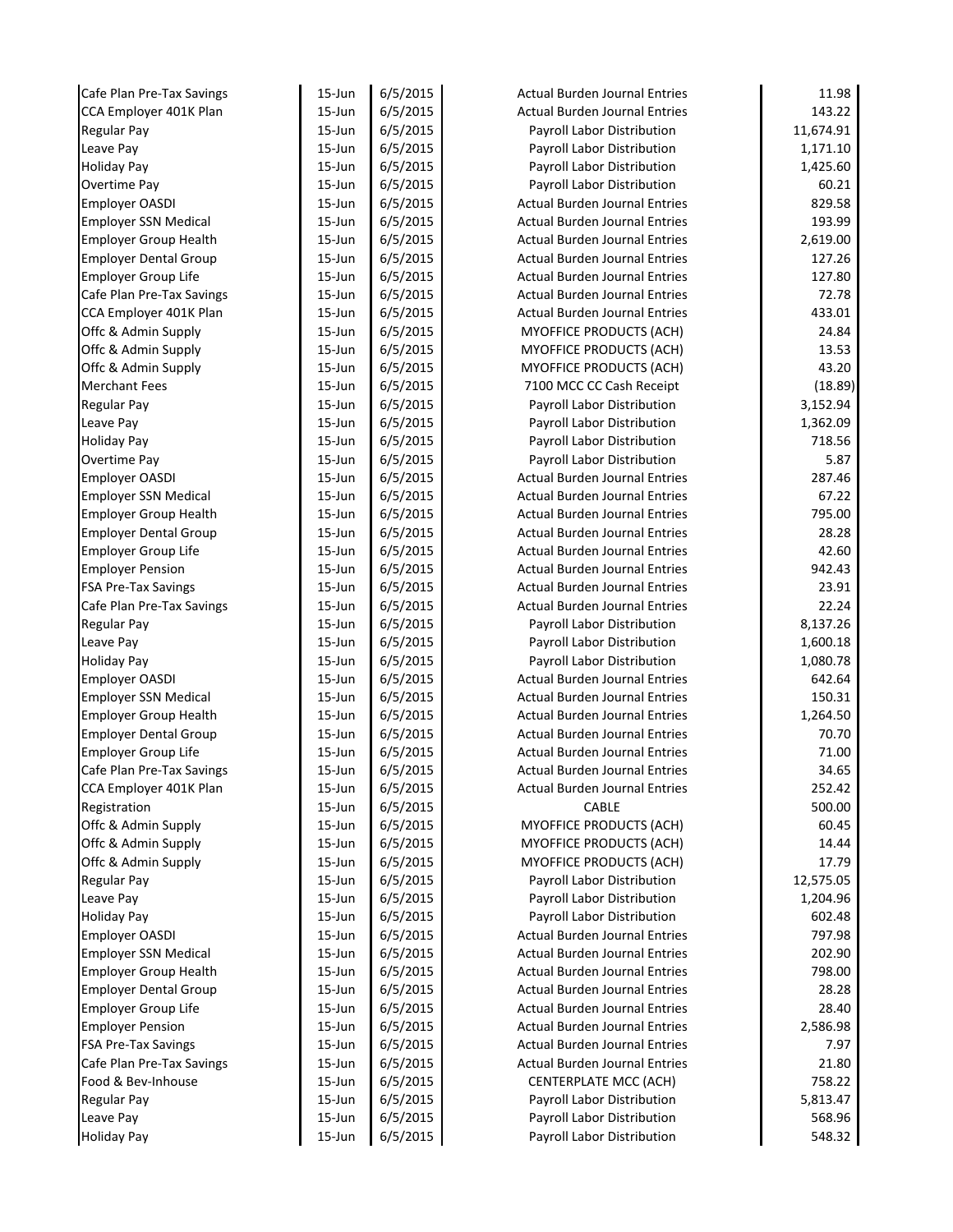| Cafe Plan Pre-Tax Savings       | 15-Jun                   | 6/5/2015             | <b>Actual Burden Journal Entries</b>                     | 11.98              |
|---------------------------------|--------------------------|----------------------|----------------------------------------------------------|--------------------|
| CCA Employer 401K Plan          | $15 - Jun$               | 6/5/2015             | <b>Actual Burden Journal Entries</b>                     | 143.22             |
| <b>Regular Pay</b>              | $15 - Jun$               | 6/5/2015             | Payroll Labor Distribution                               | 11,674.91          |
| Leave Pay                       | $15 - Jun$               | 6/5/2015             | Payroll Labor Distribution                               | 1,171.10           |
| <b>Holiday Pay</b>              | $15 - Jun$               | 6/5/2015             | Payroll Labor Distribution                               | 1,425.60           |
| Overtime Pay                    | $15 - Jun$               | 6/5/2015             | Payroll Labor Distribution                               | 60.21              |
| <b>Employer OASDI</b>           | $15 - Jun$               | 6/5/2015             | <b>Actual Burden Journal Entries</b>                     | 829.58             |
| <b>Employer SSN Medical</b>     | $15 - Jun$               | 6/5/2015             | <b>Actual Burden Journal Entries</b>                     | 193.99             |
| <b>Employer Group Health</b>    | $15 - Jun$               | 6/5/2015             | <b>Actual Burden Journal Entries</b>                     | 2,619.00           |
| <b>Employer Dental Group</b>    | $15 - Jun$               | 6/5/2015             | <b>Actual Burden Journal Entries</b>                     | 127.26             |
| <b>Employer Group Life</b>      | $15 - Jun$               | 6/5/2015             | <b>Actual Burden Journal Entries</b>                     | 127.80             |
| Cafe Plan Pre-Tax Savings       | 15-Jun                   | 6/5/2015             | <b>Actual Burden Journal Entries</b>                     | 72.78              |
| CCA Employer 401K Plan          | $15 - Jun$               | 6/5/2015             | <b>Actual Burden Journal Entries</b>                     | 433.01             |
| Offc & Admin Supply             | $15 - Jun$               | 6/5/2015             | MYOFFICE PRODUCTS (ACH)                                  | 24.84              |
| Offc & Admin Supply             | $15 - Jun$               | 6/5/2015             | MYOFFICE PRODUCTS (ACH)                                  | 13.53              |
| Offc & Admin Supply             | $15 - Jun$               | 6/5/2015             | <b>MYOFFICE PRODUCTS (ACH)</b>                           | 43.20              |
| <b>Merchant Fees</b>            | $15 - Jun$               | 6/5/2015             | 7100 MCC CC Cash Receipt                                 | (18.89)            |
| <b>Regular Pay</b>              | 15-Jun                   | 6/5/2015             | Payroll Labor Distribution                               | 3,152.94           |
| Leave Pay                       | $15 - Jun$               | 6/5/2015             | Payroll Labor Distribution                               | 1,362.09           |
| <b>Holiday Pay</b>              | 15-Jun                   | 6/5/2015             | Payroll Labor Distribution                               | 718.56             |
| Overtime Pay                    | $15 - Jun$               | 6/5/2015             | Payroll Labor Distribution                               | 5.87               |
| <b>Employer OASDI</b>           | $15 - Jun$               | 6/5/2015             | <b>Actual Burden Journal Entries</b>                     | 287.46             |
| <b>Employer SSN Medical</b>     | 15-Jun                   | 6/5/2015             | <b>Actual Burden Journal Entries</b>                     | 67.22              |
| <b>Employer Group Health</b>    | $15 - Jun$               | 6/5/2015             | <b>Actual Burden Journal Entries</b>                     | 795.00             |
| <b>Employer Dental Group</b>    | $15 - Jun$               | 6/5/2015             | <b>Actual Burden Journal Entries</b>                     | 28.28              |
| <b>Employer Group Life</b>      | $15 - Jun$               | 6/5/2015             | <b>Actual Burden Journal Entries</b>                     | 42.60              |
| <b>Employer Pension</b>         | $15 - Jun$               | 6/5/2015             | <b>Actual Burden Journal Entries</b>                     | 942.43             |
| <b>FSA Pre-Tax Savings</b>      | $15 - Jun$               | 6/5/2015             | <b>Actual Burden Journal Entries</b>                     | 23.91              |
| Cafe Plan Pre-Tax Savings       | $15 - Jun$               | 6/5/2015             | <b>Actual Burden Journal Entries</b>                     | 22.24              |
| <b>Regular Pay</b>              | $15 - Jun$               | 6/5/2015             | Payroll Labor Distribution                               | 8,137.26           |
| Leave Pay                       | $15 - Jun$               | 6/5/2015             | Payroll Labor Distribution                               | 1,600.18           |
| <b>Holiday Pay</b>              | $15 - Jun$               | 6/5/2015             | Payroll Labor Distribution                               | 1,080.78           |
| <b>Employer OASDI</b>           | $15 - Jun$               | 6/5/2015             | <b>Actual Burden Journal Entries</b>                     | 642.64             |
| <b>Employer SSN Medical</b>     | $15 - Jun$               | 6/5/2015             | <b>Actual Burden Journal Entries</b>                     | 150.31             |
| <b>Employer Group Health</b>    | $15 - Jun$               | 6/5/2015             | <b>Actual Burden Journal Entries</b>                     | 1,264.50           |
| <b>Employer Dental Group</b>    | $15 - Jun$               | 6/5/2015             | <b>Actual Burden Journal Entries</b>                     | 70.70              |
| <b>Employer Group Life</b>      | 15-Jun                   | 6/5/2015             | <b>Actual Burden Journal Entries</b>                     | 71.00              |
| Cafe Plan Pre-Tax Savings       | 15-Jun                   | 6/5/2015             | <b>Actual Burden Journal Entries</b>                     | 34.65              |
| CCA Employer 401K Plan          | 15-Jun                   | 6/5/2015             | <b>Actual Burden Journal Entries</b>                     | 252.42             |
| Registration                    | $15 - Jun$               | 6/5/2015             | CABLE                                                    | 500.00             |
| Offc & Admin Supply             | $15 - Jun$               | 6/5/2015             | MYOFFICE PRODUCTS (ACH)                                  | 60.45              |
| Offc & Admin Supply             | $15 - Jun$               | 6/5/2015             | <b>MYOFFICE PRODUCTS (ACH)</b>                           | 14.44              |
| Offc & Admin Supply             | 15-Jun                   | 6/5/2015             | MYOFFICE PRODUCTS (ACH)                                  | 17.79              |
| <b>Regular Pay</b>              | 15-Jun                   | 6/5/2015             | Payroll Labor Distribution                               | 12,575.05          |
| Leave Pay                       | 15-Jun                   | 6/5/2015             | Payroll Labor Distribution                               | 1,204.96           |
| <b>Holiday Pay</b>              | 15-Jun                   | 6/5/2015             | Payroll Labor Distribution                               | 602.48             |
| <b>Employer OASDI</b>           | $15 - Jun$               | 6/5/2015             | <b>Actual Burden Journal Entries</b>                     | 797.98             |
| <b>Employer SSN Medical</b>     | 15-Jun                   | 6/5/2015             | <b>Actual Burden Journal Entries</b>                     | 202.90             |
| <b>Employer Group Health</b>    | $15 - Jun$               | 6/5/2015             | <b>Actual Burden Journal Entries</b>                     | 798.00             |
| <b>Employer Dental Group</b>    | 15-Jun                   | 6/5/2015             | <b>Actual Burden Journal Entries</b>                     | 28.28              |
| <b>Employer Group Life</b>      | $15 - Jun$               | 6/5/2015             | <b>Actual Burden Journal Entries</b>                     | 28.40              |
| <b>Employer Pension</b>         | $15 - Jun$               | 6/5/2015             | <b>Actual Burden Journal Entries</b>                     | 2,586.98           |
| <b>FSA Pre-Tax Savings</b>      | 15-Jun                   | 6/5/2015             | <b>Actual Burden Journal Entries</b>                     | 7.97               |
| Cafe Plan Pre-Tax Savings       | $15 - Jun$               | 6/5/2015             | <b>Actual Burden Journal Entries</b>                     | 21.80              |
| Food & Bev-Inhouse              | $15 - Jun$<br>$15 - Jun$ | 6/5/2015             | <b>CENTERPLATE MCC (ACH)</b>                             | 758.22             |
| <b>Regular Pay</b><br>Leave Pay | 15-Jun                   | 6/5/2015<br>6/5/2015 | Payroll Labor Distribution<br>Payroll Labor Distribution | 5,813.47<br>568.96 |
|                                 |                          |                      |                                                          |                    |
| <b>Holiday Pay</b>              | 15-Jun                   | 6/5/2015             | Payroll Labor Distribution                               | 548.32             |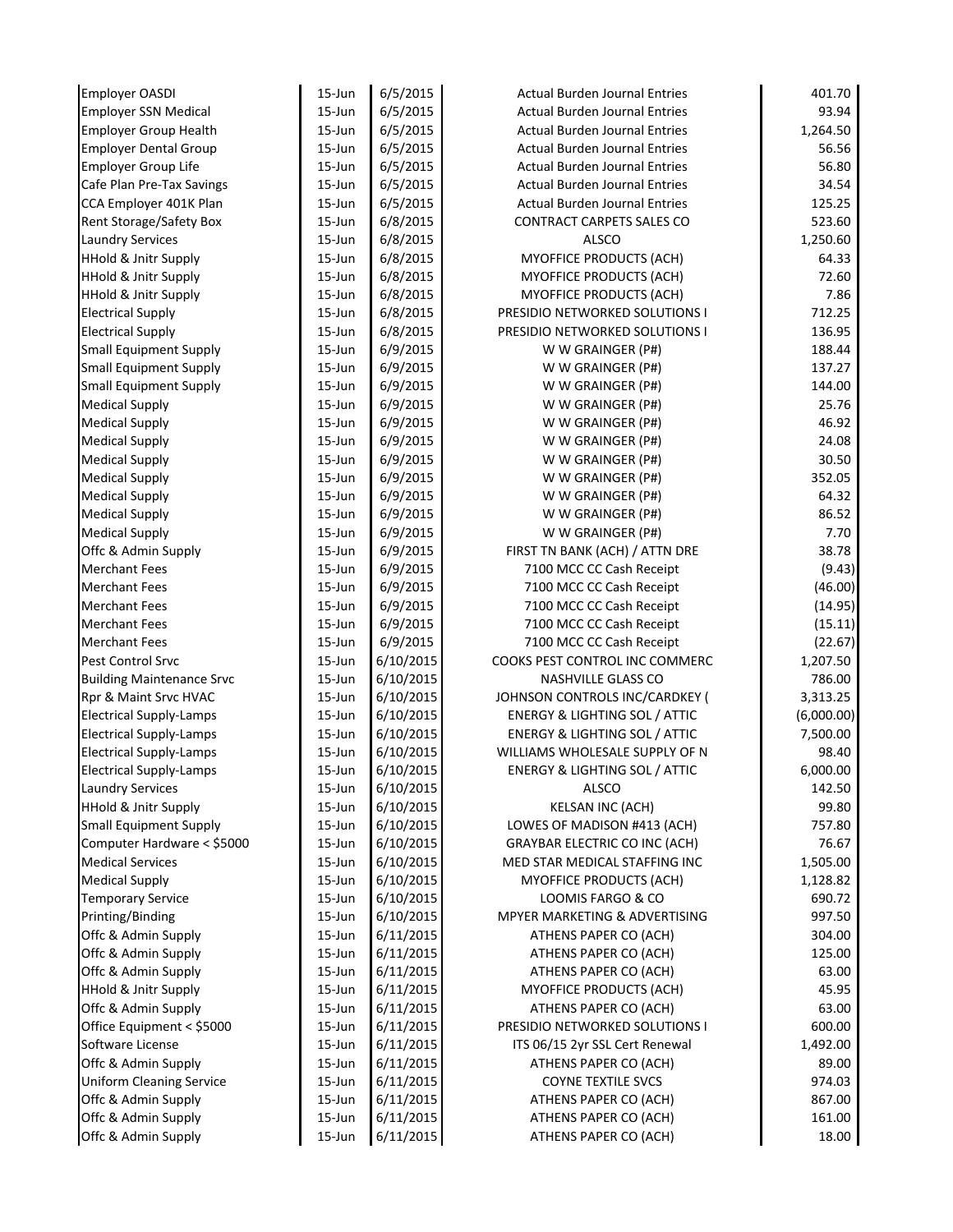| Employer OASDI                   | 15-Jun     | 6/5/2015  | <b>Actual Burden Journal Entries</b>     | 401.70     |
|----------------------------------|------------|-----------|------------------------------------------|------------|
| <b>Employer SSN Medical</b>      | 15-Jun     | 6/5/2015  | <b>Actual Burden Journal Entries</b>     | 93.94      |
| <b>Employer Group Health</b>     | 15-Jun     | 6/5/2015  | <b>Actual Burden Journal Entries</b>     | 1,264.50   |
| <b>Employer Dental Group</b>     | 15-Jun     | 6/5/2015  | <b>Actual Burden Journal Entries</b>     | 56.56      |
| <b>Employer Group Life</b>       | 15-Jun     | 6/5/2015  | <b>Actual Burden Journal Entries</b>     | 56.80      |
| Cafe Plan Pre-Tax Savings        | 15-Jun     | 6/5/2015  | <b>Actual Burden Journal Entries</b>     | 34.54      |
| CCA Employer 401K Plan           | 15-Jun     | 6/5/2015  | Actual Burden Journal Entries            | 125.25     |
| <b>Rent Storage/Safety Box</b>   | 15-Jun     | 6/8/2015  | CONTRACT CARPETS SALES CO                | 523.60     |
| <b>Laundry Services</b>          | 15-Jun     | 6/8/2015  | <b>ALSCO</b>                             | 1,250.60   |
| <b>HHold &amp; Jnitr Supply</b>  | 15-Jun     | 6/8/2015  | MYOFFICE PRODUCTS (ACH)                  | 64.33      |
| <b>HHold &amp; Jnitr Supply</b>  | 15-Jun     | 6/8/2015  | MYOFFICE PRODUCTS (ACH)                  | 72.60      |
| <b>HHold &amp; Jnitr Supply</b>  | 15-Jun     | 6/8/2015  | MYOFFICE PRODUCTS (ACH)                  | 7.86       |
| <b>Electrical Supply</b>         | 15-Jun     | 6/8/2015  | PRESIDIO NETWORKED SOLUTIONS I           | 712.25     |
| <b>Electrical Supply</b>         | 15-Jun     | 6/8/2015  | PRESIDIO NETWORKED SOLUTIONS I           | 136.95     |
| <b>Small Equipment Supply</b>    | 15-Jun     | 6/9/2015  | W W GRAINGER (P#)                        | 188.44     |
| <b>Small Equipment Supply</b>    | 15-Jun     | 6/9/2015  | W W GRAINGER (P#)                        | 137.27     |
| <b>Small Equipment Supply</b>    | 15-Jun     | 6/9/2015  | W W GRAINGER (P#)                        | 144.00     |
| <b>Medical Supply</b>            | 15-Jun     | 6/9/2015  | W W GRAINGER (P#)                        | 25.76      |
| <b>Medical Supply</b>            | 15-Jun     | 6/9/2015  | W W GRAINGER (P#)                        | 46.92      |
| <b>Medical Supply</b>            | 15-Jun     | 6/9/2015  | W W GRAINGER (P#)                        | 24.08      |
| <b>Medical Supply</b>            | 15-Jun     | 6/9/2015  | W W GRAINGER (P#)                        | 30.50      |
| <b>Medical Supply</b>            | 15-Jun     | 6/9/2015  | W W GRAINGER (P#)                        | 352.05     |
| <b>Medical Supply</b>            | 15-Jun     | 6/9/2015  | W W GRAINGER (P#)                        | 64.32      |
| <b>Medical Supply</b>            | 15-Jun     | 6/9/2015  | W W GRAINGER (P#)                        | 86.52      |
| <b>Medical Supply</b>            | 15-Jun     | 6/9/2015  | W W GRAINGER (P#)                        | 7.70       |
| Offc & Admin Supply              | 15-Jun     | 6/9/2015  | FIRST TN BANK (ACH) / ATTN DRE           | 38.78      |
| <b>Merchant Fees</b>             | 15-Jun     | 6/9/2015  | 7100 MCC CC Cash Receipt                 | (9.43)     |
| <b>Merchant Fees</b>             | 15-Jun     | 6/9/2015  | 7100 MCC CC Cash Receipt                 | (46.00)    |
| <b>Merchant Fees</b>             | 15-Jun     | 6/9/2015  | 7100 MCC CC Cash Receipt                 | (14.95)    |
| <b>Merchant Fees</b>             | 15-Jun     | 6/9/2015  | 7100 MCC CC Cash Receipt                 | (15.11)    |
| <b>Merchant Fees</b>             | 15-Jun     | 6/9/2015  | 7100 MCC CC Cash Receipt                 | (22.67)    |
| Pest Control Srvc                | 15-Jun     | 6/10/2015 | COOKS PEST CONTROL INC COMMERC           | 1,207.50   |
| <b>Building Maintenance Srvc</b> | 15-Jun     | 6/10/2015 | <b>NASHVILLE GLASS CO</b>                | 786.00     |
| Rpr & Maint Srvc HVAC            | 15-Jun     | 6/10/2015 | JOHNSON CONTROLS INC/CARDKEY (           | 3,313.25   |
| <b>Electrical Supply-Lamps</b>   | 15-Jun     | 6/10/2015 | <b>ENERGY &amp; LIGHTING SOL / ATTIC</b> | (6,000.00) |
| <b>Electrical Supply-Lamps</b>   | 15-Jun     | 6/10/2015 | <b>ENERGY &amp; LIGHTING SOL / ATTIC</b> | 7,500.00   |
| <b>Electrical Supply-Lamps</b>   | 15-Jun     | 6/10/2015 | WILLIAMS WHOLESALE SUPPLY OF N           | 98.40      |
| <b>Electrical Supply-Lamps</b>   | 15-Jun     | 6/10/2015 | <b>ENERGY &amp; LIGHTING SOL / ATTIC</b> | 6,000.00   |
| <b>Laundry Services</b>          | 15-Jun     | 6/10/2015 | <b>ALSCO</b>                             | 142.50     |
| HHold & Jnitr Supply             | 15-Jun     | 6/10/2015 | <b>KELSAN INC (ACH)</b>                  | 99.80      |
| <b>Small Equipment Supply</b>    | 15-Jun     | 6/10/2015 | LOWES OF MADISON #413 (ACH)              | 757.80     |
| Computer Hardware < \$5000       | 15-Jun     | 6/10/2015 | <b>GRAYBAR ELECTRIC CO INC (ACH)</b>     | 76.67      |
| <b>Medical Services</b>          | $15 - Jun$ | 6/10/2015 | MED STAR MEDICAL STAFFING INC            | 1,505.00   |
| <b>Medical Supply</b>            | 15-Jun     | 6/10/2015 | <b>MYOFFICE PRODUCTS (ACH)</b>           | 1,128.82   |
| <b>Temporary Service</b>         | 15-Jun     | 6/10/2015 | LOOMIS FARGO & CO                        | 690.72     |
| Printing/Binding                 | 15-Jun     | 6/10/2015 | MPYER MARKETING & ADVERTISING            | 997.50     |
| Offc & Admin Supply              | 15-Jun     | 6/11/2015 | ATHENS PAPER CO (ACH)                    | 304.00     |
| Offc & Admin Supply              | 15-Jun     | 6/11/2015 | ATHENS PAPER CO (ACH)                    | 125.00     |
| Offc & Admin Supply              | 15-Jun     | 6/11/2015 | ATHENS PAPER CO (ACH)                    | 63.00      |
| <b>HHold &amp; Jnitr Supply</b>  | 15-Jun     | 6/11/2015 | MYOFFICE PRODUCTS (ACH)                  | 45.95      |
| Offc & Admin Supply              | 15-Jun     | 6/11/2015 | ATHENS PAPER CO (ACH)                    | 63.00      |
| Office Equipment < \$5000        | 15-Jun     | 6/11/2015 | PRESIDIO NETWORKED SOLUTIONS I           | 600.00     |
| Software License                 | 15-Jun     | 6/11/2015 | ITS 06/15 2yr SSL Cert Renewal           | 1,492.00   |
| Offc & Admin Supply              | $15 - Jun$ | 6/11/2015 | ATHENS PAPER CO (ACH)                    | 89.00      |
| <b>Uniform Cleaning Service</b>  | $15 - Jun$ | 6/11/2015 | <b>COYNE TEXTILE SVCS</b>                | 974.03     |
| Offc & Admin Supply              | 15-Jun     | 6/11/2015 | ATHENS PAPER CO (ACH)                    | 867.00     |
| Offc & Admin Supply              | 15-Jun     | 6/11/2015 | ATHENS PAPER CO (ACH)                    | 161.00     |
| Offc & Admin Supply              | 15-Jun     | 6/11/2015 | ATHENS PAPER CO (ACH)                    | 18.00      |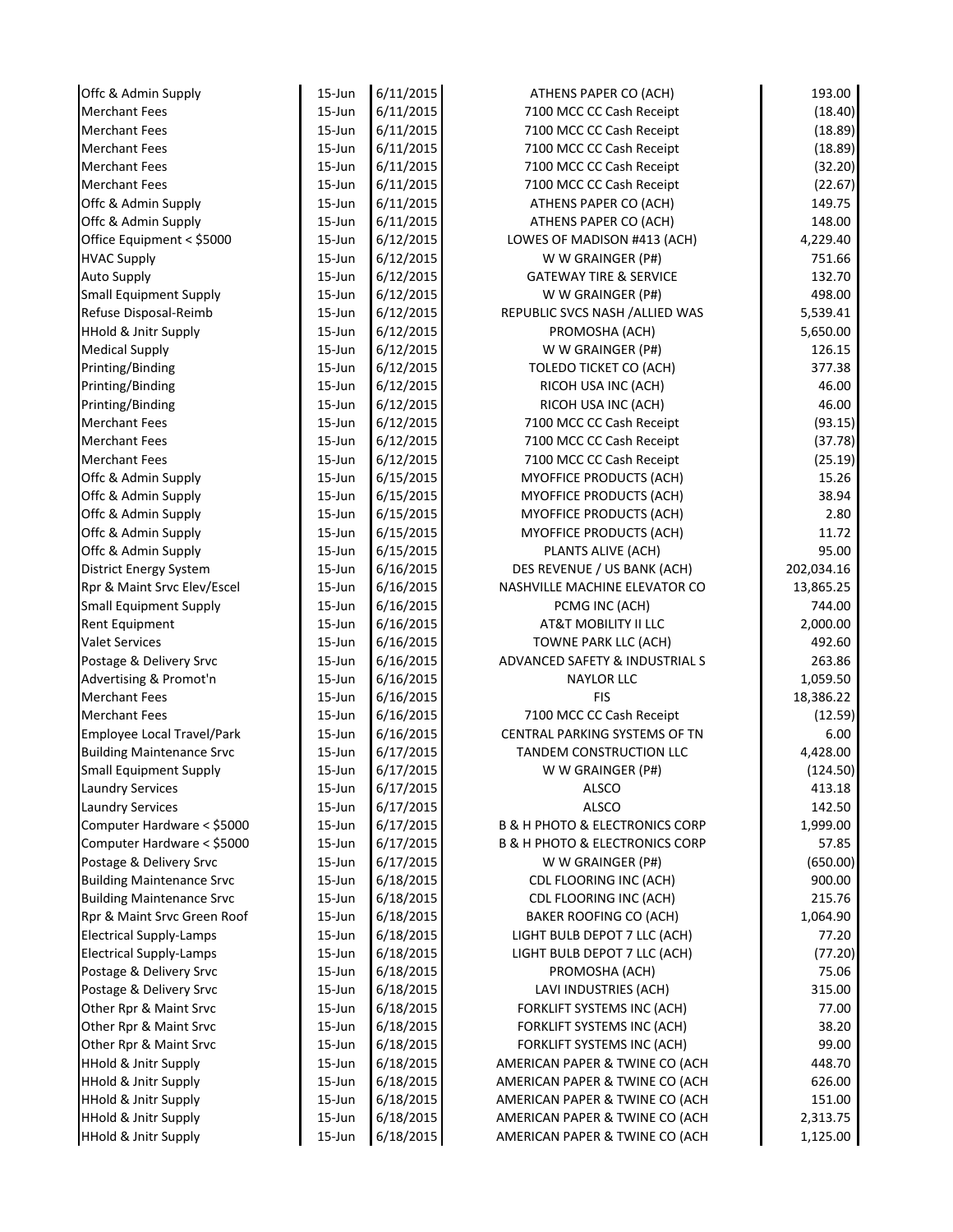| Offc & Admin Supply                                                | $15$ -Jun        | 6/11/2015              | ATHENS PAPER CO (ACH)                                            | 193.00             |
|--------------------------------------------------------------------|------------------|------------------------|------------------------------------------------------------------|--------------------|
| <b>Merchant Fees</b>                                               | $15 - Jun$       | 6/11/2015              | 7100 MCC CC Cash Receipt                                         | (18.40)            |
| <b>Merchant Fees</b>                                               | $15 - Jun$       | 6/11/2015              | 7100 MCC CC Cash Receipt                                         | (18.89)            |
| <b>Merchant Fees</b>                                               | $15$ -Jun        | 6/11/2015              | 7100 MCC CC Cash Receipt                                         | (18.89)            |
| <b>Merchant Fees</b>                                               | $15$ -Jun        | 6/11/2015              | 7100 MCC CC Cash Receipt                                         | (32.20)            |
| <b>Merchant Fees</b>                                               | $15$ -Jun        | 6/11/2015              | 7100 MCC CC Cash Receipt                                         | (22.67)            |
| Offc & Admin Supply                                                | $15$ -Jun        | 6/11/2015              | ATHENS PAPER CO (ACH)                                            | 149.75             |
| Offc & Admin Supply                                                | $15$ -Jun        | 6/11/2015              | ATHENS PAPER CO (ACH)                                            | 148.00             |
| Office Equipment < \$5000                                          | $15$ -Jun        | 6/12/2015              | LOWES OF MADISON #413 (ACH)                                      | 4,229.40           |
| <b>HVAC Supply</b>                                                 | $15$ -Jun        | 6/12/2015              | W W GRAINGER (P#)                                                | 751.66             |
| <b>Auto Supply</b>                                                 | 15-Jun           | 6/12/2015              | <b>GATEWAY TIRE &amp; SERVICE</b>                                | 132.70             |
| <b>Small Equipment Supply</b>                                      | $15$ -Jun        | 6/12/2015              | W W GRAINGER (P#)                                                | 498.00             |
| Refuse Disposal-Reimb                                              | $15$ -Jun        | 6/12/2015              | REPUBLIC SVCS NASH / ALLIED WAS                                  | 5,539.41           |
| <b>HHold &amp; Jnitr Supply</b>                                    | $15 - Jun$       | 6/12/2015              | PROMOSHA (ACH)                                                   | 5,650.00           |
| <b>Medical Supply</b>                                              | $15 - Jun$       | 6/12/2015              | W W GRAINGER (P#)                                                | 126.15             |
| Printing/Binding                                                   | $15 - Jun$       | 6/12/2015              | TOLEDO TICKET CO (ACH)                                           | 377.38             |
| Printing/Binding                                                   | 15-Jun           | 6/12/2015              | RICOH USA INC (ACH)                                              | 46.00              |
| Printing/Binding                                                   | $15$ -Jun        | 6/12/2015              | RICOH USA INC (ACH)                                              | 46.00              |
| <b>Merchant Fees</b>                                               | $15$ -Jun        | 6/12/2015              | 7100 MCC CC Cash Receipt                                         | (93.15)            |
| <b>Merchant Fees</b>                                               | $15$ -Jun        | 6/12/2015              | 7100 MCC CC Cash Receipt                                         | (37.78)            |
| <b>Merchant Fees</b>                                               | $15$ -Jun        | 6/12/2015              | 7100 MCC CC Cash Receipt                                         | (25.19)            |
| Offc & Admin Supply                                                | $15$ -Jun        | 6/15/2015              | MYOFFICE PRODUCTS (ACH)                                          | 15.26              |
| Offc & Admin Supply                                                | $15$ -Jun        | 6/15/2015              | MYOFFICE PRODUCTS (ACH)                                          | 38.94              |
| Offc & Admin Supply                                                | $15$ -Jun        | 6/15/2015              | MYOFFICE PRODUCTS (ACH)                                          | 2.80               |
| Offc & Admin Supply                                                | $15$ -Jun        | 6/15/2015              | MYOFFICE PRODUCTS (ACH)                                          | 11.72              |
| Offc & Admin Supply                                                | $15$ -Jun        | 6/15/2015              | PLANTS ALIVE (ACH)                                               | 95.00              |
| <b>District Energy System</b>                                      | $15$ -Jun        | 6/16/2015              | DES REVENUE / US BANK (ACH)                                      | 202,034.16         |
| Rpr & Maint Srvc Elev/Escel                                        | $15$ -Jun        | 6/16/2015              | NASHVILLE MACHINE ELEVATOR CO                                    | 13,865.25          |
| <b>Small Equipment Supply</b>                                      | $15$ -Jun        | 6/16/2015              | PCMG INC (ACH)                                                   | 744.00             |
| Rent Equipment                                                     | 15-Jun           | 6/16/2015              | AT&T MOBILITY II LLC                                             | 2,000.00           |
| <b>Valet Services</b>                                              | $15$ -Jun        | 6/16/2015              | TOWNE PARK LLC (ACH)                                             | 492.60             |
| Postage & Delivery Srvc                                            | $15$ -Jun        | 6/16/2015              | ADVANCED SAFETY & INDUSTRIAL S                                   | 263.86             |
| Advertising & Promot'n                                             | $15$ -Jun        | 6/16/2015              | <b>NAYLOR LLC</b>                                                | 1,059.50           |
| <b>Merchant Fees</b>                                               | $15$ -Jun        | 6/16/2015              | <b>FIS</b>                                                       | 18,386.22          |
| <b>Merchant Fees</b>                                               | $15$ -Jun        | 6/16/2015              | 7100 MCC CC Cash Receipt                                         | (12.59)            |
| Employee Local Travel/Park                                         | $15 - Jun$       | 6/16/2015              | CENTRAL PARKING SYSTEMS OF TN                                    | 6.00               |
| <b>Building Maintenance Srvc</b>                                   | $15$ -Jun        | 6/17/2015              | <b>TANDEM CONSTRUCTION LLC</b>                                   | 4,428.00           |
| <b>Small Equipment Supply</b>                                      | 15-Jun           | 6/17/2015              | W W GRAINGER (P#)                                                | (124.50)           |
| <b>Laundry Services</b>                                            | 15-Jun           | 6/17/2015              | ALSCO                                                            | 413.18             |
| <b>Laundry Services</b>                                            | 15-Jun           | 6/17/2015              | <b>ALSCO</b>                                                     | 142.50             |
| Computer Hardware < \$5000                                         | 15-Jun           | 6/17/2015              | <b>B &amp; H PHOTO &amp; ELECTRONICS CORP</b>                    | 1,999.00           |
| Computer Hardware < \$5000                                         | 15-Jun           | 6/17/2015              | <b>B &amp; H PHOTO &amp; ELECTRONICS CORP</b>                    | 57.85              |
| Postage & Delivery Srvc                                            | 15-Jun           | 6/17/2015              | W W GRAINGER (P#)                                                | (650.00)           |
| <b>Building Maintenance Srvc</b>                                   | 15-Jun           | 6/18/2015              | CDL FLOORING INC (ACH)                                           | 900.00             |
| <b>Building Maintenance Srvc</b>                                   | 15-Jun           | 6/18/2015              | CDL FLOORING INC (ACH)                                           | 215.76             |
| Rpr & Maint Srvc Green Roof                                        | 15-Jun           | 6/18/2015              | BAKER ROOFING CO (ACH)                                           | 1,064.90           |
| <b>Electrical Supply-Lamps</b>                                     | 15-Jun           | 6/18/2015              | LIGHT BULB DEPOT 7 LLC (ACH)                                     | 77.20              |
| <b>Electrical Supply-Lamps</b>                                     | 15-Jun           | 6/18/2015              | LIGHT BULB DEPOT 7 LLC (ACH)                                     | (77.20)            |
| Postage & Delivery Srvc                                            | 15-Jun           | 6/18/2015              | PROMOSHA (ACH)                                                   | 75.06              |
| Postage & Delivery Srvc                                            | 15-Jun           | 6/18/2015              | LAVI INDUSTRIES (ACH)                                            | 315.00             |
| Other Rpr & Maint Srvc                                             | $15$ -Jun        | 6/18/2015              | FORKLIFT SYSTEMS INC (ACH)                                       | 77.00              |
| Other Rpr & Maint Srvc                                             | $15$ -Jun        | 6/18/2015              | FORKLIFT SYSTEMS INC (ACH)                                       | 38.20              |
| Other Rpr & Maint Srvc                                             | $15$ -Jun        | 6/18/2015              | FORKLIFT SYSTEMS INC (ACH)                                       | 99.00              |
| <b>HHold &amp; Jnitr Supply</b>                                    | 15-Jun           | 6/18/2015              | AMERICAN PAPER & TWINE CO (ACH                                   | 448.70             |
| <b>HHold &amp; Jnitr Supply</b>                                    | 15-Jun           | 6/18/2015              | AMERICAN PAPER & TWINE CO (ACH                                   | 626.00             |
|                                                                    |                  |                        |                                                                  |                    |
|                                                                    |                  |                        |                                                                  |                    |
| <b>HHold &amp; Jnitr Supply</b><br><b>HHold &amp; Jnitr Supply</b> | 15-Jun<br>15-Jun | 6/18/2015<br>6/18/2015 | AMERICAN PAPER & TWINE CO (ACH<br>AMERICAN PAPER & TWINE CO (ACH | 151.00<br>2,313.75 |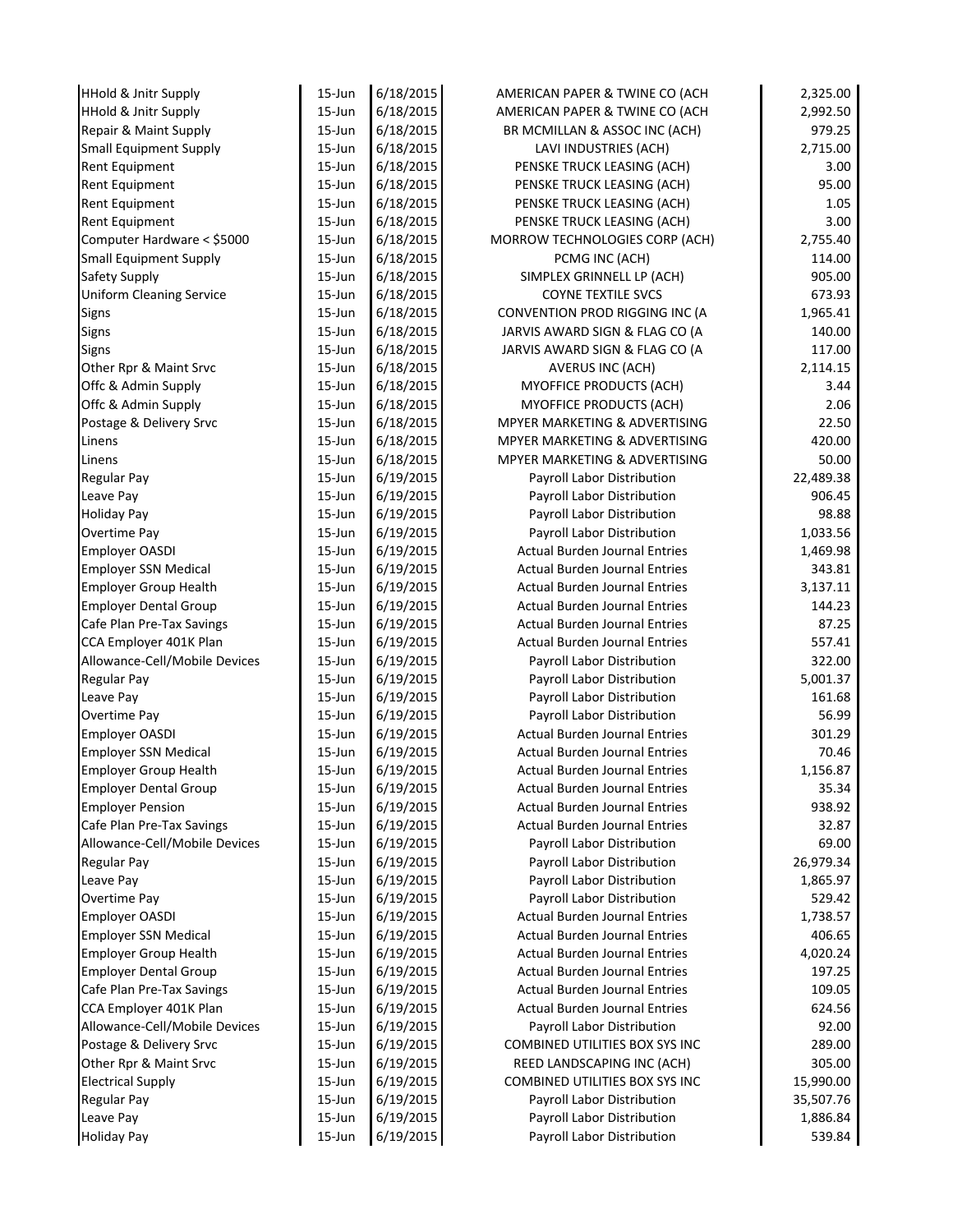| <b>HHold &amp; Jnitr Supply</b> | $15$ -Jun  | 6/18/2015 | AMERICAN PAPER & TWINE CO (ACH       | 2,325.00  |
|---------------------------------|------------|-----------|--------------------------------------|-----------|
| <b>HHold &amp; Jnitr Supply</b> | $15 - Jun$ | 6/18/2015 | AMERICAN PAPER & TWINE CO (ACH       | 2,992.50  |
| Repair & Maint Supply           | $15 - Jun$ | 6/18/2015 | BR MCMILLAN & ASSOC INC (ACH)        | 979.25    |
| <b>Small Equipment Supply</b>   | $15$ -Jun  | 6/18/2015 | LAVI INDUSTRIES (ACH)                | 2,715.00  |
| <b>Rent Equipment</b>           | $15$ -Jun  | 6/18/2015 | PENSKE TRUCK LEASING (ACH)           | 3.00      |
| Rent Equipment                  | $15$ -Jun  | 6/18/2015 | PENSKE TRUCK LEASING (ACH)           | 95.00     |
| Rent Equipment                  | $15$ -Jun  | 6/18/2015 | PENSKE TRUCK LEASING (ACH)           | 1.05      |
| <b>Rent Equipment</b>           | $15$ -Jun  | 6/18/2015 | PENSKE TRUCK LEASING (ACH)           | 3.00      |
| Computer Hardware < \$5000      | $15$ -Jun  | 6/18/2015 | MORROW TECHNOLOGIES CORP (ACH)       | 2,755.40  |
| <b>Small Equipment Supply</b>   | $15$ -Jun  | 6/18/2015 | PCMG INC (ACH)                       | 114.00    |
| Safety Supply                   | $15$ -Jun  | 6/18/2015 | SIMPLEX GRINNELL LP (ACH)            | 905.00    |
| <b>Uniform Cleaning Service</b> | $15$ -Jun  | 6/18/2015 | <b>COYNE TEXTILE SVCS</b>            | 673.93    |
| Signs                           | $15$ -Jun  | 6/18/2015 | CONVENTION PROD RIGGING INC (A       | 1,965.41  |
| Signs                           | $15 - Jun$ | 6/18/2015 | JARVIS AWARD SIGN & FLAG CO (A       | 140.00    |
| <b>Signs</b>                    | $15 - Jun$ | 6/18/2015 | JARVIS AWARD SIGN & FLAG CO (A       | 117.00    |
| Other Rpr & Maint Srvc          | $15 - Jun$ | 6/18/2015 | <b>AVERUS INC (ACH)</b>              | 2,114.15  |
| Offc & Admin Supply             | 15-Jun     | 6/18/2015 | MYOFFICE PRODUCTS (ACH)              | 3.44      |
| Offc & Admin Supply             | $15$ -Jun  | 6/18/2015 | MYOFFICE PRODUCTS (ACH)              | 2.06      |
| Postage & Delivery Srvc         | $15$ -Jun  | 6/18/2015 | MPYER MARKETING & ADVERTISING        | 22.50     |
| Linens                          | $15$ -Jun  | 6/18/2015 | MPYER MARKETING & ADVERTISING        | 420.00    |
| Linens                          | $15$ -Jun  | 6/18/2015 | MPYER MARKETING & ADVERTISING        | 50.00     |
| <b>Regular Pay</b>              | $15$ -Jun  | 6/19/2015 | Payroll Labor Distribution           | 22,489.38 |
| Leave Pay                       | $15$ -Jun  | 6/19/2015 | Payroll Labor Distribution           | 906.45    |
| <b>Holiday Pay</b>              | $15$ -Jun  | 6/19/2015 | Payroll Labor Distribution           | 98.88     |
| Overtime Pay                    | $15$ -Jun  | 6/19/2015 | Payroll Labor Distribution           | 1,033.56  |
| <b>Employer OASDI</b>           | $15$ -Jun  | 6/19/2015 | <b>Actual Burden Journal Entries</b> | 1,469.98  |
| <b>Employer SSN Medical</b>     | $15$ -Jun  | 6/19/2015 | <b>Actual Burden Journal Entries</b> | 343.81    |
| <b>Employer Group Health</b>    | $15$ -Jun  | 6/19/2015 | <b>Actual Burden Journal Entries</b> | 3,137.11  |
| <b>Employer Dental Group</b>    | $15$ -Jun  | 6/19/2015 | <b>Actual Burden Journal Entries</b> | 144.23    |
| Cafe Plan Pre-Tax Savings       | $15$ -Jun  | 6/19/2015 | <b>Actual Burden Journal Entries</b> | 87.25     |
| CCA Employer 401K Plan          | $15$ -Jun  | 6/19/2015 | <b>Actual Burden Journal Entries</b> | 557.41    |
| Allowance-Cell/Mobile Devices   | $15$ -Jun  | 6/19/2015 | Payroll Labor Distribution           | 322.00    |
| <b>Regular Pay</b>              | $15$ -Jun  | 6/19/2015 | Payroll Labor Distribution           | 5,001.37  |
| Leave Pay                       | $15$ -Jun  | 6/19/2015 | Payroll Labor Distribution           | 161.68    |
| Overtime Pay                    | $15$ -Jun  | 6/19/2015 | Payroll Labor Distribution           | 56.99     |
| Employer OASDI                  | $15 - Jun$ | 6/19/2015 | <b>Actual Burden Journal Entries</b> | 301.29    |
| <b>Employer SSN Medical</b>     | $15$ -Jun  | 6/19/2015 | Actual Burden Journal Entries        | 70.46     |
| <b>Employer Group Health</b>    | 15-Jun     | 6/19/2015 | <b>Actual Burden Journal Entries</b> | 1,156.87  |
| <b>Employer Dental Group</b>    | $15 - Jun$ | 6/19/2015 | <b>Actual Burden Journal Entries</b> | 35.34     |
| <b>Employer Pension</b>         | $15$ -Jun  | 6/19/2015 | <b>Actual Burden Journal Entries</b> | 938.92    |
| Cafe Plan Pre-Tax Savings       | 15-Jun     | 6/19/2015 | <b>Actual Burden Journal Entries</b> | 32.87     |
| Allowance-Cell/Mobile Devices   | 15-Jun     | 6/19/2015 | Payroll Labor Distribution           | 69.00     |
| <b>Regular Pay</b>              | 15-Jun     | 6/19/2015 | Payroll Labor Distribution           | 26,979.34 |
| Leave Pay                       | 15-Jun     | 6/19/2015 | Payroll Labor Distribution           | 1,865.97  |
| Overtime Pay                    | 15-Jun     | 6/19/2015 | Payroll Labor Distribution           | 529.42    |
| Employer OASDI                  | 15-Jun     | 6/19/2015 | <b>Actual Burden Journal Entries</b> | 1,738.57  |
| <b>Employer SSN Medical</b>     | 15-Jun     | 6/19/2015 | <b>Actual Burden Journal Entries</b> | 406.65    |
| <b>Employer Group Health</b>    | 15-Jun     | 6/19/2015 | <b>Actual Burden Journal Entries</b> | 4,020.24  |
| <b>Employer Dental Group</b>    | 15-Jun     | 6/19/2015 | <b>Actual Burden Journal Entries</b> | 197.25    |
| Cafe Plan Pre-Tax Savings       | $15$ -Jun  | 6/19/2015 | <b>Actual Burden Journal Entries</b> | 109.05    |
| CCA Employer 401K Plan          | $15$ -Jun  | 6/19/2015 | <b>Actual Burden Journal Entries</b> | 624.56    |
| Allowance-Cell/Mobile Devices   | $15$ -Jun  | 6/19/2015 | Payroll Labor Distribution           | 92.00     |
| Postage & Delivery Srvc         | $15$ -Jun  | 6/19/2015 | COMBINED UTILITIES BOX SYS INC       | 289.00    |
| Other Rpr & Maint Srvc          | 15-Jun     | 6/19/2015 | REED LANDSCAPING INC (ACH)           | 305.00    |
| <b>Electrical Supply</b>        | 15-Jun     | 6/19/2015 | COMBINED UTILITIES BOX SYS INC       | 15,990.00 |
| <b>Regular Pay</b>              | 15-Jun     | 6/19/2015 | Payroll Labor Distribution           | 35,507.76 |
|                                 |            |           |                                      |           |
| Leave Pay                       | 15-Jun     | 6/19/2015 | Payroll Labor Distribution           | 1,886.84  |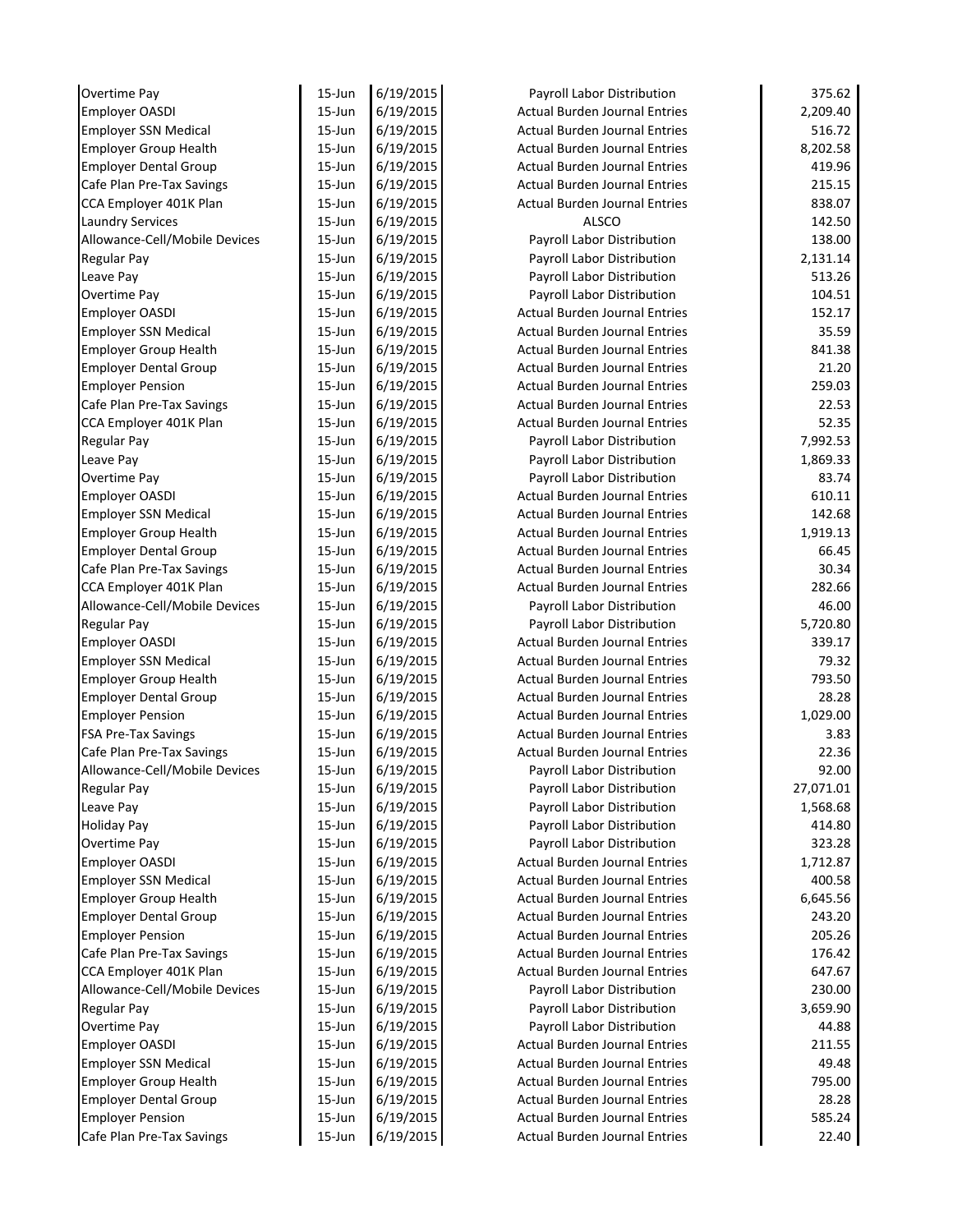| Overtime Pay                                            | $15 - Jun$       | 6/19/2015              | Payroll Labor Distribution                                                   | 375.62          |
|---------------------------------------------------------|------------------|------------------------|------------------------------------------------------------------------------|-----------------|
| <b>Employer OASDI</b>                                   | $15 - Jun$       | 6/19/2015              | <b>Actual Burden Journal Entries</b>                                         | 2.209.40        |
| <b>Employer SSN Medical</b>                             | $15 - Jun$       | 6/19/2015              | <b>Actual Burden Journal Entries</b>                                         | 516.72          |
| <b>Employer Group Health</b>                            | $15$ -Jun        | 6/19/2015              | <b>Actual Burden Journal Entries</b>                                         | 8,202.58        |
| <b>Employer Dental Group</b>                            | $15$ -Jun        | 6/19/2015              | <b>Actual Burden Journal Entries</b>                                         | 419.96          |
| Cafe Plan Pre-Tax Savings                               | $15$ -Jun        | 6/19/2015              | <b>Actual Burden Journal Entries</b>                                         | 215.15          |
| CCA Employer 401K Plan                                  | $15$ -Jun        | 6/19/2015              | <b>Actual Burden Journal Entries</b>                                         | 838.07          |
| <b>Laundry Services</b>                                 | $15$ -Jun        | 6/19/2015              | <b>ALSCO</b>                                                                 | 142.50          |
| Allowance-Cell/Mobile Devices                           | $15$ -Jun        | 6/19/2015              | Payroll Labor Distribution                                                   | 138.00          |
| <b>Regular Pay</b>                                      | $15$ -Jun        | 6/19/2015              | Payroll Labor Distribution                                                   | 2,131.14        |
| Leave Pay                                               | $15$ -Jun        | 6/19/2015              | Payroll Labor Distribution                                                   | 513.26          |
| Overtime Pay                                            | $15 - Jun$       | 6/19/2015              | Payroll Labor Distribution                                                   | 104.51          |
| Employer OASDI                                          | $15 - Jun$       | 6/19/2015              | <b>Actual Burden Journal Entries</b>                                         | 152.17          |
| <b>Employer SSN Medical</b>                             | $15 - Jun$       | 6/19/2015              | <b>Actual Burden Journal Entries</b>                                         | 35.59           |
| <b>Employer Group Health</b>                            | $15 - Jun$       | 6/19/2015              | <b>Actual Burden Journal Entries</b>                                         | 841.38          |
| <b>Employer Dental Group</b>                            | $15 - Jun$       | 6/19/2015              | <b>Actual Burden Journal Entries</b>                                         | 21.20           |
| <b>Employer Pension</b>                                 | $15$ -Jun        | 6/19/2015              | <b>Actual Burden Journal Entries</b>                                         | 259.03          |
| Cafe Plan Pre-Tax Savings                               | $15$ -Jun        | 6/19/2015              | <b>Actual Burden Journal Entries</b>                                         | 22.53           |
| CCA Employer 401K Plan                                  | $15$ -Jun        | 6/19/2015              | <b>Actual Burden Journal Entries</b>                                         | 52.35           |
| <b>Regular Pay</b>                                      | $15$ -Jun        | 6/19/2015              | Payroll Labor Distribution                                                   | 7,992.53        |
| Leave Pay                                               | $15$ -Jun        | 6/19/2015              | Payroll Labor Distribution                                                   | 1,869.33        |
| Overtime Pay                                            | $15$ -Jun        | 6/19/2015              | Payroll Labor Distribution                                                   | 83.74           |
| <b>Employer OASDI</b>                                   | $15$ -Jun        | 6/19/2015              | <b>Actual Burden Journal Entries</b>                                         | 610.11          |
| <b>Employer SSN Medical</b>                             | $15$ -Jun        | 6/19/2015              | <b>Actual Burden Journal Entries</b>                                         | 142.68          |
| <b>Employer Group Health</b>                            | $15$ -Jun        | 6/19/2015              | <b>Actual Burden Journal Entries</b>                                         | 1,919.13        |
| <b>Employer Dental Group</b>                            | 15-Jun           | 6/19/2015              | <b>Actual Burden Journal Entries</b>                                         | 66.45           |
| Cafe Plan Pre-Tax Savings                               | $15$ -Jun        | 6/19/2015              | <b>Actual Burden Journal Entries</b>                                         | 30.34           |
| CCA Employer 401K Plan                                  | $15$ -Jun        | 6/19/2015              | <b>Actual Burden Journal Entries</b>                                         | 282.66          |
| Allowance-Cell/Mobile Devices                           | $15$ -Jun        | 6/19/2015              | Payroll Labor Distribution                                                   | 46.00           |
| <b>Regular Pay</b>                                      | $15$ -Jun        | 6/19/2015              | Payroll Labor Distribution                                                   | 5,720.80        |
| Employer OASDI                                          | $15$ -Jun        | 6/19/2015              | <b>Actual Burden Journal Entries</b>                                         | 339.17          |
| <b>Employer SSN Medical</b>                             | $15$ -Jun        | 6/19/2015              | <b>Actual Burden Journal Entries</b>                                         | 79.32           |
| <b>Employer Group Health</b>                            | $15$ -Jun        | 6/19/2015              | <b>Actual Burden Journal Entries</b>                                         | 793.50          |
| <b>Employer Dental Group</b>                            | $15$ -Jun        | 6/19/2015              | <b>Actual Burden Journal Entries</b>                                         | 28.28           |
| <b>Employer Pension</b>                                 | $15$ -Jun        | 6/19/2015              | <b>Actual Burden Journal Entries</b>                                         | 1,029.00        |
| <b>FSA Pre-Tax Savings</b>                              | $15$ -Jun        | 6/19/2015              | <b>Actual Burden Journal Entries</b>                                         | 3.83            |
| Cafe Plan Pre-Tax Savings                               | $15$ -Jun        | 6/19/2015              | Actual Burden Journal Entries                                                | 22.36           |
| Allowance-Cell/Mobile Devices                           | 15-Jun           | 6/19/2015              | Payroll Labor Distribution                                                   | 92.00           |
| <b>Regular Pay</b>                                      | $15$ -Jun        | 6/19/2015              | Payroll Labor Distribution                                                   | 27,071.01       |
| Leave Pay                                               | 15-Jun           | 6/19/2015              | Payroll Labor Distribution                                                   | 1,568.68        |
| <b>Holiday Pay</b>                                      | 15-Jun           | 6/19/2015              | Payroll Labor Distribution                                                   | 414.80          |
| Overtime Pay                                            | 15-Jun           | 6/19/2015              | Payroll Labor Distribution                                                   | 323.28          |
| Employer OASDI                                          | 15-Jun           | 6/19/2015              | <b>Actual Burden Journal Entries</b>                                         | 1,712.87        |
| <b>Employer SSN Medical</b>                             | 15-Jun           | 6/19/2015              | <b>Actual Burden Journal Entries</b>                                         | 400.58          |
| <b>Employer Group Health</b>                            | 15-Jun           | 6/19/2015              | <b>Actual Burden Journal Entries</b>                                         | 6,645.56        |
| <b>Employer Dental Group</b>                            | 15-Jun           | 6/19/2015              | <b>Actual Burden Journal Entries</b>                                         | 243.20          |
| <b>Employer Pension</b>                                 | 15-Jun           | 6/19/2015              | <b>Actual Burden Journal Entries</b>                                         | 205.26          |
| Cafe Plan Pre-Tax Savings                               | $15$ -Jun        | 6/19/2015              | Actual Burden Journal Entries                                                | 176.42          |
| CCA Employer 401K Plan                                  | 15-Jun           | 6/19/2015              | <b>Actual Burden Journal Entries</b>                                         | 647.67          |
| Allowance-Cell/Mobile Devices                           | 15-Jun           | 6/19/2015              | Payroll Labor Distribution                                                   | 230.00          |
| <b>Regular Pay</b>                                      | $15$ -Jun        | 6/19/2015              | Payroll Labor Distribution                                                   | 3,659.90        |
| Overtime Pay                                            | $15$ -Jun        | 6/19/2015              | Payroll Labor Distribution                                                   | 44.88           |
| <b>Employer OASDI</b>                                   | $15$ -Jun        | 6/19/2015              | Actual Burden Journal Entries                                                | 211.55          |
| <b>Employer SSN Medical</b>                             | 15-Jun           | 6/19/2015              | <b>Actual Burden Journal Entries</b>                                         | 49.48           |
| <b>Employer Group Health</b>                            | 15-Jun           | 6/19/2015              | <b>Actual Burden Journal Entries</b>                                         | 795.00          |
|                                                         |                  |                        |                                                                              |                 |
|                                                         |                  |                        |                                                                              |                 |
| <b>Employer Dental Group</b><br><b>Employer Pension</b> | 15-Jun<br>15-Jun | 6/19/2015<br>6/19/2015 | <b>Actual Burden Journal Entries</b><br><b>Actual Burden Journal Entries</b> | 28.28<br>585.24 |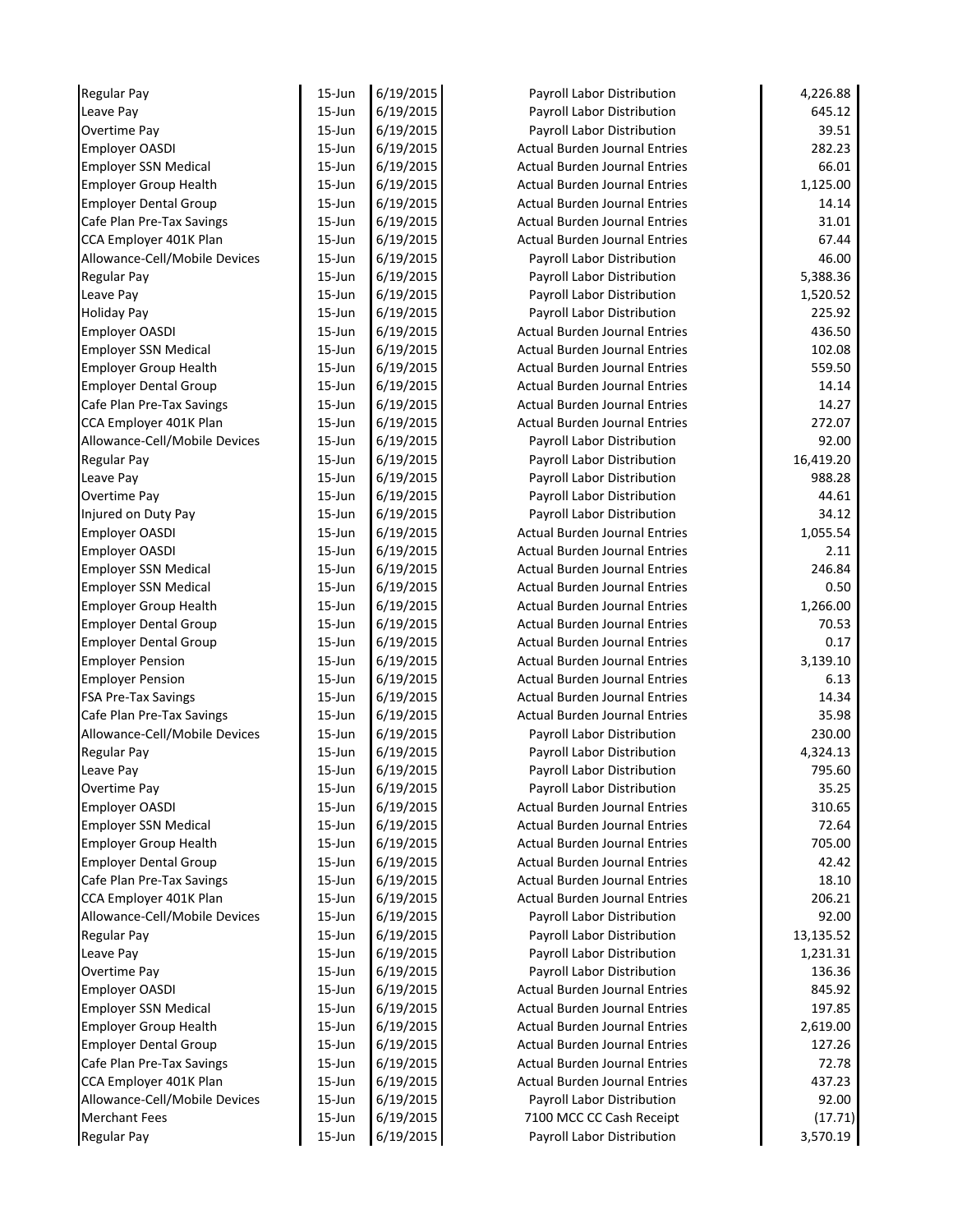| <b>Regular Pay</b>            | $15 - Jun$ | 6/19/2015 | Payroll Labor Distribution           | 4,226.88  |
|-------------------------------|------------|-----------|--------------------------------------|-----------|
| Leave Pay                     | $15 - Jun$ | 6/19/2015 | Payroll Labor Distribution           | 645.12    |
| <b>Overtime Pay</b>           | $15 - Jun$ | 6/19/2015 | Payroll Labor Distribution           | 39.51     |
| <b>Employer OASDI</b>         | $15 - Jun$ | 6/19/2015 | <b>Actual Burden Journal Entries</b> | 282.23    |
| <b>Employer SSN Medical</b>   | $15 - Jun$ | 6/19/2015 | <b>Actual Burden Journal Entries</b> | 66.01     |
| <b>Employer Group Health</b>  | $15$ -Jun  | 6/19/2015 | <b>Actual Burden Journal Entries</b> | 1,125.00  |
| <b>Employer Dental Group</b>  | $15$ -Jun  | 6/19/2015 | <b>Actual Burden Journal Entries</b> | 14.14     |
| Cafe Plan Pre-Tax Savings     | $15$ -Jun  | 6/19/2015 | <b>Actual Burden Journal Entries</b> | 31.01     |
| CCA Employer 401K Plan        | $15$ -Jun  | 6/19/2015 | <b>Actual Burden Journal Entries</b> | 67.44     |
| Allowance-Cell/Mobile Devices | $15 - Jun$ | 6/19/2015 | Payroll Labor Distribution           | 46.00     |
| Regular Pay                   | $15 - Jun$ | 6/19/2015 | Payroll Labor Distribution           | 5,388.36  |
| Leave Pay                     | $15 - Jun$ | 6/19/2015 | Payroll Labor Distribution           | 1,520.52  |
| <b>Holiday Pay</b>            | $15 - Jun$ | 6/19/2015 | Payroll Labor Distribution           | 225.92    |
| <b>Employer OASDI</b>         | $15 - Jun$ | 6/19/2015 | <b>Actual Burden Journal Entries</b> | 436.50    |
| <b>Employer SSN Medical</b>   | $15 - Jun$ | 6/19/2015 | <b>Actual Burden Journal Entries</b> | 102.08    |
| <b>Employer Group Health</b>  | $15 - Jun$ | 6/19/2015 | <b>Actual Burden Journal Entries</b> | 559.50    |
| <b>Employer Dental Group</b>  | $15$ -Jun  | 6/19/2015 | <b>Actual Burden Journal Entries</b> | 14.14     |
| Cafe Plan Pre-Tax Savings     | $15$ -Jun  | 6/19/2015 | <b>Actual Burden Journal Entries</b> | 14.27     |
| CCA Employer 401K Plan        | $15$ -Jun  | 6/19/2015 | <b>Actual Burden Journal Entries</b> | 272.07    |
| Allowance-Cell/Mobile Devices | $15$ -Jun  | 6/19/2015 | Payroll Labor Distribution           | 92.00     |
| <b>Regular Pay</b>            | $15$ -Jun  | 6/19/2015 | Payroll Labor Distribution           | 16,419.20 |
| Leave Pay                     | $15$ -Jun  | 6/19/2015 | Payroll Labor Distribution           | 988.28    |
| Overtime Pay                  | $15$ -Jun  | 6/19/2015 | Payroll Labor Distribution           | 44.61     |
| Injured on Duty Pay           | $15$ -Jun  | 6/19/2015 | Payroll Labor Distribution           | 34.12     |
| <b>Employer OASDI</b>         | $15$ -Jun  | 6/19/2015 | <b>Actual Burden Journal Entries</b> | 1,055.54  |
| <b>Employer OASDI</b>         | $15$ -Jun  | 6/19/2015 | <b>Actual Burden Journal Entries</b> | 2.11      |
| <b>Employer SSN Medical</b>   | $15$ -Jun  | 6/19/2015 | <b>Actual Burden Journal Entries</b> | 246.84    |
| <b>Employer SSN Medical</b>   | $15$ -Jun  | 6/19/2015 | <b>Actual Burden Journal Entries</b> | 0.50      |
| <b>Employer Group Health</b>  | $15$ -Jun  | 6/19/2015 | <b>Actual Burden Journal Entries</b> | 1,266.00  |
| <b>Employer Dental Group</b>  | $15$ -Jun  | 6/19/2015 | <b>Actual Burden Journal Entries</b> | 70.53     |
| <b>Employer Dental Group</b>  | $15$ -Jun  | 6/19/2015 | <b>Actual Burden Journal Entries</b> | 0.17      |
| <b>Employer Pension</b>       | $15$ -Jun  | 6/19/2015 | <b>Actual Burden Journal Entries</b> | 3,139.10  |
| <b>Employer Pension</b>       | $15$ -Jun  | 6/19/2015 | <b>Actual Burden Journal Entries</b> | 6.13      |
| <b>FSA Pre-Tax Savings</b>    | $15$ -Jun  | 6/19/2015 | <b>Actual Burden Journal Entries</b> | 14.34     |
| Cafe Plan Pre-Tax Savings     | $15$ -Jun  | 6/19/2015 | <b>Actual Burden Journal Entries</b> | 35.98     |
| Allowance-Cell/Mobile Devices | $15 - Jun$ | 6/19/2015 | Payroll Labor Distribution           | 230.00    |
| <b>Regular Pay</b>            | $15$ -Jun  | 6/19/2015 | Payroll Labor Distribution           | 4,324.13  |
| Leave Pay                     | $15$ -Jun  | 6/19/2015 | Payroll Labor Distribution           | 795.60    |
| Overtime Pay                  | $15$ -Jun  | 6/19/2015 | Payroll Labor Distribution           | 35.25     |
| Employer OASDI                | $15$ -Jun  | 6/19/2015 | <b>Actual Burden Journal Entries</b> | 310.65    |
| <b>Employer SSN Medical</b>   | 15-Jun     | 6/19/2015 | <b>Actual Burden Journal Entries</b> | 72.64     |
| <b>Employer Group Health</b>  | 15-Jun     | 6/19/2015 | <b>Actual Burden Journal Entries</b> | 705.00    |
| <b>Employer Dental Group</b>  | 15-Jun     | 6/19/2015 | <b>Actual Burden Journal Entries</b> | 42.42     |
| Cafe Plan Pre-Tax Savings     | 15-Jun     | 6/19/2015 | <b>Actual Burden Journal Entries</b> | 18.10     |
| CCA Employer 401K Plan        | 15-Jun     | 6/19/2015 | <b>Actual Burden Journal Entries</b> | 206.21    |
| Allowance-Cell/Mobile Devices | 15-Jun     | 6/19/2015 | Payroll Labor Distribution           | 92.00     |
| <b>Regular Pay</b>            | 15-Jun     | 6/19/2015 | Payroll Labor Distribution           | 13,135.52 |
| Leave Pay                     | 15-Jun     | 6/19/2015 | Payroll Labor Distribution           | 1,231.31  |
| Overtime Pay                  | 15-Jun     | 6/19/2015 | Payroll Labor Distribution           | 136.36    |
| <b>Employer OASDI</b>         | $15$ -Jun  | 6/19/2015 | <b>Actual Burden Journal Entries</b> | 845.92    |
| <b>Employer SSN Medical</b>   | $15$ -Jun  | 6/19/2015 | <b>Actual Burden Journal Entries</b> | 197.85    |
| <b>Employer Group Health</b>  | $15$ -Jun  | 6/19/2015 | <b>Actual Burden Journal Entries</b> | 2,619.00  |
| <b>Employer Dental Group</b>  | $15$ -Jun  | 6/19/2015 | <b>Actual Burden Journal Entries</b> | 127.26    |
| Cafe Plan Pre-Tax Savings     | 15-Jun     | 6/19/2015 | Actual Burden Journal Entries        | 72.78     |
| CCA Employer 401K Plan        |            |           | <b>Actual Burden Journal Entries</b> |           |
|                               | 15-Jun     | 6/19/2015 |                                      | 437.23    |
| Allowance-Cell/Mobile Devices | 15-Jun     | 6/19/2015 | Payroll Labor Distribution           | 92.00     |
| <b>Merchant Fees</b>          | 15-Jun     | 6/19/2015 | 7100 MCC CC Cash Receipt             | (17.71)   |
| <b>Regular Pay</b>            | 15-Jun     | 6/19/2015 | Payroll Labor Distribution           | 3,570.19  |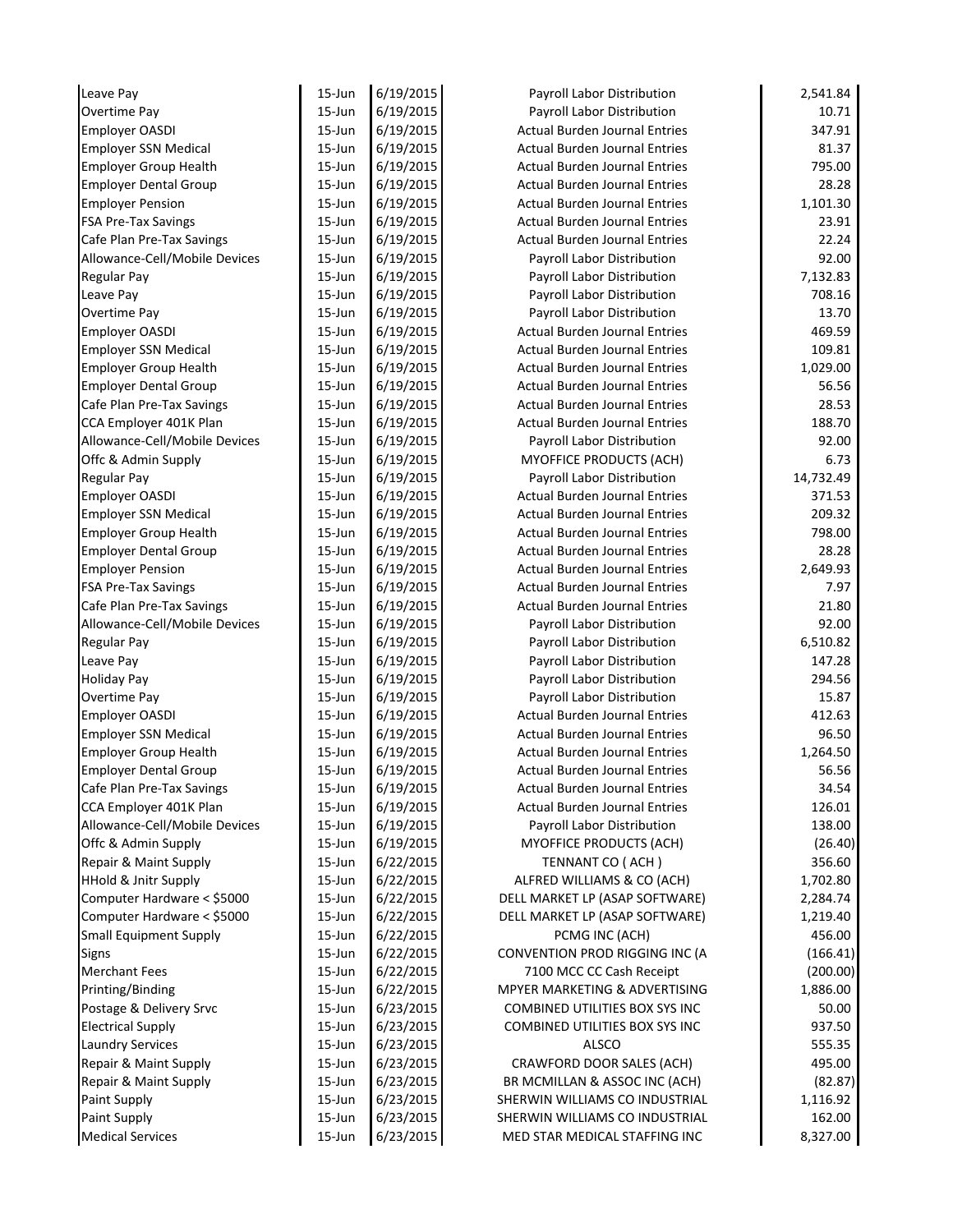| Leave Pay                       | $15 - Jun$       | 6/19/2015              | Payroll Labor Distribution                                       | 2,541.84           |
|---------------------------------|------------------|------------------------|------------------------------------------------------------------|--------------------|
| Overtime Pay                    | $15 - Jun$       | 6/19/2015              | Payroll Labor Distribution                                       | 10.71              |
| <b>Employer OASDI</b>           | $15 - Jun$       | 6/19/2015              | <b>Actual Burden Journal Entries</b>                             | 347.91             |
| <b>Employer SSN Medical</b>     | $15 - Jun$       | 6/19/2015              | <b>Actual Burden Journal Entries</b>                             | 81.37              |
| <b>Employer Group Health</b>    | $15$ -Jun        | 6/19/2015              | <b>Actual Burden Journal Entries</b>                             | 795.00             |
| <b>Employer Dental Group</b>    | $15$ -Jun        | 6/19/2015              | <b>Actual Burden Journal Entries</b>                             | 28.28              |
| <b>Employer Pension</b>         | $15$ -Jun        | 6/19/2015              | <b>Actual Burden Journal Entries</b>                             | 1,101.30           |
| <b>FSA Pre-Tax Savings</b>      | $15$ -Jun        | 6/19/2015              | <b>Actual Burden Journal Entries</b>                             | 23.91              |
| Cafe Plan Pre-Tax Savings       | $15$ -Jun        | 6/19/2015              | <b>Actual Burden Journal Entries</b>                             | 22.24              |
| Allowance-Cell/Mobile Devices   | $15$ -Jun        | 6/19/2015              | Payroll Labor Distribution                                       | 92.00              |
| <b>Regular Pay</b>              | $15 - Jun$       | 6/19/2015              | Payroll Labor Distribution                                       | 7,132.83           |
| Leave Pay                       | $15 - Jun$       | 6/19/2015              | Payroll Labor Distribution                                       | 708.16             |
| Overtime Pay                    | $15 - Jun$       | 6/19/2015              | Payroll Labor Distribution                                       | 13.70              |
| Employer OASDI                  | $15 - Jun$       | 6/19/2015              | <b>Actual Burden Journal Entries</b>                             | 469.59             |
| <b>Employer SSN Medical</b>     | $15 - Jun$       | 6/19/2015              | <b>Actual Burden Journal Entries</b>                             | 109.81             |
| <b>Employer Group Health</b>    | $15 - Jun$       | 6/19/2015              | <b>Actual Burden Journal Entries</b>                             | 1,029.00           |
| <b>Employer Dental Group</b>    | $15$ -Jun        | 6/19/2015              | <b>Actual Burden Journal Entries</b>                             | 56.56              |
| Cafe Plan Pre-Tax Savings       | $15$ -Jun        | 6/19/2015              | <b>Actual Burden Journal Entries</b>                             | 28.53              |
| CCA Employer 401K Plan          | $15$ -Jun        | 6/19/2015              | <b>Actual Burden Journal Entries</b>                             | 188.70             |
| Allowance-Cell/Mobile Devices   | $15$ -Jun        | 6/19/2015              | Payroll Labor Distribution                                       | 92.00              |
| Offc & Admin Supply             | $15$ -Jun        | 6/19/2015              | MYOFFICE PRODUCTS (ACH)                                          | 6.73               |
| <b>Regular Pay</b>              | $15$ -Jun        | 6/19/2015              | Payroll Labor Distribution                                       | 14,732.49          |
| <b>Employer OASDI</b>           | $15$ -Jun        | 6/19/2015              | Actual Burden Journal Entries                                    | 371.53             |
| <b>Employer SSN Medical</b>     | $15$ -Jun        | 6/19/2015              | <b>Actual Burden Journal Entries</b>                             | 209.32             |
| <b>Employer Group Health</b>    | $15$ -Jun        | 6/19/2015              | <b>Actual Burden Journal Entries</b>                             | 798.00             |
| <b>Employer Dental Group</b>    | 15-Jun           | 6/19/2015              | <b>Actual Burden Journal Entries</b>                             | 28.28              |
| <b>Employer Pension</b>         | $15$ -Jun        | 6/19/2015              | <b>Actual Burden Journal Entries</b>                             | 2,649.93           |
| <b>FSA Pre-Tax Savings</b>      | $15$ -Jun        | 6/19/2015              | <b>Actual Burden Journal Entries</b>                             | 7.97               |
| Cafe Plan Pre-Tax Savings       | $15$ -Jun        | 6/19/2015              | <b>Actual Burden Journal Entries</b>                             | 21.80              |
| Allowance-Cell/Mobile Devices   | $15$ -Jun        | 6/19/2015              | Payroll Labor Distribution                                       | 92.00              |
| <b>Regular Pay</b>              | $15$ -Jun        | 6/19/2015              | Payroll Labor Distribution                                       | 6,510.82           |
| Leave Pay                       | $15$ -Jun        | 6/19/2015              | Payroll Labor Distribution                                       | 147.28             |
| <b>Holiday Pay</b>              | $15$ -Jun        | 6/19/2015              | Payroll Labor Distribution                                       | 294.56             |
| Overtime Pay                    | $15$ -Jun        | 6/19/2015              | Payroll Labor Distribution                                       | 15.87              |
| <b>Employer OASDI</b>           | $15$ -Jun        | 6/19/2015              | <b>Actual Burden Journal Entries</b>                             | 412.63             |
| <b>Employer SSN Medical</b>     | $15$ -Jun        | 6/19/2015              | <b>Actual Burden Journal Entries</b>                             | 96.50              |
| <b>Employer Group Health</b>    | $15$ -Jun        | 6/19/2015              | Actual Burden Journal Entries                                    | 1,264.50           |
| <b>Employer Dental Group</b>    | 15-Jun           | 6/19/2015              | <b>Actual Burden Journal Entries</b>                             | 56.56              |
| Cafe Plan Pre-Tax Savings       | 15-Jun           | 6/19/2015              | <b>Actual Burden Journal Entries</b>                             | 34.54              |
| CCA Employer 401K Plan          | 15-Jun           | 6/19/2015              | <b>Actual Burden Journal Entries</b>                             | 126.01             |
| Allowance-Cell/Mobile Devices   | $15 - Jun$       | 6/19/2015              | Payroll Labor Distribution                                       | 138.00             |
| Offc & Admin Supply             | 15-Jun           | 6/19/2015              | MYOFFICE PRODUCTS (ACH)                                          | (26.40)            |
| Repair & Maint Supply           | 15-Jun           | 6/22/2015              | TENNANT CO (ACH)                                                 | 356.60             |
| <b>HHold &amp; Jnitr Supply</b> | 15-Jun           | 6/22/2015              | ALFRED WILLIAMS & CO (ACH)                                       | 1,702.80           |
| Computer Hardware < \$5000      | 15-Jun           | 6/22/2015              | DELL MARKET LP (ASAP SOFTWARE)                                   | 2,284.74           |
| Computer Hardware < \$5000      | 15-Jun           | 6/22/2015              | DELL MARKET LP (ASAP SOFTWARE)                                   | 1,219.40           |
| <b>Small Equipment Supply</b>   | 15-Jun           | 6/22/2015              | PCMG INC (ACH)                                                   | 456.00             |
| Signs                           | 15-Jun           | 6/22/2015              | CONVENTION PROD RIGGING INC (A                                   | (166.41)           |
| <b>Merchant Fees</b>            | 15-Jun           | 6/22/2015              | 7100 MCC CC Cash Receipt                                         | (200.00)           |
| Printing/Binding                | 15-Jun           | 6/22/2015              | MPYER MARKETING & ADVERTISING                                    | 1,886.00           |
| Postage & Delivery Srvc         | $15$ -Jun        | 6/23/2015              | COMBINED UTILITIES BOX SYS INC                                   | 50.00              |
| <b>Electrical Supply</b>        | $15$ -Jun        | 6/23/2015              | COMBINED UTILITIES BOX SYS INC                                   | 937.50             |
| <b>Laundry Services</b>         | $15$ -Jun        | 6/23/2015              | <b>ALSCO</b>                                                     | 555.35             |
| Repair & Maint Supply           | 15-Jun           | 6/23/2015              | CRAWFORD DOOR SALES (ACH)                                        | 495.00             |
| Repair & Maint Supply           | 15-Jun           | 6/23/2015              | BR MCMILLAN & ASSOC INC (ACH)                                    | (82.87)            |
|                                 |                  |                        |                                                                  |                    |
|                                 |                  |                        |                                                                  |                    |
| Paint Supply<br>Paint Supply    | 15-Jun<br>15-Jun | 6/23/2015<br>6/23/2015 | SHERWIN WILLIAMS CO INDUSTRIAL<br>SHERWIN WILLIAMS CO INDUSTRIAL | 1,116.92<br>162.00 |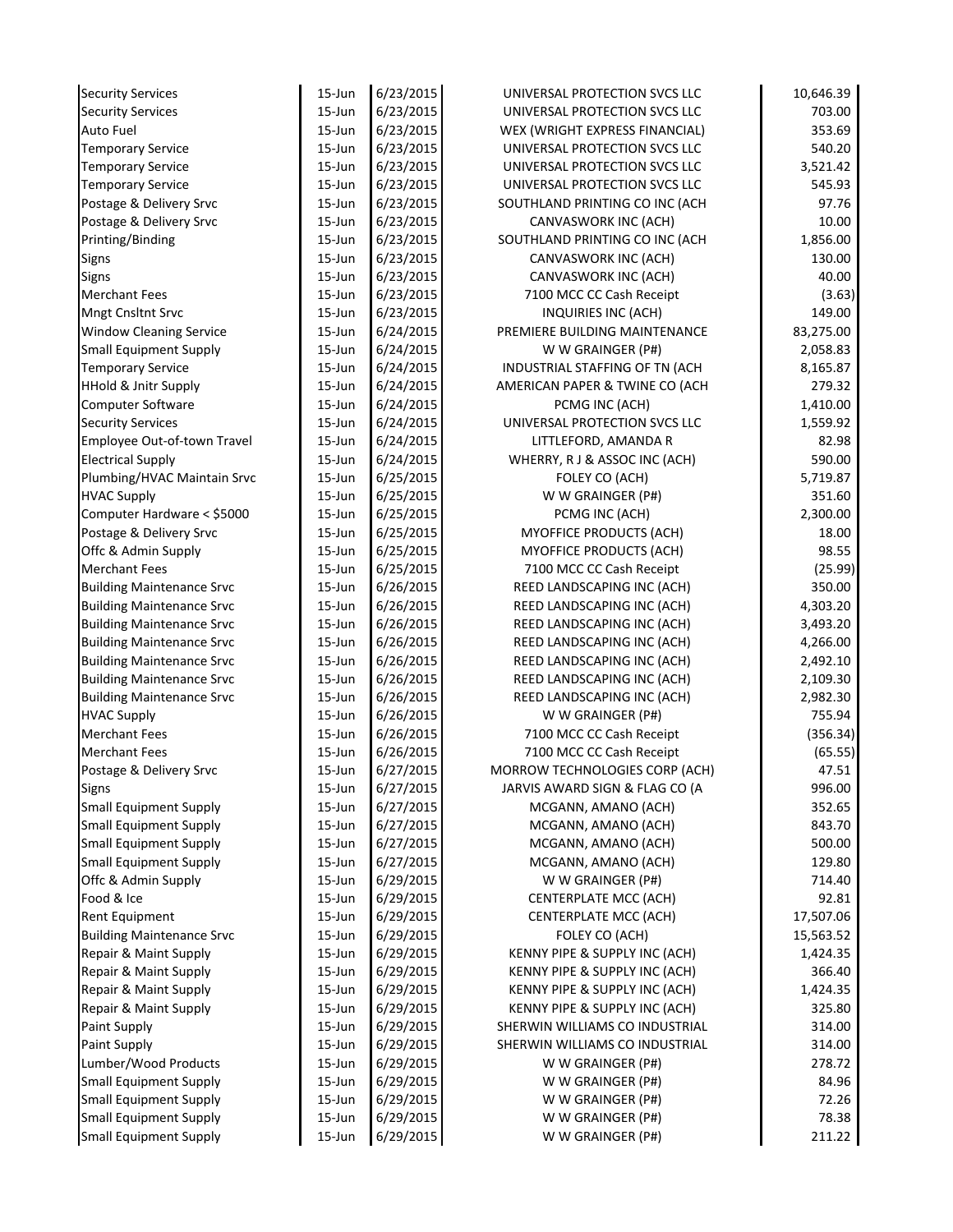| <b>Security Services</b>         | $15$ -Jun  | 6/23/2015 | UNIVERSAL PROTECTION SVCS LLC  | 10,646.39 |
|----------------------------------|------------|-----------|--------------------------------|-----------|
| <b>Security Services</b>         | $15 - Jun$ | 6/23/2015 | UNIVERSAL PROTECTION SVCS LLC  | 703.00    |
| <b>Auto Fuel</b>                 | $15 - Jun$ | 6/23/2015 | WEX (WRIGHT EXPRESS FINANCIAL) | 353.69    |
| <b>Temporary Service</b>         | $15$ -Jun  | 6/23/2015 | UNIVERSAL PROTECTION SVCS LLC  | 540.20    |
| <b>Temporary Service</b>         | $15$ -Jun  | 6/23/2015 | UNIVERSAL PROTECTION SVCS LLC  | 3,521.42  |
| <b>Temporary Service</b>         | $15$ -Jun  | 6/23/2015 | UNIVERSAL PROTECTION SVCS LLC  | 545.93    |
| Postage & Delivery Srvc          | $15$ -Jun  | 6/23/2015 | SOUTHLAND PRINTING CO INC (ACH | 97.76     |
| Postage & Delivery Srvc          | $15$ -Jun  | 6/23/2015 | CANVASWORK INC (ACH)           | 10.00     |
| Printing/Binding                 | $15$ -Jun  | 6/23/2015 | SOUTHLAND PRINTING CO INC (ACH | 1,856.00  |
| Signs                            | $15 - Jun$ | 6/23/2015 | CANVASWORK INC (ACH)           | 130.00    |
| Signs                            | $15$ -Jun  | 6/23/2015 | CANVASWORK INC (ACH)           | 40.00     |
| <b>Merchant Fees</b>             | $15$ -Jun  | 6/23/2015 | 7100 MCC CC Cash Receipt       | (3.63)    |
| <b>Mngt Cnsltnt Srvc</b>         | $15$ -Jun  | 6/23/2015 | INQUIRIES INC (ACH)            | 149.00    |
| <b>Window Cleaning Service</b>   | $15 - Jun$ | 6/24/2015 | PREMIERE BUILDING MAINTENANCE  | 83,275.00 |
| <b>Small Equipment Supply</b>    | $15 - Jun$ | 6/24/2015 | W W GRAINGER (P#)              | 2,058.83  |
| <b>Temporary Service</b>         | $15 - Jun$ | 6/24/2015 | INDUSTRIAL STAFFING OF TN (ACH | 8,165.87  |
| <b>HHold &amp; Jnitr Supply</b>  | $15$ -Jun  | 6/24/2015 | AMERICAN PAPER & TWINE CO (ACH | 279.32    |
| Computer Software                | 15-Jun     | 6/24/2015 | PCMG INC (ACH)                 | 1,410.00  |
| <b>Security Services</b>         | $15$ -Jun  | 6/24/2015 | UNIVERSAL PROTECTION SVCS LLC  | 1,559.92  |
| Employee Out-of-town Travel      | $15$ -Jun  | 6/24/2015 | LITTLEFORD, AMANDA R           | 82.98     |
| <b>Electrical Supply</b>         | $15$ -Jun  | 6/24/2015 | WHERRY, R J & ASSOC INC (ACH)  | 590.00    |
| Plumbing/HVAC Maintain Srvc      | 15-Jun     | 6/25/2015 | FOLEY CO (ACH)                 | 5,719.87  |
| <b>HVAC Supply</b>               | 15-Jun     | 6/25/2015 | W W GRAINGER (P#)              | 351.60    |
| Computer Hardware < \$5000       | $15$ -Jun  | 6/25/2015 | PCMG INC (ACH)                 | 2,300.00  |
| Postage & Delivery Srvc          | $15$ -Jun  | 6/25/2015 | MYOFFICE PRODUCTS (ACH)        | 18.00     |
| Offc & Admin Supply              | 15-Jun     | 6/25/2015 | <b>MYOFFICE PRODUCTS (ACH)</b> | 98.55     |
| <b>Merchant Fees</b>             | $15$ -Jun  | 6/25/2015 | 7100 MCC CC Cash Receipt       | (25.99)   |
| <b>Building Maintenance Srvc</b> | $15$ -Jun  | 6/26/2015 | REED LANDSCAPING INC (ACH)     | 350.00    |
| <b>Building Maintenance Srvc</b> | 15-Jun     | 6/26/2015 | REED LANDSCAPING INC (ACH)     | 4,303.20  |
| <b>Building Maintenance Srvc</b> | $15$ -Jun  | 6/26/2015 | REED LANDSCAPING INC (ACH)     | 3,493.20  |
| <b>Building Maintenance Srvc</b> | $15$ -Jun  | 6/26/2015 | REED LANDSCAPING INC (ACH)     | 4,266.00  |
| <b>Building Maintenance Srvc</b> | $15$ -Jun  | 6/26/2015 | REED LANDSCAPING INC (ACH)     | 2,492.10  |
| <b>Building Maintenance Srvc</b> | $15$ -Jun  | 6/26/2015 | REED LANDSCAPING INC (ACH)     | 2,109.30  |
| <b>Building Maintenance Srvc</b> | $15 - Jun$ | 6/26/2015 | REED LANDSCAPING INC (ACH)     | 2,982.30  |
| <b>HVAC Supply</b>               | $15 - Jun$ | 6/26/2015 | W W GRAINGER (P#)              | 755.94    |
| <b>Merchant Fees</b>             | 15-Jun     | 6/26/2015 | 7100 MCC CC Cash Receipt       | (356.34)  |
| <b>Merchant Fees</b>             | $15$ -Jun  | 6/26/2015 | 7100 MCC CC Cash Receipt       | (65.55)   |
| Postage & Delivery Srvc          | 15-Jun     | 6/27/2015 | MORROW TECHNOLOGIES CORP (ACH) | 47.51     |
| <b>Signs</b>                     | 15-Jun     | 6/27/2015 | JARVIS AWARD SIGN & FLAG CO (A | 996.00    |
| <b>Small Equipment Supply</b>    | 15-Jun     | 6/27/2015 | MCGANN, AMANO (ACH)            | 352.65    |
| <b>Small Equipment Supply</b>    | 15-Jun     | 6/27/2015 | MCGANN, AMANO (ACH)            | 843.70    |
| <b>Small Equipment Supply</b>    | 15-Jun     | 6/27/2015 | MCGANN, AMANO (ACH)            | 500.00    |
| <b>Small Equipment Supply</b>    | 15-Jun     | 6/27/2015 | MCGANN, AMANO (ACH)            | 129.80    |
| Offc & Admin Supply              | 15-Jun     | 6/29/2015 | W W GRAINGER (P#)              | 714.40    |
| Food & Ice                       | 15-Jun     | 6/29/2015 | <b>CENTERPLATE MCC (ACH)</b>   | 92.81     |
| Rent Equipment                   | 15-Jun     | 6/29/2015 | <b>CENTERPLATE MCC (ACH)</b>   | 17,507.06 |
| <b>Building Maintenance Srvc</b> | 15-Jun     | 6/29/2015 | FOLEY CO (ACH)                 | 15,563.52 |
| Repair & Maint Supply            | 15-Jun     | 6/29/2015 | KENNY PIPE & SUPPLY INC (ACH)  | 1,424.35  |
| Repair & Maint Supply            | 15-Jun     | 6/29/2015 | KENNY PIPE & SUPPLY INC (ACH)  | 366.40    |
| Repair & Maint Supply            | 15-Jun     | 6/29/2015 | KENNY PIPE & SUPPLY INC (ACH)  | 1,424.35  |
| Repair & Maint Supply            | $15$ -Jun  | 6/29/2015 | KENNY PIPE & SUPPLY INC (ACH)  | 325.80    |
| Paint Supply                     | 15-Jun     | 6/29/2015 | SHERWIN WILLIAMS CO INDUSTRIAL | 314.00    |
| Paint Supply                     | 15-Jun     | 6/29/2015 | SHERWIN WILLIAMS CO INDUSTRIAL | 314.00    |
| Lumber/Wood Products             | 15-Jun     | 6/29/2015 | W W GRAINGER (P#)              | 278.72    |
| <b>Small Equipment Supply</b>    | 15-Jun     | 6/29/2015 | W W GRAINGER (P#)              | 84.96     |
| Small Equipment Supply           |            |           |                                |           |
|                                  | 15-Jun     | 6/29/2015 | W W GRAINGER (P#)              | 72.26     |
| <b>Small Equipment Supply</b>    | 15-Jun     | 6/29/2015 | W W GRAINGER (P#)              | 78.38     |
| <b>Small Equipment Supply</b>    | 15-Jun     | 6/29/2015 | W W GRAINGER (P#)              | 211.22    |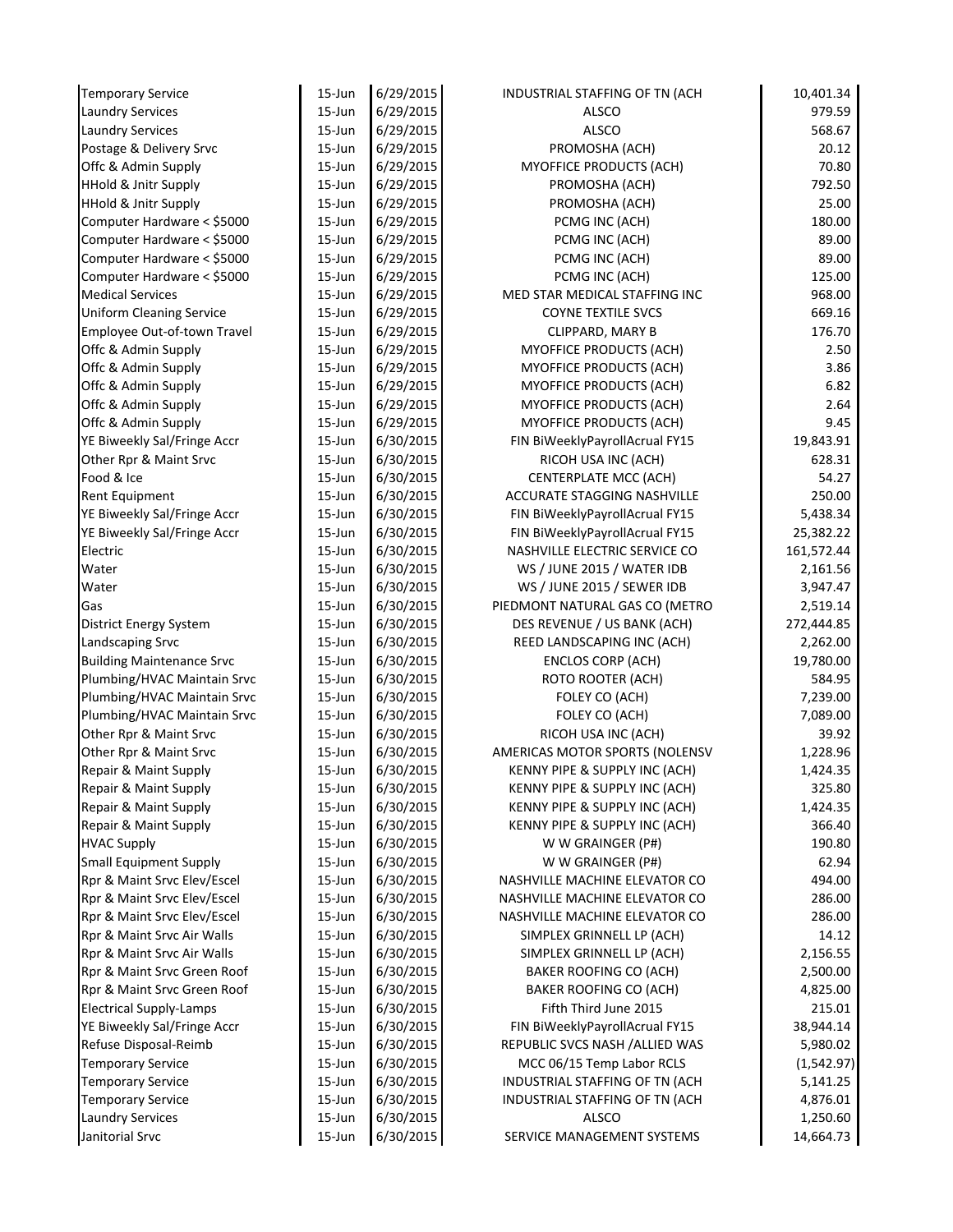| <b>Temporary Service</b>                                     | 15-Jun           | 6/29/2015              | INDUSTRIAL STAFFING OF TN (ACH         | 10,401.34       |
|--------------------------------------------------------------|------------------|------------------------|----------------------------------------|-----------------|
| <b>Laundry Services</b>                                      | 15-Jun           | 6/29/2015              | ALSCO                                  | 979.59          |
| <b>Laundry Services</b>                                      | 15-Jun           | 6/29/2015              | <b>ALSCO</b>                           | 568.67          |
| Postage & Delivery Srvc                                      | 15-Jun           | 6/29/2015              | PROMOSHA (ACH)                         | 20.12           |
| Offc & Admin Supply                                          | 15-Jun           | 6/29/2015              | MYOFFICE PRODUCTS (ACH)                | 70.80           |
| <b>HHold &amp; Jnitr Supply</b>                              | 15-Jun           | 6/29/2015              | PROMOSHA (ACH)                         | 792.50          |
| <b>HHold &amp; Jnitr Supply</b>                              | 15-Jun           | 6/29/2015              | PROMOSHA (ACH)                         | 25.00           |
| Computer Hardware < \$5000                                   | 15-Jun           | 6/29/2015              | PCMG INC (ACH)                         | 180.00          |
| Computer Hardware < \$5000                                   | 15-Jun           | 6/29/2015              | PCMG INC (ACH)                         | 89.00           |
| Computer Hardware < \$5000                                   | 15-Jun           | 6/29/2015              | PCMG INC (ACH)                         | 89.00           |
| Computer Hardware < \$5000                                   | 15-Jun           | 6/29/2015              | PCMG INC (ACH)                         | 125.00          |
| <b>Medical Services</b>                                      | 15-Jun           | 6/29/2015              | MED STAR MEDICAL STAFFING INC          | 968.00          |
| <b>Uniform Cleaning Service</b>                              | 15-Jun           | 6/29/2015              | <b>COYNE TEXTILE SVCS</b>              | 669.16          |
| Employee Out-of-town Travel                                  | 15-Jun           | 6/29/2015              | CLIPPARD, MARY B                       | 176.70          |
| Offc & Admin Supply                                          | 15-Jun           | 6/29/2015              | MYOFFICE PRODUCTS (ACH)                | 2.50            |
| Offc & Admin Supply                                          | 15-Jun           | 6/29/2015              | MYOFFICE PRODUCTS (ACH)                | 3.86            |
| Offc & Admin Supply                                          | 15-Jun           | 6/29/2015              | MYOFFICE PRODUCTS (ACH)                | 6.82            |
| Offc & Admin Supply                                          | 15-Jun           | 6/29/2015              | MYOFFICE PRODUCTS (ACH)                | 2.64            |
| Offc & Admin Supply                                          | 15-Jun           | 6/29/2015              | MYOFFICE PRODUCTS (ACH)                | 9.45            |
| YE Biweekly Sal/Fringe Accr                                  | 15-Jun           | 6/30/2015              | FIN BiWeeklyPayrollAcrual FY15         | 19,843.91       |
| Other Rpr & Maint Srvc                                       | 15-Jun           | 6/30/2015              | RICOH USA INC (ACH)                    | 628.31          |
| Food & Ice                                                   | 15-Jun           | 6/30/2015              | <b>CENTERPLATE MCC (ACH)</b>           | 54.27           |
| Rent Equipment                                               | 15-Jun           | 6/30/2015              | <b>ACCURATE STAGGING NASHVILLE</b>     | 250.00          |
| YE Biweekly Sal/Fringe Accr                                  | 15-Jun           | 6/30/2015              | FIN BiWeeklyPayrollAcrual FY15         | 5,438.34        |
| YE Biweekly Sal/Fringe Accr                                  | 15-Jun           | 6/30/2015              | FIN BiWeeklyPayrollAcrual FY15         | 25,382.22       |
| Electric                                                     | 15-Jun           | 6/30/2015              | NASHVILLE ELECTRIC SERVICE CO          | 161,572.44      |
| Water                                                        | 15-Jun           | 6/30/2015              | WS / JUNE 2015 / WATER IDB             | 2,161.56        |
| Water                                                        | 15-Jun           | 6/30/2015              | WS / JUNE 2015 / SEWER IDB             | 3,947.47        |
| Gas                                                          | 15-Jun           | 6/30/2015              | PIEDMONT NATURAL GAS CO (METRO         | 2,519.14        |
| District Energy System                                       | 15-Jun           | 6/30/2015              | DES REVENUE / US BANK (ACH)            | 272,444.85      |
| Landscaping Srvc                                             | 15-Jun           | 6/30/2015              | REED LANDSCAPING INC (ACH)             | 2,262.00        |
| <b>Building Maintenance Srvc</b>                             | 15-Jun           | 6/30/2015              | <b>ENCLOS CORP (ACH)</b>               | 19,780.00       |
| Plumbing/HVAC Maintain Srvc                                  | 15-Jun           | 6/30/2015              | ROTO ROOTER (ACH)                      | 584.95          |
| Plumbing/HVAC Maintain Srvc                                  | 15-Jun           | 6/30/2015              | FOLEY CO (ACH)                         | 7,239.00        |
| Plumbing/HVAC Maintain Srvc                                  | 15-Jun           | 6/30/2015              | FOLEY CO (ACH)                         | 7,089.00        |
| Other Rpr & Maint Srvc                                       | 15-Jun           | 6/30/2015              | RICOH USA INC (ACH)                    | 39.92           |
| Other Rpr & Maint Srvc                                       | 15-Jun           | 6/30/2015              | AMERICAS MOTOR SPORTS (NOLENSV         | 1,228.96        |
| Repair & Maint Supply                                        | 15-Jun           | 6/30/2015              | KENNY PIPE & SUPPLY INC (ACH)          | 1,424.35        |
| Repair & Maint Supply                                        | 15-Jun           | 6/30/2015              | KENNY PIPE & SUPPLY INC (ACH)          | 325.80          |
| Repair & Maint Supply                                        | 15-Jun           | 6/30/2015              | KENNY PIPE & SUPPLY INC (ACH)          | 1,424.35        |
| Repair & Maint Supply                                        | 15-Jun           | 6/30/2015              | KENNY PIPE & SUPPLY INC (ACH)          | 366.40          |
| <b>HVAC Supply</b>                                           | 15-Jun<br>15-Jun | 6/30/2015<br>6/30/2015 | W W GRAINGER (P#)<br>W W GRAINGER (P#) | 190.80<br>62.94 |
| <b>Small Equipment Supply</b><br>Rpr & Maint Srvc Elev/Escel | 15-Jun           | 6/30/2015              | NASHVILLE MACHINE ELEVATOR CO          | 494.00          |
| Rpr & Maint Srvc Elev/Escel                                  | 15-Jun           | 6/30/2015              | NASHVILLE MACHINE ELEVATOR CO          | 286.00          |
| Rpr & Maint Srvc Elev/Escel                                  | 15-Jun           | 6/30/2015              | NASHVILLE MACHINE ELEVATOR CO          | 286.00          |
| Rpr & Maint Srvc Air Walls                                   | 15-Jun           | 6/30/2015              | SIMPLEX GRINNELL LP (ACH)              | 14.12           |
| Rpr & Maint Srvc Air Walls                                   | 15-Jun           | 6/30/2015              | SIMPLEX GRINNELL LP (ACH)              | 2,156.55        |
| Rpr & Maint Srvc Green Roof                                  | $15 - Jun$       | 6/30/2015              | BAKER ROOFING CO (ACH)                 | 2,500.00        |
| Rpr & Maint Srvc Green Roof                                  | 15-Jun           | 6/30/2015              | BAKER ROOFING CO (ACH)                 | 4,825.00        |
| <b>Electrical Supply-Lamps</b>                               | 15-Jun           | 6/30/2015              | Fifth Third June 2015                  | 215.01          |
| YE Biweekly Sal/Fringe Accr                                  | 15-Jun           | 6/30/2015              | FIN BiWeeklyPayrollAcrual FY15         | 38,944.14       |
| Refuse Disposal-Reimb                                        | 15-Jun           | 6/30/2015              | REPUBLIC SVCS NASH / ALLIED WAS        | 5,980.02        |
| <b>Temporary Service</b>                                     | 15-Jun           | 6/30/2015              | MCC 06/15 Temp Labor RCLS              | (1,542.97)      |
| <b>Temporary Service</b>                                     | $15 - Jun$       | 6/30/2015              | INDUSTRIAL STAFFING OF TN (ACH         | 5,141.25        |
| <b>Temporary Service</b>                                     | 15-Jun           | 6/30/2015              | INDUSTRIAL STAFFING OF TN (ACH         | 4,876.01        |
| <b>Laundry Services</b>                                      | 15-Jun           | 6/30/2015              | <b>ALSCO</b>                           | 1,250.60        |
| Janitorial Srvc                                              | 15-Jun           | 6/30/2015              | SERVICE MANAGEMENT SYSTEMS             | 14,664.73       |
|                                                              |                  |                        |                                        |                 |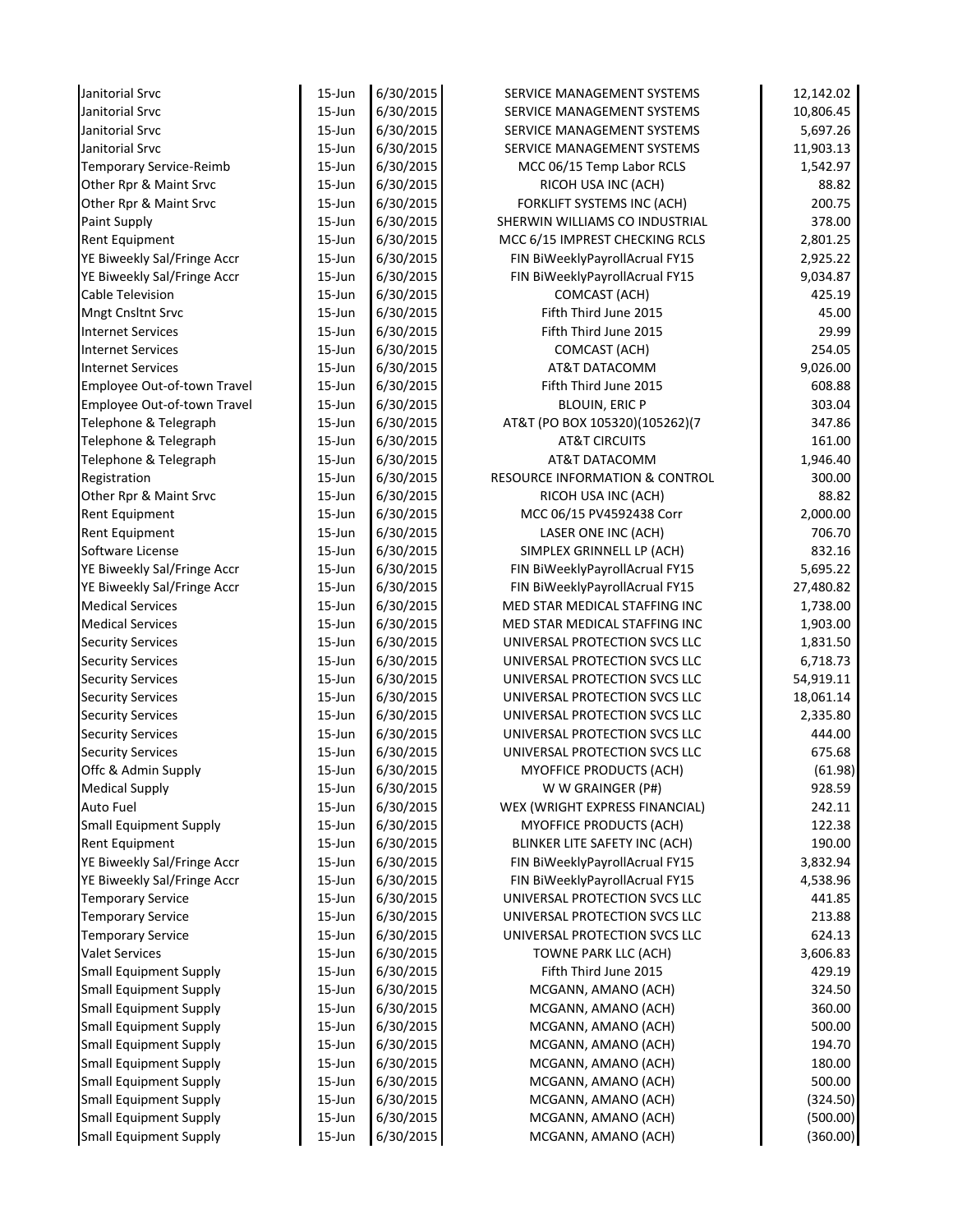| Janitorial Srvc               | $15 - Jun$ | 6/30/2015              | SERVICE MANAGEMENT SYSTEMS                               | 12,142.02 |
|-------------------------------|------------|------------------------|----------------------------------------------------------|-----------|
| Janitorial Srvc               | $15 - Jun$ | 6/30/2015              | SERVICE MANAGEMENT SYSTEMS                               | 10,806.45 |
| Janitorial Srvc               | $15 - Jun$ | 6/30/2015              | SERVICE MANAGEMENT SYSTEMS                               | 5,697.26  |
| Janitorial Srvc               | $15 - Jun$ | 6/30/2015              | SERVICE MANAGEMENT SYSTEMS                               | 11,903.13 |
| Temporary Service-Reimb       | $15 - Jun$ | 6/30/2015              | MCC 06/15 Temp Labor RCLS                                | 1,542.97  |
| Other Rpr & Maint Srvc        | $15 - Jun$ | 6/30/2015              | RICOH USA INC (ACH)                                      | 88.82     |
| Other Rpr & Maint Srvc        | $15 - Jun$ | 6/30/2015              | FORKLIFT SYSTEMS INC (ACH)                               | 200.75    |
| Paint Supply                  | $15 - Jun$ | 6/30/2015              | SHERWIN WILLIAMS CO INDUSTRIAL                           | 378.00    |
| Rent Equipment                | $15 - Jun$ | 6/30/2015              | MCC 6/15 IMPREST CHECKING RCLS                           | 2,801.25  |
| YE Biweekly Sal/Fringe Accr   | $15 - Jun$ | 6/30/2015              | FIN BiWeeklyPayrollAcrual FY15                           | 2,925.22  |
| YE Biweekly Sal/Fringe Accr   | $15 - Jun$ | 6/30/2015              | FIN BiWeeklyPayrollAcrual FY15                           | 9,034.87  |
| <b>Cable Television</b>       | $15 - Jun$ | 6/30/2015              | COMCAST (ACH)                                            | 425.19    |
| Mngt Cnsltnt Srvc             | $15 - Jun$ | 6/30/2015              | Fifth Third June 2015                                    | 45.00     |
| <b>Internet Services</b>      | $15 - Jun$ | 6/30/2015              | Fifth Third June 2015                                    | 29.99     |
| <b>Internet Services</b>      | $15 - Jun$ | 6/30/2015              | COMCAST (ACH)                                            | 254.05    |
| <b>Internet Services</b>      | $15 - Jun$ | 6/30/2015              | AT&T DATACOMM                                            | 9,026.00  |
| Employee Out-of-town Travel   | 15-Jun     | 6/30/2015              | Fifth Third June 2015                                    | 608.88    |
| Employee Out-of-town Travel   | 15-Jun     | 6/30/2015              | <b>BLOUIN, ERIC P</b>                                    | 303.04    |
| Telephone & Telegraph         | $15 - Jun$ | 6/30/2015              | AT&T (PO BOX 105320)(105262)(7                           | 347.86    |
| Telephone & Telegraph         | $15 - Jun$ | 6/30/2015              | <b>AT&amp;T CIRCUITS</b>                                 | 161.00    |
| Telephone & Telegraph         | $15 - Jun$ | 6/30/2015              | AT&T DATACOMM                                            | 1,946.40  |
| Registration                  | $15 - Jun$ | 6/30/2015              | <b>RESOURCE INFORMATION &amp; CONTROL</b>                | 300.00    |
| Other Rpr & Maint Srvc        | $15 - Jun$ | 6/30/2015              | RICOH USA INC (ACH)                                      | 88.82     |
| Rent Equipment                | $15 - Jun$ | 6/30/2015              | MCC 06/15 PV4592438 Corr                                 | 2,000.00  |
| Rent Equipment                | $15 - Jun$ | 6/30/2015              | LASER ONE INC (ACH)                                      | 706.70    |
| Software License              | $15 - Jun$ | 6/30/2015              | SIMPLEX GRINNELL LP (ACH)                                | 832.16    |
| YE Biweekly Sal/Fringe Accr   | $15 - Jun$ | 6/30/2015              | FIN BiWeeklyPayrollAcrual FY15                           | 5,695.22  |
| YE Biweekly Sal/Fringe Accr   | $15 - Jun$ | 6/30/2015              | FIN BiWeeklyPayrollAcrual FY15                           | 27,480.82 |
| <b>Medical Services</b>       | $15 - Jun$ | 6/30/2015              | MED STAR MEDICAL STAFFING INC                            | 1,738.00  |
| <b>Medical Services</b>       | $15 - Jun$ | 6/30/2015              | MED STAR MEDICAL STAFFING INC                            | 1,903.00  |
| <b>Security Services</b>      | $15 - Jun$ | 6/30/2015              | UNIVERSAL PROTECTION SVCS LLC                            | 1,831.50  |
| <b>Security Services</b>      | $15 - Jun$ | 6/30/2015              | UNIVERSAL PROTECTION SVCS LLC                            | 6,718.73  |
| <b>Security Services</b>      | $15 - Jun$ | 6/30/2015              | UNIVERSAL PROTECTION SVCS LLC                            | 54,919.11 |
| <b>Security Services</b>      | $15 - Jun$ | 6/30/2015              | UNIVERSAL PROTECTION SVCS LLC                            | 18,061.14 |
| <b>Security Services</b>      | $15 - Jun$ | 6/30/2015              | UNIVERSAL PROTECTION SVCS LLC                            | 2,335.80  |
| <b>Security Services</b>      | $15 - Jun$ | 6/30/2015              | UNIVERSAL PROTECTION SVCS LLC                            | 444.00    |
| <b>Security Services</b>      | $15 - Jun$ | 6/30/2015              | UNIVERSAL PROTECTION SVCS LLC                            | 675.68    |
| Offc & Admin Supply           | 15-Jun     | 6/30/2015              | MYOFFICE PRODUCTS (ACH)                                  | (61.98)   |
| <b>Medical Supply</b>         | 15-Jun     | 6/30/2015              | W W GRAINGER (P#)                                        | 928.59    |
| Auto Fuel                     | 15-Jun     | 6/30/2015              | WEX (WRIGHT EXPRESS FINANCIAL)                           | 242.11    |
|                               |            |                        |                                                          |           |
| <b>Small Equipment Supply</b> | 15-Jun     | 6/30/2015              | MYOFFICE PRODUCTS (ACH)<br>BLINKER LITE SAFETY INC (ACH) | 122.38    |
| Rent Equipment                | 15-Jun     | 6/30/2015<br>6/30/2015 |                                                          | 190.00    |
| YE Biweekly Sal/Fringe Accr   | 15-Jun     |                        | FIN BiWeeklyPayrollAcrual FY15                           | 3,832.94  |
| YE Biweekly Sal/Fringe Accr   | 15-Jun     | 6/30/2015              | FIN BiWeeklyPayrollAcrual FY15                           | 4,538.96  |
| <b>Temporary Service</b>      | 15-Jun     | 6/30/2015              | UNIVERSAL PROTECTION SVCS LLC                            | 441.85    |
| <b>Temporary Service</b>      | 15-Jun     | 6/30/2015              | UNIVERSAL PROTECTION SVCS LLC                            | 213.88    |
| <b>Temporary Service</b>      | 15-Jun     | 6/30/2015              | UNIVERSAL PROTECTION SVCS LLC                            | 624.13    |
| <b>Valet Services</b>         | 15-Jun     | 6/30/2015              | TOWNE PARK LLC (ACH)                                     | 3,606.83  |
| <b>Small Equipment Supply</b> | $15 - Jun$ | 6/30/2015              | Fifth Third June 2015                                    | 429.19    |
| <b>Small Equipment Supply</b> | 15-Jun     | 6/30/2015              | MCGANN, AMANO (ACH)                                      | 324.50    |
| <b>Small Equipment Supply</b> | 15-Jun     | 6/30/2015              | MCGANN, AMANO (ACH)                                      | 360.00    |
| <b>Small Equipment Supply</b> | 15-Jun     | 6/30/2015              | MCGANN, AMANO (ACH)                                      | 500.00    |
| <b>Small Equipment Supply</b> | 15-Jun     | 6/30/2015              | MCGANN, AMANO (ACH)                                      | 194.70    |
| <b>Small Equipment Supply</b> | 15-Jun     | 6/30/2015              | MCGANN, AMANO (ACH)                                      | 180.00    |
| <b>Small Equipment Supply</b> | $15 - Jun$ | 6/30/2015              | MCGANN, AMANO (ACH)                                      | 500.00    |
| <b>Small Equipment Supply</b> | $15 - Jun$ | 6/30/2015              | MCGANN, AMANO (ACH)                                      | (324.50)  |
| <b>Small Equipment Supply</b> | 15-Jun     | 6/30/2015              | MCGANN, AMANO (ACH)                                      | (500.00)  |
| <b>Small Equipment Supply</b> | 15-Jun     | 6/30/2015              | MCGANN, AMANO (ACH)                                      | (360.00)  |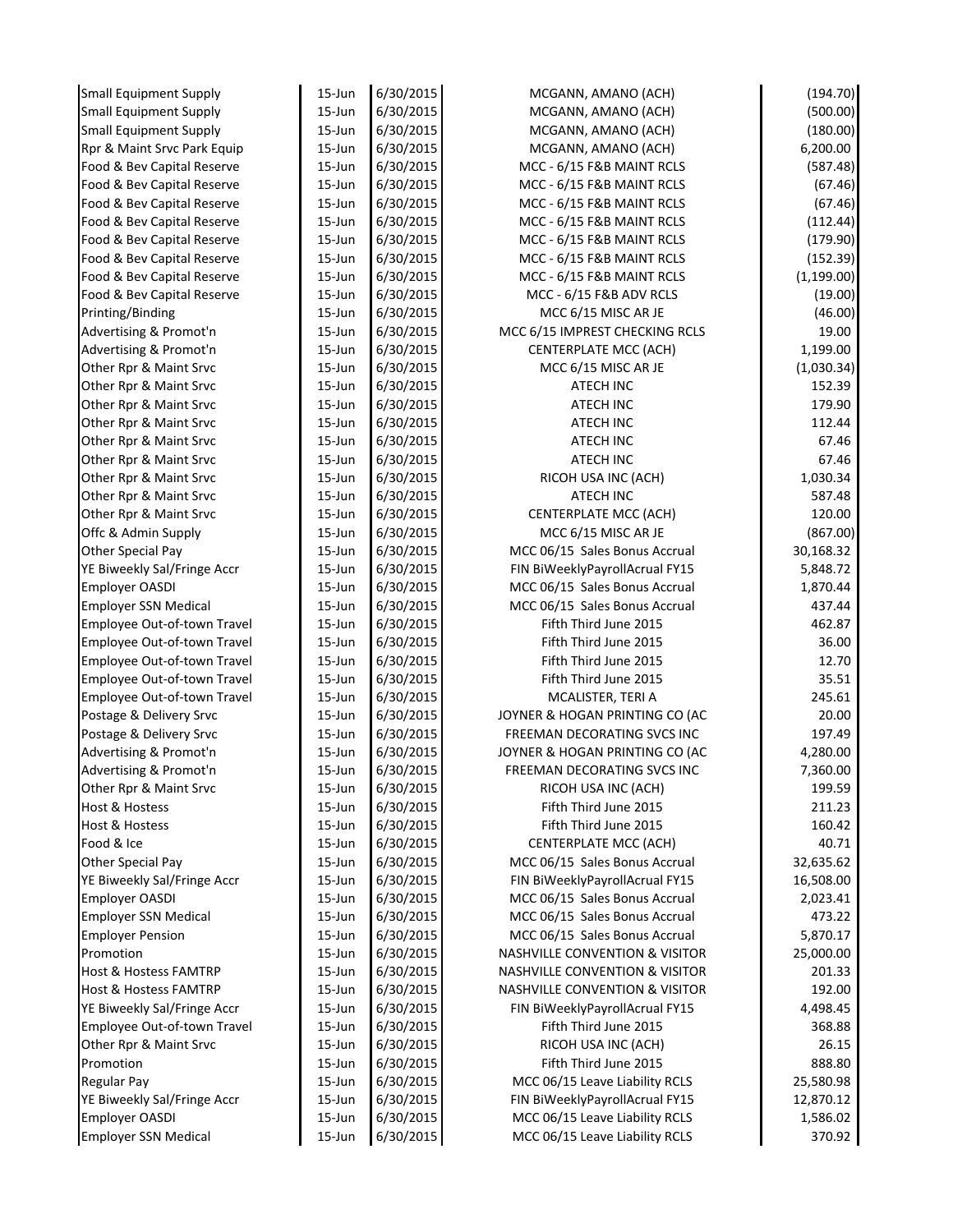| <b>Small Equipment Supply</b> | $15$ -Jun  | 6/30/2015 | MCGANN, AMANO (ACH)                       | (194.70)    |
|-------------------------------|------------|-----------|-------------------------------------------|-------------|
| <b>Small Equipment Supply</b> | $15 - Jun$ | 6/30/2015 | MCGANN, AMANO (ACH)                       | (500.00)    |
| <b>Small Equipment Supply</b> | $15 - Jun$ | 6/30/2015 | MCGANN, AMANO (ACH)                       | (180.00)    |
| Rpr & Maint Srvc Park Equip   | $15$ -Jun  | 6/30/2015 | MCGANN, AMANO (ACH)                       | 6,200.00    |
| Food & Bev Capital Reserve    | $15 - Jun$ | 6/30/2015 | MCC - 6/15 F&B MAINT RCLS                 | (587.48)    |
| Food & Bev Capital Reserve    | 15-Jun     | 6/30/2015 | MCC - 6/15 F&B MAINT RCLS                 | (67.46)     |
| Food & Bev Capital Reserve    | 15-Jun     | 6/30/2015 | MCC - 6/15 F&B MAINT RCLS                 | (67.46)     |
| Food & Bev Capital Reserve    | $15 - Jun$ | 6/30/2015 | MCC - 6/15 F&B MAINT RCLS                 | (112.44)    |
| Food & Bev Capital Reserve    | $15 - Jun$ | 6/30/2015 | MCC - 6/15 F&B MAINT RCLS                 | (179.90)    |
| Food & Bev Capital Reserve    | $15 - Jun$ | 6/30/2015 | MCC - 6/15 F&B MAINT RCLS                 | (152.39)    |
| Food & Bev Capital Reserve    | $15 - Jun$ | 6/30/2015 | MCC - 6/15 F&B MAINT RCLS                 | (1, 199.00) |
| Food & Bev Capital Reserve    | 15-Jun     | 6/30/2015 | MCC - 6/15 F&B ADV RCLS                   | (19.00)     |
| Printing/Binding              | 15-Jun     | 6/30/2015 | MCC 6/15 MISC AR JE                       | (46.00)     |
| Advertising & Promot'n        | 15-Jun     | 6/30/2015 | MCC 6/15 IMPREST CHECKING RCLS            | 19.00       |
| Advertising & Promot'n        | $15$ -Jun  | 6/30/2015 | <b>CENTERPLATE MCC (ACH)</b>              | 1,199.00    |
| Other Rpr & Maint Srvc        | $15 - Jun$ | 6/30/2015 | MCC 6/15 MISC AR JE                       | (1,030.34)  |
| Other Rpr & Maint Srvc        | $15 - Jun$ | 6/30/2015 | <b>ATECH INC</b>                          | 152.39      |
| Other Rpr & Maint Srvc        | 15-Jun     | 6/30/2015 | ATECH INC                                 | 179.90      |
| Other Rpr & Maint Srvc        | 15-Jun     | 6/30/2015 | <b>ATECH INC</b>                          | 112.44      |
| Other Rpr & Maint Srvc        | 15-Jun     | 6/30/2015 | ATECH INC                                 | 67.46       |
| Other Rpr & Maint Srvc        | 15-Jun     | 6/30/2015 | ATECH INC                                 | 67.46       |
| Other Rpr & Maint Srvc        | $15 - Jun$ | 6/30/2015 | RICOH USA INC (ACH)                       | 1,030.34    |
| Other Rpr & Maint Srvc        | 15-Jun     | 6/30/2015 | ATECH INC                                 | 587.48      |
| Other Rpr & Maint Srvc        | 15-Jun     | 6/30/2015 | <b>CENTERPLATE MCC (ACH)</b>              | 120.00      |
| Offc & Admin Supply           | 15-Jun     | 6/30/2015 | MCC 6/15 MISC AR JE                       | (867.00)    |
| <b>Other Special Pay</b>      | $15$ -Jun  | 6/30/2015 | MCC 06/15 Sales Bonus Accrual             | 30,168.32   |
| YE Biweekly Sal/Fringe Accr   | 15-Jun     | 6/30/2015 | FIN BiWeeklyPayrollAcrual FY15            | 5,848.72    |
| <b>Employer OASDI</b>         | $15 - Jun$ | 6/30/2015 | MCC 06/15 Sales Bonus Accrual             | 1,870.44    |
| <b>Employer SSN Medical</b>   | $15 - Jun$ | 6/30/2015 | MCC 06/15 Sales Bonus Accrual             | 437.44      |
| Employee Out-of-town Travel   | $15 - Jun$ | 6/30/2015 | Fifth Third June 2015                     | 462.87      |
| Employee Out-of-town Travel   | 15-Jun     | 6/30/2015 | Fifth Third June 2015                     | 36.00       |
| Employee Out-of-town Travel   | 15-Jun     | 6/30/2015 | Fifth Third June 2015                     | 12.70       |
| Employee Out-of-town Travel   | 15-Jun     | 6/30/2015 | Fifth Third June 2015                     | 35.51       |
| Employee Out-of-town Travel   | 15-Jun     | 6/30/2015 | MCALISTER, TERI A                         | 245.61      |
| Postage & Delivery Srvc       | $15 - Jun$ | 6/30/2015 | JOYNER & HOGAN PRINTING CO (AC            | 20.00       |
| Postage & Delivery Srvc       | 15-Jun     | 6/30/2015 | FREEMAN DECORATING SVCS INC               | 197.49      |
| Advertising & Promot'n        | 15-Jun     | 6/30/2015 | JOYNER & HOGAN PRINTING CO (AC            | 4,280.00    |
| Advertising & Promot'n        | 15-Jun     | 6/30/2015 | FREEMAN DECORATING SVCS INC               | 7,360.00    |
| Other Rpr & Maint Srvc        | 15-Jun     | 6/30/2015 | RICOH USA INC (ACH)                       | 199.59      |
| Host & Hostess                | $15$ -Jun  | 6/30/2015 | Fifth Third June 2015                     | 211.23      |
| <b>Host &amp; Hostess</b>     | $15$ -Jun  | 6/30/2015 | Fifth Third June 2015                     | 160.42      |
| Food & Ice                    | $15$ -Jun  | 6/30/2015 | <b>CENTERPLATE MCC (ACH)</b>              | 40.71       |
| <b>Other Special Pay</b>      | $15$ -Jun  | 6/30/2015 | MCC 06/15 Sales Bonus Accrual             | 32,635.62   |
| YE Biweekly Sal/Fringe Accr   | $15$ -Jun  | 6/30/2015 | FIN BiWeeklyPayrollAcrual FY15            | 16,508.00   |
| <b>Employer OASDI</b>         | $15 - Jun$ | 6/30/2015 | MCC 06/15 Sales Bonus Accrual             | 2,023.41    |
| <b>Employer SSN Medical</b>   | $15$ -Jun  | 6/30/2015 | MCC 06/15 Sales Bonus Accrual             | 473.22      |
| <b>Employer Pension</b>       | $15$ -Jun  | 6/30/2015 | MCC 06/15 Sales Bonus Accrual             | 5,870.17    |
| Promotion                     | $15$ -Jun  | 6/30/2015 | <b>NASHVILLE CONVENTION &amp; VISITOR</b> | 25,000.00   |
| Host & Hostess FAMTRP         | $15$ -Jun  | 6/30/2015 | <b>NASHVILLE CONVENTION &amp; VISITOR</b> | 201.33      |
| Host & Hostess FAMTRP         | 15-Jun     | 6/30/2015 | <b>NASHVILLE CONVENTION &amp; VISITOR</b> | 192.00      |
| YE Biweekly Sal/Fringe Accr   | $15$ -Jun  | 6/30/2015 | FIN BiWeeklyPayrollAcrual FY15            | 4,498.45    |
| Employee Out-of-town Travel   | $15$ -Jun  | 6/30/2015 | Fifth Third June 2015                     | 368.88      |
| Other Rpr & Maint Srvc        | $15$ -Jun  | 6/30/2015 | RICOH USA INC (ACH)                       | 26.15       |
| Promotion                     | $15$ -Jun  | 6/30/2015 | Fifth Third June 2015                     | 888.80      |
| <b>Regular Pay</b>            | $15$ -Jun  | 6/30/2015 | MCC 06/15 Leave Liability RCLS            | 25,580.98   |
| YE Biweekly Sal/Fringe Accr   | $15$ -Jun  | 6/30/2015 | FIN BiWeeklyPayrollAcrual FY15            | 12,870.12   |
| <b>Employer OASDI</b>         | 15-Jun     | 6/30/2015 | MCC 06/15 Leave Liability RCLS            | 1,586.02    |
| <b>Employer SSN Medical</b>   | 15-Jun     | 6/30/2015 | MCC 06/15 Leave Liability RCLS            | 370.92      |
|                               |            |           |                                           |             |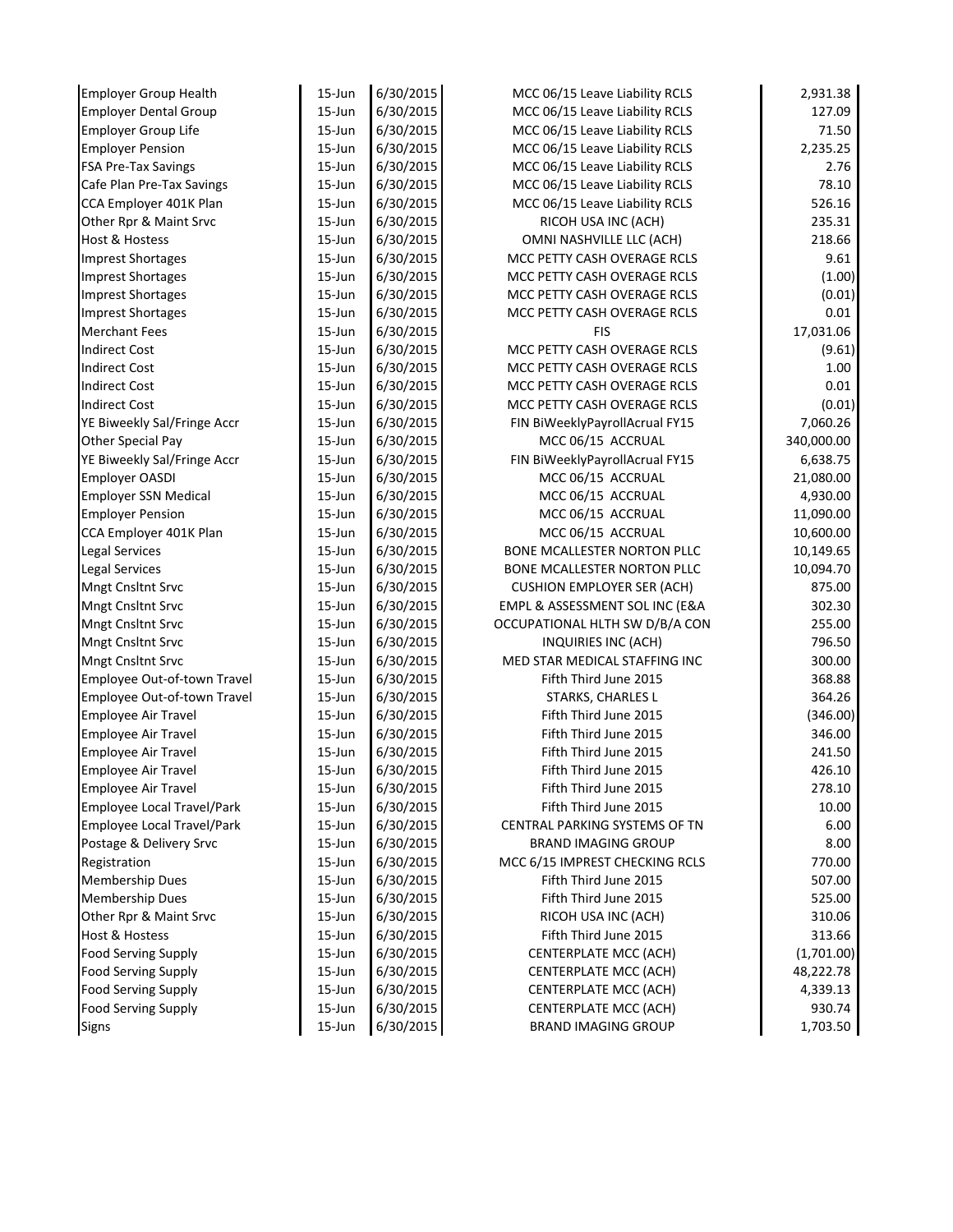| <b>Employer Group Health</b>      | $15$ -Jun  | 6/30/2015 | MCC 06/15 Leave Liability RCLS    | 2,931.38   |
|-----------------------------------|------------|-----------|-----------------------------------|------------|
| <b>Employer Dental Group</b>      | $15 - Jun$ | 6/30/2015 | MCC 06/15 Leave Liability RCLS    | 127.09     |
| <b>Employer Group Life</b>        | $15 - Jun$ | 6/30/2015 | MCC 06/15 Leave Liability RCLS    | 71.50      |
| <b>Employer Pension</b>           | $15 - Jun$ | 6/30/2015 | MCC 06/15 Leave Liability RCLS    | 2,235.25   |
| <b>FSA Pre-Tax Savings</b>        | $15$ -Jun  | 6/30/2015 | MCC 06/15 Leave Liability RCLS    | 2.76       |
| Cafe Plan Pre-Tax Savings         | $15$ -Jun  | 6/30/2015 | MCC 06/15 Leave Liability RCLS    | 78.10      |
| CCA Employer 401K Plan            | $15$ -Jun  | 6/30/2015 | MCC 06/15 Leave Liability RCLS    | 526.16     |
| Other Rpr & Maint Srvc            | $15$ -Jun  | 6/30/2015 | RICOH USA INC (ACH)               | 235.31     |
| <b>Host &amp; Hostess</b>         | $15 - Jun$ | 6/30/2015 | OMNI NASHVILLE LLC (ACH)          | 218.66     |
| <b>Imprest Shortages</b>          | $15 - Jun$ | 6/30/2015 | MCC PETTY CASH OVERAGE RCLS       | 9.61       |
| <b>Imprest Shortages</b>          | $15$ -Jun  | 6/30/2015 | MCC PETTY CASH OVERAGE RCLS       | (1.00)     |
| <b>Imprest Shortages</b>          | $15$ -Jun  | 6/30/2015 | MCC PETTY CASH OVERAGE RCLS       | (0.01)     |
| <b>Imprest Shortages</b>          | $15$ -Jun  | 6/30/2015 | MCC PETTY CASH OVERAGE RCLS       | $0.01\,$   |
| <b>Merchant Fees</b>              | $15 - Jun$ | 6/30/2015 | <b>FIS</b>                        | 17,031.06  |
| <b>Indirect Cost</b>              | $15 - Jun$ | 6/30/2015 | MCC PETTY CASH OVERAGE RCLS       | (9.61)     |
| <b>Indirect Cost</b>              | $15 - Jun$ | 6/30/2015 | MCC PETTY CASH OVERAGE RCLS       | 1.00       |
| <b>Indirect Cost</b>              | 15-Jun     | 6/30/2015 | MCC PETTY CASH OVERAGE RCLS       | $0.01\,$   |
| <b>Indirect Cost</b>              | 15-Jun     | 6/30/2015 | MCC PETTY CASH OVERAGE RCLS       | (0.01)     |
| YE Biweekly Sal/Fringe Accr       | $15$ -Jun  | 6/30/2015 | FIN BiWeeklyPayrollAcrual FY15    | 7,060.26   |
| Other Special Pay                 | $15$ -Jun  | 6/30/2015 | MCC 06/15 ACCRUAL                 | 340,000.00 |
| YE Biweekly Sal/Fringe Accr       | $15$ -Jun  | 6/30/2015 | FIN BiWeeklyPayrollAcrual FY15    | 6,638.75   |
| <b>Employer OASDI</b>             | 15-Jun     | 6/30/2015 | MCC 06/15 ACCRUAL                 | 21,080.00  |
| <b>Employer SSN Medical</b>       | 15-Jun     | 6/30/2015 | MCC 06/15 ACCRUAL                 | 4,930.00   |
| <b>Employer Pension</b>           | $15$ -Jun  | 6/30/2015 | MCC 06/15 ACCRUAL                 | 11,090.00  |
| CCA Employer 401K Plan            | $15$ -Jun  | 6/30/2015 | MCC 06/15 ACCRUAL                 | 10,600.00  |
| <b>Legal Services</b>             | $15$ -Jun  | 6/30/2015 | BONE MCALLESTER NORTON PLLC       | 10,149.65  |
| <b>Legal Services</b>             | $15$ -Jun  | 6/30/2015 | BONE MCALLESTER NORTON PLLC       | 10,094.70  |
| Mngt Cnsltnt Srvc                 | $15$ -Jun  | 6/30/2015 | <b>CUSHION EMPLOYER SER (ACH)</b> | 875.00     |
| Mngt Cnsltnt Srvc                 | $15$ -Jun  | 6/30/2015 | EMPL & ASSESSMENT SOL INC (E&A    | 302.30     |
| <b>Mngt Cnsltnt Srvc</b>          | $15$ -Jun  | 6/30/2015 | OCCUPATIONAL HLTH SW D/B/A CON    | 255.00     |
| Mngt Cnsltnt Srvc                 | $15$ -Jun  | 6/30/2015 | INQUIRIES INC (ACH)               | 796.50     |
| Mngt Cnsltnt Srvc                 | $15$ -Jun  | 6/30/2015 | MED STAR MEDICAL STAFFING INC     | 300.00     |
| Employee Out-of-town Travel       | $15$ -Jun  | 6/30/2015 | Fifth Third June 2015             | 368.88     |
| Employee Out-of-town Travel       | $15 - Jun$ | 6/30/2015 | STARKS, CHARLES L                 | 364.26     |
| Employee Air Travel               | $15$ -Jun  | 6/30/2015 | Fifth Third June 2015             | (346.00)   |
| Employee Air Travel               | $15$ -Jun  | 6/30/2015 | Fifth Third June 2015             | 346.00     |
| <b>Employee Air Travel</b>        | $15$ -Jun  | 6/30/2015 | Fifth Third June 2015             | 241.50     |
| Employee Air Travel               | 15-Jun     | 6/30/2015 | Fifth Third June 2015             | 426.10     |
| <b>Employee Air Travel</b>        | $15$ -Jun  | 6/30/2015 | Fifth Third June 2015             | 278.10     |
| Employee Local Travel/Park        | 15-Jun     | 6/30/2015 | Fifth Third June 2015             | 10.00      |
| <b>Employee Local Travel/Park</b> | 15-Jun     | 6/30/2015 | CENTRAL PARKING SYSTEMS OF TN     | 6.00       |
| Postage & Delivery Srvc           | 15-Jun     | 6/30/2015 | <b>BRAND IMAGING GROUP</b>        | 8.00       |
| Registration                      | 15-Jun     | 6/30/2015 | MCC 6/15 IMPREST CHECKING RCLS    | 770.00     |
| <b>Membership Dues</b>            | 15-Jun     | 6/30/2015 | Fifth Third June 2015             | 507.00     |
| <b>Membership Dues</b>            | 15-Jun     | 6/30/2015 | Fifth Third June 2015             | 525.00     |
| Other Rpr & Maint Srvc            | 15-Jun     | 6/30/2015 | RICOH USA INC (ACH)               | 310.06     |
| <b>Host &amp; Hostess</b>         | 15-Jun     | 6/30/2015 | Fifth Third June 2015             | 313.66     |
| <b>Food Serving Supply</b>        | 15-Jun     | 6/30/2015 | <b>CENTERPLATE MCC (ACH)</b>      | (1,701.00) |
| <b>Food Serving Supply</b>        | 15-Jun     | 6/30/2015 | <b>CENTERPLATE MCC (ACH)</b>      | 48,222.78  |
| <b>Food Serving Supply</b>        | 15-Jun     | 6/30/2015 | <b>CENTERPLATE MCC (ACH)</b>      | 4,339.13   |
| <b>Food Serving Supply</b>        | $15$ -Jun  | 6/30/2015 | <b>CENTERPLATE MCC (ACH)</b>      | 930.74     |
| Signs                             | 15-Jun     | 6/30/2015 | <b>BRAND IMAGING GROUP</b>        | 1,703.50   |